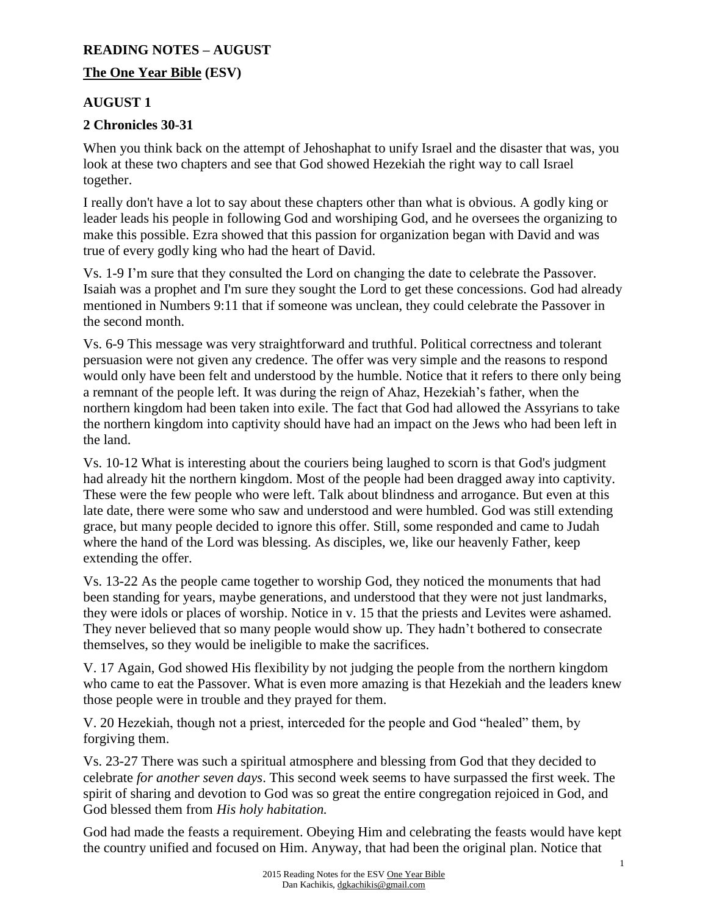#### **READING NOTES – AUGUST**

#### **The One Year Bible (ESV)**

### **AUGUST 1**

### **2 Chronicles 30-31**

When you think back on the attempt of Jehoshaphat to unify Israel and the disaster that was, you look at these two chapters and see that God showed Hezekiah the right way to call Israel together.

I really don't have a lot to say about these chapters other than what is obvious. A godly king or leader leads his people in following God and worshiping God, and he oversees the organizing to make this possible. Ezra showed that this passion for organization began with David and was true of every godly king who had the heart of David.

Vs. 1-9 I'm sure that they consulted the Lord on changing the date to celebrate the Passover. Isaiah was a prophet and I'm sure they sought the Lord to get these concessions. God had already mentioned in Numbers 9:11 that if someone was unclean, they could celebrate the Passover in the second month.

Vs. 6-9 This message was very straightforward and truthful. Political correctness and tolerant persuasion were not given any credence. The offer was very simple and the reasons to respond would only have been felt and understood by the humble. Notice that it refers to there only being a remnant of the people left. It was during the reign of Ahaz, Hezekiah's father, when the northern kingdom had been taken into exile. The fact that God had allowed the Assyrians to take the northern kingdom into captivity should have had an impact on the Jews who had been left in the land.

Vs. 10-12 What is interesting about the couriers being laughed to scorn is that God's judgment had already hit the northern kingdom. Most of the people had been dragged away into captivity. These were the few people who were left. Talk about blindness and arrogance. But even at this late date, there were some who saw and understood and were humbled. God was still extending grace, but many people decided to ignore this offer. Still, some responded and came to Judah where the hand of the Lord was blessing. As disciples, we, like our heavenly Father, keep extending the offer.

Vs. 13-22 As the people came together to worship God, they noticed the monuments that had been standing for years, maybe generations, and understood that they were not just landmarks, they were idols or places of worship. Notice in v. 15 that the priests and Levites were ashamed. They never believed that so many people would show up. They hadn't bothered to consecrate themselves, so they would be ineligible to make the sacrifices.

V. 17 Again, God showed His flexibility by not judging the people from the northern kingdom who came to eat the Passover. What is even more amazing is that Hezekiah and the leaders knew those people were in trouble and they prayed for them.

V. 20 Hezekiah, though not a priest, interceded for the people and God "healed" them, by forgiving them.

Vs. 23-27 There was such a spiritual atmosphere and blessing from God that they decided to celebrate *for another seven days*. This second week seems to have surpassed the first week. The spirit of sharing and devotion to God was so great the entire congregation rejoiced in God, and God blessed them from *His holy habitation.*

God had made the feasts a requirement. Obeying Him and celebrating the feasts would have kept the country unified and focused on Him. Anyway, that had been the original plan. Notice that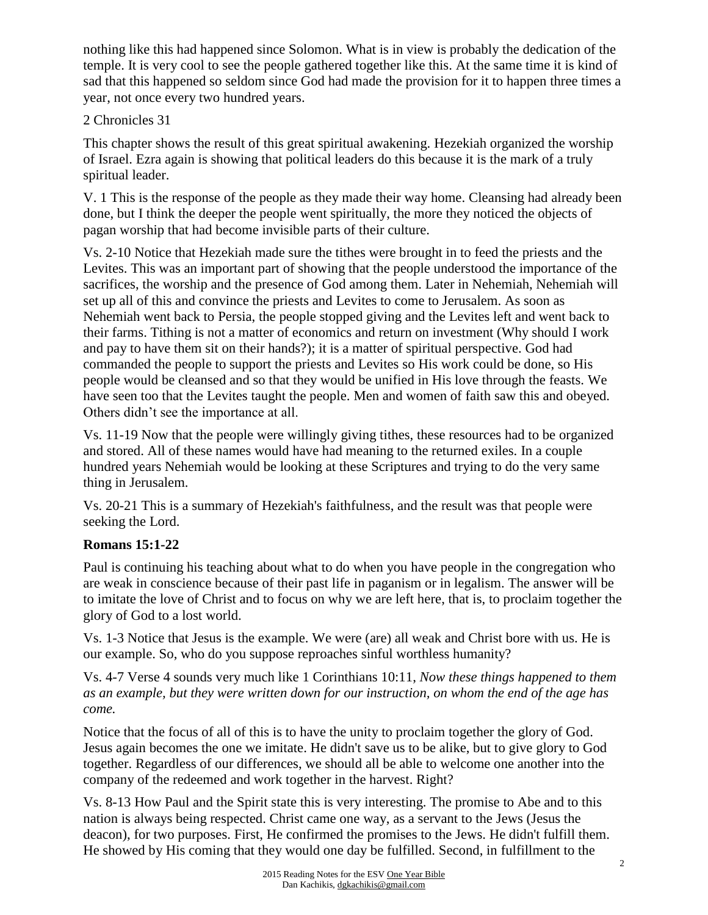nothing like this had happened since Solomon. What is in view is probably the dedication of the temple. It is very cool to see the people gathered together like this. At the same time it is kind of sad that this happened so seldom since God had made the provision for it to happen three times a year, not once every two hundred years.

## 2 Chronicles 31

This chapter shows the result of this great spiritual awakening. Hezekiah organized the worship of Israel. Ezra again is showing that political leaders do this because it is the mark of a truly spiritual leader.

V. 1 This is the response of the people as they made their way home. Cleansing had already been done, but I think the deeper the people went spiritually, the more they noticed the objects of pagan worship that had become invisible parts of their culture.

Vs. 2-10 Notice that Hezekiah made sure the tithes were brought in to feed the priests and the Levites. This was an important part of showing that the people understood the importance of the sacrifices, the worship and the presence of God among them. Later in Nehemiah, Nehemiah will set up all of this and convince the priests and Levites to come to Jerusalem. As soon as Nehemiah went back to Persia, the people stopped giving and the Levites left and went back to their farms. Tithing is not a matter of economics and return on investment (Why should I work and pay to have them sit on their hands?); it is a matter of spiritual perspective. God had commanded the people to support the priests and Levites so His work could be done, so His people would be cleansed and so that they would be unified in His love through the feasts. We have seen too that the Levites taught the people. Men and women of faith saw this and obeyed. Others didn't see the importance at all.

Vs. 11-19 Now that the people were willingly giving tithes, these resources had to be organized and stored. All of these names would have had meaning to the returned exiles. In a couple hundred years Nehemiah would be looking at these Scriptures and trying to do the very same thing in Jerusalem.

Vs. 20-21 This is a summary of Hezekiah's faithfulness, and the result was that people were seeking the Lord.

## **Romans 15:1-22**

Paul is continuing his teaching about what to do when you have people in the congregation who are weak in conscience because of their past life in paganism or in legalism. The answer will be to imitate the love of Christ and to focus on why we are left here, that is, to proclaim together the glory of God to a lost world.

Vs. 1-3 Notice that Jesus is the example. We were (are) all weak and Christ bore with us. He is our example. So, who do you suppose reproaches sinful worthless humanity?

Vs. 4-7 Verse 4 sounds very much like 1 Corinthians 10:11, *Now these things happened to them as an example, but they were written down for our instruction, on whom the end of the age has come.*

Notice that the focus of all of this is to have the unity to proclaim together the glory of God. Jesus again becomes the one we imitate. He didn't save us to be alike, but to give glory to God together. Regardless of our differences, we should all be able to welcome one another into the company of the redeemed and work together in the harvest. Right?

Vs. 8-13 How Paul and the Spirit state this is very interesting. The promise to Abe and to this nation is always being respected. Christ came one way, as a servant to the Jews (Jesus the deacon), for two purposes. First, He confirmed the promises to the Jews. He didn't fulfill them. He showed by His coming that they would one day be fulfilled. Second, in fulfillment to the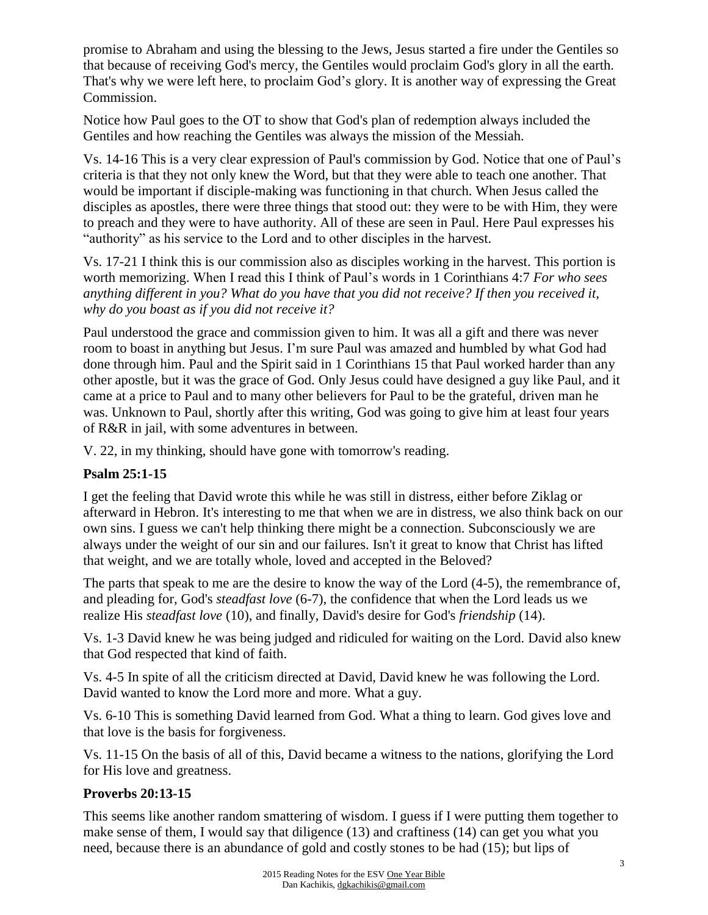promise to Abraham and using the blessing to the Jews, Jesus started a fire under the Gentiles so that because of receiving God's mercy, the Gentiles would proclaim God's glory in all the earth. That's why we were left here, to proclaim God's glory. It is another way of expressing the Great Commission.

Notice how Paul goes to the OT to show that God's plan of redemption always included the Gentiles and how reaching the Gentiles was always the mission of the Messiah.

Vs. 14-16 This is a very clear expression of Paul's commission by God. Notice that one of Paul's criteria is that they not only knew the Word, but that they were able to teach one another. That would be important if disciple-making was functioning in that church. When Jesus called the disciples as apostles, there were three things that stood out: they were to be with Him, they were to preach and they were to have authority. All of these are seen in Paul. Here Paul expresses his "authority" as his service to the Lord and to other disciples in the harvest.

Vs. 17-21 I think this is our commission also as disciples working in the harvest. This portion is worth memorizing. When I read this I think of Paul's words in 1 Corinthians 4:7 *For who sees anything different in you? What do you have that you did not receive? If then you received it, why do you boast as if you did not receive it?* 

Paul understood the grace and commission given to him. It was all a gift and there was never room to boast in anything but Jesus. I'm sure Paul was amazed and humbled by what God had done through him. Paul and the Spirit said in 1 Corinthians 15 that Paul worked harder than any other apostle, but it was the grace of God. Only Jesus could have designed a guy like Paul, and it came at a price to Paul and to many other believers for Paul to be the grateful, driven man he was. Unknown to Paul, shortly after this writing, God was going to give him at least four years of R&R in jail, with some adventures in between.

V. 22, in my thinking, should have gone with tomorrow's reading.

## **Psalm 25:1-15**

I get the feeling that David wrote this while he was still in distress, either before Ziklag or afterward in Hebron. It's interesting to me that when we are in distress, we also think back on our own sins. I guess we can't help thinking there might be a connection. Subconsciously we are always under the weight of our sin and our failures. Isn't it great to know that Christ has lifted that weight, and we are totally whole, loved and accepted in the Beloved?

The parts that speak to me are the desire to know the way of the Lord (4-5), the remembrance of, and pleading for, God's *steadfast love* (6-7), the confidence that when the Lord leads us we realize His *steadfast love* (10), and finally, David's desire for God's *friendship* (14).

Vs. 1-3 David knew he was being judged and ridiculed for waiting on the Lord. David also knew that God respected that kind of faith.

Vs. 4-5 In spite of all the criticism directed at David, David knew he was following the Lord. David wanted to know the Lord more and more. What a guy.

Vs. 6-10 This is something David learned from God. What a thing to learn. God gives love and that love is the basis for forgiveness.

Vs. 11-15 On the basis of all of this, David became a witness to the nations, glorifying the Lord for His love and greatness.

# **Proverbs 20:13-15**

This seems like another random smattering of wisdom. I guess if I were putting them together to make sense of them, I would say that diligence (13) and craftiness (14) can get you what you need, because there is an abundance of gold and costly stones to be had (15); but lips of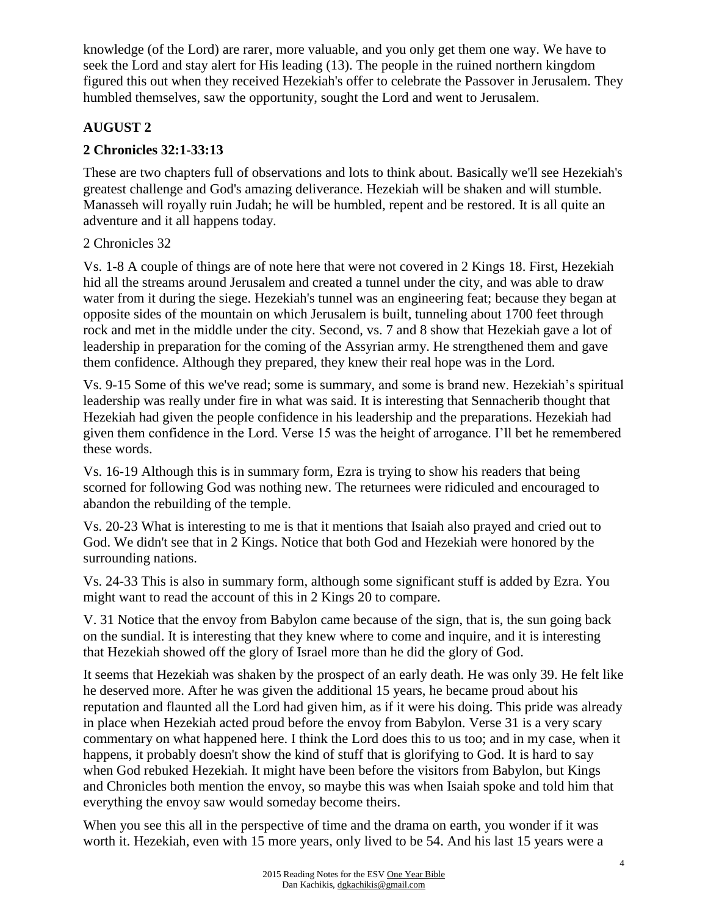knowledge (of the Lord) are rarer, more valuable, and you only get them one way. We have to seek the Lord and stay alert for His leading (13). The people in the ruined northern kingdom figured this out when they received Hezekiah's offer to celebrate the Passover in Jerusalem. They humbled themselves, saw the opportunity, sought the Lord and went to Jerusalem.

# **AUGUST 2**

# **2 Chronicles 32:1-33:13**

These are two chapters full of observations and lots to think about. Basically we'll see Hezekiah's greatest challenge and God's amazing deliverance. Hezekiah will be shaken and will stumble. Manasseh will royally ruin Judah; he will be humbled, repent and be restored. It is all quite an adventure and it all happens today.

### 2 Chronicles 32

Vs. 1-8 A couple of things are of note here that were not covered in 2 Kings 18. First, Hezekiah hid all the streams around Jerusalem and created a tunnel under the city, and was able to draw water from it during the siege. Hezekiah's tunnel was an engineering feat; because they began at opposite sides of the mountain on which Jerusalem is built, tunneling about 1700 feet through rock and met in the middle under the city. Second, vs. 7 and 8 show that Hezekiah gave a lot of leadership in preparation for the coming of the Assyrian army. He strengthened them and gave them confidence. Although they prepared, they knew their real hope was in the Lord.

Vs. 9-15 Some of this we've read; some is summary, and some is brand new. Hezekiah's spiritual leadership was really under fire in what was said. It is interesting that Sennacherib thought that Hezekiah had given the people confidence in his leadership and the preparations. Hezekiah had given them confidence in the Lord. Verse 15 was the height of arrogance. I'll bet he remembered these words.

Vs. 16-19 Although this is in summary form, Ezra is trying to show his readers that being scorned for following God was nothing new. The returnees were ridiculed and encouraged to abandon the rebuilding of the temple.

Vs. 20-23 What is interesting to me is that it mentions that Isaiah also prayed and cried out to God. We didn't see that in 2 Kings. Notice that both God and Hezekiah were honored by the surrounding nations.

Vs. 24-33 This is also in summary form, although some significant stuff is added by Ezra. You might want to read the account of this in 2 Kings 20 to compare.

V. 31 Notice that the envoy from Babylon came because of the sign, that is, the sun going back on the sundial. It is interesting that they knew where to come and inquire, and it is interesting that Hezekiah showed off the glory of Israel more than he did the glory of God.

It seems that Hezekiah was shaken by the prospect of an early death. He was only 39. He felt like he deserved more. After he was given the additional 15 years, he became proud about his reputation and flaunted all the Lord had given him, as if it were his doing. This pride was already in place when Hezekiah acted proud before the envoy from Babylon. Verse 31 is a very scary commentary on what happened here. I think the Lord does this to us too; and in my case, when it happens, it probably doesn't show the kind of stuff that is glorifying to God. It is hard to say when God rebuked Hezekiah. It might have been before the visitors from Babylon, but Kings and Chronicles both mention the envoy, so maybe this was when Isaiah spoke and told him that everything the envoy saw would someday become theirs.

When you see this all in the perspective of time and the drama on earth, you wonder if it was worth it. Hezekiah, even with 15 more years, only lived to be 54. And his last 15 years were a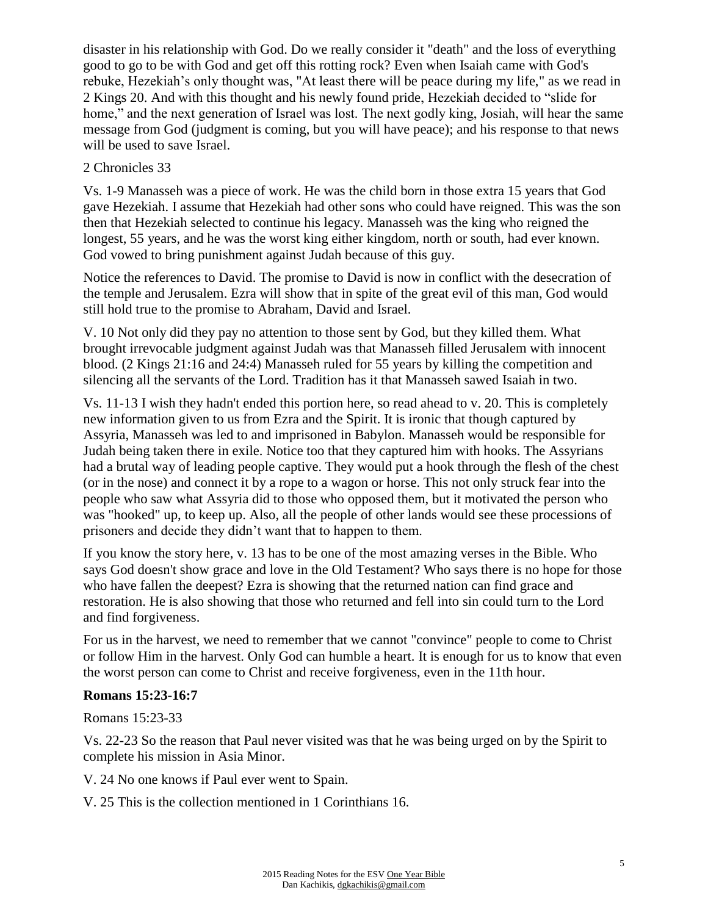disaster in his relationship with God. Do we really consider it "death" and the loss of everything good to go to be with God and get off this rotting rock? Even when Isaiah came with God's rebuke, Hezekiah's only thought was, "At least there will be peace during my life," as we read in 2 Kings 20. And with this thought and his newly found pride, Hezekiah decided to "slide for home," and the next generation of Israel was lost. The next godly king, Josiah, will hear the same message from God (judgment is coming, but you will have peace); and his response to that news will be used to save Israel.

### 2 Chronicles 33

Vs. 1-9 Manasseh was a piece of work. He was the child born in those extra 15 years that God gave Hezekiah. I assume that Hezekiah had other sons who could have reigned. This was the son then that Hezekiah selected to continue his legacy. Manasseh was the king who reigned the longest, 55 years, and he was the worst king either kingdom, north or south, had ever known. God vowed to bring punishment against Judah because of this guy.

Notice the references to David. The promise to David is now in conflict with the desecration of the temple and Jerusalem. Ezra will show that in spite of the great evil of this man, God would still hold true to the promise to Abraham, David and Israel.

V. 10 Not only did they pay no attention to those sent by God, but they killed them. What brought irrevocable judgment against Judah was that Manasseh filled Jerusalem with innocent blood. (2 Kings 21:16 and 24:4) Manasseh ruled for 55 years by killing the competition and silencing all the servants of the Lord. Tradition has it that Manasseh sawed Isaiah in two.

Vs. 11-13 I wish they hadn't ended this portion here, so read ahead to v. 20. This is completely new information given to us from Ezra and the Spirit. It is ironic that though captured by Assyria, Manasseh was led to and imprisoned in Babylon. Manasseh would be responsible for Judah being taken there in exile. Notice too that they captured him with hooks. The Assyrians had a brutal way of leading people captive. They would put a hook through the flesh of the chest (or in the nose) and connect it by a rope to a wagon or horse. This not only struck fear into the people who saw what Assyria did to those who opposed them, but it motivated the person who was "hooked" up, to keep up. Also, all the people of other lands would see these processions of prisoners and decide they didn't want that to happen to them.

If you know the story here, v. 13 has to be one of the most amazing verses in the Bible. Who says God doesn't show grace and love in the Old Testament? Who says there is no hope for those who have fallen the deepest? Ezra is showing that the returned nation can find grace and restoration. He is also showing that those who returned and fell into sin could turn to the Lord and find forgiveness.

For us in the harvest, we need to remember that we cannot "convince" people to come to Christ or follow Him in the harvest. Only God can humble a heart. It is enough for us to know that even the worst person can come to Christ and receive forgiveness, even in the 11th hour.

## **Romans 15:23-16:7**

Romans 15:23-33

Vs. 22-23 So the reason that Paul never visited was that he was being urged on by the Spirit to complete his mission in Asia Minor.

V. 24 No one knows if Paul ever went to Spain.

V. 25 This is the collection mentioned in 1 Corinthians 16.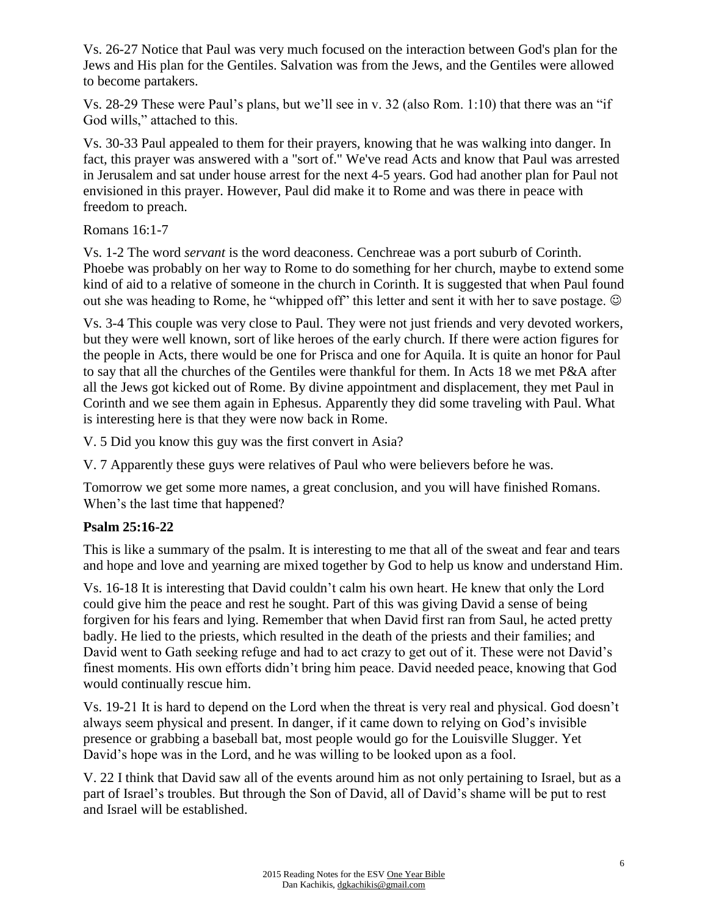Vs. 26-27 Notice that Paul was very much focused on the interaction between God's plan for the Jews and His plan for the Gentiles. Salvation was from the Jews, and the Gentiles were allowed to become partakers.

Vs. 28-29 These were Paul's plans, but we'll see in v. 32 (also Rom. 1:10) that there was an "if God wills," attached to this.

Vs. 30-33 Paul appealed to them for their prayers, knowing that he was walking into danger. In fact, this prayer was answered with a "sort of." We've read Acts and know that Paul was arrested in Jerusalem and sat under house arrest for the next 4-5 years. God had another plan for Paul not envisioned in this prayer. However, Paul did make it to Rome and was there in peace with freedom to preach.

Romans 16:1-7

Vs. 1-2 The word *servant* is the word deaconess. Cenchreae was a port suburb of Corinth. Phoebe was probably on her way to Rome to do something for her church, maybe to extend some kind of aid to a relative of someone in the church in Corinth. It is suggested that when Paul found out she was heading to Rome, he "whipped off" this letter and sent it with her to save postage.  $\odot$ 

Vs. 3-4 This couple was very close to Paul. They were not just friends and very devoted workers, but they were well known, sort of like heroes of the early church. If there were action figures for the people in Acts, there would be one for Prisca and one for Aquila. It is quite an honor for Paul to say that all the churches of the Gentiles were thankful for them. In Acts 18 we met P&A after all the Jews got kicked out of Rome. By divine appointment and displacement, they met Paul in Corinth and we see them again in Ephesus. Apparently they did some traveling with Paul. What is interesting here is that they were now back in Rome.

V. 5 Did you know this guy was the first convert in Asia?

V. 7 Apparently these guys were relatives of Paul who were believers before he was.

Tomorrow we get some more names, a great conclusion, and you will have finished Romans. When's the last time that happened?

# **Psalm 25:16-22**

This is like a summary of the psalm. It is interesting to me that all of the sweat and fear and tears and hope and love and yearning are mixed together by God to help us know and understand Him.

Vs. 16-18 It is interesting that David couldn't calm his own heart. He knew that only the Lord could give him the peace and rest he sought. Part of this was giving David a sense of being forgiven for his fears and lying. Remember that when David first ran from Saul, he acted pretty badly. He lied to the priests, which resulted in the death of the priests and their families; and David went to Gath seeking refuge and had to act crazy to get out of it. These were not David's finest moments. His own efforts didn't bring him peace. David needed peace, knowing that God would continually rescue him.

Vs. 19-21 It is hard to depend on the Lord when the threat is very real and physical. God doesn't always seem physical and present. In danger, if it came down to relying on God's invisible presence or grabbing a baseball bat, most people would go for the Louisville Slugger. Yet David's hope was in the Lord, and he was willing to be looked upon as a fool.

V. 22 I think that David saw all of the events around him as not only pertaining to Israel, but as a part of Israel's troubles. But through the Son of David, all of David's shame will be put to rest and Israel will be established.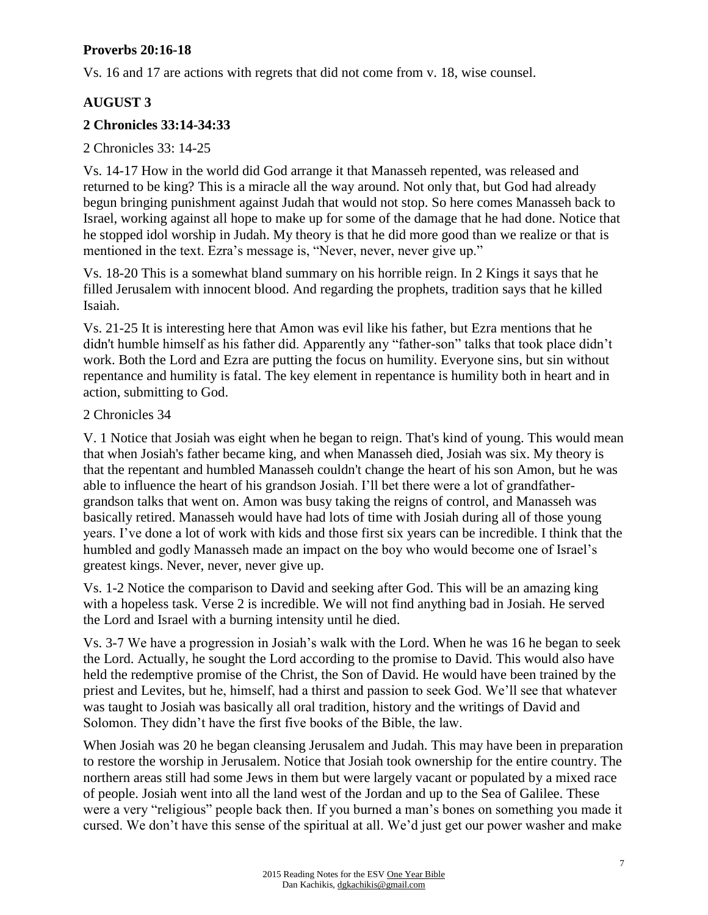### **Proverbs 20:16-18**

Vs. 16 and 17 are actions with regrets that did not come from v. 18, wise counsel.

## **AUGUST 3**

### **2 Chronicles 33:14-34:33**

2 Chronicles 33: 14-25

Vs. 14-17 How in the world did God arrange it that Manasseh repented, was released and returned to be king? This is a miracle all the way around. Not only that, but God had already begun bringing punishment against Judah that would not stop. So here comes Manasseh back to Israel, working against all hope to make up for some of the damage that he had done. Notice that he stopped idol worship in Judah. My theory is that he did more good than we realize or that is mentioned in the text. Ezra's message is, "Never, never, never give up."

Vs. 18-20 This is a somewhat bland summary on his horrible reign. In 2 Kings it says that he filled Jerusalem with innocent blood. And regarding the prophets, tradition says that he killed Isaiah.

Vs. 21-25 It is interesting here that Amon was evil like his father, but Ezra mentions that he didn't humble himself as his father did. Apparently any "father-son" talks that took place didn't work. Both the Lord and Ezra are putting the focus on humility. Everyone sins, but sin without repentance and humility is fatal. The key element in repentance is humility both in heart and in action, submitting to God.

#### 2 Chronicles 34

V. 1 Notice that Josiah was eight when he began to reign. That's kind of young. This would mean that when Josiah's father became king, and when Manasseh died, Josiah was six. My theory is that the repentant and humbled Manasseh couldn't change the heart of his son Amon, but he was able to influence the heart of his grandson Josiah. I'll bet there were a lot of grandfathergrandson talks that went on. Amon was busy taking the reigns of control, and Manasseh was basically retired. Manasseh would have had lots of time with Josiah during all of those young years. I've done a lot of work with kids and those first six years can be incredible. I think that the humbled and godly Manasseh made an impact on the boy who would become one of Israel's greatest kings. Never, never, never give up.

Vs. 1-2 Notice the comparison to David and seeking after God. This will be an amazing king with a hopeless task. Verse 2 is incredible. We will not find anything bad in Josiah. He served the Lord and Israel with a burning intensity until he died.

Vs. 3-7 We have a progression in Josiah's walk with the Lord. When he was 16 he began to seek the Lord. Actually, he sought the Lord according to the promise to David. This would also have held the redemptive promise of the Christ, the Son of David. He would have been trained by the priest and Levites, but he, himself, had a thirst and passion to seek God. We'll see that whatever was taught to Josiah was basically all oral tradition, history and the writings of David and Solomon. They didn't have the first five books of the Bible, the law.

When Josiah was 20 he began cleansing Jerusalem and Judah. This may have been in preparation to restore the worship in Jerusalem. Notice that Josiah took ownership for the entire country. The northern areas still had some Jews in them but were largely vacant or populated by a mixed race of people. Josiah went into all the land west of the Jordan and up to the Sea of Galilee. These were a very "religious" people back then. If you burned a man's bones on something you made it cursed. We don't have this sense of the spiritual at all. We'd just get our power washer and make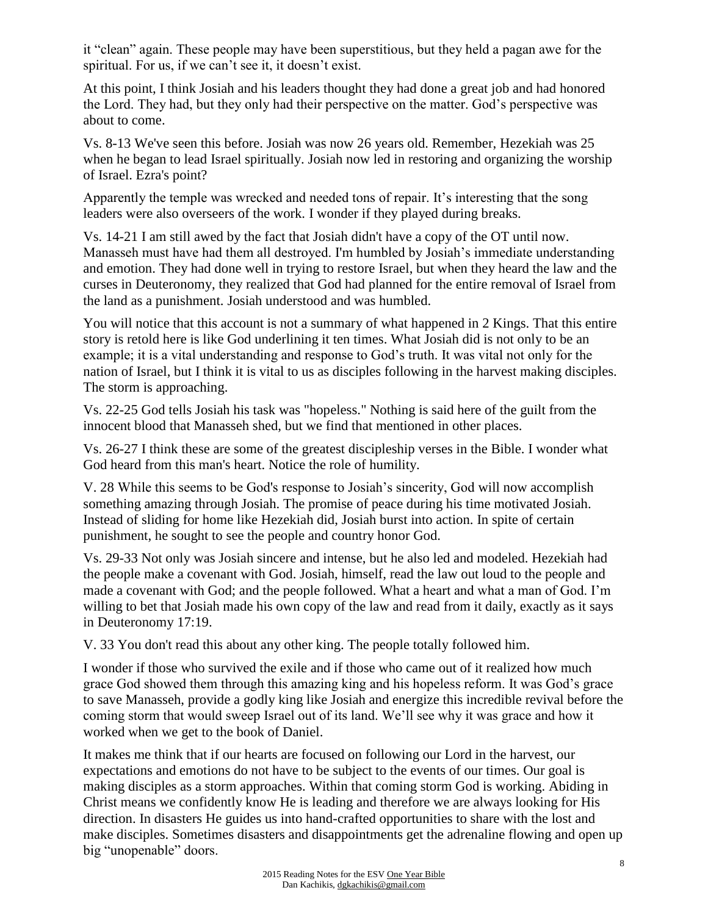it "clean" again. These people may have been superstitious, but they held a pagan awe for the spiritual. For us, if we can't see it, it doesn't exist.

At this point, I think Josiah and his leaders thought they had done a great job and had honored the Lord. They had, but they only had their perspective on the matter. God's perspective was about to come.

Vs. 8-13 We've seen this before. Josiah was now 26 years old. Remember, Hezekiah was 25 when he began to lead Israel spiritually. Josiah now led in restoring and organizing the worship of Israel. Ezra's point?

Apparently the temple was wrecked and needed tons of repair. It's interesting that the song leaders were also overseers of the work. I wonder if they played during breaks.

Vs. 14-21 I am still awed by the fact that Josiah didn't have a copy of the OT until now. Manasseh must have had them all destroyed. I'm humbled by Josiah's immediate understanding and emotion. They had done well in trying to restore Israel, but when they heard the law and the curses in Deuteronomy, they realized that God had planned for the entire removal of Israel from the land as a punishment. Josiah understood and was humbled.

You will notice that this account is not a summary of what happened in 2 Kings. That this entire story is retold here is like God underlining it ten times. What Josiah did is not only to be an example; it is a vital understanding and response to God's truth. It was vital not only for the nation of Israel, but I think it is vital to us as disciples following in the harvest making disciples. The storm is approaching.

Vs. 22-25 God tells Josiah his task was "hopeless." Nothing is said here of the guilt from the innocent blood that Manasseh shed, but we find that mentioned in other places.

Vs. 26-27 I think these are some of the greatest discipleship verses in the Bible. I wonder what God heard from this man's heart. Notice the role of humility.

V. 28 While this seems to be God's response to Josiah's sincerity, God will now accomplish something amazing through Josiah. The promise of peace during his time motivated Josiah. Instead of sliding for home like Hezekiah did, Josiah burst into action. In spite of certain punishment, he sought to see the people and country honor God.

Vs. 29-33 Not only was Josiah sincere and intense, but he also led and modeled. Hezekiah had the people make a covenant with God. Josiah, himself, read the law out loud to the people and made a covenant with God; and the people followed. What a heart and what a man of God. I'm willing to bet that Josiah made his own copy of the law and read from it daily, exactly as it says in Deuteronomy 17:19.

V. 33 You don't read this about any other king. The people totally followed him.

I wonder if those who survived the exile and if those who came out of it realized how much grace God showed them through this amazing king and his hopeless reform. It was God's grace to save Manasseh, provide a godly king like Josiah and energize this incredible revival before the coming storm that would sweep Israel out of its land. We'll see why it was grace and how it worked when we get to the book of Daniel.

It makes me think that if our hearts are focused on following our Lord in the harvest, our expectations and emotions do not have to be subject to the events of our times. Our goal is making disciples as a storm approaches. Within that coming storm God is working. Abiding in Christ means we confidently know He is leading and therefore we are always looking for His direction. In disasters He guides us into hand-crafted opportunities to share with the lost and make disciples. Sometimes disasters and disappointments get the adrenaline flowing and open up big "unopenable" doors.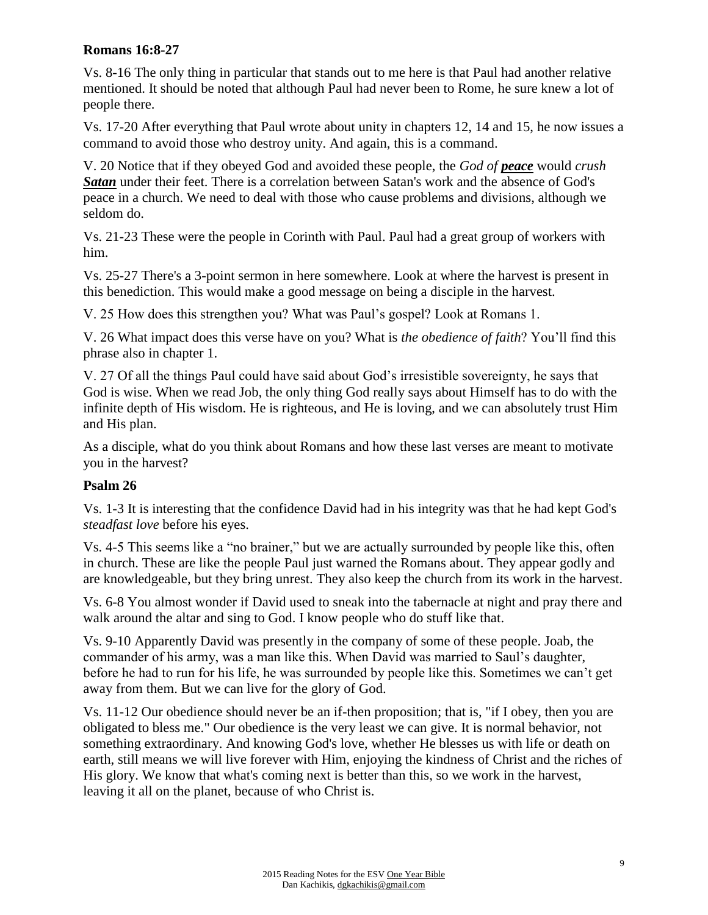#### **Romans 16:8-27**

Vs. 8-16 The only thing in particular that stands out to me here is that Paul had another relative mentioned. It should be noted that although Paul had never been to Rome, he sure knew a lot of people there.

Vs. 17-20 After everything that Paul wrote about unity in chapters 12, 14 and 15, he now issues a command to avoid those who destroy unity. And again, this is a command.

V. 20 Notice that if they obeyed God and avoided these people, the *God of peace* would *crush Satan* under their feet. There is a correlation between Satan's work and the absence of God's peace in a church. We need to deal with those who cause problems and divisions, although we seldom do.

Vs. 21-23 These were the people in Corinth with Paul. Paul had a great group of workers with him.

Vs. 25-27 There's a 3-point sermon in here somewhere. Look at where the harvest is present in this benediction. This would make a good message on being a disciple in the harvest.

V. 25 How does this strengthen you? What was Paul's gospel? Look at Romans 1.

V. 26 What impact does this verse have on you? What is *the obedience of faith*? You'll find this phrase also in chapter 1.

V. 27 Of all the things Paul could have said about God's irresistible sovereignty, he says that God is wise. When we read Job, the only thing God really says about Himself has to do with the infinite depth of His wisdom. He is righteous, and He is loving, and we can absolutely trust Him and His plan.

As a disciple, what do you think about Romans and how these last verses are meant to motivate you in the harvest?

## **Psalm 26**

Vs. 1-3 It is interesting that the confidence David had in his integrity was that he had kept God's *steadfast love* before his eyes.

Vs. 4-5 This seems like a "no brainer," but we are actually surrounded by people like this, often in church. These are like the people Paul just warned the Romans about. They appear godly and are knowledgeable, but they bring unrest. They also keep the church from its work in the harvest.

Vs. 6-8 You almost wonder if David used to sneak into the tabernacle at night and pray there and walk around the altar and sing to God. I know people who do stuff like that.

Vs. 9-10 Apparently David was presently in the company of some of these people. Joab, the commander of his army, was a man like this. When David was married to Saul's daughter, before he had to run for his life, he was surrounded by people like this. Sometimes we can't get away from them. But we can live for the glory of God.

Vs. 11-12 Our obedience should never be an if-then proposition; that is, "if I obey, then you are obligated to bless me." Our obedience is the very least we can give. It is normal behavior, not something extraordinary. And knowing God's love, whether He blesses us with life or death on earth, still means we will live forever with Him, enjoying the kindness of Christ and the riches of His glory. We know that what's coming next is better than this, so we work in the harvest, leaving it all on the planet, because of who Christ is.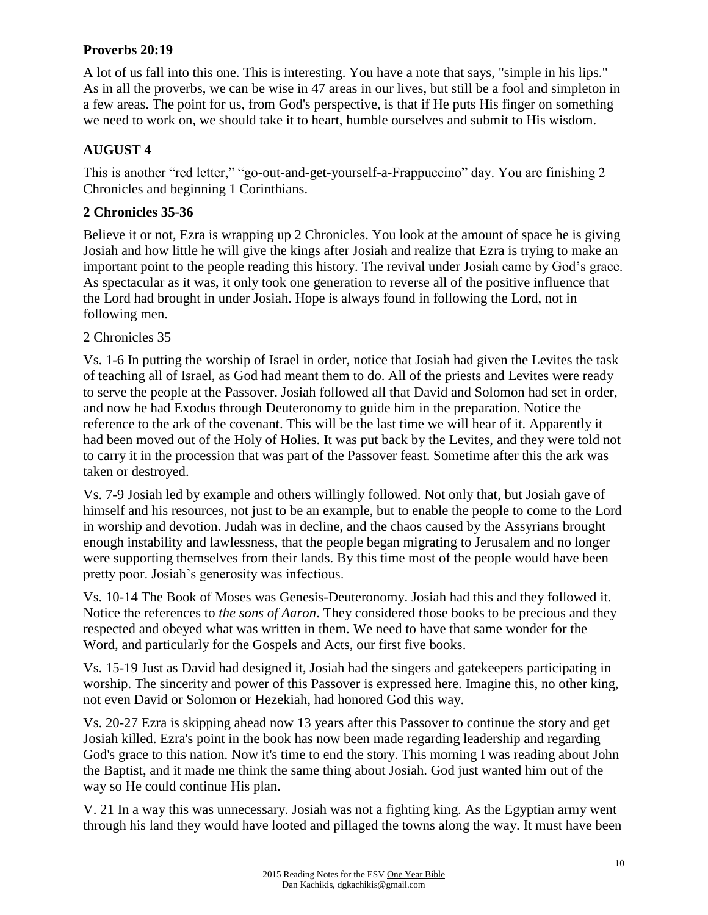### **Proverbs 20:19**

A lot of us fall into this one. This is interesting. You have a note that says, "simple in his lips." As in all the proverbs, we can be wise in 47 areas in our lives, but still be a fool and simpleton in a few areas. The point for us, from God's perspective, is that if He puts His finger on something we need to work on, we should take it to heart, humble ourselves and submit to His wisdom.

## **AUGUST 4**

This is another "red letter," "go-out-and-get-yourself-a-Frappuccino" day. You are finishing 2 Chronicles and beginning 1 Corinthians.

#### **2 Chronicles 35-36**

Believe it or not, Ezra is wrapping up 2 Chronicles. You look at the amount of space he is giving Josiah and how little he will give the kings after Josiah and realize that Ezra is trying to make an important point to the people reading this history. The revival under Josiah came by God's grace. As spectacular as it was, it only took one generation to reverse all of the positive influence that the Lord had brought in under Josiah. Hope is always found in following the Lord, not in following men.

#### 2 Chronicles 35

Vs. 1-6 In putting the worship of Israel in order, notice that Josiah had given the Levites the task of teaching all of Israel, as God had meant them to do. All of the priests and Levites were ready to serve the people at the Passover. Josiah followed all that David and Solomon had set in order, and now he had Exodus through Deuteronomy to guide him in the preparation. Notice the reference to the ark of the covenant. This will be the last time we will hear of it. Apparently it had been moved out of the Holy of Holies. It was put back by the Levites, and they were told not to carry it in the procession that was part of the Passover feast. Sometime after this the ark was taken or destroyed.

Vs. 7-9 Josiah led by example and others willingly followed. Not only that, but Josiah gave of himself and his resources, not just to be an example, but to enable the people to come to the Lord in worship and devotion. Judah was in decline, and the chaos caused by the Assyrians brought enough instability and lawlessness, that the people began migrating to Jerusalem and no longer were supporting themselves from their lands. By this time most of the people would have been pretty poor. Josiah's generosity was infectious.

Vs. 10-14 The Book of Moses was Genesis-Deuteronomy. Josiah had this and they followed it. Notice the references to *the sons of Aaron*. They considered those books to be precious and they respected and obeyed what was written in them. We need to have that same wonder for the Word, and particularly for the Gospels and Acts, our first five books.

Vs. 15-19 Just as David had designed it, Josiah had the singers and gatekeepers participating in worship. The sincerity and power of this Passover is expressed here. Imagine this, no other king, not even David or Solomon or Hezekiah, had honored God this way.

Vs. 20-27 Ezra is skipping ahead now 13 years after this Passover to continue the story and get Josiah killed. Ezra's point in the book has now been made regarding leadership and regarding God's grace to this nation. Now it's time to end the story. This morning I was reading about John the Baptist, and it made me think the same thing about Josiah. God just wanted him out of the way so He could continue His plan.

V. 21 In a way this was unnecessary. Josiah was not a fighting king. As the Egyptian army went through his land they would have looted and pillaged the towns along the way. It must have been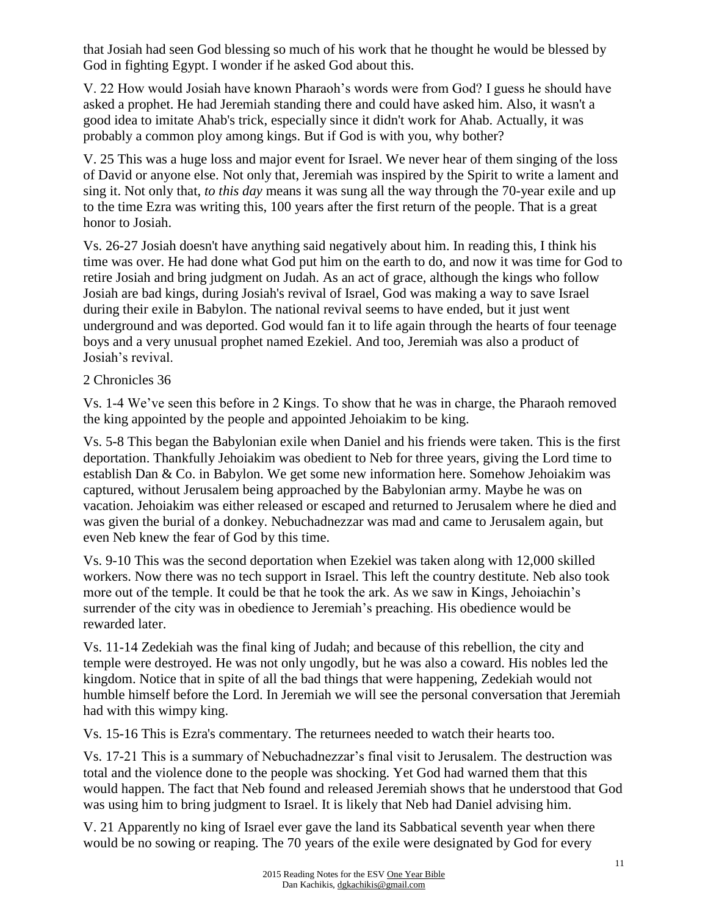that Josiah had seen God blessing so much of his work that he thought he would be blessed by God in fighting Egypt. I wonder if he asked God about this.

V. 22 How would Josiah have known Pharaoh's words were from God? I guess he should have asked a prophet. He had Jeremiah standing there and could have asked him. Also, it wasn't a good idea to imitate Ahab's trick, especially since it didn't work for Ahab. Actually, it was probably a common ploy among kings. But if God is with you, why bother?

V. 25 This was a huge loss and major event for Israel. We never hear of them singing of the loss of David or anyone else. Not only that, Jeremiah was inspired by the Spirit to write a lament and sing it. Not only that, *to this day* means it was sung all the way through the 70-year exile and up to the time Ezra was writing this, 100 years after the first return of the people. That is a great honor to Josiah.

Vs. 26-27 Josiah doesn't have anything said negatively about him. In reading this, I think his time was over. He had done what God put him on the earth to do, and now it was time for God to retire Josiah and bring judgment on Judah. As an act of grace, although the kings who follow Josiah are bad kings, during Josiah's revival of Israel, God was making a way to save Israel during their exile in Babylon. The national revival seems to have ended, but it just went underground and was deported. God would fan it to life again through the hearts of four teenage boys and a very unusual prophet named Ezekiel. And too, Jeremiah was also a product of Josiah's revival.

### 2 Chronicles 36

Vs. 1-4 We've seen this before in 2 Kings. To show that he was in charge, the Pharaoh removed the king appointed by the people and appointed Jehoiakim to be king.

Vs. 5-8 This began the Babylonian exile when Daniel and his friends were taken. This is the first deportation. Thankfully Jehoiakim was obedient to Neb for three years, giving the Lord time to establish Dan & Co. in Babylon. We get some new information here. Somehow Jehoiakim was captured, without Jerusalem being approached by the Babylonian army. Maybe he was on vacation. Jehoiakim was either released or escaped and returned to Jerusalem where he died and was given the burial of a donkey. Nebuchadnezzar was mad and came to Jerusalem again, but even Neb knew the fear of God by this time.

Vs. 9-10 This was the second deportation when Ezekiel was taken along with 12,000 skilled workers. Now there was no tech support in Israel. This left the country destitute. Neb also took more out of the temple. It could be that he took the ark. As we saw in Kings, Jehoiachin's surrender of the city was in obedience to Jeremiah's preaching. His obedience would be rewarded later.

Vs. 11-14 Zedekiah was the final king of Judah; and because of this rebellion, the city and temple were destroyed. He was not only ungodly, but he was also a coward. His nobles led the kingdom. Notice that in spite of all the bad things that were happening, Zedekiah would not humble himself before the Lord. In Jeremiah we will see the personal conversation that Jeremiah had with this wimpy king.

Vs. 15-16 This is Ezra's commentary. The returnees needed to watch their hearts too.

Vs. 17-21 This is a summary of Nebuchadnezzar's final visit to Jerusalem. The destruction was total and the violence done to the people was shocking. Yet God had warned them that this would happen. The fact that Neb found and released Jeremiah shows that he understood that God was using him to bring judgment to Israel. It is likely that Neb had Daniel advising him.

V. 21 Apparently no king of Israel ever gave the land its Sabbatical seventh year when there would be no sowing or reaping. The 70 years of the exile were designated by God for every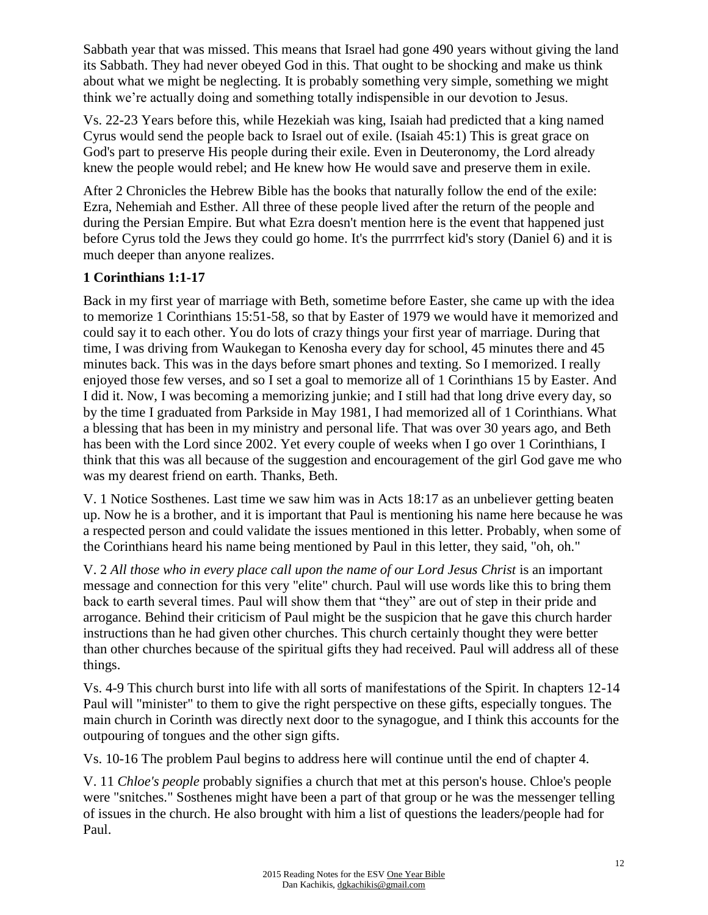Sabbath year that was missed. This means that Israel had gone 490 years without giving the land its Sabbath. They had never obeyed God in this. That ought to be shocking and make us think about what we might be neglecting. It is probably something very simple, something we might think we're actually doing and something totally indispensible in our devotion to Jesus.

Vs. 22-23 Years before this, while Hezekiah was king, Isaiah had predicted that a king named Cyrus would send the people back to Israel out of exile. (Isaiah 45:1) This is great grace on God's part to preserve His people during their exile. Even in Deuteronomy, the Lord already knew the people would rebel; and He knew how He would save and preserve them in exile.

After 2 Chronicles the Hebrew Bible has the books that naturally follow the end of the exile: Ezra, Nehemiah and Esther. All three of these people lived after the return of the people and during the Persian Empire. But what Ezra doesn't mention here is the event that happened just before Cyrus told the Jews they could go home. It's the purrrrfect kid's story (Daniel 6) and it is much deeper than anyone realizes.

## **1 Corinthians 1:1-17**

Back in my first year of marriage with Beth, sometime before Easter, she came up with the idea to memorize 1 Corinthians 15:51-58, so that by Easter of 1979 we would have it memorized and could say it to each other. You do lots of crazy things your first year of marriage. During that time, I was driving from Waukegan to Kenosha every day for school, 45 minutes there and 45 minutes back. This was in the days before smart phones and texting. So I memorized. I really enjoyed those few verses, and so I set a goal to memorize all of 1 Corinthians 15 by Easter. And I did it. Now, I was becoming a memorizing junkie; and I still had that long drive every day, so by the time I graduated from Parkside in May 1981, I had memorized all of 1 Corinthians. What a blessing that has been in my ministry and personal life. That was over 30 years ago, and Beth has been with the Lord since 2002. Yet every couple of weeks when I go over 1 Corinthians, I think that this was all because of the suggestion and encouragement of the girl God gave me who was my dearest friend on earth. Thanks, Beth.

V. 1 Notice Sosthenes. Last time we saw him was in Acts 18:17 as an unbeliever getting beaten up. Now he is a brother, and it is important that Paul is mentioning his name here because he was a respected person and could validate the issues mentioned in this letter. Probably, when some of the Corinthians heard his name being mentioned by Paul in this letter, they said, "oh, oh."

V. 2 *All those who in every place call upon the name of our Lord Jesus Christ* is an important message and connection for this very "elite" church. Paul will use words like this to bring them back to earth several times. Paul will show them that "they" are out of step in their pride and arrogance. Behind their criticism of Paul might be the suspicion that he gave this church harder instructions than he had given other churches. This church certainly thought they were better than other churches because of the spiritual gifts they had received. Paul will address all of these things.

Vs. 4-9 This church burst into life with all sorts of manifestations of the Spirit. In chapters 12-14 Paul will "minister" to them to give the right perspective on these gifts, especially tongues. The main church in Corinth was directly next door to the synagogue, and I think this accounts for the outpouring of tongues and the other sign gifts.

Vs. 10-16 The problem Paul begins to address here will continue until the end of chapter 4.

V. 11 *Chloe's people* probably signifies a church that met at this person's house. Chloe's people were "snitches." Sosthenes might have been a part of that group or he was the messenger telling of issues in the church. He also brought with him a list of questions the leaders/people had for Paul.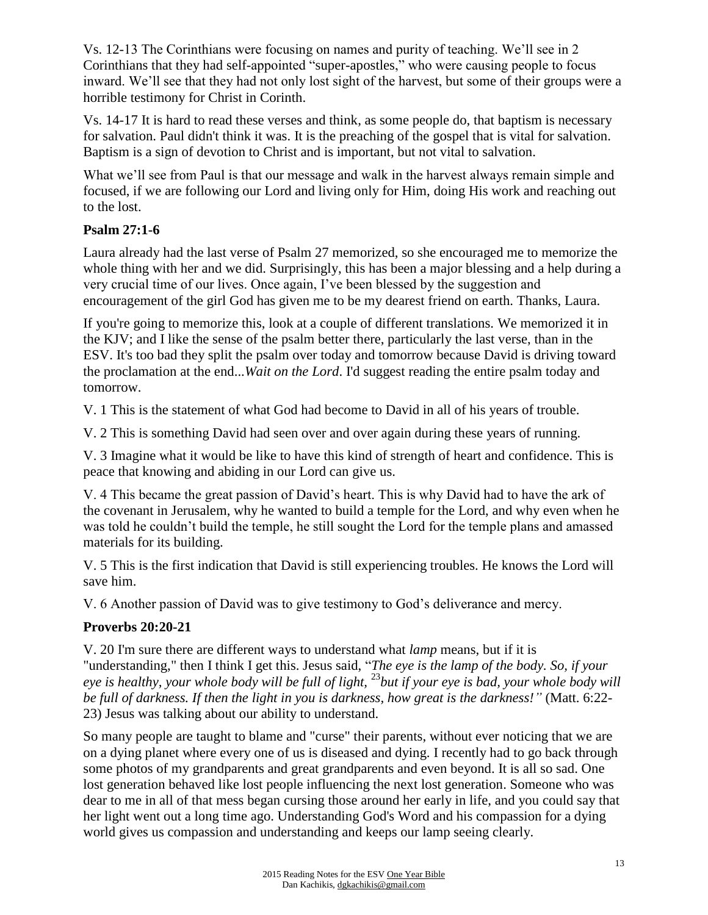Vs. 12-13 The Corinthians were focusing on names and purity of teaching. We'll see in 2 Corinthians that they had self-appointed "super-apostles," who were causing people to focus inward. We'll see that they had not only lost sight of the harvest, but some of their groups were a horrible testimony for Christ in Corinth.

Vs. 14-17 It is hard to read these verses and think, as some people do, that baptism is necessary for salvation. Paul didn't think it was. It is the preaching of the gospel that is vital for salvation. Baptism is a sign of devotion to Christ and is important, but not vital to salvation.

What we'll see from Paul is that our message and walk in the harvest always remain simple and focused, if we are following our Lord and living only for Him, doing His work and reaching out to the lost.

## **Psalm 27:1-6**

Laura already had the last verse of Psalm 27 memorized, so she encouraged me to memorize the whole thing with her and we did. Surprisingly, this has been a major blessing and a help during a very crucial time of our lives. Once again, I've been blessed by the suggestion and encouragement of the girl God has given me to be my dearest friend on earth. Thanks, Laura.

If you're going to memorize this, look at a couple of different translations. We memorized it in the KJV; and I like the sense of the psalm better there, particularly the last verse, than in the ESV. It's too bad they split the psalm over today and tomorrow because David is driving toward the proclamation at the end...*Wait on the Lord*. I'd suggest reading the entire psalm today and tomorrow.

V. 1 This is the statement of what God had become to David in all of his years of trouble.

V. 2 This is something David had seen over and over again during these years of running.

V. 3 Imagine what it would be like to have this kind of strength of heart and confidence. This is peace that knowing and abiding in our Lord can give us.

V. 4 This became the great passion of David's heart. This is why David had to have the ark of the covenant in Jerusalem, why he wanted to build a temple for the Lord, and why even when he was told he couldn't build the temple, he still sought the Lord for the temple plans and amassed materials for its building.

V. 5 This is the first indication that David is still experiencing troubles. He knows the Lord will save him.

V. 6 Another passion of David was to give testimony to God's deliverance and mercy.

## **Proverbs 20:20-21**

V. 20 I'm sure there are different ways to understand what *lamp* means, but if it is "understanding," then I think I get this. Jesus said, "*The eye is the lamp of the body. So, if your eye is healthy, your whole body will be full of light,* <sup>23</sup>*but if your eye is bad, your whole body will be full of darkness. If then the light in you is darkness, how great is the darkness!"* (Matt. 6:22- 23) Jesus was talking about our ability to understand.

So many people are taught to blame and "curse" their parents, without ever noticing that we are on a dying planet where every one of us is diseased and dying. I recently had to go back through some photos of my grandparents and great grandparents and even beyond. It is all so sad. One lost generation behaved like lost people influencing the next lost generation. Someone who was dear to me in all of that mess began cursing those around her early in life, and you could say that her light went out a long time ago. Understanding God's Word and his compassion for a dying world gives us compassion and understanding and keeps our lamp seeing clearly.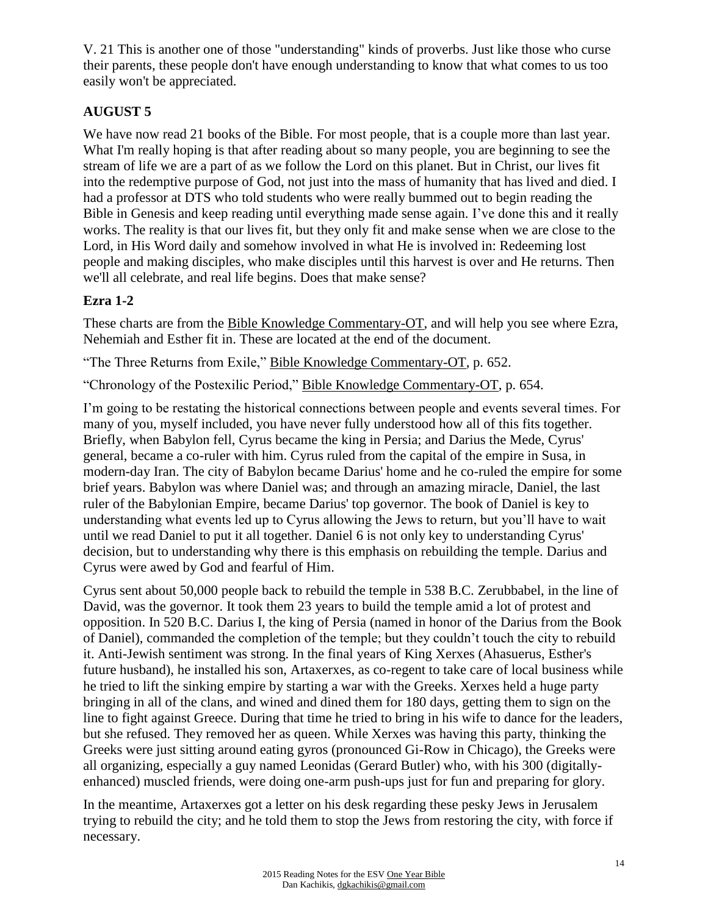V. 21 This is another one of those "understanding" kinds of proverbs. Just like those who curse their parents, these people don't have enough understanding to know that what comes to us too easily won't be appreciated.

# **AUGUST 5**

We have now read 21 books of the Bible. For most people, that is a couple more than last year. What I'm really hoping is that after reading about so many people, you are beginning to see the stream of life we are a part of as we follow the Lord on this planet. But in Christ, our lives fit into the redemptive purpose of God, not just into the mass of humanity that has lived and died. I had a professor at DTS who told students who were really bummed out to begin reading the Bible in Genesis and keep reading until everything made sense again. I've done this and it really works. The reality is that our lives fit, but they only fit and make sense when we are close to the Lord, in His Word daily and somehow involved in what He is involved in: Redeeming lost people and making disciples, who make disciples until this harvest is over and He returns. Then we'll all celebrate, and real life begins. Does that make sense?

# **Ezra 1-2**

These charts are from the Bible Knowledge Commentary-OT, and will help you see where Ezra, Nehemiah and Esther fit in. These are located at the end of the document.

"The Three Returns from Exile," Bible Knowledge Commentary-OT, p. 652.

"Chronology of the Postexilic Period," Bible Knowledge Commentary-OT, p. 654.

I'm going to be restating the historical connections between people and events several times. For many of you, myself included, you have never fully understood how all of this fits together. Briefly, when Babylon fell, Cyrus became the king in Persia; and Darius the Mede, Cyrus' general, became a co-ruler with him. Cyrus ruled from the capital of the empire in Susa, in modern-day Iran. The city of Babylon became Darius' home and he co-ruled the empire for some brief years. Babylon was where Daniel was; and through an amazing miracle, Daniel, the last ruler of the Babylonian Empire, became Darius' top governor. The book of Daniel is key to understanding what events led up to Cyrus allowing the Jews to return, but you'll have to wait until we read Daniel to put it all together. Daniel 6 is not only key to understanding Cyrus' decision, but to understanding why there is this emphasis on rebuilding the temple. Darius and Cyrus were awed by God and fearful of Him.

Cyrus sent about 50,000 people back to rebuild the temple in 538 B.C. Zerubbabel, in the line of David, was the governor. It took them 23 years to build the temple amid a lot of protest and opposition. In 520 B.C. Darius I, the king of Persia (named in honor of the Darius from the Book of Daniel), commanded the completion of the temple; but they couldn't touch the city to rebuild it. Anti-Jewish sentiment was strong. In the final years of King Xerxes (Ahasuerus, Esther's future husband), he installed his son, Artaxerxes, as co-regent to take care of local business while he tried to lift the sinking empire by starting a war with the Greeks. Xerxes held a huge party bringing in all of the clans, and wined and dined them for 180 days, getting them to sign on the line to fight against Greece. During that time he tried to bring in his wife to dance for the leaders, but she refused. They removed her as queen. While Xerxes was having this party, thinking the Greeks were just sitting around eating gyros (pronounced Gi-Row in Chicago), the Greeks were all organizing, especially a guy named Leonidas (Gerard Butler) who, with his 300 (digitallyenhanced) muscled friends, were doing one-arm push-ups just for fun and preparing for glory.

In the meantime, Artaxerxes got a letter on his desk regarding these pesky Jews in Jerusalem trying to rebuild the city; and he told them to stop the Jews from restoring the city, with force if necessary.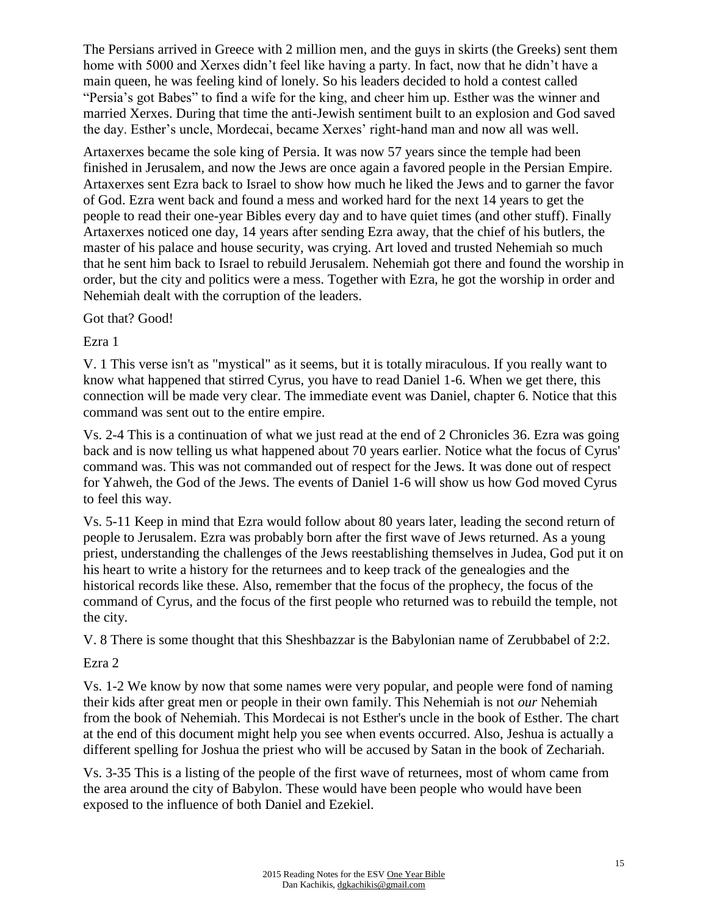The Persians arrived in Greece with 2 million men, and the guys in skirts (the Greeks) sent them home with 5000 and Xerxes didn't feel like having a party. In fact, now that he didn't have a main queen, he was feeling kind of lonely. So his leaders decided to hold a contest called "Persia's got Babes" to find a wife for the king, and cheer him up. Esther was the winner and married Xerxes. During that time the anti-Jewish sentiment built to an explosion and God saved the day. Esther's uncle, Mordecai, became Xerxes' right-hand man and now all was well.

Artaxerxes became the sole king of Persia. It was now 57 years since the temple had been finished in Jerusalem, and now the Jews are once again a favored people in the Persian Empire. Artaxerxes sent Ezra back to Israel to show how much he liked the Jews and to garner the favor of God. Ezra went back and found a mess and worked hard for the next 14 years to get the people to read their one-year Bibles every day and to have quiet times (and other stuff). Finally Artaxerxes noticed one day, 14 years after sending Ezra away, that the chief of his butlers, the master of his palace and house security, was crying. Art loved and trusted Nehemiah so much that he sent him back to Israel to rebuild Jerusalem. Nehemiah got there and found the worship in order, but the city and politics were a mess. Together with Ezra, he got the worship in order and Nehemiah dealt with the corruption of the leaders.

Got that? Good!

Ezra 1

V. 1 This verse isn't as "mystical" as it seems, but it is totally miraculous. If you really want to know what happened that stirred Cyrus, you have to read Daniel 1-6. When we get there, this connection will be made very clear. The immediate event was Daniel, chapter 6. Notice that this command was sent out to the entire empire.

Vs. 2-4 This is a continuation of what we just read at the end of 2 Chronicles 36. Ezra was going back and is now telling us what happened about 70 years earlier. Notice what the focus of Cyrus' command was. This was not commanded out of respect for the Jews. It was done out of respect for Yahweh, the God of the Jews. The events of Daniel 1-6 will show us how God moved Cyrus to feel this way.

Vs. 5-11 Keep in mind that Ezra would follow about 80 years later, leading the second return of people to Jerusalem. Ezra was probably born after the first wave of Jews returned. As a young priest, understanding the challenges of the Jews reestablishing themselves in Judea, God put it on his heart to write a history for the returnees and to keep track of the genealogies and the historical records like these. Also, remember that the focus of the prophecy, the focus of the command of Cyrus, and the focus of the first people who returned was to rebuild the temple, not the city.

V. 8 There is some thought that this Sheshbazzar is the Babylonian name of Zerubbabel of 2:2.

#### Ezra 2

Vs. 1-2 We know by now that some names were very popular, and people were fond of naming their kids after great men or people in their own family. This Nehemiah is not *our* Nehemiah from the book of Nehemiah. This Mordecai is not Esther's uncle in the book of Esther. The chart at the end of this document might help you see when events occurred. Also, Jeshua is actually a different spelling for Joshua the priest who will be accused by Satan in the book of Zechariah.

Vs. 3-35 This is a listing of the people of the first wave of returnees, most of whom came from the area around the city of Babylon. These would have been people who would have been exposed to the influence of both Daniel and Ezekiel.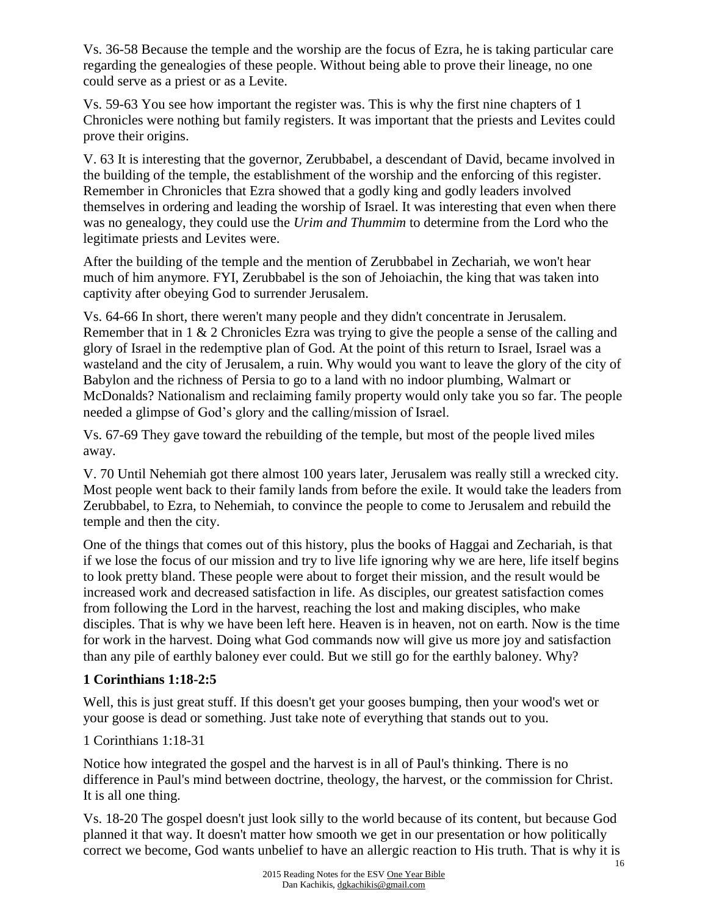Vs. 36-58 Because the temple and the worship are the focus of Ezra, he is taking particular care regarding the genealogies of these people. Without being able to prove their lineage, no one could serve as a priest or as a Levite.

Vs. 59-63 You see how important the register was. This is why the first nine chapters of 1 Chronicles were nothing but family registers. It was important that the priests and Levites could prove their origins.

V. 63 It is interesting that the governor, Zerubbabel, a descendant of David, became involved in the building of the temple, the establishment of the worship and the enforcing of this register. Remember in Chronicles that Ezra showed that a godly king and godly leaders involved themselves in ordering and leading the worship of Israel. It was interesting that even when there was no genealogy, they could use the *Urim and Thummim* to determine from the Lord who the legitimate priests and Levites were.

After the building of the temple and the mention of Zerubbabel in Zechariah, we won't hear much of him anymore. FYI, Zerubbabel is the son of Jehoiachin, the king that was taken into captivity after obeying God to surrender Jerusalem.

Vs. 64-66 In short, there weren't many people and they didn't concentrate in Jerusalem. Remember that in 1 & 2 Chronicles Ezra was trying to give the people a sense of the calling and glory of Israel in the redemptive plan of God. At the point of this return to Israel, Israel was a wasteland and the city of Jerusalem, a ruin. Why would you want to leave the glory of the city of Babylon and the richness of Persia to go to a land with no indoor plumbing, Walmart or McDonalds? Nationalism and reclaiming family property would only take you so far. The people needed a glimpse of God's glory and the calling/mission of Israel.

Vs. 67-69 They gave toward the rebuilding of the temple, but most of the people lived miles away.

V. 70 Until Nehemiah got there almost 100 years later, Jerusalem was really still a wrecked city. Most people went back to their family lands from before the exile. It would take the leaders from Zerubbabel, to Ezra, to Nehemiah, to convince the people to come to Jerusalem and rebuild the temple and then the city.

One of the things that comes out of this history, plus the books of Haggai and Zechariah, is that if we lose the focus of our mission and try to live life ignoring why we are here, life itself begins to look pretty bland. These people were about to forget their mission, and the result would be increased work and decreased satisfaction in life. As disciples, our greatest satisfaction comes from following the Lord in the harvest, reaching the lost and making disciples, who make disciples. That is why we have been left here. Heaven is in heaven, not on earth. Now is the time for work in the harvest. Doing what God commands now will give us more joy and satisfaction than any pile of earthly baloney ever could. But we still go for the earthly baloney. Why?

## **1 Corinthians 1:18-2:5**

Well, this is just great stuff. If this doesn't get your gooses bumping, then your wood's wet or your goose is dead or something. Just take note of everything that stands out to you.

1 Corinthians 1:18-31

Notice how integrated the gospel and the harvest is in all of Paul's thinking. There is no difference in Paul's mind between doctrine, theology, the harvest, or the commission for Christ. It is all one thing.

Vs. 18-20 The gospel doesn't just look silly to the world because of its content, but because God planned it that way. It doesn't matter how smooth we get in our presentation or how politically correct we become, God wants unbelief to have an allergic reaction to His truth. That is why it is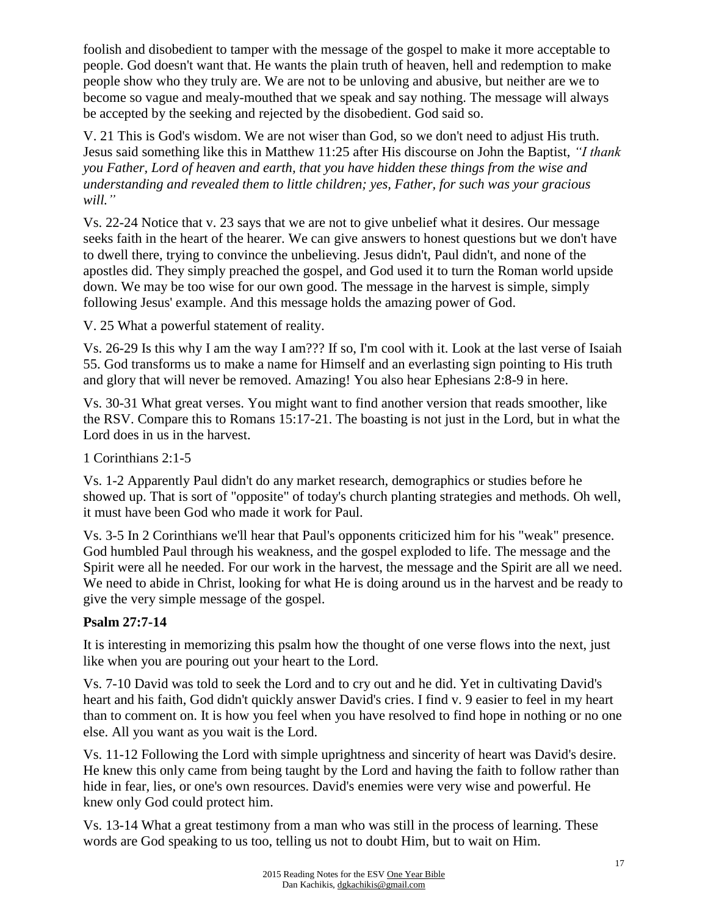foolish and disobedient to tamper with the message of the gospel to make it more acceptable to people. God doesn't want that. He wants the plain truth of heaven, hell and redemption to make people show who they truly are. We are not to be unloving and abusive, but neither are we to become so vague and mealy-mouthed that we speak and say nothing. The message will always be accepted by the seeking and rejected by the disobedient. God said so.

V. 21 This is God's wisdom. We are not wiser than God, so we don't need to adjust His truth. Jesus said something like this in Matthew 11:25 after His discourse on John the Baptist, *"I thank you Father, Lord of heaven and earth, that you have hidden these things from the wise and understanding and revealed them to little children; yes, Father, for such was your gracious will."*

Vs. 22-24 Notice that v. 23 says that we are not to give unbelief what it desires. Our message seeks faith in the heart of the hearer. We can give answers to honest questions but we don't have to dwell there, trying to convince the unbelieving. Jesus didn't, Paul didn't, and none of the apostles did. They simply preached the gospel, and God used it to turn the Roman world upside down. We may be too wise for our own good. The message in the harvest is simple, simply following Jesus' example. And this message holds the amazing power of God.

V. 25 What a powerful statement of reality.

Vs. 26-29 Is this why I am the way I am??? If so, I'm cool with it. Look at the last verse of Isaiah 55. God transforms us to make a name for Himself and an everlasting sign pointing to His truth and glory that will never be removed. Amazing! You also hear Ephesians 2:8-9 in here.

Vs. 30-31 What great verses. You might want to find another version that reads smoother, like the RSV. Compare this to Romans 15:17-21. The boasting is not just in the Lord, but in what the Lord does in us in the harvest.

1 Corinthians 2:1-5

Vs. 1-2 Apparently Paul didn't do any market research, demographics or studies before he showed up. That is sort of "opposite" of today's church planting strategies and methods. Oh well, it must have been God who made it work for Paul.

Vs. 3-5 In 2 Corinthians we'll hear that Paul's opponents criticized him for his "weak" presence. God humbled Paul through his weakness, and the gospel exploded to life. The message and the Spirit were all he needed. For our work in the harvest, the message and the Spirit are all we need. We need to abide in Christ, looking for what He is doing around us in the harvest and be ready to give the very simple message of the gospel.

## **Psalm 27:7-14**

It is interesting in memorizing this psalm how the thought of one verse flows into the next, just like when you are pouring out your heart to the Lord.

Vs. 7-10 David was told to seek the Lord and to cry out and he did. Yet in cultivating David's heart and his faith, God didn't quickly answer David's cries. I find v. 9 easier to feel in my heart than to comment on. It is how you feel when you have resolved to find hope in nothing or no one else. All you want as you wait is the Lord.

Vs. 11-12 Following the Lord with simple uprightness and sincerity of heart was David's desire. He knew this only came from being taught by the Lord and having the faith to follow rather than hide in fear, lies, or one's own resources. David's enemies were very wise and powerful. He knew only God could protect him.

Vs. 13-14 What a great testimony from a man who was still in the process of learning. These words are God speaking to us too, telling us not to doubt Him, but to wait on Him.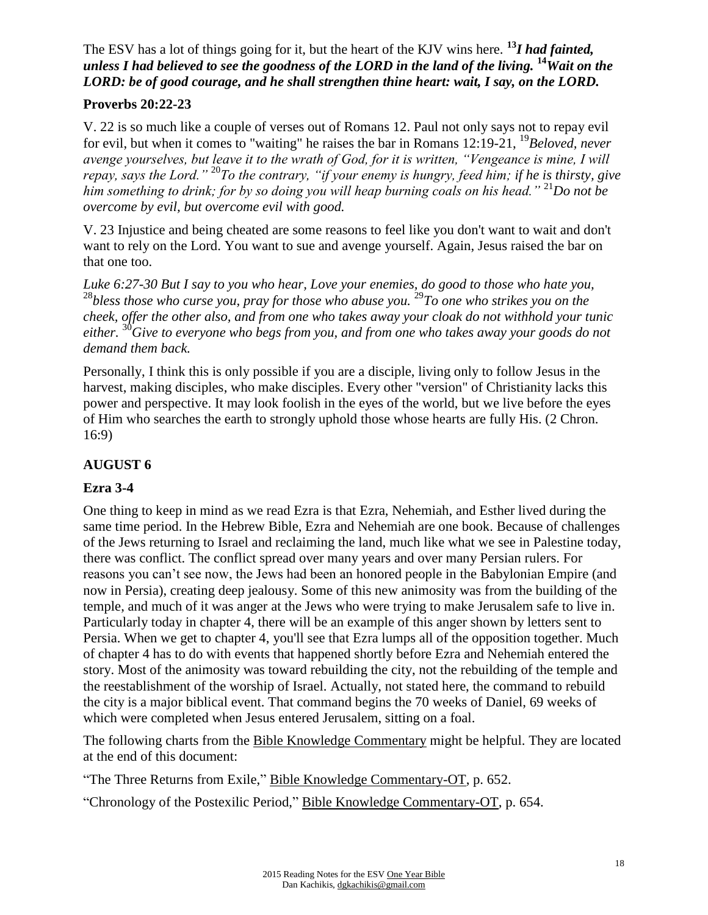# The ESV has a lot of things going for it, but the heart of the KJV wins here. **<sup>13</sup>***I had fainted, unless I had believed to see the goodness of the LORD in the land of the living.* **<sup>14</sup>***Wait on the LORD: be of good courage, and he shall strengthen thine heart: wait, I say, on the LORD.*

### **Proverbs 20:22-23**

V. 22 is so much like a couple of verses out of Romans 12. Paul not only says not to repay evil for evil, but when it comes to "waiting" he raises the bar in Romans 12:19-21, <sup>19</sup>*Beloved, never avenge yourselves, but leave it to the wrath of God, for it is written, "Vengeance is mine, I will repay, says the Lord."* <sup>20</sup>*To the contrary, "if your enemy is hungry, feed him; if he is thirsty, give him something to drink; for by so doing you will heap burning coals on his head."* <sup>21</sup>*Do not be overcome by evil, but overcome evil with good.*

V. 23 Injustice and being cheated are some reasons to feel like you don't want to wait and don't want to rely on the Lord. You want to sue and avenge yourself. Again, Jesus raised the bar on that one too.

*Luke 6:27-30 But I say to you who hear, Love your enemies, do good to those who hate you,* <sup>28</sup>bless those who curse you, pray for those who abuse you. <sup>29</sup>To one who strikes you on the *cheek, offer the other also, and from one who takes away your cloak do not withhold your tunic either.* <sup>30</sup>*Give to everyone who begs from you, and from one who takes away your goods do not demand them back.*

Personally, I think this is only possible if you are a disciple, living only to follow Jesus in the harvest, making disciples, who make disciples. Every other "version" of Christianity lacks this power and perspective. It may look foolish in the eyes of the world, but we live before the eyes of Him who searches the earth to strongly uphold those whose hearts are fully His. (2 Chron. 16:9)

## **AUGUST 6**

## **Ezra 3-4**

One thing to keep in mind as we read Ezra is that Ezra, Nehemiah, and Esther lived during the same time period. In the Hebrew Bible, Ezra and Nehemiah are one book. Because of challenges of the Jews returning to Israel and reclaiming the land, much like what we see in Palestine today, there was conflict. The conflict spread over many years and over many Persian rulers. For reasons you can't see now, the Jews had been an honored people in the Babylonian Empire (and now in Persia), creating deep jealousy. Some of this new animosity was from the building of the temple, and much of it was anger at the Jews who were trying to make Jerusalem safe to live in. Particularly today in chapter 4, there will be an example of this anger shown by letters sent to Persia. When we get to chapter 4, you'll see that Ezra lumps all of the opposition together. Much of chapter 4 has to do with events that happened shortly before Ezra and Nehemiah entered the story. Most of the animosity was toward rebuilding the city, not the rebuilding of the temple and the reestablishment of the worship of Israel. Actually, not stated here, the command to rebuild the city is a major biblical event. That command begins the 70 weeks of Daniel, 69 weeks of which were completed when Jesus entered Jerusalem, sitting on a foal.

The following charts from the Bible Knowledge Commentary might be helpful. They are located at the end of this document:

"The Three Returns from Exile," Bible Knowledge Commentary-OT, p. 652.

"Chronology of the Postexilic Period," Bible Knowledge Commentary-OT, p. 654.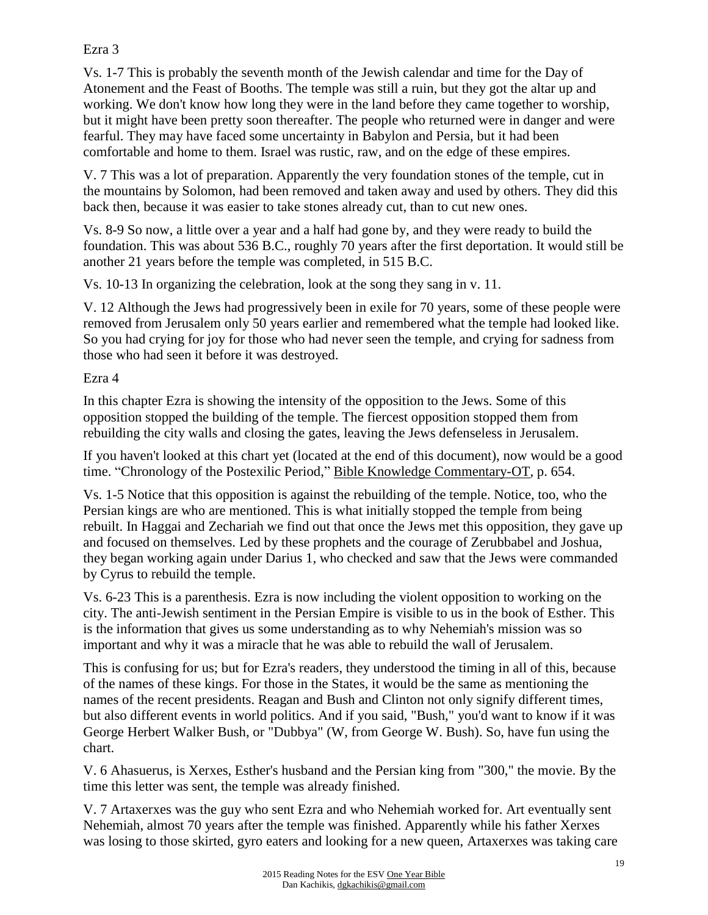### Ezra 3

Vs. 1-7 This is probably the seventh month of the Jewish calendar and time for the Day of Atonement and the Feast of Booths. The temple was still a ruin, but they got the altar up and working. We don't know how long they were in the land before they came together to worship, but it might have been pretty soon thereafter. The people who returned were in danger and were fearful. They may have faced some uncertainty in Babylon and Persia, but it had been comfortable and home to them. Israel was rustic, raw, and on the edge of these empires.

V. 7 This was a lot of preparation. Apparently the very foundation stones of the temple, cut in the mountains by Solomon, had been removed and taken away and used by others. They did this back then, because it was easier to take stones already cut, than to cut new ones.

Vs. 8-9 So now, a little over a year and a half had gone by, and they were ready to build the foundation. This was about 536 B.C., roughly 70 years after the first deportation. It would still be another 21 years before the temple was completed, in 515 B.C.

Vs. 10-13 In organizing the celebration, look at the song they sang in v. 11.

V. 12 Although the Jews had progressively been in exile for 70 years, some of these people were removed from Jerusalem only 50 years earlier and remembered what the temple had looked like. So you had crying for joy for those who had never seen the temple, and crying for sadness from those who had seen it before it was destroyed.

Ezra 4

In this chapter Ezra is showing the intensity of the opposition to the Jews. Some of this opposition stopped the building of the temple. The fiercest opposition stopped them from rebuilding the city walls and closing the gates, leaving the Jews defenseless in Jerusalem.

If you haven't looked at this chart yet (located at the end of this document), now would be a good time. "Chronology of the Postexilic Period," Bible Knowledge Commentary-OT, p. 654.

Vs. 1-5 Notice that this opposition is against the rebuilding of the temple. Notice, too, who the Persian kings are who are mentioned. This is what initially stopped the temple from being rebuilt. In Haggai and Zechariah we find out that once the Jews met this opposition, they gave up and focused on themselves. Led by these prophets and the courage of Zerubbabel and Joshua, they began working again under Darius 1, who checked and saw that the Jews were commanded by Cyrus to rebuild the temple.

Vs. 6-23 This is a parenthesis. Ezra is now including the violent opposition to working on the city. The anti-Jewish sentiment in the Persian Empire is visible to us in the book of Esther. This is the information that gives us some understanding as to why Nehemiah's mission was so important and why it was a miracle that he was able to rebuild the wall of Jerusalem.

This is confusing for us; but for Ezra's readers, they understood the timing in all of this, because of the names of these kings. For those in the States, it would be the same as mentioning the names of the recent presidents. Reagan and Bush and Clinton not only signify different times, but also different events in world politics. And if you said, "Bush," you'd want to know if it was George Herbert Walker Bush, or "Dubbya" (W, from George W. Bush). So, have fun using the chart.

V. 6 Ahasuerus, is Xerxes, Esther's husband and the Persian king from "300," the movie. By the time this letter was sent, the temple was already finished.

V. 7 Artaxerxes was the guy who sent Ezra and who Nehemiah worked for. Art eventually sent Nehemiah, almost 70 years after the temple was finished. Apparently while his father Xerxes was losing to those skirted, gyro eaters and looking for a new queen, Artaxerxes was taking care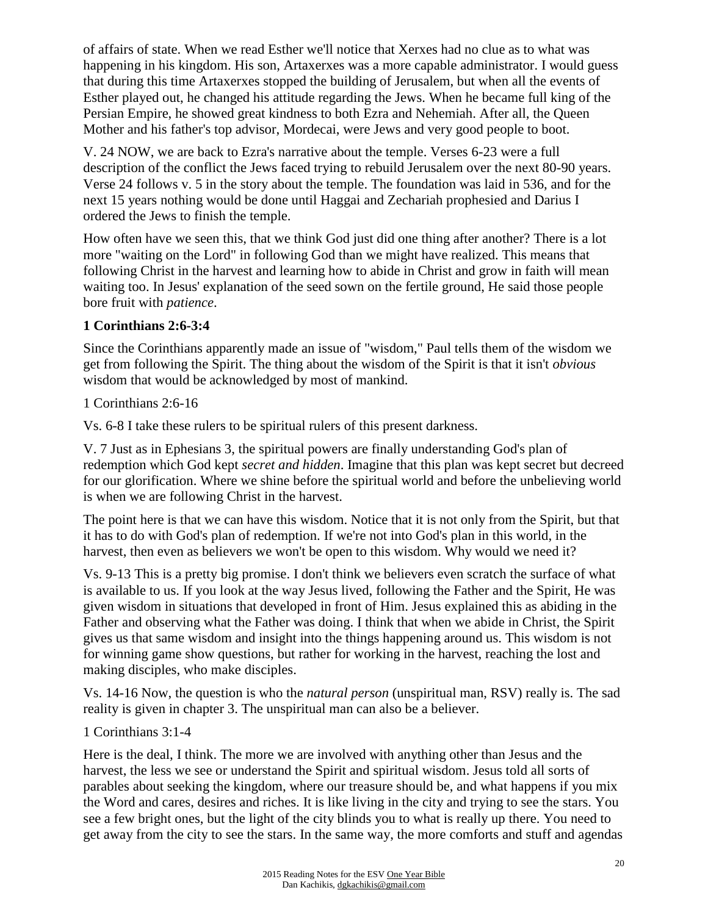of affairs of state. When we read Esther we'll notice that Xerxes had no clue as to what was happening in his kingdom. His son, Artaxerxes was a more capable administrator. I would guess that during this time Artaxerxes stopped the building of Jerusalem, but when all the events of Esther played out, he changed his attitude regarding the Jews. When he became full king of the Persian Empire, he showed great kindness to both Ezra and Nehemiah. After all, the Queen Mother and his father's top advisor, Mordecai, were Jews and very good people to boot.

V. 24 NOW, we are back to Ezra's narrative about the temple. Verses 6-23 were a full description of the conflict the Jews faced trying to rebuild Jerusalem over the next 80-90 years. Verse 24 follows v. 5 in the story about the temple. The foundation was laid in 536, and for the next 15 years nothing would be done until Haggai and Zechariah prophesied and Darius I ordered the Jews to finish the temple.

How often have we seen this, that we think God just did one thing after another? There is a lot more "waiting on the Lord" in following God than we might have realized. This means that following Christ in the harvest and learning how to abide in Christ and grow in faith will mean waiting too. In Jesus' explanation of the seed sown on the fertile ground, He said those people bore fruit with *patience*.

## **1 Corinthians 2:6-3:4**

Since the Corinthians apparently made an issue of "wisdom," Paul tells them of the wisdom we get from following the Spirit. The thing about the wisdom of the Spirit is that it isn't *obvious* wisdom that would be acknowledged by most of mankind.

1 Corinthians 2:6-16

Vs. 6-8 I take these rulers to be spiritual rulers of this present darkness.

V. 7 Just as in Ephesians 3, the spiritual powers are finally understanding God's plan of redemption which God kept *secret and hidden*. Imagine that this plan was kept secret but decreed for our glorification. Where we shine before the spiritual world and before the unbelieving world is when we are following Christ in the harvest.

The point here is that we can have this wisdom. Notice that it is not only from the Spirit, but that it has to do with God's plan of redemption. If we're not into God's plan in this world, in the harvest, then even as believers we won't be open to this wisdom. Why would we need it?

Vs. 9-13 This is a pretty big promise. I don't think we believers even scratch the surface of what is available to us. If you look at the way Jesus lived, following the Father and the Spirit, He was given wisdom in situations that developed in front of Him. Jesus explained this as abiding in the Father and observing what the Father was doing. I think that when we abide in Christ, the Spirit gives us that same wisdom and insight into the things happening around us. This wisdom is not for winning game show questions, but rather for working in the harvest, reaching the lost and making disciples, who make disciples.

Vs. 14-16 Now, the question is who the *natural person* (unspiritual man, RSV) really is. The sad reality is given in chapter 3. The unspiritual man can also be a believer.

## 1 Corinthians 3:1-4

Here is the deal, I think. The more we are involved with anything other than Jesus and the harvest, the less we see or understand the Spirit and spiritual wisdom. Jesus told all sorts of parables about seeking the kingdom, where our treasure should be, and what happens if you mix the Word and cares, desires and riches. It is like living in the city and trying to see the stars. You see a few bright ones, but the light of the city blinds you to what is really up there. You need to get away from the city to see the stars. In the same way, the more comforts and stuff and agendas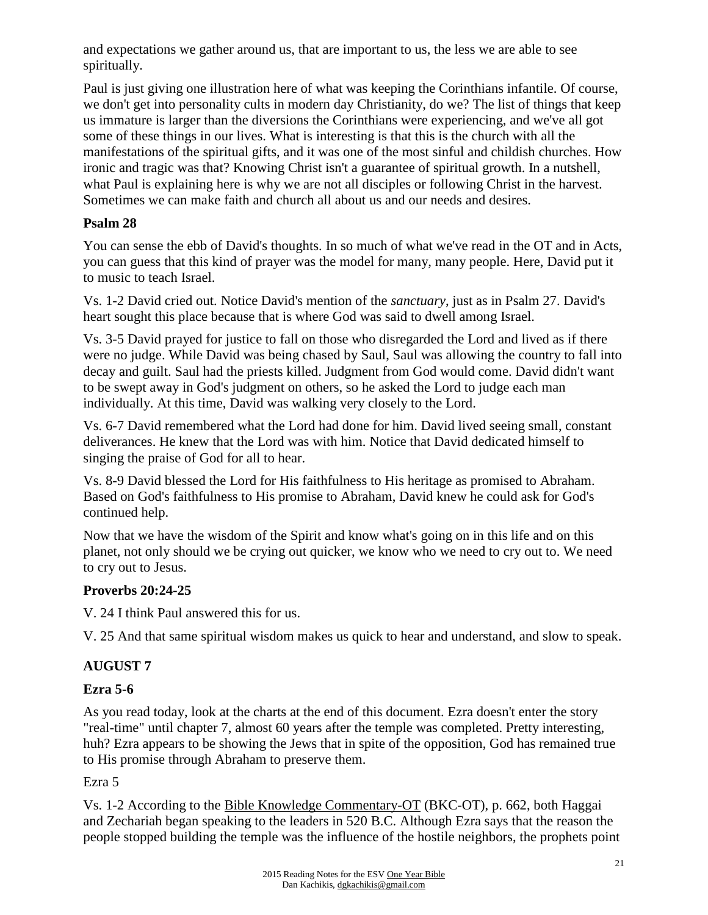and expectations we gather around us, that are important to us, the less we are able to see spiritually.

Paul is just giving one illustration here of what was keeping the Corinthians infantile. Of course, we don't get into personality cults in modern day Christianity, do we? The list of things that keep us immature is larger than the diversions the Corinthians were experiencing, and we've all got some of these things in our lives. What is interesting is that this is the church with all the manifestations of the spiritual gifts, and it was one of the most sinful and childish churches. How ironic and tragic was that? Knowing Christ isn't a guarantee of spiritual growth. In a nutshell, what Paul is explaining here is why we are not all disciples or following Christ in the harvest. Sometimes we can make faith and church all about us and our needs and desires.

### **Psalm 28**

You can sense the ebb of David's thoughts. In so much of what we've read in the OT and in Acts, you can guess that this kind of prayer was the model for many, many people. Here, David put it to music to teach Israel.

Vs. 1-2 David cried out. Notice David's mention of the *sanctuary*, just as in Psalm 27. David's heart sought this place because that is where God was said to dwell among Israel.

Vs. 3-5 David prayed for justice to fall on those who disregarded the Lord and lived as if there were no judge. While David was being chased by Saul, Saul was allowing the country to fall into decay and guilt. Saul had the priests killed. Judgment from God would come. David didn't want to be swept away in God's judgment on others, so he asked the Lord to judge each man individually. At this time, David was walking very closely to the Lord.

Vs. 6-7 David remembered what the Lord had done for him. David lived seeing small, constant deliverances. He knew that the Lord was with him. Notice that David dedicated himself to singing the praise of God for all to hear.

Vs. 8-9 David blessed the Lord for His faithfulness to His heritage as promised to Abraham. Based on God's faithfulness to His promise to Abraham, David knew he could ask for God's continued help.

Now that we have the wisdom of the Spirit and know what's going on in this life and on this planet, not only should we be crying out quicker, we know who we need to cry out to. We need to cry out to Jesus.

#### **Proverbs 20:24-25**

V. 24 I think Paul answered this for us.

V. 25 And that same spiritual wisdom makes us quick to hear and understand, and slow to speak.

## **AUGUST 7**

## **Ezra 5-6**

As you read today, look at the charts at the end of this document. Ezra doesn't enter the story "real-time" until chapter 7, almost 60 years after the temple was completed. Pretty interesting, huh? Ezra appears to be showing the Jews that in spite of the opposition, God has remained true to His promise through Abraham to preserve them.

#### Ezra 5

Vs. 1-2 According to the Bible Knowledge Commentary-OT (BKC-OT), p. 662, both Haggai and Zechariah began speaking to the leaders in 520 B.C. Although Ezra says that the reason the people stopped building the temple was the influence of the hostile neighbors, the prophets point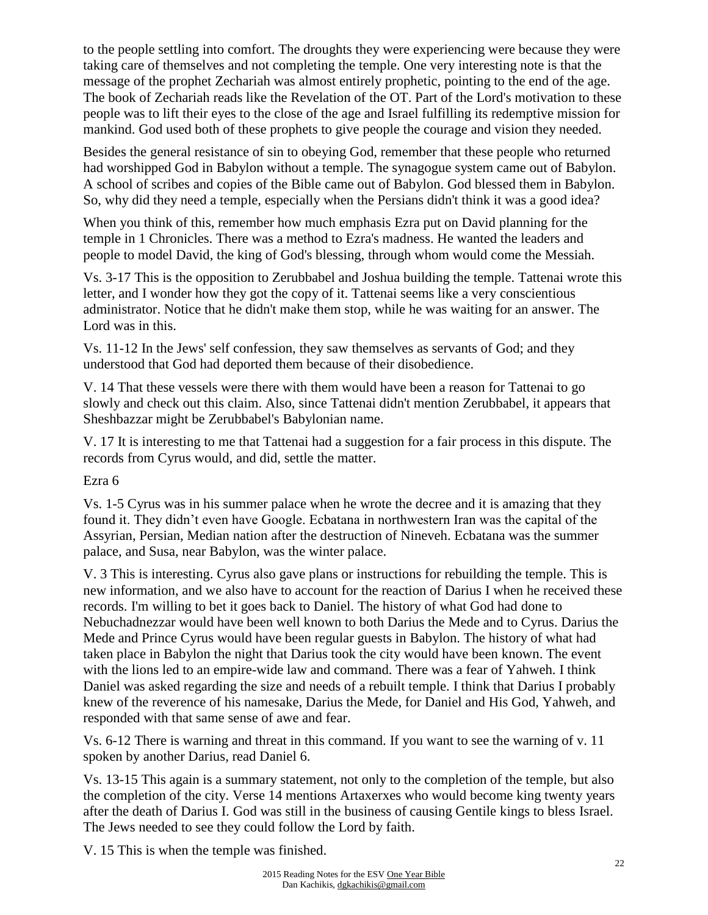to the people settling into comfort. The droughts they were experiencing were because they were taking care of themselves and not completing the temple. One very interesting note is that the message of the prophet Zechariah was almost entirely prophetic, pointing to the end of the age. The book of Zechariah reads like the Revelation of the OT. Part of the Lord's motivation to these people was to lift their eyes to the close of the age and Israel fulfilling its redemptive mission for mankind. God used both of these prophets to give people the courage and vision they needed.

Besides the general resistance of sin to obeying God, remember that these people who returned had worshipped God in Babylon without a temple. The synagogue system came out of Babylon. A school of scribes and copies of the Bible came out of Babylon. God blessed them in Babylon. So, why did they need a temple, especially when the Persians didn't think it was a good idea?

When you think of this, remember how much emphasis Ezra put on David planning for the temple in 1 Chronicles. There was a method to Ezra's madness. He wanted the leaders and people to model David, the king of God's blessing, through whom would come the Messiah.

Vs. 3-17 This is the opposition to Zerubbabel and Joshua building the temple. Tattenai wrote this letter, and I wonder how they got the copy of it. Tattenai seems like a very conscientious administrator. Notice that he didn't make them stop, while he was waiting for an answer. The Lord was in this.

Vs. 11-12 In the Jews' self confession, they saw themselves as servants of God; and they understood that God had deported them because of their disobedience.

V. 14 That these vessels were there with them would have been a reason for Tattenai to go slowly and check out this claim. Also, since Tattenai didn't mention Zerubbabel, it appears that Sheshbazzar might be Zerubbabel's Babylonian name.

V. 17 It is interesting to me that Tattenai had a suggestion for a fair process in this dispute. The records from Cyrus would, and did, settle the matter.

Ezra 6

Vs. 1-5 Cyrus was in his summer palace when he wrote the decree and it is amazing that they found it. They didn't even have Google. Ecbatana in northwestern Iran was the capital of the Assyrian, Persian, Median nation after the destruction of Nineveh. Ecbatana was the summer palace, and Susa, near Babylon, was the winter palace.

V. 3 This is interesting. Cyrus also gave plans or instructions for rebuilding the temple. This is new information, and we also have to account for the reaction of Darius I when he received these records. I'm willing to bet it goes back to Daniel. The history of what God had done to Nebuchadnezzar would have been well known to both Darius the Mede and to Cyrus. Darius the Mede and Prince Cyrus would have been regular guests in Babylon. The history of what had taken place in Babylon the night that Darius took the city would have been known. The event with the lions led to an empire-wide law and command. There was a fear of Yahweh. I think Daniel was asked regarding the size and needs of a rebuilt temple. I think that Darius I probably knew of the reverence of his namesake, Darius the Mede, for Daniel and His God, Yahweh, and responded with that same sense of awe and fear.

Vs. 6-12 There is warning and threat in this command. If you want to see the warning of v. 11 spoken by another Darius, read Daniel 6.

Vs. 13-15 This again is a summary statement, not only to the completion of the temple, but also the completion of the city. Verse 14 mentions Artaxerxes who would become king twenty years after the death of Darius I. God was still in the business of causing Gentile kings to bless Israel. The Jews needed to see they could follow the Lord by faith.

V. 15 This is when the temple was finished.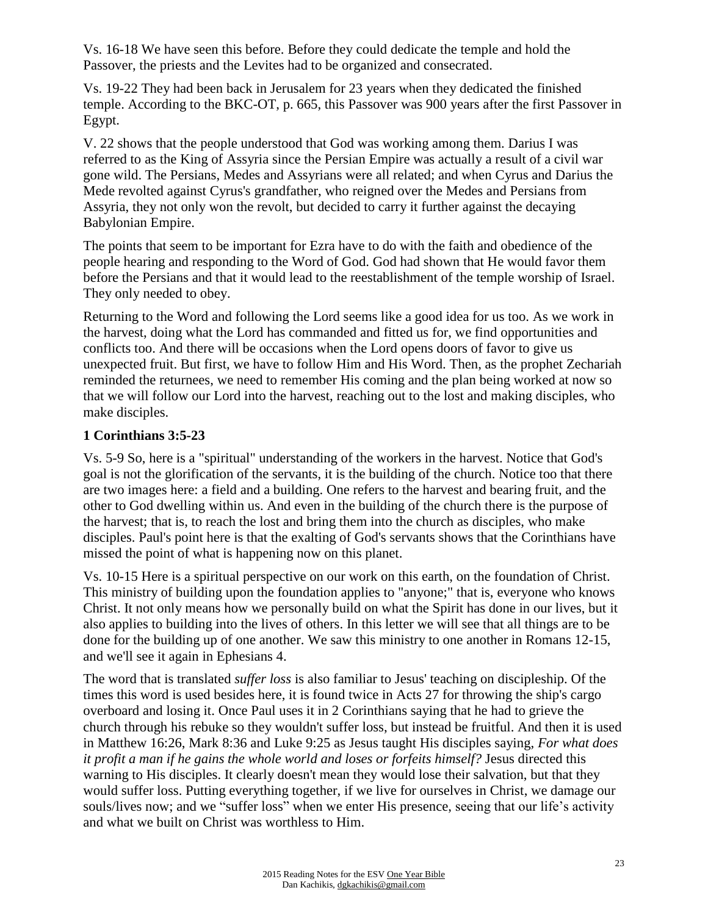Vs. 16-18 We have seen this before. Before they could dedicate the temple and hold the Passover, the priests and the Levites had to be organized and consecrated.

Vs. 19-22 They had been back in Jerusalem for 23 years when they dedicated the finished temple. According to the BKC-OT, p. 665, this Passover was 900 years after the first Passover in Egypt.

V. 22 shows that the people understood that God was working among them. Darius I was referred to as the King of Assyria since the Persian Empire was actually a result of a civil war gone wild. The Persians, Medes and Assyrians were all related; and when Cyrus and Darius the Mede revolted against Cyrus's grandfather, who reigned over the Medes and Persians from Assyria, they not only won the revolt, but decided to carry it further against the decaying Babylonian Empire.

The points that seem to be important for Ezra have to do with the faith and obedience of the people hearing and responding to the Word of God. God had shown that He would favor them before the Persians and that it would lead to the reestablishment of the temple worship of Israel. They only needed to obey.

Returning to the Word and following the Lord seems like a good idea for us too. As we work in the harvest, doing what the Lord has commanded and fitted us for, we find opportunities and conflicts too. And there will be occasions when the Lord opens doors of favor to give us unexpected fruit. But first, we have to follow Him and His Word. Then, as the prophet Zechariah reminded the returnees, we need to remember His coming and the plan being worked at now so that we will follow our Lord into the harvest, reaching out to the lost and making disciples, who make disciples.

### **1 Corinthians 3:5-23**

Vs. 5-9 So, here is a "spiritual" understanding of the workers in the harvest. Notice that God's goal is not the glorification of the servants, it is the building of the church. Notice too that there are two images here: a field and a building. One refers to the harvest and bearing fruit, and the other to God dwelling within us. And even in the building of the church there is the purpose of the harvest; that is, to reach the lost and bring them into the church as disciples, who make disciples. Paul's point here is that the exalting of God's servants shows that the Corinthians have missed the point of what is happening now on this planet.

Vs. 10-15 Here is a spiritual perspective on our work on this earth, on the foundation of Christ. This ministry of building upon the foundation applies to "anyone;" that is, everyone who knows Christ. It not only means how we personally build on what the Spirit has done in our lives, but it also applies to building into the lives of others. In this letter we will see that all things are to be done for the building up of one another. We saw this ministry to one another in Romans 12-15, and we'll see it again in Ephesians 4.

The word that is translated *suffer loss* is also familiar to Jesus' teaching on discipleship. Of the times this word is used besides here, it is found twice in Acts 27 for throwing the ship's cargo overboard and losing it. Once Paul uses it in 2 Corinthians saying that he had to grieve the church through his rebuke so they wouldn't suffer loss, but instead be fruitful. And then it is used in Matthew 16:26, Mark 8:36 and Luke 9:25 as Jesus taught His disciples saying, *For what does it profit a man if he gains the whole world and loses or forfeits himself?* Jesus directed this warning to His disciples. It clearly doesn't mean they would lose their salvation, but that they would suffer loss. Putting everything together, if we live for ourselves in Christ, we damage our souls/lives now; and we "suffer loss" when we enter His presence, seeing that our life's activity and what we built on Christ was worthless to Him.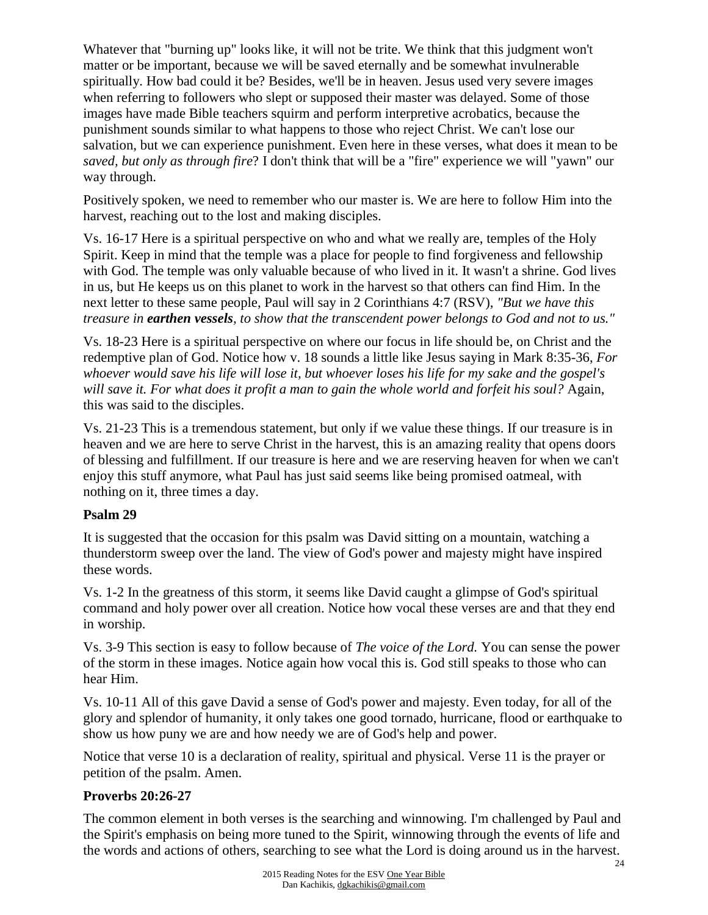Whatever that "burning up" looks like, it will not be trite. We think that this judgment won't matter or be important, because we will be saved eternally and be somewhat invulnerable spiritually. How bad could it be? Besides, we'll be in heaven. Jesus used very severe images when referring to followers who slept or supposed their master was delayed. Some of those images have made Bible teachers squirm and perform interpretive acrobatics, because the punishment sounds similar to what happens to those who reject Christ. We can't lose our salvation, but we can experience punishment. Even here in these verses, what does it mean to be *saved, but only as through fire*? I don't think that will be a "fire" experience we will "yawn" our way through.

Positively spoken, we need to remember who our master is. We are here to follow Him into the harvest, reaching out to the lost and making disciples.

Vs. 16-17 Here is a spiritual perspective on who and what we really are, temples of the Holy Spirit. Keep in mind that the temple was a place for people to find forgiveness and fellowship with God. The temple was only valuable because of who lived in it. It wasn't a shrine. God lives in us, but He keeps us on this planet to work in the harvest so that others can find Him. In the next letter to these same people, Paul will say in 2 Corinthians 4:7 (RSV), *"But we have this treasure in earthen vessels, to show that the transcendent power belongs to God and not to us."*

Vs. 18-23 Here is a spiritual perspective on where our focus in life should be, on Christ and the redemptive plan of God. Notice how v. 18 sounds a little like Jesus saying in Mark 8:35-36, *For whoever would save his life will lose it, but whoever loses his life for my sake and the gospel's will save it. For what does it profit a man to gain the whole world and forfeit his soul?* Again, this was said to the disciples.

Vs. 21-23 This is a tremendous statement, but only if we value these things. If our treasure is in heaven and we are here to serve Christ in the harvest, this is an amazing reality that opens doors of blessing and fulfillment. If our treasure is here and we are reserving heaven for when we can't enjoy this stuff anymore, what Paul has just said seems like being promised oatmeal, with nothing on it, three times a day.

## **Psalm 29**

It is suggested that the occasion for this psalm was David sitting on a mountain, watching a thunderstorm sweep over the land. The view of God's power and majesty might have inspired these words.

Vs. 1-2 In the greatness of this storm, it seems like David caught a glimpse of God's spiritual command and holy power over all creation. Notice how vocal these verses are and that they end in worship.

Vs. 3-9 This section is easy to follow because of *The voice of the Lord.* You can sense the power of the storm in these images. Notice again how vocal this is. God still speaks to those who can hear Him.

Vs. 10-11 All of this gave David a sense of God's power and majesty. Even today, for all of the glory and splendor of humanity, it only takes one good tornado, hurricane, flood or earthquake to show us how puny we are and how needy we are of God's help and power.

Notice that verse 10 is a declaration of reality, spiritual and physical. Verse 11 is the prayer or petition of the psalm. Amen.

#### **Proverbs 20:26-27**

The common element in both verses is the searching and winnowing. I'm challenged by Paul and the Spirit's emphasis on being more tuned to the Spirit, winnowing through the events of life and the words and actions of others, searching to see what the Lord is doing around us in the harvest.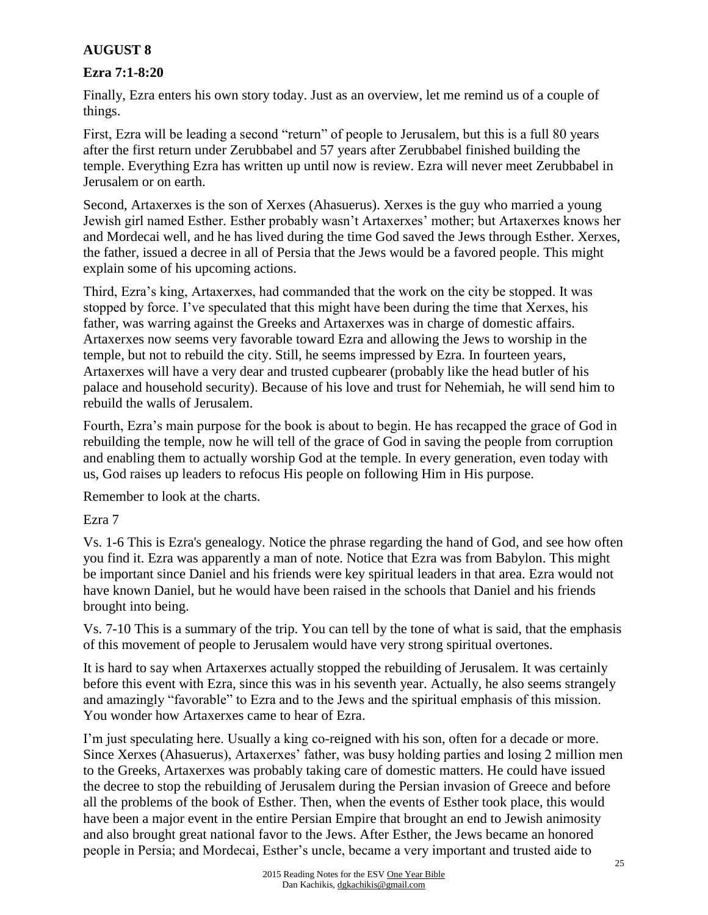## **AUGUST 8**

### **Ezra 7:1-8:20**

Finally, Ezra enters his own story today. Just as an overview, let me remind us of a couple of things.

First, Ezra will be leading a second "return" of people to Jerusalem, but this is a full 80 years after the first return under Zerubbabel and 57 years after Zerubbabel finished building the temple. Everything Ezra has written up until now is review. Ezra will never meet Zerubbabel in Jerusalem or on earth.

Second, Artaxerxes is the son of Xerxes (Ahasuerus). Xerxes is the guy who married a young Jewish girl named Esther. Esther probably wasn't Artaxerxes' mother; but Artaxerxes knows her and Mordecai well, and he has lived during the time God saved the Jews through Esther. Xerxes, the father, issued a decree in all of Persia that the Jews would be a favored people. This might explain some of his upcoming actions.

Third, Ezra's king, Artaxerxes, had commanded that the work on the city be stopped. It was stopped by force. I've speculated that this might have been during the time that Xerxes, his father, was warring against the Greeks and Artaxerxes was in charge of domestic affairs. Artaxerxes now seems very favorable toward Ezra and allowing the Jews to worship in the temple, but not to rebuild the city. Still, he seems impressed by Ezra. In fourteen years, Artaxerxes will have a very dear and trusted cupbearer (probably like the head butler of his palace and household security). Because of his love and trust for Nehemiah, he will send him to rebuild the walls of Jerusalem.

Fourth, Ezra's main purpose for the book is about to begin. He has recapped the grace of God in rebuilding the temple, now he will tell of the grace of God in saving the people from corruption and enabling them to actually worship God at the temple. In every generation, even today with us, God raises up leaders to refocus His people on following Him in His purpose.

Remember to look at the charts.

#### Ezra 7

Vs. 1-6 This is Ezra's genealogy. Notice the phrase regarding the hand of God, and see how often you find it. Ezra was apparently a man of note. Notice that Ezra was from Babylon. This might be important since Daniel and his friends were key spiritual leaders in that area. Ezra would not have known Daniel, but he would have been raised in the schools that Daniel and his friends brought into being.

Vs. 7-10 This is a summary of the trip. You can tell by the tone of what is said, that the emphasis of this movement of people to Jerusalem would have very strong spiritual overtones.

It is hard to say when Artaxerxes actually stopped the rebuilding of Jerusalem. It was certainly before this event with Ezra, since this was in his seventh year. Actually, he also seems strangely and amazingly "favorable" to Ezra and to the Jews and the spiritual emphasis of this mission. You wonder how Artaxerxes came to hear of Ezra.

I'm just speculating here. Usually a king co-reigned with his son, often for a decade or more. Since Xerxes (Ahasuerus), Artaxerxes' father, was busy holding parties and losing 2 million men to the Greeks, Artaxerxes was probably taking care of domestic matters. He could have issued the decree to stop the rebuilding of Jerusalem during the Persian invasion of Greece and before all the problems of the book of Esther. Then, when the events of Esther took place, this would have been a major event in the entire Persian Empire that brought an end to Jewish animosity and also brought great national favor to the Jews. After Esther, the Jews became an honored people in Persia; and Mordecai, Esther's uncle, became a very important and trusted aide to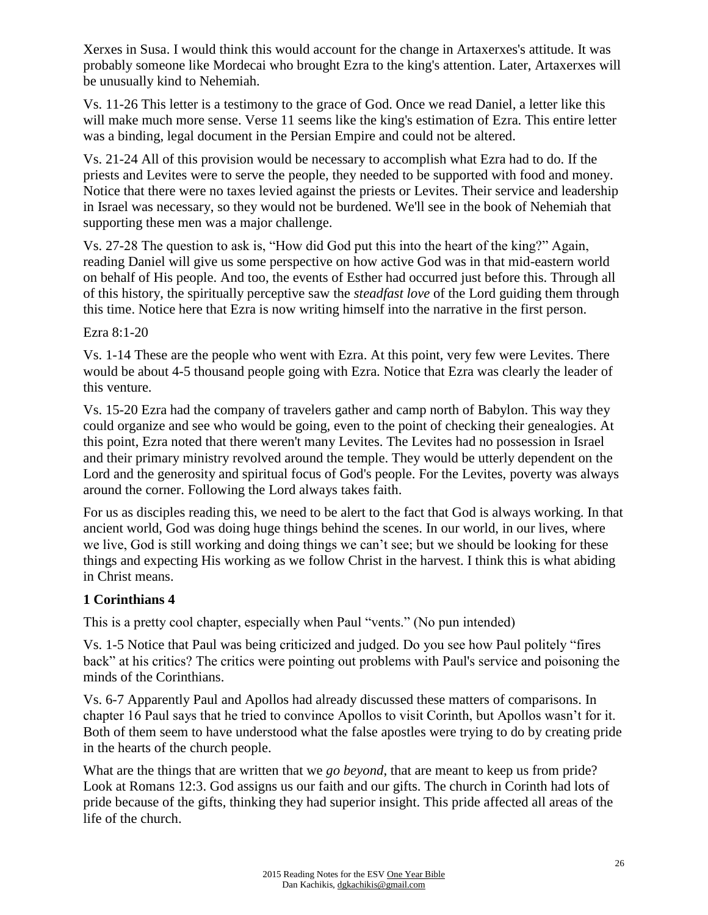Xerxes in Susa. I would think this would account for the change in Artaxerxes's attitude. It was probably someone like Mordecai who brought Ezra to the king's attention. Later, Artaxerxes will be unusually kind to Nehemiah.

Vs. 11-26 This letter is a testimony to the grace of God. Once we read Daniel, a letter like this will make much more sense. Verse 11 seems like the king's estimation of Ezra. This entire letter was a binding, legal document in the Persian Empire and could not be altered.

Vs. 21-24 All of this provision would be necessary to accomplish what Ezra had to do. If the priests and Levites were to serve the people, they needed to be supported with food and money. Notice that there were no taxes levied against the priests or Levites. Their service and leadership in Israel was necessary, so they would not be burdened. We'll see in the book of Nehemiah that supporting these men was a major challenge.

Vs. 27-28 The question to ask is, "How did God put this into the heart of the king?" Again, reading Daniel will give us some perspective on how active God was in that mid-eastern world on behalf of His people. And too, the events of Esther had occurred just before this. Through all of this history, the spiritually perceptive saw the *steadfast love* of the Lord guiding them through this time. Notice here that Ezra is now writing himself into the narrative in the first person.

Ezra 8:1-20

Vs. 1-14 These are the people who went with Ezra. At this point, very few were Levites. There would be about 4-5 thousand people going with Ezra. Notice that Ezra was clearly the leader of this venture.

Vs. 15-20 Ezra had the company of travelers gather and camp north of Babylon. This way they could organize and see who would be going, even to the point of checking their genealogies. At this point, Ezra noted that there weren't many Levites. The Levites had no possession in Israel and their primary ministry revolved around the temple. They would be utterly dependent on the Lord and the generosity and spiritual focus of God's people. For the Levites, poverty was always around the corner. Following the Lord always takes faith.

For us as disciples reading this, we need to be alert to the fact that God is always working. In that ancient world, God was doing huge things behind the scenes. In our world, in our lives, where we live, God is still working and doing things we can't see; but we should be looking for these things and expecting His working as we follow Christ in the harvest. I think this is what abiding in Christ means.

## **1 Corinthians 4**

This is a pretty cool chapter, especially when Paul "vents." (No pun intended)

Vs. 1-5 Notice that Paul was being criticized and judged. Do you see how Paul politely "fires back" at his critics? The critics were pointing out problems with Paul's service and poisoning the minds of the Corinthians.

Vs. 6-7 Apparently Paul and Apollos had already discussed these matters of comparisons. In chapter 16 Paul says that he tried to convince Apollos to visit Corinth, but Apollos wasn't for it. Both of them seem to have understood what the false apostles were trying to do by creating pride in the hearts of the church people.

What are the things that are written that we *go beyond*, that are meant to keep us from pride? Look at Romans 12:3. God assigns us our faith and our gifts. The church in Corinth had lots of pride because of the gifts, thinking they had superior insight. This pride affected all areas of the life of the church.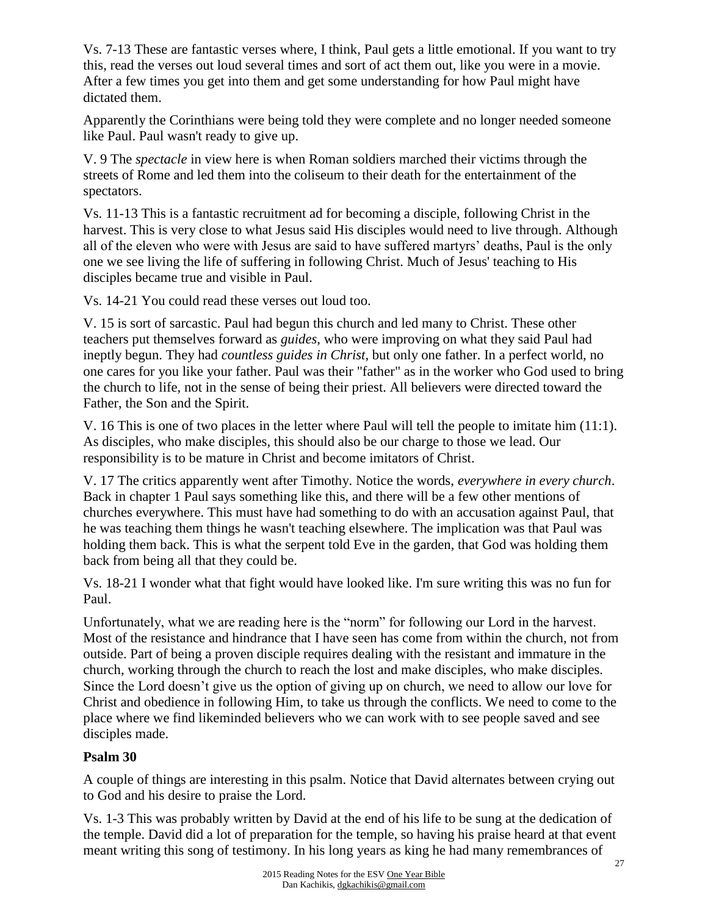Vs. 7-13 These are fantastic verses where, I think, Paul gets a little emotional. If you want to try this, read the verses out loud several times and sort of act them out, like you were in a movie. After a few times you get into them and get some understanding for how Paul might have dictated them.

Apparently the Corinthians were being told they were complete and no longer needed someone like Paul. Paul wasn't ready to give up.

V. 9 The *spectacle* in view here is when Roman soldiers marched their victims through the streets of Rome and led them into the coliseum to their death for the entertainment of the spectators.

Vs. 11-13 This is a fantastic recruitment ad for becoming a disciple, following Christ in the harvest. This is very close to what Jesus said His disciples would need to live through. Although all of the eleven who were with Jesus are said to have suffered martyrs' deaths, Paul is the only one we see living the life of suffering in following Christ. Much of Jesus' teaching to His disciples became true and visible in Paul.

Vs. 14-21 You could read these verses out loud too.

V. 15 is sort of sarcastic. Paul had begun this church and led many to Christ. These other teachers put themselves forward as *guides*, who were improving on what they said Paul had ineptly begun. They had *countless guides in Christ*, but only one father. In a perfect world, no one cares for you like your father. Paul was their "father" as in the worker who God used to bring the church to life, not in the sense of being their priest. All believers were directed toward the Father, the Son and the Spirit.

V. 16 This is one of two places in the letter where Paul will tell the people to imitate him (11:1). As disciples, who make disciples, this should also be our charge to those we lead. Our responsibility is to be mature in Christ and become imitators of Christ.

V. 17 The critics apparently went after Timothy. Notice the words, *everywhere in every church*. Back in chapter 1 Paul says something like this, and there will be a few other mentions of churches everywhere. This must have had something to do with an accusation against Paul, that he was teaching them things he wasn't teaching elsewhere. The implication was that Paul was holding them back. This is what the serpent told Eve in the garden, that God was holding them back from being all that they could be.

Vs. 18-21 I wonder what that fight would have looked like. I'm sure writing this was no fun for Paul.

Unfortunately, what we are reading here is the "norm" for following our Lord in the harvest. Most of the resistance and hindrance that I have seen has come from within the church, not from outside. Part of being a proven disciple requires dealing with the resistant and immature in the church, working through the church to reach the lost and make disciples, who make disciples. Since the Lord doesn't give us the option of giving up on church, we need to allow our love for Christ and obedience in following Him, to take us through the conflicts. We need to come to the place where we find likeminded believers who we can work with to see people saved and see disciples made.

## **Psalm 30**

A couple of things are interesting in this psalm. Notice that David alternates between crying out to God and his desire to praise the Lord.

Vs. 1-3 This was probably written by David at the end of his life to be sung at the dedication of the temple. David did a lot of preparation for the temple, so having his praise heard at that event meant writing this song of testimony. In his long years as king he had many remembrances of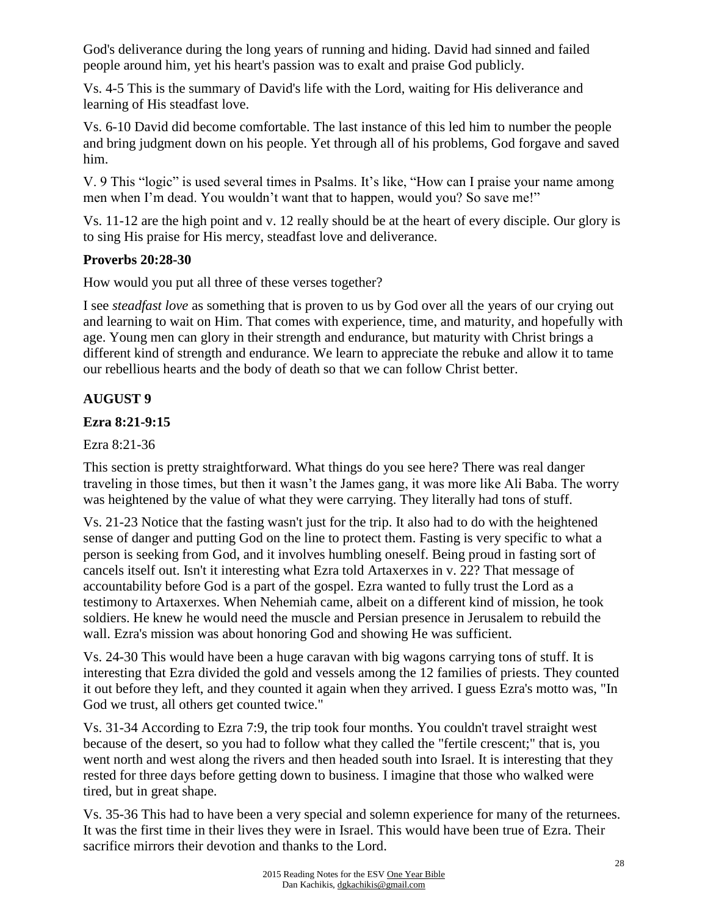God's deliverance during the long years of running and hiding. David had sinned and failed people around him, yet his heart's passion was to exalt and praise God publicly.

Vs. 4-5 This is the summary of David's life with the Lord, waiting for His deliverance and learning of His steadfast love.

Vs. 6-10 David did become comfortable. The last instance of this led him to number the people and bring judgment down on his people. Yet through all of his problems, God forgave and saved him.

V. 9 This "logic" is used several times in Psalms. It's like, "How can I praise your name among men when I'm dead. You wouldn't want that to happen, would you? So save me!"

Vs. 11-12 are the high point and v. 12 really should be at the heart of every disciple. Our glory is to sing His praise for His mercy, steadfast love and deliverance.

## **Proverbs 20:28-30**

How would you put all three of these verses together?

I see *steadfast love* as something that is proven to us by God over all the years of our crying out and learning to wait on Him. That comes with experience, time, and maturity, and hopefully with age. Young men can glory in their strength and endurance, but maturity with Christ brings a different kind of strength and endurance. We learn to appreciate the rebuke and allow it to tame our rebellious hearts and the body of death so that we can follow Christ better.

# **AUGUST 9**

### **Ezra 8:21-9:15**

Ezra 8:21-36

This section is pretty straightforward. What things do you see here? There was real danger traveling in those times, but then it wasn't the James gang, it was more like Ali Baba. The worry was heightened by the value of what they were carrying. They literally had tons of stuff.

Vs. 21-23 Notice that the fasting wasn't just for the trip. It also had to do with the heightened sense of danger and putting God on the line to protect them. Fasting is very specific to what a person is seeking from God, and it involves humbling oneself. Being proud in fasting sort of cancels itself out. Isn't it interesting what Ezra told Artaxerxes in v. 22? That message of accountability before God is a part of the gospel. Ezra wanted to fully trust the Lord as a testimony to Artaxerxes. When Nehemiah came, albeit on a different kind of mission, he took soldiers. He knew he would need the muscle and Persian presence in Jerusalem to rebuild the wall. Ezra's mission was about honoring God and showing He was sufficient.

Vs. 24-30 This would have been a huge caravan with big wagons carrying tons of stuff. It is interesting that Ezra divided the gold and vessels among the 12 families of priests. They counted it out before they left, and they counted it again when they arrived. I guess Ezra's motto was, "In God we trust, all others get counted twice."

Vs. 31-34 According to Ezra 7:9, the trip took four months. You couldn't travel straight west because of the desert, so you had to follow what they called the "fertile crescent;" that is, you went north and west along the rivers and then headed south into Israel. It is interesting that they rested for three days before getting down to business. I imagine that those who walked were tired, but in great shape.

Vs. 35-36 This had to have been a very special and solemn experience for many of the returnees. It was the first time in their lives they were in Israel. This would have been true of Ezra. Their sacrifice mirrors their devotion and thanks to the Lord.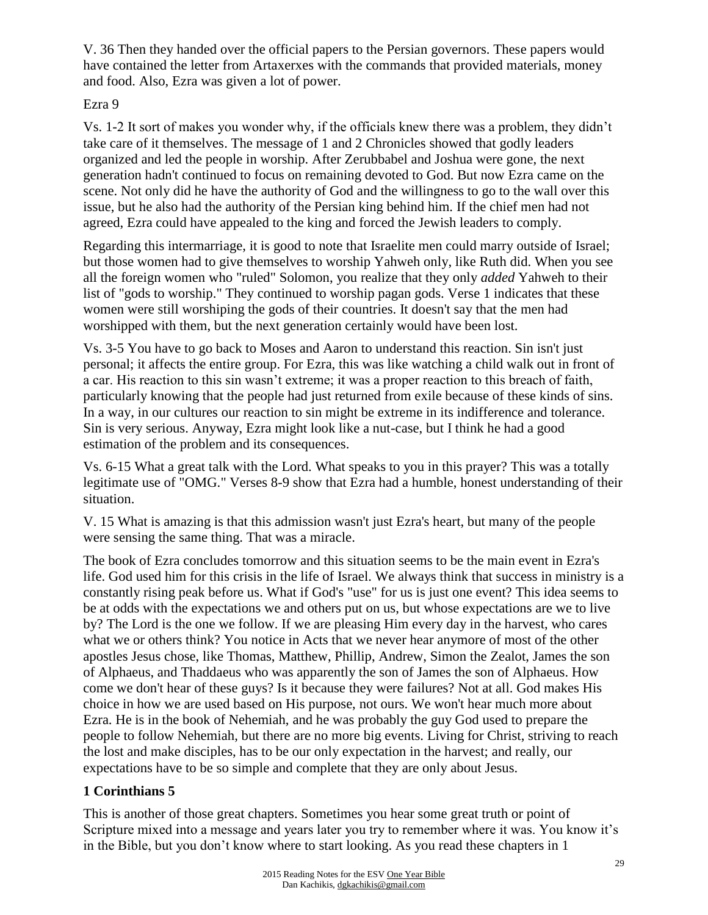V. 36 Then they handed over the official papers to the Persian governors. These papers would have contained the letter from Artaxerxes with the commands that provided materials, money and food. Also, Ezra was given a lot of power.

### Ezra 9

Vs. 1-2 It sort of makes you wonder why, if the officials knew there was a problem, they didn't take care of it themselves. The message of 1 and 2 Chronicles showed that godly leaders organized and led the people in worship. After Zerubbabel and Joshua were gone, the next generation hadn't continued to focus on remaining devoted to God. But now Ezra came on the scene. Not only did he have the authority of God and the willingness to go to the wall over this issue, but he also had the authority of the Persian king behind him. If the chief men had not agreed, Ezra could have appealed to the king and forced the Jewish leaders to comply.

Regarding this intermarriage, it is good to note that Israelite men could marry outside of Israel; but those women had to give themselves to worship Yahweh only, like Ruth did. When you see all the foreign women who "ruled" Solomon, you realize that they only *added* Yahweh to their list of "gods to worship." They continued to worship pagan gods. Verse 1 indicates that these women were still worshiping the gods of their countries. It doesn't say that the men had worshipped with them, but the next generation certainly would have been lost.

Vs. 3-5 You have to go back to Moses and Aaron to understand this reaction. Sin isn't just personal; it affects the entire group. For Ezra, this was like watching a child walk out in front of a car. His reaction to this sin wasn't extreme; it was a proper reaction to this breach of faith, particularly knowing that the people had just returned from exile because of these kinds of sins. In a way, in our cultures our reaction to sin might be extreme in its indifference and tolerance. Sin is very serious. Anyway, Ezra might look like a nut-case, but I think he had a good estimation of the problem and its consequences.

Vs. 6-15 What a great talk with the Lord. What speaks to you in this prayer? This was a totally legitimate use of "OMG." Verses 8-9 show that Ezra had a humble, honest understanding of their situation.

V. 15 What is amazing is that this admission wasn't just Ezra's heart, but many of the people were sensing the same thing. That was a miracle.

The book of Ezra concludes tomorrow and this situation seems to be the main event in Ezra's life. God used him for this crisis in the life of Israel. We always think that success in ministry is a constantly rising peak before us. What if God's "use" for us is just one event? This idea seems to be at odds with the expectations we and others put on us, but whose expectations are we to live by? The Lord is the one we follow. If we are pleasing Him every day in the harvest, who cares what we or others think? You notice in Acts that we never hear anymore of most of the other apostles Jesus chose, like Thomas, Matthew, Phillip, Andrew, Simon the Zealot, James the son of Alphaeus, and Thaddaeus who was apparently the son of James the son of Alphaeus. How come we don't hear of these guys? Is it because they were failures? Not at all. God makes His choice in how we are used based on His purpose, not ours. We won't hear much more about Ezra. He is in the book of Nehemiah, and he was probably the guy God used to prepare the people to follow Nehemiah, but there are no more big events. Living for Christ, striving to reach the lost and make disciples, has to be our only expectation in the harvest; and really, our expectations have to be so simple and complete that they are only about Jesus.

# **1 Corinthians 5**

This is another of those great chapters. Sometimes you hear some great truth or point of Scripture mixed into a message and years later you try to remember where it was. You know it's in the Bible, but you don't know where to start looking. As you read these chapters in 1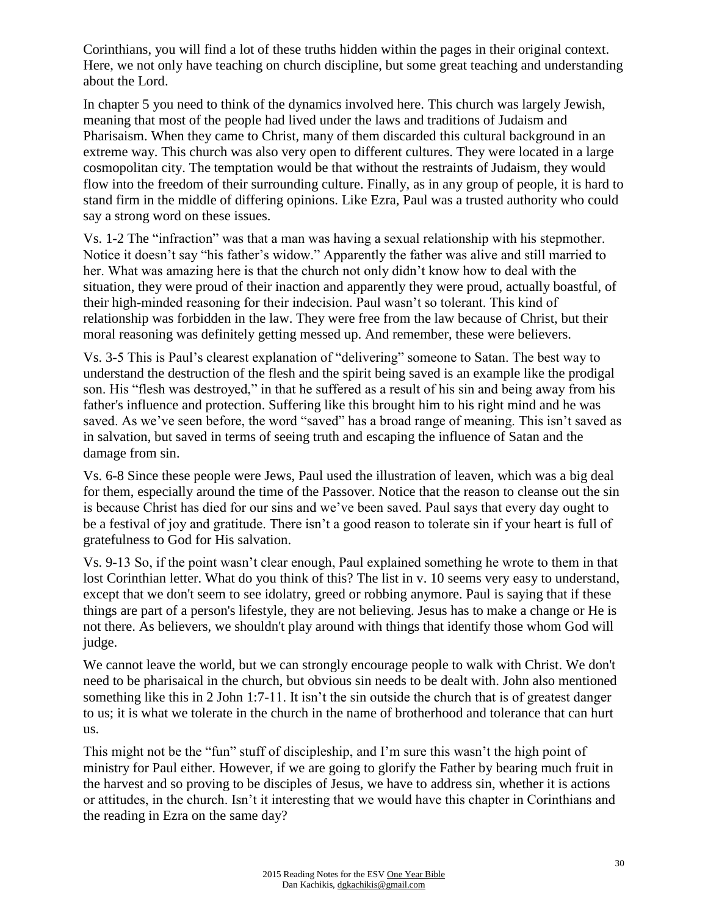Corinthians, you will find a lot of these truths hidden within the pages in their original context. Here, we not only have teaching on church discipline, but some great teaching and understanding about the Lord.

In chapter 5 you need to think of the dynamics involved here. This church was largely Jewish, meaning that most of the people had lived under the laws and traditions of Judaism and Pharisaism. When they came to Christ, many of them discarded this cultural background in an extreme way. This church was also very open to different cultures. They were located in a large cosmopolitan city. The temptation would be that without the restraints of Judaism, they would flow into the freedom of their surrounding culture. Finally, as in any group of people, it is hard to stand firm in the middle of differing opinions. Like Ezra, Paul was a trusted authority who could say a strong word on these issues.

Vs. 1-2 The "infraction" was that a man was having a sexual relationship with his stepmother. Notice it doesn't say "his father's widow." Apparently the father was alive and still married to her. What was amazing here is that the church not only didn't know how to deal with the situation, they were proud of their inaction and apparently they were proud, actually boastful, of their high-minded reasoning for their indecision. Paul wasn't so tolerant. This kind of relationship was forbidden in the law. They were free from the law because of Christ, but their moral reasoning was definitely getting messed up. And remember, these were believers.

Vs. 3-5 This is Paul's clearest explanation of "delivering" someone to Satan. The best way to understand the destruction of the flesh and the spirit being saved is an example like the prodigal son. His "flesh was destroyed," in that he suffered as a result of his sin and being away from his father's influence and protection. Suffering like this brought him to his right mind and he was saved. As we've seen before, the word "saved" has a broad range of meaning. This isn't saved as in salvation, but saved in terms of seeing truth and escaping the influence of Satan and the damage from sin.

Vs. 6-8 Since these people were Jews, Paul used the illustration of leaven, which was a big deal for them, especially around the time of the Passover. Notice that the reason to cleanse out the sin is because Christ has died for our sins and we've been saved. Paul says that every day ought to be a festival of joy and gratitude. There isn't a good reason to tolerate sin if your heart is full of gratefulness to God for His salvation.

Vs. 9-13 So, if the point wasn't clear enough, Paul explained something he wrote to them in that lost Corinthian letter. What do you think of this? The list in v. 10 seems very easy to understand, except that we don't seem to see idolatry, greed or robbing anymore. Paul is saying that if these things are part of a person's lifestyle, they are not believing. Jesus has to make a change or He is not there. As believers, we shouldn't play around with things that identify those whom God will judge.

We cannot leave the world, but we can strongly encourage people to walk with Christ. We don't need to be pharisaical in the church, but obvious sin needs to be dealt with. John also mentioned something like this in 2 John 1:7-11. It isn't the sin outside the church that is of greatest danger to us; it is what we tolerate in the church in the name of brotherhood and tolerance that can hurt us.

This might not be the "fun" stuff of discipleship, and I'm sure this wasn't the high point of ministry for Paul either. However, if we are going to glorify the Father by bearing much fruit in the harvest and so proving to be disciples of Jesus, we have to address sin, whether it is actions or attitudes, in the church. Isn't it interesting that we would have this chapter in Corinthians and the reading in Ezra on the same day?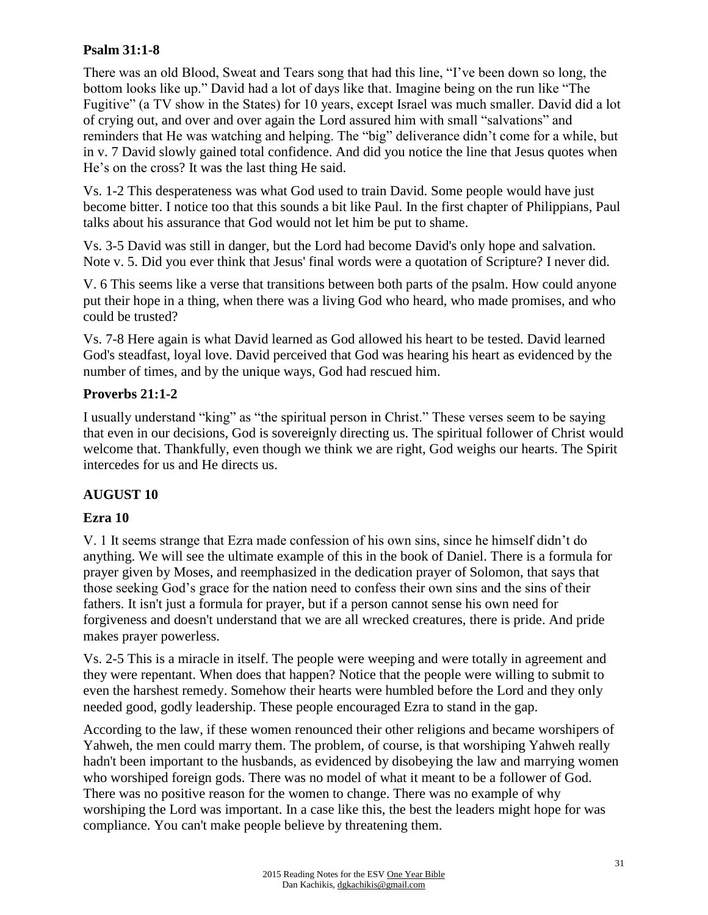### **Psalm 31:1-8**

There was an old Blood, Sweat and Tears song that had this line, "I've been down so long, the bottom looks like up." David had a lot of days like that. Imagine being on the run like "The Fugitive" (a TV show in the States) for 10 years, except Israel was much smaller. David did a lot of crying out, and over and over again the Lord assured him with small "salvations" and reminders that He was watching and helping. The "big" deliverance didn't come for a while, but in v. 7 David slowly gained total confidence. And did you notice the line that Jesus quotes when He's on the cross? It was the last thing He said.

Vs. 1-2 This desperateness was what God used to train David. Some people would have just become bitter. I notice too that this sounds a bit like Paul. In the first chapter of Philippians, Paul talks about his assurance that God would not let him be put to shame.

Vs. 3-5 David was still in danger, but the Lord had become David's only hope and salvation. Note v. 5. Did you ever think that Jesus' final words were a quotation of Scripture? I never did.

V. 6 This seems like a verse that transitions between both parts of the psalm. How could anyone put their hope in a thing, when there was a living God who heard, who made promises, and who could be trusted?

Vs. 7-8 Here again is what David learned as God allowed his heart to be tested. David learned God's steadfast, loyal love. David perceived that God was hearing his heart as evidenced by the number of times, and by the unique ways, God had rescued him.

### **Proverbs 21:1-2**

I usually understand "king" as "the spiritual person in Christ." These verses seem to be saying that even in our decisions, God is sovereignly directing us. The spiritual follower of Christ would welcome that. Thankfully, even though we think we are right, God weighs our hearts. The Spirit intercedes for us and He directs us.

## **AUGUST 10**

## **Ezra 10**

V. 1 It seems strange that Ezra made confession of his own sins, since he himself didn't do anything. We will see the ultimate example of this in the book of Daniel. There is a formula for prayer given by Moses, and reemphasized in the dedication prayer of Solomon, that says that those seeking God's grace for the nation need to confess their own sins and the sins of their fathers. It isn't just a formula for prayer, but if a person cannot sense his own need for forgiveness and doesn't understand that we are all wrecked creatures, there is pride. And pride makes prayer powerless.

Vs. 2-5 This is a miracle in itself. The people were weeping and were totally in agreement and they were repentant. When does that happen? Notice that the people were willing to submit to even the harshest remedy. Somehow their hearts were humbled before the Lord and they only needed good, godly leadership. These people encouraged Ezra to stand in the gap.

According to the law, if these women renounced their other religions and became worshipers of Yahweh, the men could marry them. The problem, of course, is that worshiping Yahweh really hadn't been important to the husbands, as evidenced by disobeying the law and marrying women who worshiped foreign gods. There was no model of what it meant to be a follower of God. There was no positive reason for the women to change. There was no example of why worshiping the Lord was important. In a case like this, the best the leaders might hope for was compliance. You can't make people believe by threatening them.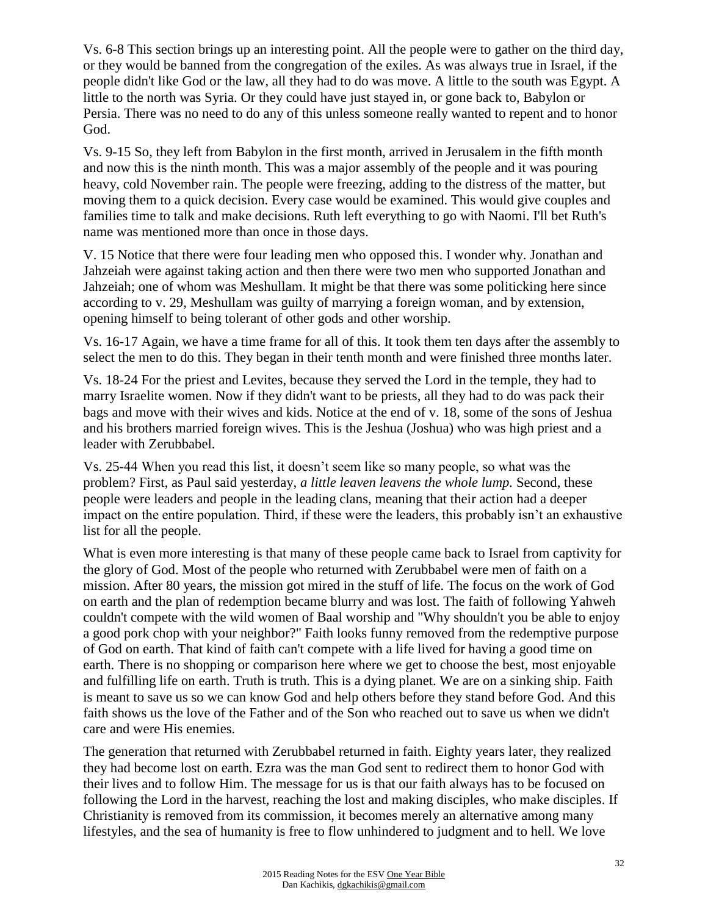Vs. 6-8 This section brings up an interesting point. All the people were to gather on the third day, or they would be banned from the congregation of the exiles. As was always true in Israel, if the people didn't like God or the law, all they had to do was move. A little to the south was Egypt. A little to the north was Syria. Or they could have just stayed in, or gone back to, Babylon or Persia. There was no need to do any of this unless someone really wanted to repent and to honor God.

Vs. 9-15 So, they left from Babylon in the first month, arrived in Jerusalem in the fifth month and now this is the ninth month. This was a major assembly of the people and it was pouring heavy, cold November rain. The people were freezing, adding to the distress of the matter, but moving them to a quick decision. Every case would be examined. This would give couples and families time to talk and make decisions. Ruth left everything to go with Naomi. I'll bet Ruth's name was mentioned more than once in those days.

V. 15 Notice that there were four leading men who opposed this. I wonder why. Jonathan and Jahzeiah were against taking action and then there were two men who supported Jonathan and Jahzeiah; one of whom was Meshullam. It might be that there was some politicking here since according to v. 29, Meshullam was guilty of marrying a foreign woman, and by extension, opening himself to being tolerant of other gods and other worship.

Vs. 16-17 Again, we have a time frame for all of this. It took them ten days after the assembly to select the men to do this. They began in their tenth month and were finished three months later.

Vs. 18-24 For the priest and Levites, because they served the Lord in the temple, they had to marry Israelite women. Now if they didn't want to be priests, all they had to do was pack their bags and move with their wives and kids. Notice at the end of v. 18, some of the sons of Jeshua and his brothers married foreign wives. This is the Jeshua (Joshua) who was high priest and a leader with Zerubbabel.

Vs. 25-44 When you read this list, it doesn't seem like so many people, so what was the problem? First, as Paul said yesterday, *a little leaven leavens the whole lump.* Second, these people were leaders and people in the leading clans, meaning that their action had a deeper impact on the entire population. Third, if these were the leaders, this probably isn't an exhaustive list for all the people.

What is even more interesting is that many of these people came back to Israel from captivity for the glory of God. Most of the people who returned with Zerubbabel were men of faith on a mission. After 80 years, the mission got mired in the stuff of life. The focus on the work of God on earth and the plan of redemption became blurry and was lost. The faith of following Yahweh couldn't compete with the wild women of Baal worship and "Why shouldn't you be able to enjoy a good pork chop with your neighbor?" Faith looks funny removed from the redemptive purpose of God on earth. That kind of faith can't compete with a life lived for having a good time on earth. There is no shopping or comparison here where we get to choose the best, most enjoyable and fulfilling life on earth. Truth is truth. This is a dying planet. We are on a sinking ship. Faith is meant to save us so we can know God and help others before they stand before God. And this faith shows us the love of the Father and of the Son who reached out to save us when we didn't care and were His enemies.

The generation that returned with Zerubbabel returned in faith. Eighty years later, they realized they had become lost on earth. Ezra was the man God sent to redirect them to honor God with their lives and to follow Him. The message for us is that our faith always has to be focused on following the Lord in the harvest, reaching the lost and making disciples, who make disciples. If Christianity is removed from its commission, it becomes merely an alternative among many lifestyles, and the sea of humanity is free to flow unhindered to judgment and to hell. We love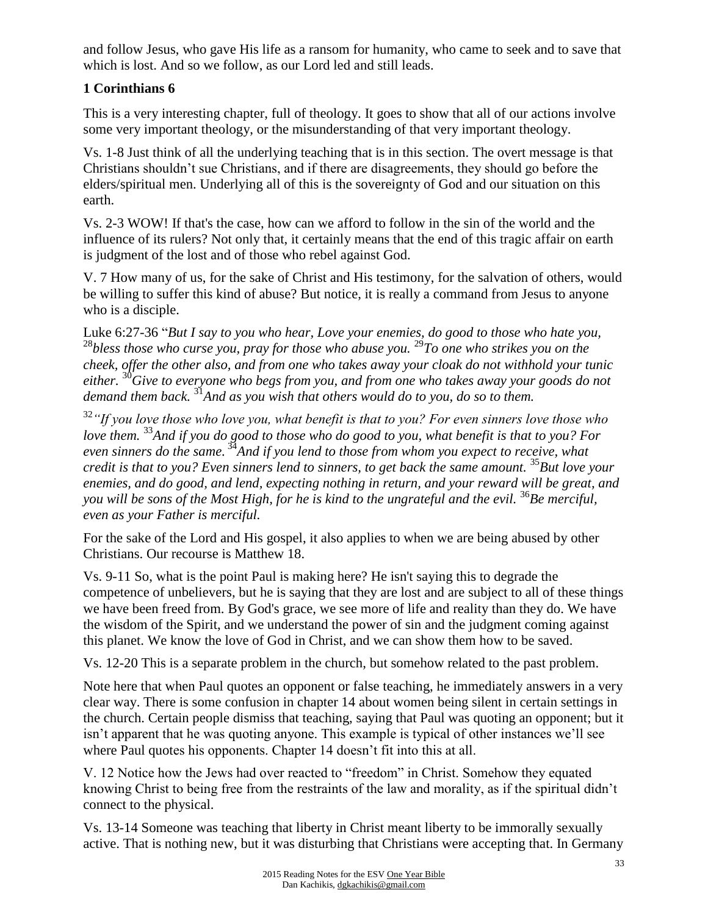and follow Jesus, who gave His life as a ransom for humanity, who came to seek and to save that which is lost. And so we follow, as our Lord led and still leads.

# **1 Corinthians 6**

This is a very interesting chapter, full of theology. It goes to show that all of our actions involve some very important theology, or the misunderstanding of that very important theology.

Vs. 1-8 Just think of all the underlying teaching that is in this section. The overt message is that Christians shouldn't sue Christians, and if there are disagreements, they should go before the elders/spiritual men. Underlying all of this is the sovereignty of God and our situation on this earth.

Vs. 2-3 WOW! If that's the case, how can we afford to follow in the sin of the world and the influence of its rulers? Not only that, it certainly means that the end of this tragic affair on earth is judgment of the lost and of those who rebel against God.

V. 7 How many of us, for the sake of Christ and His testimony, for the salvation of others, would be willing to suffer this kind of abuse? But notice, it is really a command from Jesus to anyone who is a disciple.

Luke 6:27-36 "*But I say to you who hear, Love your enemies, do good to those who hate you,* <sup>28</sup>*bless those who curse you, pray for those who abuse you.* <sup>29</sup>*To one who strikes you on the cheek, offer the other also, and from one who takes away your cloak do not withhold your tunic either.* <sup>30</sup>*Give to everyone who begs from you, and from one who takes away your goods do not demand them back.* <sup>31</sup>*And as you wish that others would do to you, do so to them.*

<sup>32</sup>*"If you love those who love you, what benefit is that to you? For even sinners love those who love them.* <sup>33</sup>*And if you do good to those who do good to you, what benefit is that to you? For even sinners do the same.* <sup>34</sup>*And if you lend to those from whom you expect to receive, what credit is that to you? Even sinners lend to sinners, to get back the same amount.* <sup>35</sup>*But love your enemies, and do good, and lend, expecting nothing in return, and your reward will be great, and you will be sons of the Most High, for he is kind to the ungrateful and the evil.* <sup>36</sup>*Be merciful, even as your Father is merciful.*

For the sake of the Lord and His gospel, it also applies to when we are being abused by other Christians. Our recourse is Matthew 18.

Vs. 9-11 So, what is the point Paul is making here? He isn't saying this to degrade the competence of unbelievers, but he is saying that they are lost and are subject to all of these things we have been freed from. By God's grace, we see more of life and reality than they do. We have the wisdom of the Spirit, and we understand the power of sin and the judgment coming against this planet. We know the love of God in Christ, and we can show them how to be saved.

Vs. 12-20 This is a separate problem in the church, but somehow related to the past problem.

Note here that when Paul quotes an opponent or false teaching, he immediately answers in a very clear way. There is some confusion in chapter 14 about women being silent in certain settings in the church. Certain people dismiss that teaching, saying that Paul was quoting an opponent; but it isn't apparent that he was quoting anyone. This example is typical of other instances we'll see where Paul quotes his opponents. Chapter 14 doesn't fit into this at all.

V. 12 Notice how the Jews had over reacted to "freedom" in Christ. Somehow they equated knowing Christ to being free from the restraints of the law and morality, as if the spiritual didn't connect to the physical.

Vs. 13-14 Someone was teaching that liberty in Christ meant liberty to be immorally sexually active. That is nothing new, but it was disturbing that Christians were accepting that. In Germany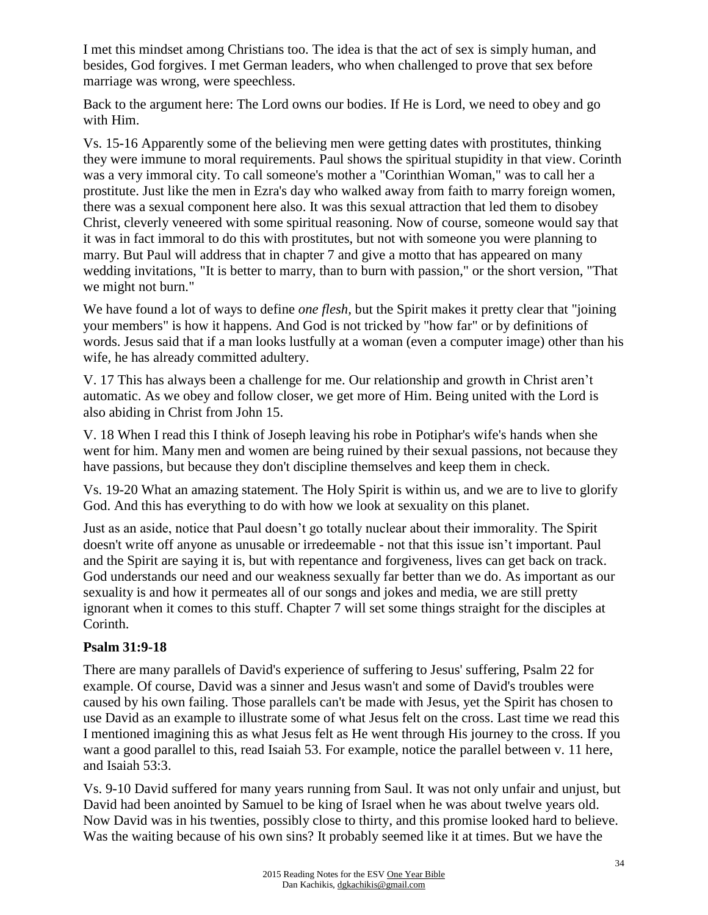I met this mindset among Christians too. The idea is that the act of sex is simply human, and besides, God forgives. I met German leaders, who when challenged to prove that sex before marriage was wrong, were speechless.

Back to the argument here: The Lord owns our bodies. If He is Lord, we need to obey and go with Him.

Vs. 15-16 Apparently some of the believing men were getting dates with prostitutes, thinking they were immune to moral requirements. Paul shows the spiritual stupidity in that view. Corinth was a very immoral city. To call someone's mother a "Corinthian Woman," was to call her a prostitute. Just like the men in Ezra's day who walked away from faith to marry foreign women, there was a sexual component here also. It was this sexual attraction that led them to disobey Christ, cleverly veneered with some spiritual reasoning. Now of course, someone would say that it was in fact immoral to do this with prostitutes, but not with someone you were planning to marry. But Paul will address that in chapter 7 and give a motto that has appeared on many wedding invitations, "It is better to marry, than to burn with passion," or the short version, "That we might not burn."

We have found a lot of ways to define *one flesh,* but the Spirit makes it pretty clear that "joining your members" is how it happens. And God is not tricked by "how far" or by definitions of words. Jesus said that if a man looks lustfully at a woman (even a computer image) other than his wife, he has already committed adultery.

V. 17 This has always been a challenge for me. Our relationship and growth in Christ aren't automatic. As we obey and follow closer, we get more of Him. Being united with the Lord is also abiding in Christ from John 15.

V. 18 When I read this I think of Joseph leaving his robe in Potiphar's wife's hands when she went for him. Many men and women are being ruined by their sexual passions, not because they have passions, but because they don't discipline themselves and keep them in check.

Vs. 19-20 What an amazing statement. The Holy Spirit is within us, and we are to live to glorify God. And this has everything to do with how we look at sexuality on this planet.

Just as an aside, notice that Paul doesn't go totally nuclear about their immorality. The Spirit doesn't write off anyone as unusable or irredeemable - not that this issue isn't important. Paul and the Spirit are saying it is, but with repentance and forgiveness, lives can get back on track. God understands our need and our weakness sexually far better than we do. As important as our sexuality is and how it permeates all of our songs and jokes and media, we are still pretty ignorant when it comes to this stuff. Chapter 7 will set some things straight for the disciples at Corinth.

#### **Psalm 31:9-18**

There are many parallels of David's experience of suffering to Jesus' suffering, Psalm 22 for example. Of course, David was a sinner and Jesus wasn't and some of David's troubles were caused by his own failing. Those parallels can't be made with Jesus, yet the Spirit has chosen to use David as an example to illustrate some of what Jesus felt on the cross. Last time we read this I mentioned imagining this as what Jesus felt as He went through His journey to the cross. If you want a good parallel to this, read Isaiah 53. For example, notice the parallel between v. 11 here, and Isaiah 53:3.

Vs. 9-10 David suffered for many years running from Saul. It was not only unfair and unjust, but David had been anointed by Samuel to be king of Israel when he was about twelve years old. Now David was in his twenties, possibly close to thirty, and this promise looked hard to believe. Was the waiting because of his own sins? It probably seemed like it at times. But we have the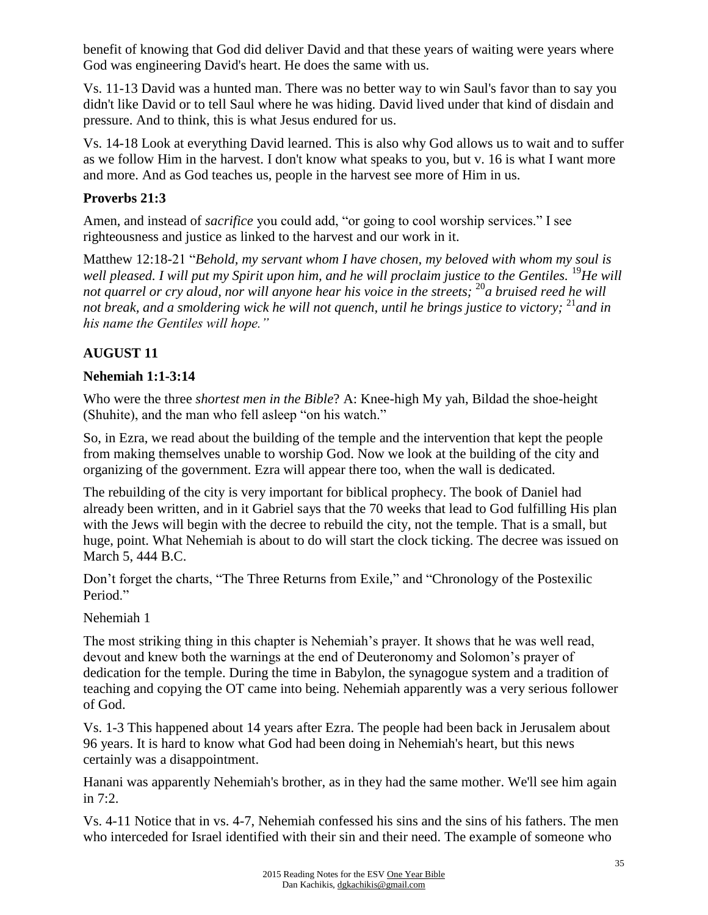benefit of knowing that God did deliver David and that these years of waiting were years where God was engineering David's heart. He does the same with us.

Vs. 11-13 David was a hunted man. There was no better way to win Saul's favor than to say you didn't like David or to tell Saul where he was hiding. David lived under that kind of disdain and pressure. And to think, this is what Jesus endured for us.

Vs. 14-18 Look at everything David learned. This is also why God allows us to wait and to suffer as we follow Him in the harvest. I don't know what speaks to you, but v. 16 is what I want more and more. And as God teaches us, people in the harvest see more of Him in us.

# **Proverbs 21:3**

Amen, and instead of *sacrifice* you could add, "or going to cool worship services." I see righteousness and justice as linked to the harvest and our work in it.

Matthew 12:18-21 "*Behold, my servant whom I have chosen, my beloved with whom my soul is well pleased. I will put my Spirit upon him, and he will proclaim justice to the Gentiles.* <sup>19</sup>*He will not quarrel or cry aloud, nor will anyone hear his voice in the streets;* <sup>20</sup>*a bruised reed he will not break, and a smoldering wick he will not quench, until he brings justice to victory;* <sup>21</sup>*and in his name the Gentiles will hope."* 

# **AUGUST 11**

## **Nehemiah 1:1-3:14**

Who were the three *shortest men in the Bible*? A: Knee-high My yah, Bildad the shoe-height (Shuhite), and the man who fell asleep "on his watch."

So, in Ezra, we read about the building of the temple and the intervention that kept the people from making themselves unable to worship God. Now we look at the building of the city and organizing of the government. Ezra will appear there too, when the wall is dedicated.

The rebuilding of the city is very important for biblical prophecy. The book of Daniel had already been written, and in it Gabriel says that the 70 weeks that lead to God fulfilling His plan with the Jews will begin with the decree to rebuild the city, not the temple. That is a small, but huge, point. What Nehemiah is about to do will start the clock ticking. The decree was issued on March 5, 444 B.C.

Don't forget the charts, "The Three Returns from Exile," and "Chronology of the Postexilic Period."

Nehemiah 1

The most striking thing in this chapter is Nehemiah's prayer. It shows that he was well read, devout and knew both the warnings at the end of Deuteronomy and Solomon's prayer of dedication for the temple. During the time in Babylon, the synagogue system and a tradition of teaching and copying the OT came into being. Nehemiah apparently was a very serious follower of God.

Vs. 1-3 This happened about 14 years after Ezra. The people had been back in Jerusalem about 96 years. It is hard to know what God had been doing in Nehemiah's heart, but this news certainly was a disappointment.

Hanani was apparently Nehemiah's brother, as in they had the same mother. We'll see him again in 7:2.

Vs. 4-11 Notice that in vs. 4-7, Nehemiah confessed his sins and the sins of his fathers. The men who interceded for Israel identified with their sin and their need. The example of someone who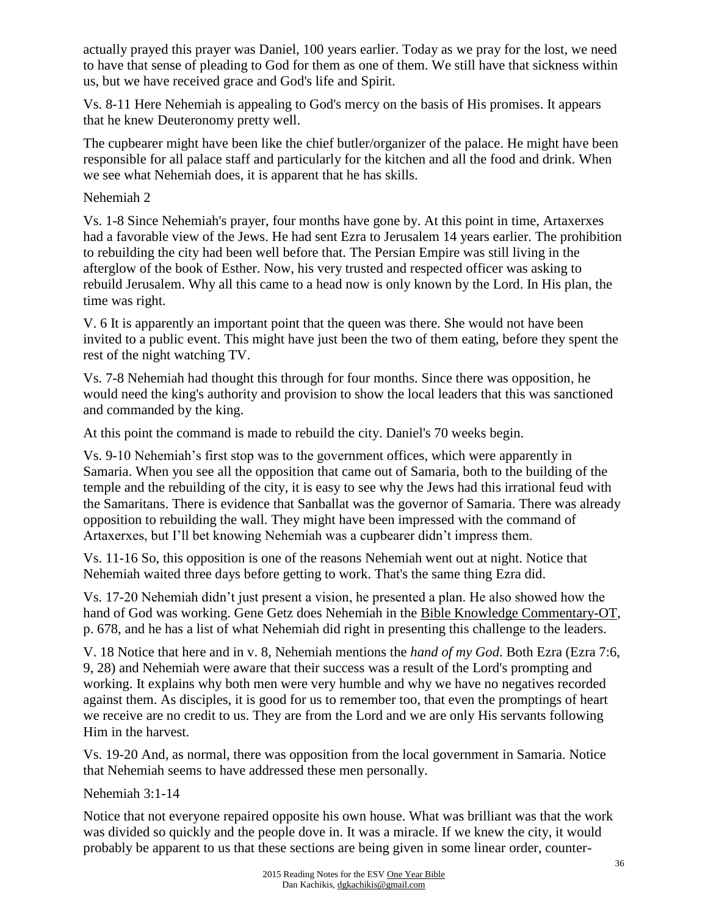actually prayed this prayer was Daniel, 100 years earlier. Today as we pray for the lost, we need to have that sense of pleading to God for them as one of them. We still have that sickness within us, but we have received grace and God's life and Spirit.

Vs. 8-11 Here Nehemiah is appealing to God's mercy on the basis of His promises. It appears that he knew Deuteronomy pretty well.

The cupbearer might have been like the chief butler/organizer of the palace. He might have been responsible for all palace staff and particularly for the kitchen and all the food and drink. When we see what Nehemiah does, it is apparent that he has skills.

### Nehemiah 2

Vs. 1-8 Since Nehemiah's prayer, four months have gone by. At this point in time, Artaxerxes had a favorable view of the Jews. He had sent Ezra to Jerusalem 14 years earlier. The prohibition to rebuilding the city had been well before that. The Persian Empire was still living in the afterglow of the book of Esther. Now, his very trusted and respected officer was asking to rebuild Jerusalem. Why all this came to a head now is only known by the Lord. In His plan, the time was right.

V. 6 It is apparently an important point that the queen was there. She would not have been invited to a public event. This might have just been the two of them eating, before they spent the rest of the night watching TV.

Vs. 7-8 Nehemiah had thought this through for four months. Since there was opposition, he would need the king's authority and provision to show the local leaders that this was sanctioned and commanded by the king.

At this point the command is made to rebuild the city. Daniel's 70 weeks begin.

Vs. 9-10 Nehemiah's first stop was to the government offices, which were apparently in Samaria. When you see all the opposition that came out of Samaria, both to the building of the temple and the rebuilding of the city, it is easy to see why the Jews had this irrational feud with the Samaritans. There is evidence that Sanballat was the governor of Samaria. There was already opposition to rebuilding the wall. They might have been impressed with the command of Artaxerxes, but I'll bet knowing Nehemiah was a cupbearer didn't impress them.

Vs. 11-16 So, this opposition is one of the reasons Nehemiah went out at night. Notice that Nehemiah waited three days before getting to work. That's the same thing Ezra did.

Vs. 17-20 Nehemiah didn't just present a vision, he presented a plan. He also showed how the hand of God was working. Gene Getz does Nehemiah in the Bible Knowledge Commentary-OT, p. 678, and he has a list of what Nehemiah did right in presenting this challenge to the leaders.

V. 18 Notice that here and in v. 8, Nehemiah mentions the *hand of my God*. Both Ezra (Ezra 7:6, 9, 28) and Nehemiah were aware that their success was a result of the Lord's prompting and working. It explains why both men were very humble and why we have no negatives recorded against them. As disciples, it is good for us to remember too, that even the promptings of heart we receive are no credit to us. They are from the Lord and we are only His servants following Him in the harvest.

Vs. 19-20 And, as normal, there was opposition from the local government in Samaria. Notice that Nehemiah seems to have addressed these men personally.

Nehemiah 3:1-14

Notice that not everyone repaired opposite his own house. What was brilliant was that the work was divided so quickly and the people dove in. It was a miracle. If we knew the city, it would probably be apparent to us that these sections are being given in some linear order, counter-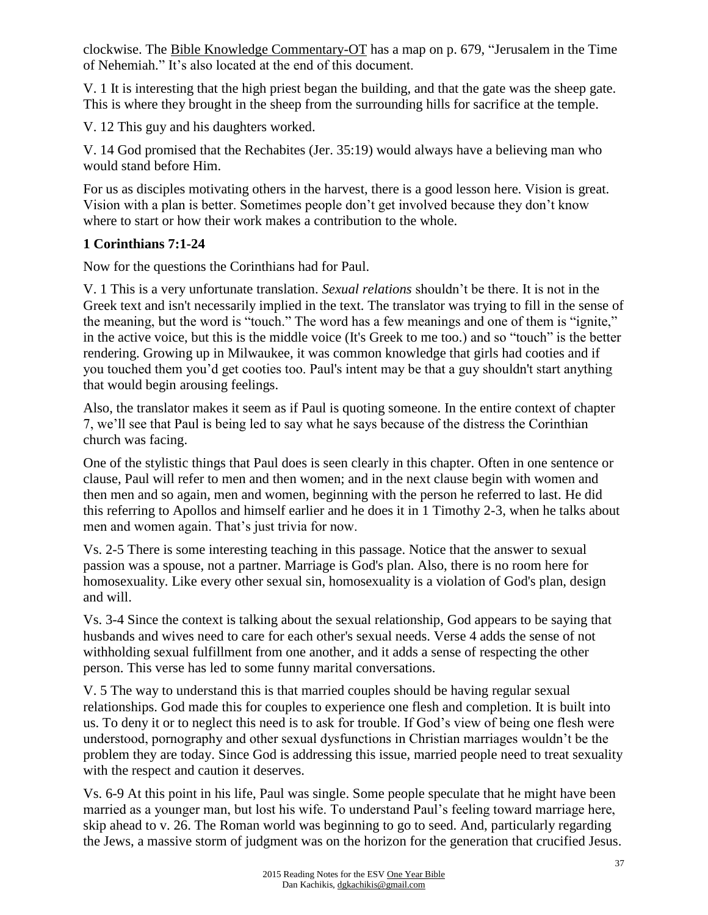clockwise. The Bible Knowledge Commentary-OT has a map on p. 679, "Jerusalem in the Time of Nehemiah." It's also located at the end of this document.

V. 1 It is interesting that the high priest began the building, and that the gate was the sheep gate. This is where they brought in the sheep from the surrounding hills for sacrifice at the temple.

V. 12 This guy and his daughters worked.

V. 14 God promised that the Rechabites (Jer. 35:19) would always have a believing man who would stand before Him.

For us as disciples motivating others in the harvest, there is a good lesson here. Vision is great. Vision with a plan is better. Sometimes people don't get involved because they don't know where to start or how their work makes a contribution to the whole.

## **1 Corinthians 7:1-24**

Now for the questions the Corinthians had for Paul.

V. 1 This is a very unfortunate translation. *Sexual relations* shouldn't be there. It is not in the Greek text and isn't necessarily implied in the text. The translator was trying to fill in the sense of the meaning, but the word is "touch." The word has a few meanings and one of them is "ignite," in the active voice, but this is the middle voice (It's Greek to me too.) and so "touch" is the better rendering. Growing up in Milwaukee, it was common knowledge that girls had cooties and if you touched them you'd get cooties too. Paul's intent may be that a guy shouldn't start anything that would begin arousing feelings.

Also, the translator makes it seem as if Paul is quoting someone. In the entire context of chapter 7, we'll see that Paul is being led to say what he says because of the distress the Corinthian church was facing.

One of the stylistic things that Paul does is seen clearly in this chapter. Often in one sentence or clause, Paul will refer to men and then women; and in the next clause begin with women and then men and so again, men and women, beginning with the person he referred to last. He did this referring to Apollos and himself earlier and he does it in 1 Timothy 2-3, when he talks about men and women again. That's just trivia for now.

Vs. 2-5 There is some interesting teaching in this passage. Notice that the answer to sexual passion was a spouse, not a partner. Marriage is God's plan. Also, there is no room here for homosexuality. Like every other sexual sin, homosexuality is a violation of God's plan, design and will.

Vs. 3-4 Since the context is talking about the sexual relationship, God appears to be saying that husbands and wives need to care for each other's sexual needs. Verse 4 adds the sense of not withholding sexual fulfillment from one another, and it adds a sense of respecting the other person. This verse has led to some funny marital conversations.

V. 5 The way to understand this is that married couples should be having regular sexual relationships. God made this for couples to experience one flesh and completion. It is built into us. To deny it or to neglect this need is to ask for trouble. If God's view of being one flesh were understood, pornography and other sexual dysfunctions in Christian marriages wouldn't be the problem they are today. Since God is addressing this issue, married people need to treat sexuality with the respect and caution it deserves.

Vs. 6-9 At this point in his life, Paul was single. Some people speculate that he might have been married as a younger man, but lost his wife. To understand Paul's feeling toward marriage here, skip ahead to v. 26. The Roman world was beginning to go to seed. And, particularly regarding the Jews, a massive storm of judgment was on the horizon for the generation that crucified Jesus.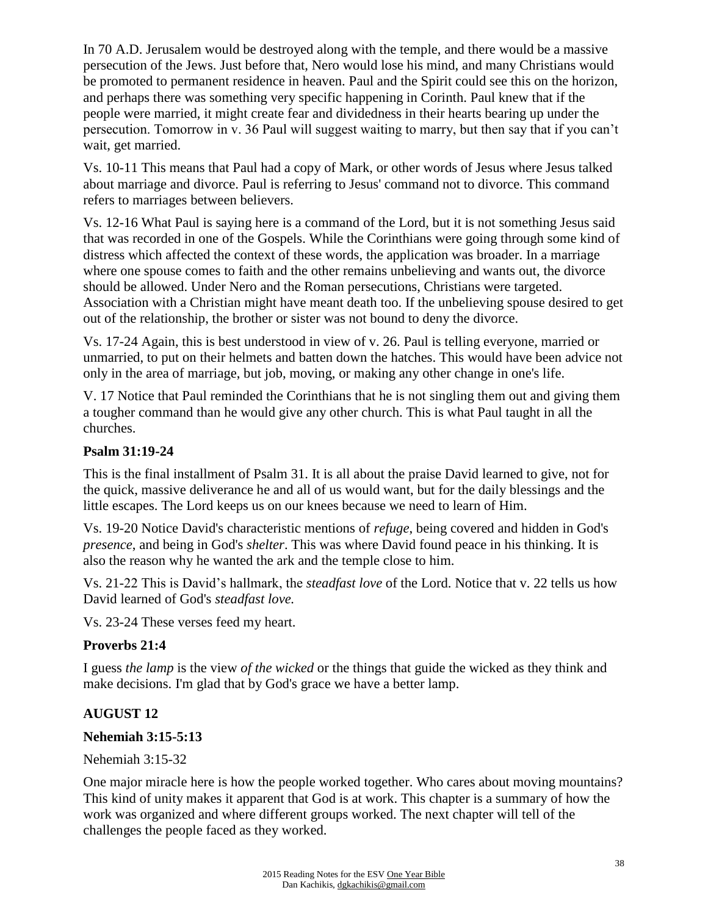In 70 A.D. Jerusalem would be destroyed along with the temple, and there would be a massive persecution of the Jews. Just before that, Nero would lose his mind, and many Christians would be promoted to permanent residence in heaven. Paul and the Spirit could see this on the horizon, and perhaps there was something very specific happening in Corinth. Paul knew that if the people were married, it might create fear and dividedness in their hearts bearing up under the persecution. Tomorrow in v. 36 Paul will suggest waiting to marry, but then say that if you can't wait, get married.

Vs. 10-11 This means that Paul had a copy of Mark, or other words of Jesus where Jesus talked about marriage and divorce. Paul is referring to Jesus' command not to divorce. This command refers to marriages between believers.

Vs. 12-16 What Paul is saying here is a command of the Lord, but it is not something Jesus said that was recorded in one of the Gospels. While the Corinthians were going through some kind of distress which affected the context of these words, the application was broader. In a marriage where one spouse comes to faith and the other remains unbelieving and wants out, the divorce should be allowed. Under Nero and the Roman persecutions, Christians were targeted. Association with a Christian might have meant death too. If the unbelieving spouse desired to get out of the relationship, the brother or sister was not bound to deny the divorce.

Vs. 17-24 Again, this is best understood in view of v. 26. Paul is telling everyone, married or unmarried, to put on their helmets and batten down the hatches. This would have been advice not only in the area of marriage, but job, moving, or making any other change in one's life.

V. 17 Notice that Paul reminded the Corinthians that he is not singling them out and giving them a tougher command than he would give any other church. This is what Paul taught in all the churches.

### **Psalm 31:19-24**

This is the final installment of Psalm 31. It is all about the praise David learned to give, not for the quick, massive deliverance he and all of us would want, but for the daily blessings and the little escapes. The Lord keeps us on our knees because we need to learn of Him.

Vs. 19-20 Notice David's characteristic mentions of *refuge*, being covered and hidden in God's *presence*, and being in God's *shelter*. This was where David found peace in his thinking. It is also the reason why he wanted the ark and the temple close to him.

Vs. 21-22 This is David's hallmark, the *steadfast love* of the Lord. Notice that v. 22 tells us how David learned of God's *steadfast love.*

Vs. 23-24 These verses feed my heart.

#### **Proverbs 21:4**

I guess *the lamp* is the view *of the wicked* or the things that guide the wicked as they think and make decisions. I'm glad that by God's grace we have a better lamp.

## **AUGUST 12**

#### **Nehemiah 3:15-5:13**

Nehemiah 3:15-32

One major miracle here is how the people worked together. Who cares about moving mountains? This kind of unity makes it apparent that God is at work. This chapter is a summary of how the work was organized and where different groups worked. The next chapter will tell of the challenges the people faced as they worked.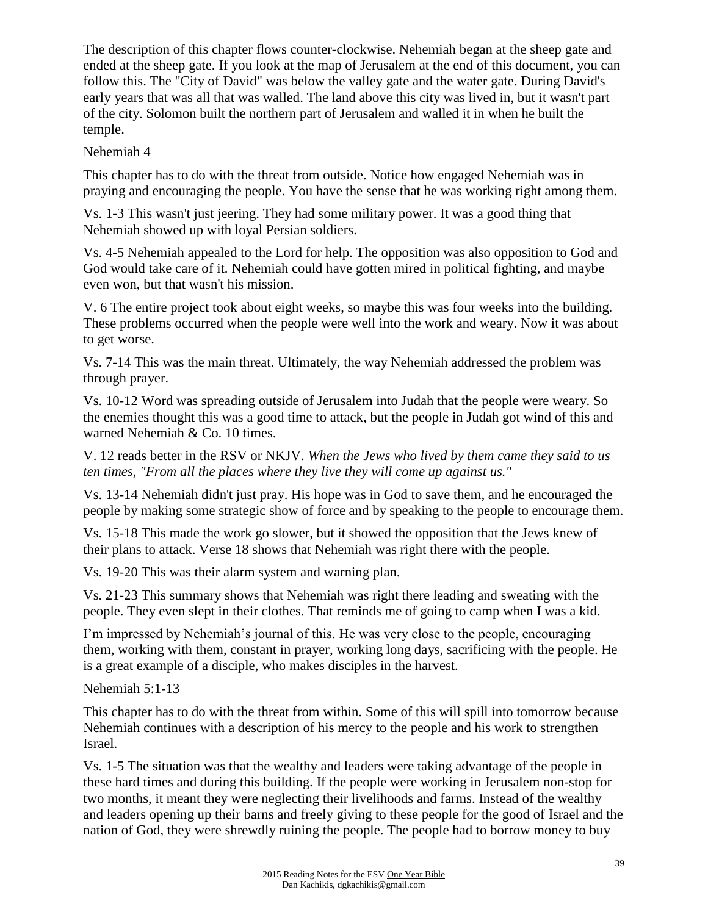The description of this chapter flows counter-clockwise. Nehemiah began at the sheep gate and ended at the sheep gate. If you look at the map of Jerusalem at the end of this document, you can follow this. The "City of David" was below the valley gate and the water gate. During David's early years that was all that was walled. The land above this city was lived in, but it wasn't part of the city. Solomon built the northern part of Jerusalem and walled it in when he built the temple.

#### Nehemiah 4

This chapter has to do with the threat from outside. Notice how engaged Nehemiah was in praying and encouraging the people. You have the sense that he was working right among them.

Vs. 1-3 This wasn't just jeering. They had some military power. It was a good thing that Nehemiah showed up with loyal Persian soldiers.

Vs. 4-5 Nehemiah appealed to the Lord for help. The opposition was also opposition to God and God would take care of it. Nehemiah could have gotten mired in political fighting, and maybe even won, but that wasn't his mission.

V. 6 The entire project took about eight weeks, so maybe this was four weeks into the building. These problems occurred when the people were well into the work and weary. Now it was about to get worse.

Vs. 7-14 This was the main threat. Ultimately, the way Nehemiah addressed the problem was through prayer.

Vs. 10-12 Word was spreading outside of Jerusalem into Judah that the people were weary. So the enemies thought this was a good time to attack, but the people in Judah got wind of this and warned Nehemiah & Co. 10 times.

V. 12 reads better in the RSV or NKJV. *When the Jews who lived by them came they said to us ten times, "From all the places where they live they will come up against us."*

Vs. 13-14 Nehemiah didn't just pray. His hope was in God to save them, and he encouraged the people by making some strategic show of force and by speaking to the people to encourage them.

Vs. 15-18 This made the work go slower, but it showed the opposition that the Jews knew of their plans to attack. Verse 18 shows that Nehemiah was right there with the people.

Vs. 19-20 This was their alarm system and warning plan.

Vs. 21-23 This summary shows that Nehemiah was right there leading and sweating with the people. They even slept in their clothes. That reminds me of going to camp when I was a kid.

I'm impressed by Nehemiah's journal of this. He was very close to the people, encouraging them, working with them, constant in prayer, working long days, sacrificing with the people. He is a great example of a disciple, who makes disciples in the harvest.

Nehemiah 5:1-13

This chapter has to do with the threat from within. Some of this will spill into tomorrow because Nehemiah continues with a description of his mercy to the people and his work to strengthen Israel.

Vs. 1-5 The situation was that the wealthy and leaders were taking advantage of the people in these hard times and during this building. If the people were working in Jerusalem non-stop for two months, it meant they were neglecting their livelihoods and farms. Instead of the wealthy and leaders opening up their barns and freely giving to these people for the good of Israel and the nation of God, they were shrewdly ruining the people. The people had to borrow money to buy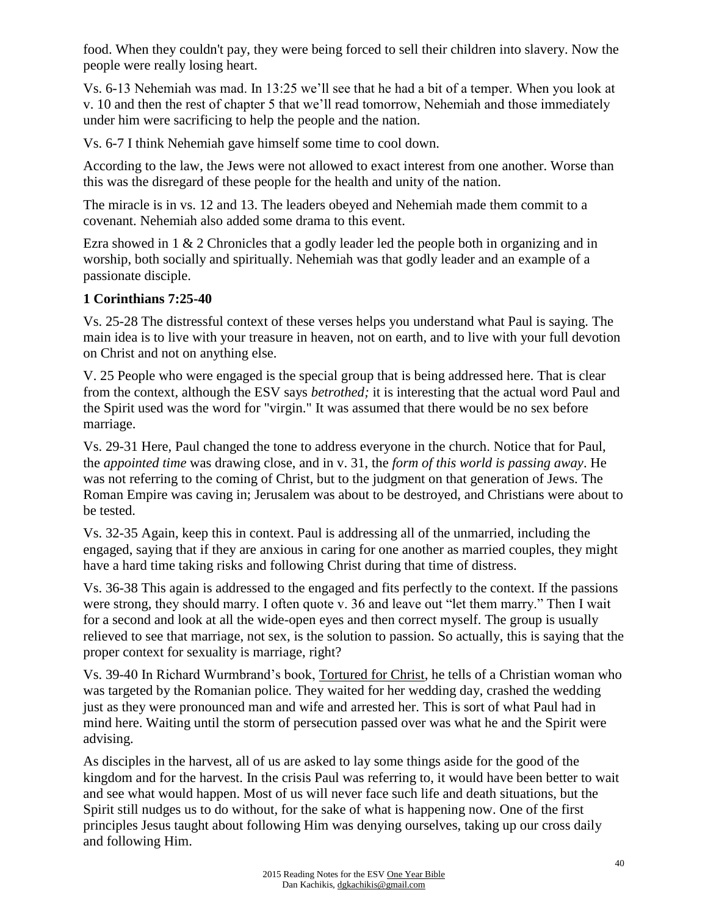food. When they couldn't pay, they were being forced to sell their children into slavery. Now the people were really losing heart.

Vs. 6-13 Nehemiah was mad. In 13:25 we'll see that he had a bit of a temper. When you look at v. 10 and then the rest of chapter 5 that we'll read tomorrow, Nehemiah and those immediately under him were sacrificing to help the people and the nation.

Vs. 6-7 I think Nehemiah gave himself some time to cool down.

According to the law, the Jews were not allowed to exact interest from one another. Worse than this was the disregard of these people for the health and unity of the nation.

The miracle is in vs. 12 and 13. The leaders obeyed and Nehemiah made them commit to a covenant. Nehemiah also added some drama to this event.

Ezra showed in  $1 \& 2$  Chronicles that a godly leader led the people both in organizing and in worship, both socially and spiritually. Nehemiah was that godly leader and an example of a passionate disciple.

## **1 Corinthians 7:25-40**

Vs. 25-28 The distressful context of these verses helps you understand what Paul is saying. The main idea is to live with your treasure in heaven, not on earth, and to live with your full devotion on Christ and not on anything else.

V. 25 People who were engaged is the special group that is being addressed here. That is clear from the context, although the ESV says *betrothed;* it is interesting that the actual word Paul and the Spirit used was the word for "virgin." It was assumed that there would be no sex before marriage.

Vs. 29-31 Here, Paul changed the tone to address everyone in the church. Notice that for Paul, the *appointed time* was drawing close, and in v. 31, the *form of this world is passing away*. He was not referring to the coming of Christ, but to the judgment on that generation of Jews. The Roman Empire was caving in; Jerusalem was about to be destroyed, and Christians were about to be tested.

Vs. 32-35 Again, keep this in context. Paul is addressing all of the unmarried, including the engaged, saying that if they are anxious in caring for one another as married couples, they might have a hard time taking risks and following Christ during that time of distress.

Vs. 36-38 This again is addressed to the engaged and fits perfectly to the context. If the passions were strong, they should marry. I often quote v. 36 and leave out "let them marry." Then I wait for a second and look at all the wide-open eyes and then correct myself. The group is usually relieved to see that marriage, not sex, is the solution to passion. So actually, this is saying that the proper context for sexuality is marriage, right?

Vs. 39-40 In Richard Wurmbrand's book, Tortured for Christ, he tells of a Christian woman who was targeted by the Romanian police. They waited for her wedding day, crashed the wedding just as they were pronounced man and wife and arrested her. This is sort of what Paul had in mind here. Waiting until the storm of persecution passed over was what he and the Spirit were advising.

As disciples in the harvest, all of us are asked to lay some things aside for the good of the kingdom and for the harvest. In the crisis Paul was referring to, it would have been better to wait and see what would happen. Most of us will never face such life and death situations, but the Spirit still nudges us to do without, for the sake of what is happening now. One of the first principles Jesus taught about following Him was denying ourselves, taking up our cross daily and following Him.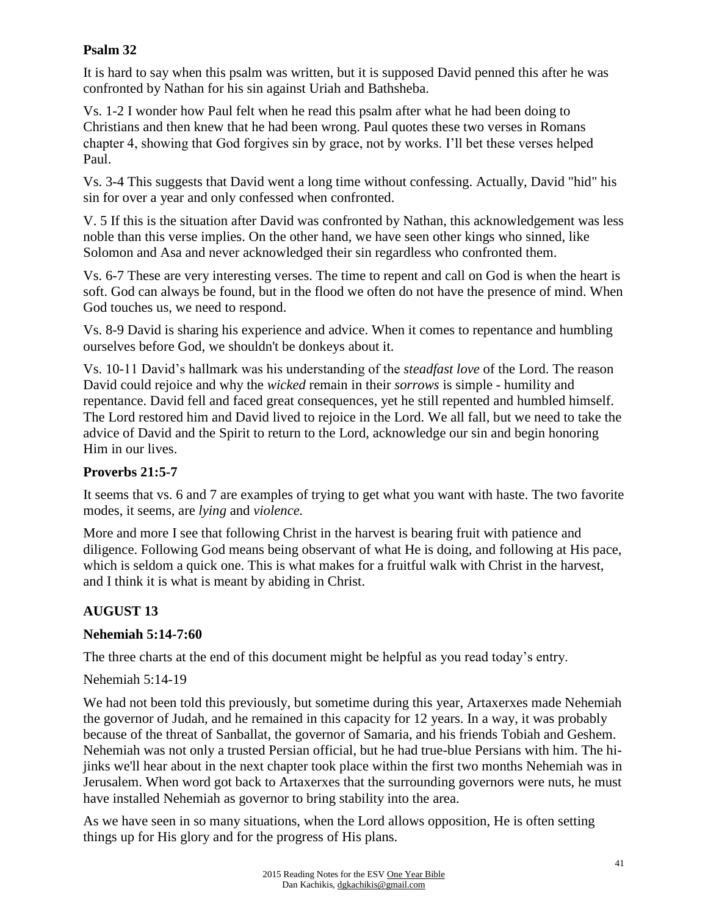### **Psalm 32**

It is hard to say when this psalm was written, but it is supposed David penned this after he was confronted by Nathan for his sin against Uriah and Bathsheba.

Vs. 1-2 I wonder how Paul felt when he read this psalm after what he had been doing to Christians and then knew that he had been wrong. Paul quotes these two verses in Romans chapter 4, showing that God forgives sin by grace, not by works. I'll bet these verses helped Paul.

Vs. 3-4 This suggests that David went a long time without confessing. Actually, David "hid" his sin for over a year and only confessed when confronted.

V. 5 If this is the situation after David was confronted by Nathan, this acknowledgement was less noble than this verse implies. On the other hand, we have seen other kings who sinned, like Solomon and Asa and never acknowledged their sin regardless who confronted them.

Vs. 6-7 These are very interesting verses. The time to repent and call on God is when the heart is soft. God can always be found, but in the flood we often do not have the presence of mind. When God touches us, we need to respond.

Vs. 8-9 David is sharing his experience and advice. When it comes to repentance and humbling ourselves before God, we shouldn't be donkeys about it.

Vs. 10-11 David's hallmark was his understanding of the *steadfast love* of the Lord. The reason David could rejoice and why the *wicked* remain in their *sorrows* is simple - humility and repentance. David fell and faced great consequences, yet he still repented and humbled himself. The Lord restored him and David lived to rejoice in the Lord. We all fall, but we need to take the advice of David and the Spirit to return to the Lord, acknowledge our sin and begin honoring Him in our lives.

#### **Proverbs 21:5-7**

It seems that vs. 6 and 7 are examples of trying to get what you want with haste. The two favorite modes, it seems, are *lying* and *violence.* 

More and more I see that following Christ in the harvest is bearing fruit with patience and diligence. Following God means being observant of what He is doing, and following at His pace, which is seldom a quick one. This is what makes for a fruitful walk with Christ in the harvest, and I think it is what is meant by abiding in Christ.

## **AUGUST 13**

#### **Nehemiah 5:14-7:60**

The three charts at the end of this document might be helpful as you read today's entry.

#### Nehemiah 5:14-19

We had not been told this previously, but sometime during this year, Artaxerxes made Nehemiah the governor of Judah, and he remained in this capacity for 12 years. In a way, it was probably because of the threat of Sanballat, the governor of Samaria, and his friends Tobiah and Geshem. Nehemiah was not only a trusted Persian official, but he had true-blue Persians with him. The hijinks we'll hear about in the next chapter took place within the first two months Nehemiah was in Jerusalem. When word got back to Artaxerxes that the surrounding governors were nuts, he must have installed Nehemiah as governor to bring stability into the area.

As we have seen in so many situations, when the Lord allows opposition, He is often setting things up for His glory and for the progress of His plans.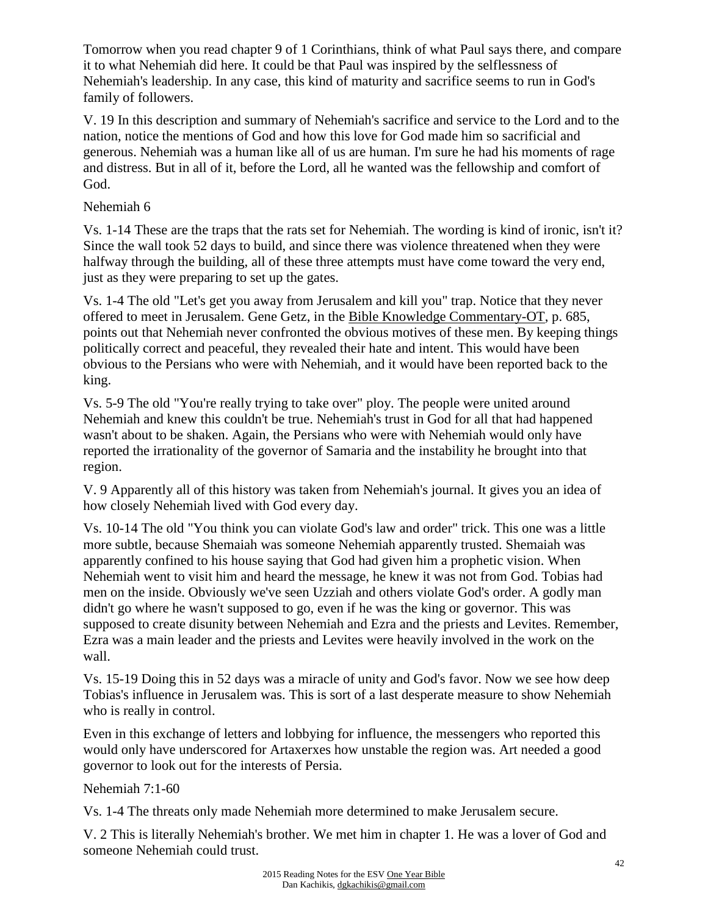Tomorrow when you read chapter 9 of 1 Corinthians, think of what Paul says there, and compare it to what Nehemiah did here. It could be that Paul was inspired by the selflessness of Nehemiah's leadership. In any case, this kind of maturity and sacrifice seems to run in God's family of followers.

V. 19 In this description and summary of Nehemiah's sacrifice and service to the Lord and to the nation, notice the mentions of God and how this love for God made him so sacrificial and generous. Nehemiah was a human like all of us are human. I'm sure he had his moments of rage and distress. But in all of it, before the Lord, all he wanted was the fellowship and comfort of God.

## Nehemiah 6

Vs. 1-14 These are the traps that the rats set for Nehemiah. The wording is kind of ironic, isn't it? Since the wall took 52 days to build, and since there was violence threatened when they were halfway through the building, all of these three attempts must have come toward the very end, just as they were preparing to set up the gates.

Vs. 1-4 The old "Let's get you away from Jerusalem and kill you" trap. Notice that they never offered to meet in Jerusalem. Gene Getz, in the Bible Knowledge Commentary-OT, p. 685, points out that Nehemiah never confronted the obvious motives of these men. By keeping things politically correct and peaceful, they revealed their hate and intent. This would have been obvious to the Persians who were with Nehemiah, and it would have been reported back to the king.

Vs. 5-9 The old "You're really trying to take over" ploy. The people were united around Nehemiah and knew this couldn't be true. Nehemiah's trust in God for all that had happened wasn't about to be shaken. Again, the Persians who were with Nehemiah would only have reported the irrationality of the governor of Samaria and the instability he brought into that region.

V. 9 Apparently all of this history was taken from Nehemiah's journal. It gives you an idea of how closely Nehemiah lived with God every day.

Vs. 10-14 The old "You think you can violate God's law and order" trick. This one was a little more subtle, because Shemaiah was someone Nehemiah apparently trusted. Shemaiah was apparently confined to his house saying that God had given him a prophetic vision. When Nehemiah went to visit him and heard the message, he knew it was not from God. Tobias had men on the inside. Obviously we've seen Uzziah and others violate God's order. A godly man didn't go where he wasn't supposed to go, even if he was the king or governor. This was supposed to create disunity between Nehemiah and Ezra and the priests and Levites. Remember, Ezra was a main leader and the priests and Levites were heavily involved in the work on the wall.

Vs. 15-19 Doing this in 52 days was a miracle of unity and God's favor. Now we see how deep Tobias's influence in Jerusalem was. This is sort of a last desperate measure to show Nehemiah who is really in control.

Even in this exchange of letters and lobbying for influence, the messengers who reported this would only have underscored for Artaxerxes how unstable the region was. Art needed a good governor to look out for the interests of Persia.

Nehemiah 7:1-60

Vs. 1-4 The threats only made Nehemiah more determined to make Jerusalem secure.

V. 2 This is literally Nehemiah's brother. We met him in chapter 1. He was a lover of God and someone Nehemiah could trust.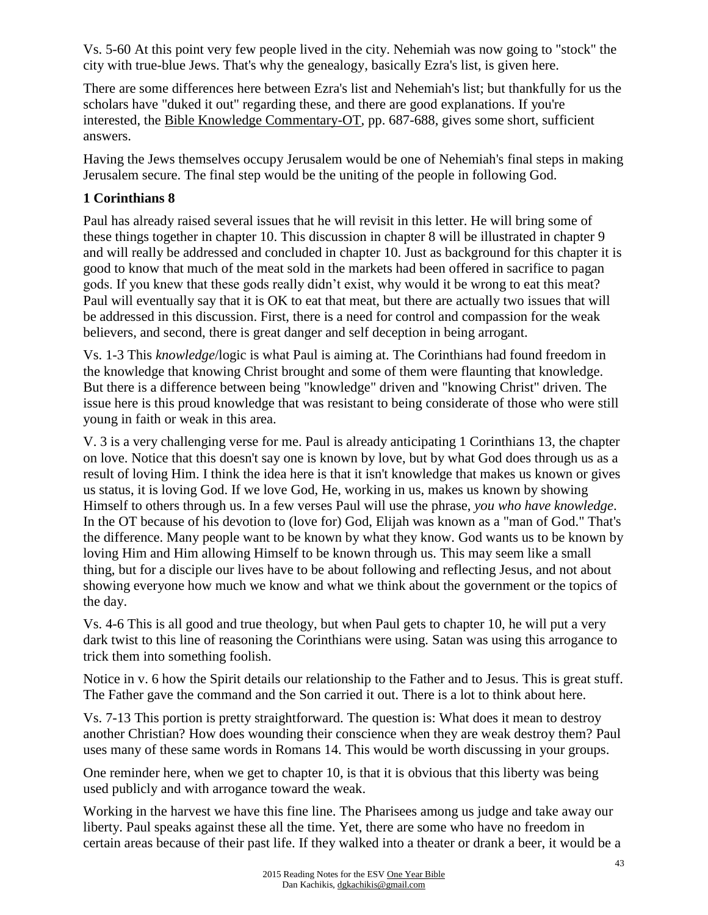Vs. 5-60 At this point very few people lived in the city. Nehemiah was now going to "stock" the city with true-blue Jews. That's why the genealogy, basically Ezra's list, is given here.

There are some differences here between Ezra's list and Nehemiah's list; but thankfully for us the scholars have "duked it out" regarding these, and there are good explanations. If you're interested, the Bible Knowledge Commentary-OT, pp. 687-688, gives some short, sufficient answers.

Having the Jews themselves occupy Jerusalem would be one of Nehemiah's final steps in making Jerusalem secure. The final step would be the uniting of the people in following God.

## **1 Corinthians 8**

Paul has already raised several issues that he will revisit in this letter. He will bring some of these things together in chapter 10. This discussion in chapter 8 will be illustrated in chapter 9 and will really be addressed and concluded in chapter 10. Just as background for this chapter it is good to know that much of the meat sold in the markets had been offered in sacrifice to pagan gods. If you knew that these gods really didn't exist, why would it be wrong to eat this meat? Paul will eventually say that it is OK to eat that meat, but there are actually two issues that will be addressed in this discussion. First, there is a need for control and compassion for the weak believers, and second, there is great danger and self deception in being arrogant.

Vs. 1-3 This *knowledge*/logic is what Paul is aiming at. The Corinthians had found freedom in the knowledge that knowing Christ brought and some of them were flaunting that knowledge. But there is a difference between being "knowledge" driven and "knowing Christ" driven. The issue here is this proud knowledge that was resistant to being considerate of those who were still young in faith or weak in this area.

V. 3 is a very challenging verse for me. Paul is already anticipating 1 Corinthians 13, the chapter on love. Notice that this doesn't say one is known by love, but by what God does through us as a result of loving Him. I think the idea here is that it isn't knowledge that makes us known or gives us status, it is loving God. If we love God, He, working in us, makes us known by showing Himself to others through us. In a few verses Paul will use the phrase, *you who have knowledge*. In the OT because of his devotion to (love for) God, Elijah was known as a "man of God." That's the difference. Many people want to be known by what they know. God wants us to be known by loving Him and Him allowing Himself to be known through us. This may seem like a small thing, but for a disciple our lives have to be about following and reflecting Jesus, and not about showing everyone how much we know and what we think about the government or the topics of the day.

Vs. 4-6 This is all good and true theology, but when Paul gets to chapter 10, he will put a very dark twist to this line of reasoning the Corinthians were using. Satan was using this arrogance to trick them into something foolish.

Notice in v. 6 how the Spirit details our relationship to the Father and to Jesus. This is great stuff. The Father gave the command and the Son carried it out. There is a lot to think about here.

Vs. 7-13 This portion is pretty straightforward. The question is: What does it mean to destroy another Christian? How does wounding their conscience when they are weak destroy them? Paul uses many of these same words in Romans 14. This would be worth discussing in your groups.

One reminder here, when we get to chapter 10, is that it is obvious that this liberty was being used publicly and with arrogance toward the weak.

Working in the harvest we have this fine line. The Pharisees among us judge and take away our liberty. Paul speaks against these all the time. Yet, there are some who have no freedom in certain areas because of their past life. If they walked into a theater or drank a beer, it would be a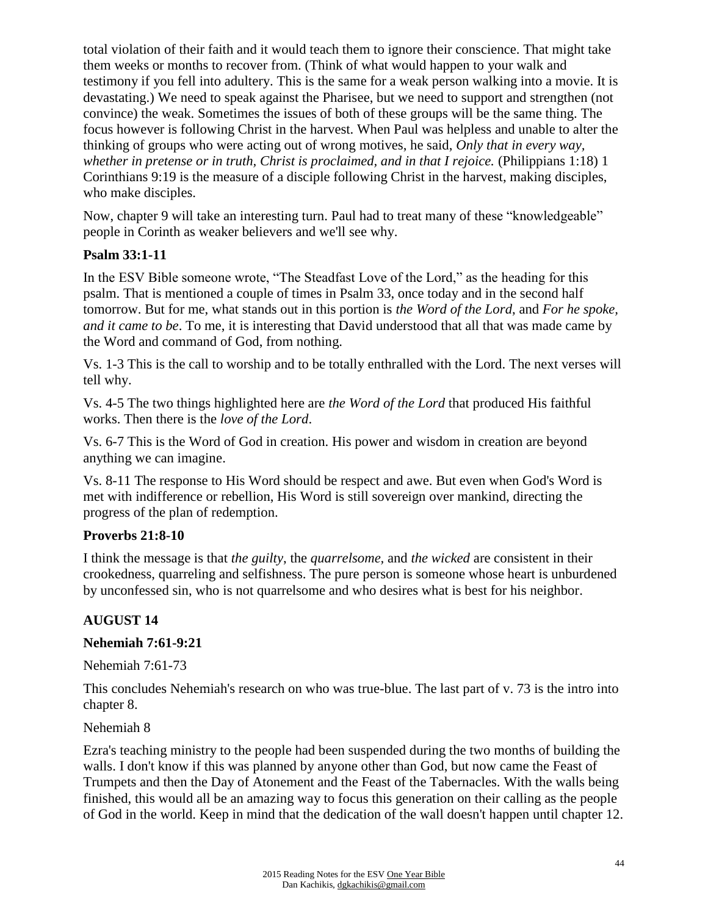total violation of their faith and it would teach them to ignore their conscience. That might take them weeks or months to recover from. (Think of what would happen to your walk and testimony if you fell into adultery. This is the same for a weak person walking into a movie. It is devastating.) We need to speak against the Pharisee, but we need to support and strengthen (not convince) the weak. Sometimes the issues of both of these groups will be the same thing. The focus however is following Christ in the harvest. When Paul was helpless and unable to alter the thinking of groups who were acting out of wrong motives, he said, *Only that in every way, whether in pretense or in truth, Christ is proclaimed, and in that I rejoice.* (Philippians 1:18) 1 Corinthians 9:19 is the measure of a disciple following Christ in the harvest, making disciples, who make disciples.

Now, chapter 9 will take an interesting turn. Paul had to treat many of these "knowledgeable" people in Corinth as weaker believers and we'll see why.

#### **Psalm 33:1-11**

In the ESV Bible someone wrote, "The Steadfast Love of the Lord," as the heading for this psalm. That is mentioned a couple of times in Psalm 33, once today and in the second half tomorrow. But for me, what stands out in this portion is *the Word of the Lord*, and *For he spoke, and it came to be*. To me, it is interesting that David understood that all that was made came by the Word and command of God, from nothing.

Vs. 1-3 This is the call to worship and to be totally enthralled with the Lord. The next verses will tell why.

Vs. 4-5 The two things highlighted here are *the Word of the Lord* that produced His faithful works. Then there is the *love of the Lord*.

Vs. 6-7 This is the Word of God in creation. His power and wisdom in creation are beyond anything we can imagine.

Vs. 8-11 The response to His Word should be respect and awe. But even when God's Word is met with indifference or rebellion, His Word is still sovereign over mankind, directing the progress of the plan of redemption.

#### **Proverbs 21:8-10**

I think the message is that *the guilty*, the *quarrelsome,* and *the wicked* are consistent in their crookedness, quarreling and selfishness. The pure person is someone whose heart is unburdened by unconfessed sin, who is not quarrelsome and who desires what is best for his neighbor.

#### **AUGUST 14**

#### **Nehemiah 7:61-9:21**

Nehemiah 7:61-73

This concludes Nehemiah's research on who was true-blue. The last part of v. 73 is the intro into chapter 8.

Nehemiah 8

Ezra's teaching ministry to the people had been suspended during the two months of building the walls. I don't know if this was planned by anyone other than God, but now came the Feast of Trumpets and then the Day of Atonement and the Feast of the Tabernacles. With the walls being finished, this would all be an amazing way to focus this generation on their calling as the people of God in the world. Keep in mind that the dedication of the wall doesn't happen until chapter 12.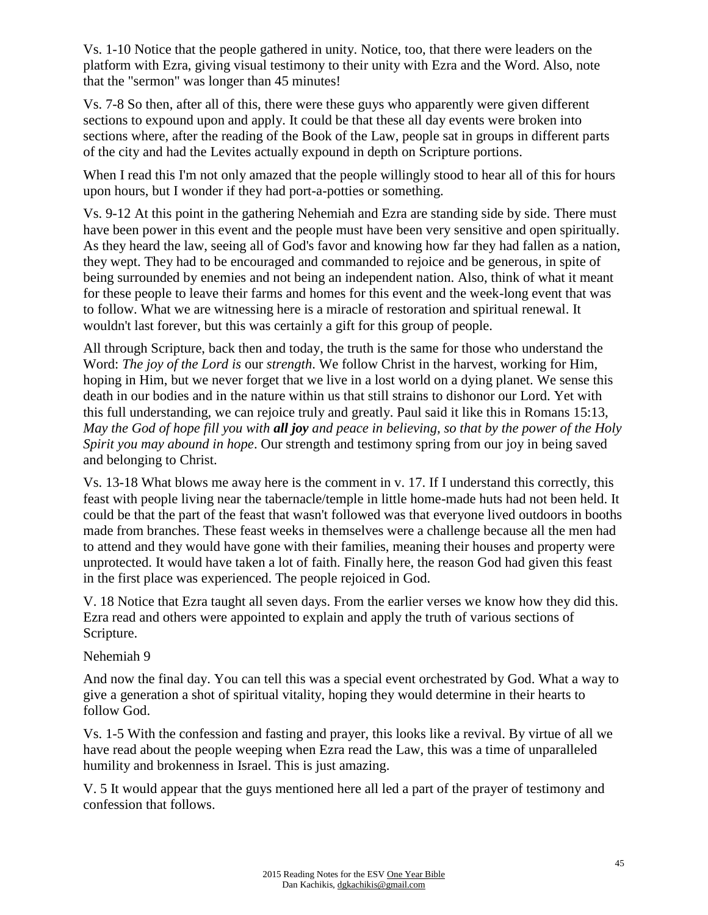Vs. 1-10 Notice that the people gathered in unity. Notice, too, that there were leaders on the platform with Ezra, giving visual testimony to their unity with Ezra and the Word. Also, note that the "sermon" was longer than 45 minutes!

Vs. 7-8 So then, after all of this, there were these guys who apparently were given different sections to expound upon and apply. It could be that these all day events were broken into sections where, after the reading of the Book of the Law, people sat in groups in different parts of the city and had the Levites actually expound in depth on Scripture portions.

When I read this I'm not only amazed that the people willingly stood to hear all of this for hours upon hours, but I wonder if they had port-a-potties or something.

Vs. 9-12 At this point in the gathering Nehemiah and Ezra are standing side by side. There must have been power in this event and the people must have been very sensitive and open spiritually. As they heard the law, seeing all of God's favor and knowing how far they had fallen as a nation, they wept. They had to be encouraged and commanded to rejoice and be generous, in spite of being surrounded by enemies and not being an independent nation. Also, think of what it meant for these people to leave their farms and homes for this event and the week-long event that was to follow. What we are witnessing here is a miracle of restoration and spiritual renewal. It wouldn't last forever, but this was certainly a gift for this group of people.

All through Scripture, back then and today, the truth is the same for those who understand the Word: *The joy of the Lord is* our *strength*. We follow Christ in the harvest, working for Him, hoping in Him, but we never forget that we live in a lost world on a dying planet. We sense this death in our bodies and in the nature within us that still strains to dishonor our Lord. Yet with this full understanding, we can rejoice truly and greatly. Paul said it like this in Romans 15:13, *May the God of hope fill you with all joy and peace in believing, so that by the power of the Holy Spirit you may abound in hope*. Our strength and testimony spring from our joy in being saved and belonging to Christ.

Vs. 13-18 What blows me away here is the comment in v. 17. If I understand this correctly, this feast with people living near the tabernacle/temple in little home-made huts had not been held. It could be that the part of the feast that wasn't followed was that everyone lived outdoors in booths made from branches. These feast weeks in themselves were a challenge because all the men had to attend and they would have gone with their families, meaning their houses and property were unprotected. It would have taken a lot of faith. Finally here, the reason God had given this feast in the first place was experienced. The people rejoiced in God.

V. 18 Notice that Ezra taught all seven days. From the earlier verses we know how they did this. Ezra read and others were appointed to explain and apply the truth of various sections of Scripture.

Nehemiah 9

And now the final day. You can tell this was a special event orchestrated by God. What a way to give a generation a shot of spiritual vitality, hoping they would determine in their hearts to follow God.

Vs. 1-5 With the confession and fasting and prayer, this looks like a revival. By virtue of all we have read about the people weeping when Ezra read the Law, this was a time of unparalleled humility and brokenness in Israel. This is just amazing.

V. 5 It would appear that the guys mentioned here all led a part of the prayer of testimony and confession that follows.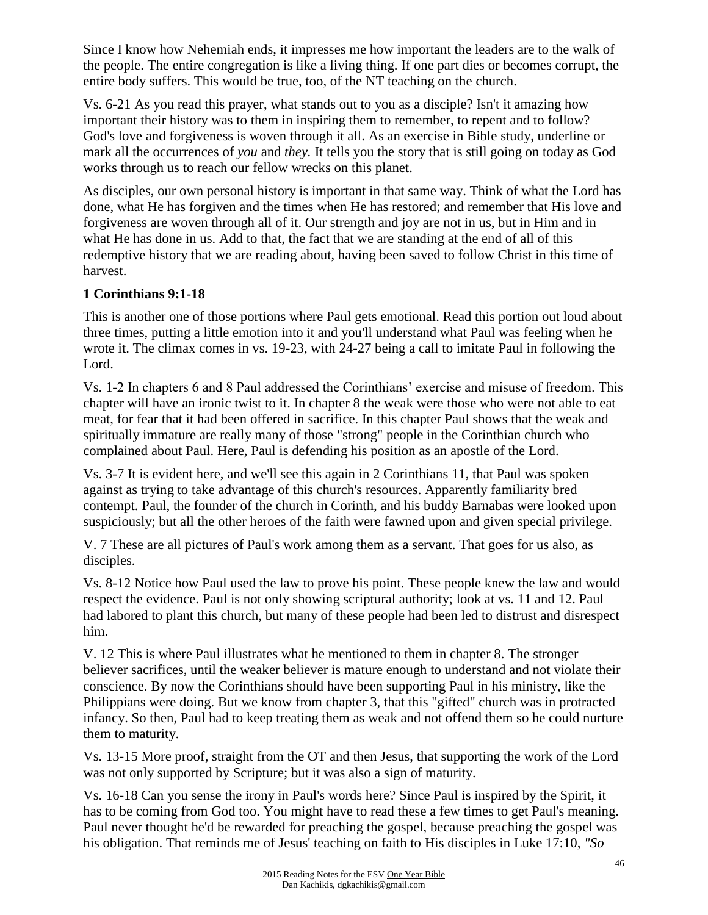Since I know how Nehemiah ends, it impresses me how important the leaders are to the walk of the people. The entire congregation is like a living thing. If one part dies or becomes corrupt, the entire body suffers. This would be true, too, of the NT teaching on the church.

Vs. 6-21 As you read this prayer, what stands out to you as a disciple? Isn't it amazing how important their history was to them in inspiring them to remember, to repent and to follow? God's love and forgiveness is woven through it all. As an exercise in Bible study, underline or mark all the occurrences of *you* and *they.* It tells you the story that is still going on today as God works through us to reach our fellow wrecks on this planet.

As disciples, our own personal history is important in that same way. Think of what the Lord has done, what He has forgiven and the times when He has restored; and remember that His love and forgiveness are woven through all of it. Our strength and joy are not in us, but in Him and in what He has done in us. Add to that, the fact that we are standing at the end of all of this redemptive history that we are reading about, having been saved to follow Christ in this time of harvest.

## **1 Corinthians 9:1-18**

This is another one of those portions where Paul gets emotional. Read this portion out loud about three times, putting a little emotion into it and you'll understand what Paul was feeling when he wrote it. The climax comes in vs. 19-23, with 24-27 being a call to imitate Paul in following the Lord.

Vs. 1-2 In chapters 6 and 8 Paul addressed the Corinthians' exercise and misuse of freedom. This chapter will have an ironic twist to it. In chapter 8 the weak were those who were not able to eat meat, for fear that it had been offered in sacrifice. In this chapter Paul shows that the weak and spiritually immature are really many of those "strong" people in the Corinthian church who complained about Paul. Here, Paul is defending his position as an apostle of the Lord.

Vs. 3-7 It is evident here, and we'll see this again in 2 Corinthians 11, that Paul was spoken against as trying to take advantage of this church's resources. Apparently familiarity bred contempt. Paul, the founder of the church in Corinth, and his buddy Barnabas were looked upon suspiciously; but all the other heroes of the faith were fawned upon and given special privilege.

V. 7 These are all pictures of Paul's work among them as a servant. That goes for us also, as disciples.

Vs. 8-12 Notice how Paul used the law to prove his point. These people knew the law and would respect the evidence. Paul is not only showing scriptural authority; look at vs. 11 and 12. Paul had labored to plant this church, but many of these people had been led to distrust and disrespect him.

V. 12 This is where Paul illustrates what he mentioned to them in chapter 8. The stronger believer sacrifices, until the weaker believer is mature enough to understand and not violate their conscience. By now the Corinthians should have been supporting Paul in his ministry, like the Philippians were doing. But we know from chapter 3, that this "gifted" church was in protracted infancy. So then, Paul had to keep treating them as weak and not offend them so he could nurture them to maturity.

Vs. 13-15 More proof, straight from the OT and then Jesus, that supporting the work of the Lord was not only supported by Scripture; but it was also a sign of maturity.

Vs. 16-18 Can you sense the irony in Paul's words here? Since Paul is inspired by the Spirit, it has to be coming from God too. You might have to read these a few times to get Paul's meaning. Paul never thought he'd be rewarded for preaching the gospel, because preaching the gospel was his obligation. That reminds me of Jesus' teaching on faith to His disciples in Luke 17:10, *"So*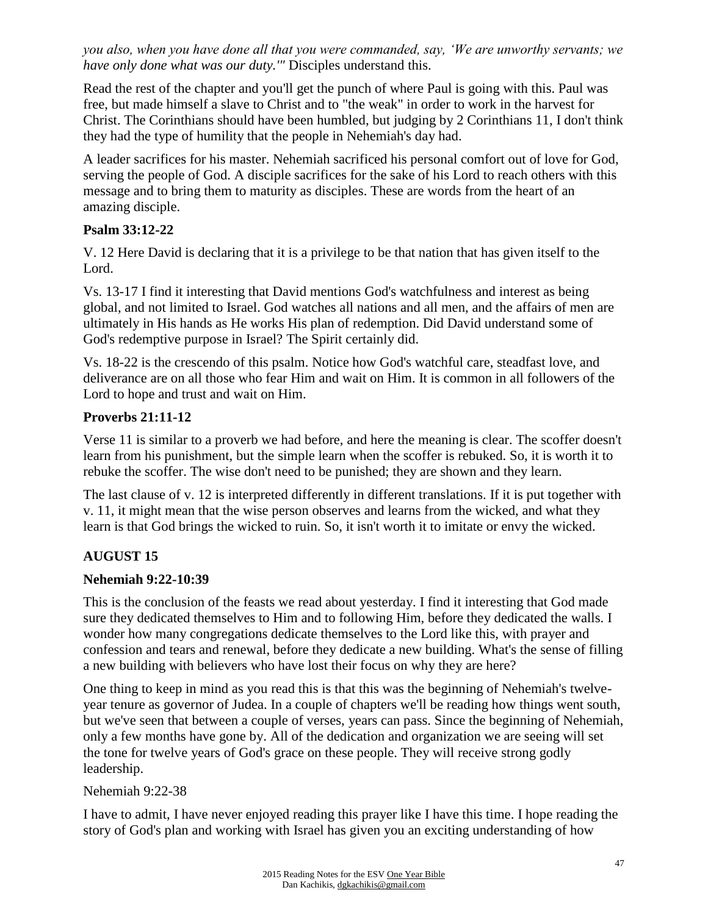*you also, when you have done all that you were commanded, say, 'We are unworthy servants; we have only done what was our duty.'"* Disciples understand this.

Read the rest of the chapter and you'll get the punch of where Paul is going with this. Paul was free, but made himself a slave to Christ and to "the weak" in order to work in the harvest for Christ. The Corinthians should have been humbled, but judging by 2 Corinthians 11, I don't think they had the type of humility that the people in Nehemiah's day had.

A leader sacrifices for his master. Nehemiah sacrificed his personal comfort out of love for God, serving the people of God. A disciple sacrifices for the sake of his Lord to reach others with this message and to bring them to maturity as disciples. These are words from the heart of an amazing disciple.

#### **Psalm 33:12-22**

V. 12 Here David is declaring that it is a privilege to be that nation that has given itself to the Lord.

Vs. 13-17 I find it interesting that David mentions God's watchfulness and interest as being global, and not limited to Israel. God watches all nations and all men, and the affairs of men are ultimately in His hands as He works His plan of redemption. Did David understand some of God's redemptive purpose in Israel? The Spirit certainly did.

Vs. 18-22 is the crescendo of this psalm. Notice how God's watchful care, steadfast love, and deliverance are on all those who fear Him and wait on Him. It is common in all followers of the Lord to hope and trust and wait on Him.

## **Proverbs 21:11-12**

Verse 11 is similar to a proverb we had before, and here the meaning is clear. The scoffer doesn't learn from his punishment, but the simple learn when the scoffer is rebuked. So, it is worth it to rebuke the scoffer. The wise don't need to be punished; they are shown and they learn.

The last clause of v. 12 is interpreted differently in different translations. If it is put together with v. 11, it might mean that the wise person observes and learns from the wicked, and what they learn is that God brings the wicked to ruin. So, it isn't worth it to imitate or envy the wicked.

# **AUGUST 15**

## **Nehemiah 9:22-10:39**

This is the conclusion of the feasts we read about yesterday. I find it interesting that God made sure they dedicated themselves to Him and to following Him, before they dedicated the walls. I wonder how many congregations dedicate themselves to the Lord like this, with prayer and confession and tears and renewal, before they dedicate a new building. What's the sense of filling a new building with believers who have lost their focus on why they are here?

One thing to keep in mind as you read this is that this was the beginning of Nehemiah's twelveyear tenure as governor of Judea. In a couple of chapters we'll be reading how things went south, but we've seen that between a couple of verses, years can pass. Since the beginning of Nehemiah, only a few months have gone by. All of the dedication and organization we are seeing will set the tone for twelve years of God's grace on these people. They will receive strong godly leadership.

Nehemiah 9:22-38

I have to admit, I have never enjoyed reading this prayer like I have this time. I hope reading the story of God's plan and working with Israel has given you an exciting understanding of how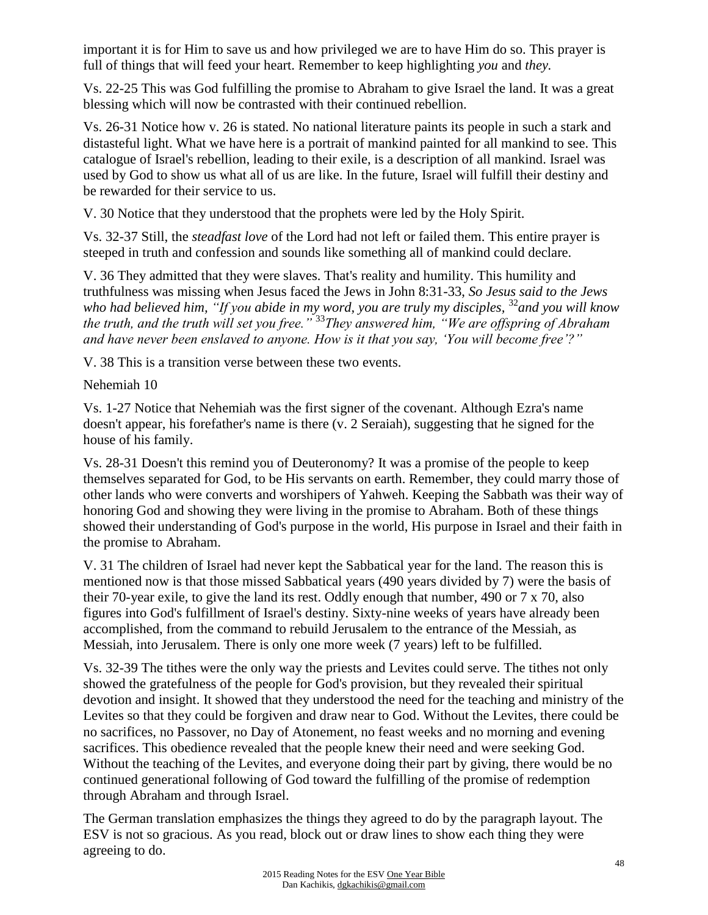important it is for Him to save us and how privileged we are to have Him do so. This prayer is full of things that will feed your heart. Remember to keep highlighting *you* and *they.*

Vs. 22-25 This was God fulfilling the promise to Abraham to give Israel the land. It was a great blessing which will now be contrasted with their continued rebellion.

Vs. 26-31 Notice how v. 26 is stated. No national literature paints its people in such a stark and distasteful light. What we have here is a portrait of mankind painted for all mankind to see. This catalogue of Israel's rebellion, leading to their exile, is a description of all mankind. Israel was used by God to show us what all of us are like. In the future, Israel will fulfill their destiny and be rewarded for their service to us.

V. 30 Notice that they understood that the prophets were led by the Holy Spirit.

Vs. 32-37 Still, the *steadfast love* of the Lord had not left or failed them. This entire prayer is steeped in truth and confession and sounds like something all of mankind could declare.

V. 36 They admitted that they were slaves. That's reality and humility. This humility and truthfulness was missing when Jesus faced the Jews in John 8:31-33, *So Jesus said to the Jews who had believed him, "If you abide in my word, you are truly my disciples,* <sup>32</sup>*and you will know the truth, and the truth will set you free."* <sup>33</sup>*They answered him, "We are offspring of Abraham and have never been enslaved to anyone. How is it that you say, 'You will become free'?"*

V. 38 This is a transition verse between these two events.

Nehemiah 10

Vs. 1-27 Notice that Nehemiah was the first signer of the covenant. Although Ezra's name doesn't appear, his forefather's name is there (v. 2 Seraiah), suggesting that he signed for the house of his family.

Vs. 28-31 Doesn't this remind you of Deuteronomy? It was a promise of the people to keep themselves separated for God, to be His servants on earth. Remember, they could marry those of other lands who were converts and worshipers of Yahweh. Keeping the Sabbath was their way of honoring God and showing they were living in the promise to Abraham. Both of these things showed their understanding of God's purpose in the world, His purpose in Israel and their faith in the promise to Abraham.

V. 31 The children of Israel had never kept the Sabbatical year for the land. The reason this is mentioned now is that those missed Sabbatical years (490 years divided by 7) were the basis of their 70-year exile, to give the land its rest. Oddly enough that number, 490 or 7 x 70, also figures into God's fulfillment of Israel's destiny. Sixty-nine weeks of years have already been accomplished, from the command to rebuild Jerusalem to the entrance of the Messiah, as Messiah, into Jerusalem. There is only one more week (7 years) left to be fulfilled.

Vs. 32-39 The tithes were the only way the priests and Levites could serve. The tithes not only showed the gratefulness of the people for God's provision, but they revealed their spiritual devotion and insight. It showed that they understood the need for the teaching and ministry of the Levites so that they could be forgiven and draw near to God. Without the Levites, there could be no sacrifices, no Passover, no Day of Atonement, no feast weeks and no morning and evening sacrifices. This obedience revealed that the people knew their need and were seeking God. Without the teaching of the Levites, and everyone doing their part by giving, there would be no continued generational following of God toward the fulfilling of the promise of redemption through Abraham and through Israel.

The German translation emphasizes the things they agreed to do by the paragraph layout. The ESV is not so gracious. As you read, block out or draw lines to show each thing they were agreeing to do.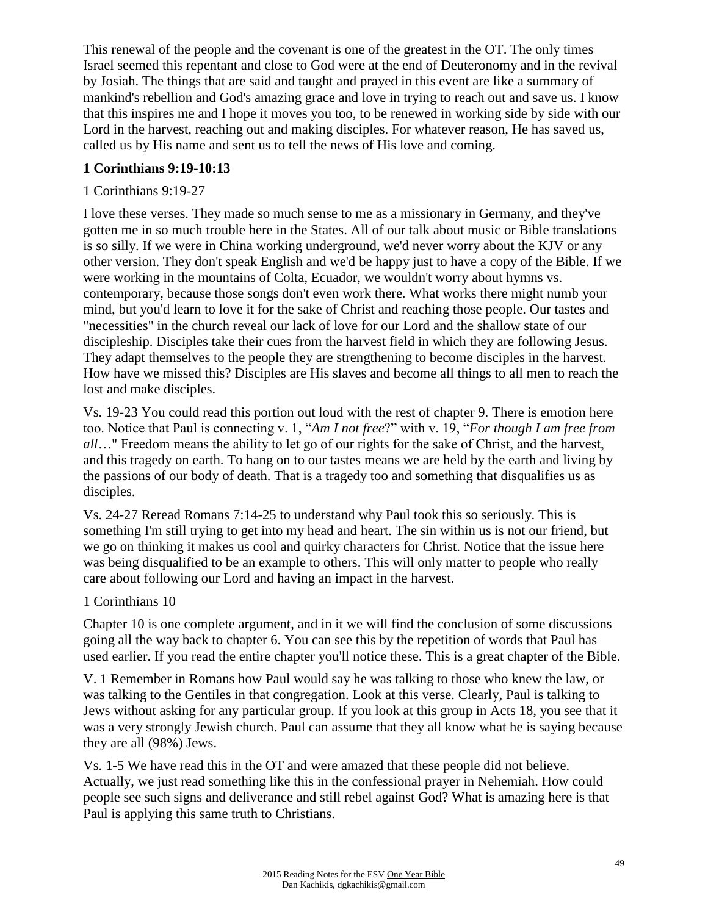This renewal of the people and the covenant is one of the greatest in the OT. The only times Israel seemed this repentant and close to God were at the end of Deuteronomy and in the revival by Josiah. The things that are said and taught and prayed in this event are like a summary of mankind's rebellion and God's amazing grace and love in trying to reach out and save us. I know that this inspires me and I hope it moves you too, to be renewed in working side by side with our Lord in the harvest, reaching out and making disciples. For whatever reason, He has saved us, called us by His name and sent us to tell the news of His love and coming.

#### **1 Corinthians 9:19-10:13**

## 1 Corinthians 9:19-27

I love these verses. They made so much sense to me as a missionary in Germany, and they've gotten me in so much trouble here in the States. All of our talk about music or Bible translations is so silly. If we were in China working underground, we'd never worry about the KJV or any other version. They don't speak English and we'd be happy just to have a copy of the Bible. If we were working in the mountains of Colta, Ecuador, we wouldn't worry about hymns vs. contemporary, because those songs don't even work there. What works there might numb your mind, but you'd learn to love it for the sake of Christ and reaching those people. Our tastes and "necessities" in the church reveal our lack of love for our Lord and the shallow state of our discipleship. Disciples take their cues from the harvest field in which they are following Jesus. They adapt themselves to the people they are strengthening to become disciples in the harvest. How have we missed this? Disciples are His slaves and become all things to all men to reach the lost and make disciples.

Vs. 19-23 You could read this portion out loud with the rest of chapter 9. There is emotion here too. Notice that Paul is connecting v. 1, "*Am I not free*?" with v. 19, "*For though I am free from all*…" Freedom means the ability to let go of our rights for the sake of Christ, and the harvest, and this tragedy on earth. To hang on to our tastes means we are held by the earth and living by the passions of our body of death. That is a tragedy too and something that disqualifies us as disciples.

Vs. 24-27 Reread Romans 7:14-25 to understand why Paul took this so seriously. This is something I'm still trying to get into my head and heart. The sin within us is not our friend, but we go on thinking it makes us cool and quirky characters for Christ. Notice that the issue here was being disqualified to be an example to others. This will only matter to people who really care about following our Lord and having an impact in the harvest.

#### 1 Corinthians 10

Chapter 10 is one complete argument, and in it we will find the conclusion of some discussions going all the way back to chapter 6. You can see this by the repetition of words that Paul has used earlier. If you read the entire chapter you'll notice these. This is a great chapter of the Bible.

V. 1 Remember in Romans how Paul would say he was talking to those who knew the law, or was talking to the Gentiles in that congregation. Look at this verse. Clearly, Paul is talking to Jews without asking for any particular group. If you look at this group in Acts 18, you see that it was a very strongly Jewish church. Paul can assume that they all know what he is saying because they are all (98%) Jews.

Vs. 1-5 We have read this in the OT and were amazed that these people did not believe. Actually, we just read something like this in the confessional prayer in Nehemiah. How could people see such signs and deliverance and still rebel against God? What is amazing here is that Paul is applying this same truth to Christians.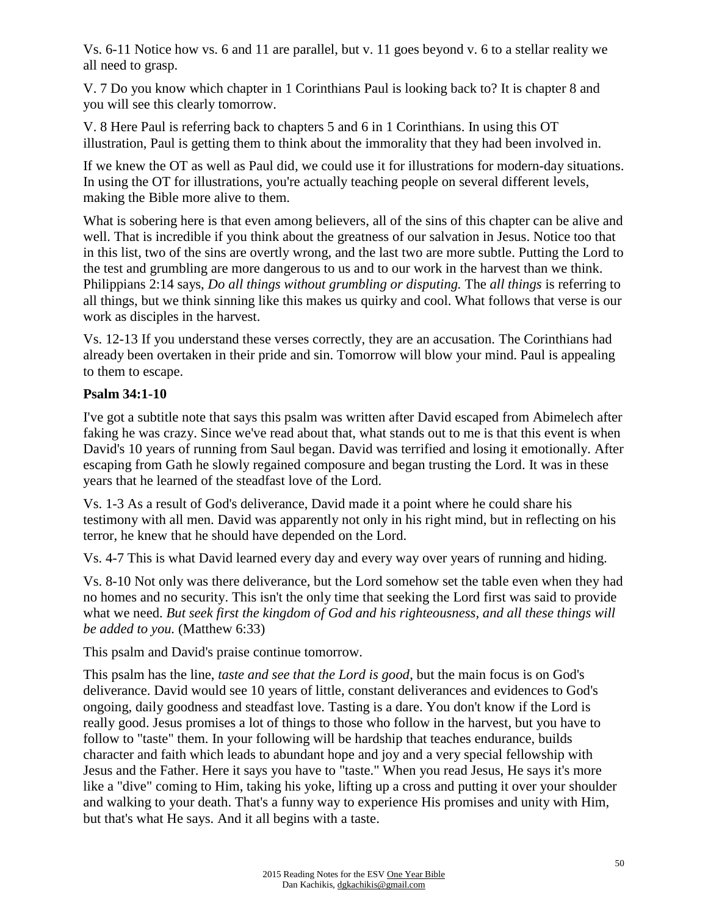Vs. 6-11 Notice how vs. 6 and 11 are parallel, but v. 11 goes beyond v. 6 to a stellar reality we all need to grasp.

V. 7 Do you know which chapter in 1 Corinthians Paul is looking back to? It is chapter 8 and you will see this clearly tomorrow.

V. 8 Here Paul is referring back to chapters 5 and 6 in 1 Corinthians. In using this OT illustration, Paul is getting them to think about the immorality that they had been involved in.

If we knew the OT as well as Paul did, we could use it for illustrations for modern-day situations. In using the OT for illustrations, you're actually teaching people on several different levels, making the Bible more alive to them.

What is sobering here is that even among believers, all of the sins of this chapter can be alive and well. That is incredible if you think about the greatness of our salvation in Jesus. Notice too that in this list, two of the sins are overtly wrong, and the last two are more subtle. Putting the Lord to the test and grumbling are more dangerous to us and to our work in the harvest than we think. Philippians 2:14 says, *Do all things without grumbling or disputing.* The *all things* is referring to all things, but we think sinning like this makes us quirky and cool. What follows that verse is our work as disciples in the harvest.

Vs. 12-13 If you understand these verses correctly, they are an accusation. The Corinthians had already been overtaken in their pride and sin. Tomorrow will blow your mind. Paul is appealing to them to escape.

### **Psalm 34:1-10**

I've got a subtitle note that says this psalm was written after David escaped from Abimelech after faking he was crazy. Since we've read about that, what stands out to me is that this event is when David's 10 years of running from Saul began. David was terrified and losing it emotionally. After escaping from Gath he slowly regained composure and began trusting the Lord. It was in these years that he learned of the steadfast love of the Lord.

Vs. 1-3 As a result of God's deliverance, David made it a point where he could share his testimony with all men. David was apparently not only in his right mind, but in reflecting on his terror, he knew that he should have depended on the Lord.

Vs. 4-7 This is what David learned every day and every way over years of running and hiding.

Vs. 8-10 Not only was there deliverance, but the Lord somehow set the table even when they had no homes and no security. This isn't the only time that seeking the Lord first was said to provide what we need. *But seek first the kingdom of God and his righteousness, and all these things will be added to you.* (Matthew 6:33)

This psalm and David's praise continue tomorrow.

This psalm has the line, *taste and see that the Lord is good*, but the main focus is on God's deliverance. David would see 10 years of little, constant deliverances and evidences to God's ongoing, daily goodness and steadfast love. Tasting is a dare. You don't know if the Lord is really good. Jesus promises a lot of things to those who follow in the harvest, but you have to follow to "taste" them. In your following will be hardship that teaches endurance, builds character and faith which leads to abundant hope and joy and a very special fellowship with Jesus and the Father. Here it says you have to "taste." When you read Jesus, He says it's more like a "dive" coming to Him, taking his yoke, lifting up a cross and putting it over your shoulder and walking to your death. That's a funny way to experience His promises and unity with Him, but that's what He says. And it all begins with a taste.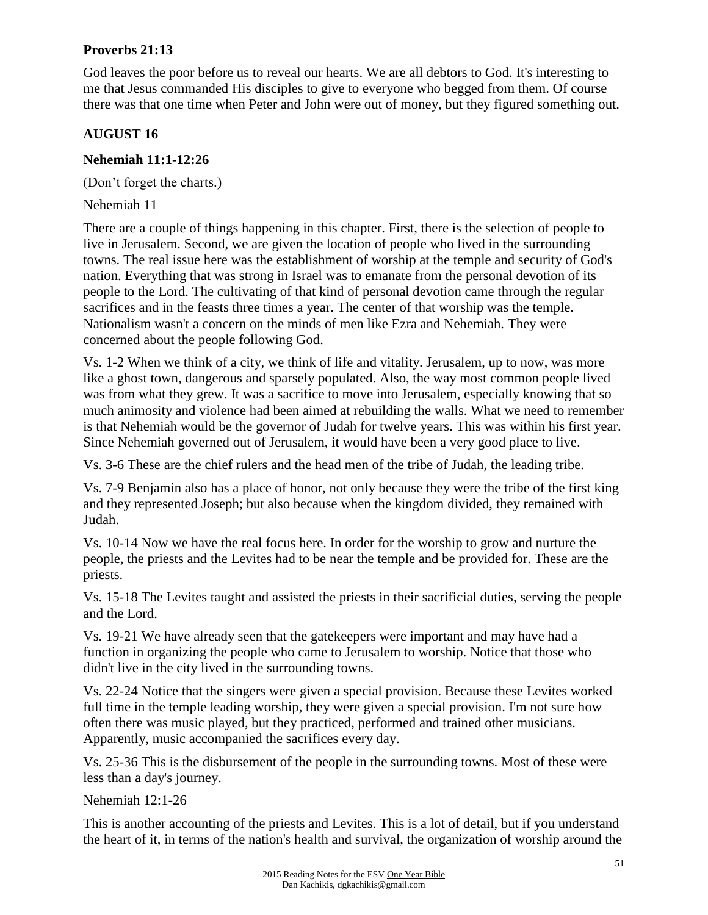## **Proverbs 21:13**

God leaves the poor before us to reveal our hearts. We are all debtors to God. It's interesting to me that Jesus commanded His disciples to give to everyone who begged from them. Of course there was that one time when Peter and John were out of money, but they figured something out.

#### **AUGUST 16**

#### **Nehemiah 11:1-12:26**

(Don't forget the charts.)

Nehemiah 11

There are a couple of things happening in this chapter. First, there is the selection of people to live in Jerusalem. Second, we are given the location of people who lived in the surrounding towns. The real issue here was the establishment of worship at the temple and security of God's nation. Everything that was strong in Israel was to emanate from the personal devotion of its people to the Lord. The cultivating of that kind of personal devotion came through the regular sacrifices and in the feasts three times a year. The center of that worship was the temple. Nationalism wasn't a concern on the minds of men like Ezra and Nehemiah. They were concerned about the people following God.

Vs. 1-2 When we think of a city, we think of life and vitality. Jerusalem, up to now, was more like a ghost town, dangerous and sparsely populated. Also, the way most common people lived was from what they grew. It was a sacrifice to move into Jerusalem, especially knowing that so much animosity and violence had been aimed at rebuilding the walls. What we need to remember is that Nehemiah would be the governor of Judah for twelve years. This was within his first year. Since Nehemiah governed out of Jerusalem, it would have been a very good place to live.

Vs. 3-6 These are the chief rulers and the head men of the tribe of Judah, the leading tribe.

Vs. 7-9 Benjamin also has a place of honor, not only because they were the tribe of the first king and they represented Joseph; but also because when the kingdom divided, they remained with Judah.

Vs. 10-14 Now we have the real focus here. In order for the worship to grow and nurture the people, the priests and the Levites had to be near the temple and be provided for. These are the priests.

Vs. 15-18 The Levites taught and assisted the priests in their sacrificial duties, serving the people and the Lord.

Vs. 19-21 We have already seen that the gatekeepers were important and may have had a function in organizing the people who came to Jerusalem to worship. Notice that those who didn't live in the city lived in the surrounding towns.

Vs. 22-24 Notice that the singers were given a special provision. Because these Levites worked full time in the temple leading worship, they were given a special provision. I'm not sure how often there was music played, but they practiced, performed and trained other musicians. Apparently, music accompanied the sacrifices every day.

Vs. 25-36 This is the disbursement of the people in the surrounding towns. Most of these were less than a day's journey.

Nehemiah 12:1-26

This is another accounting of the priests and Levites. This is a lot of detail, but if you understand the heart of it, in terms of the nation's health and survival, the organization of worship around the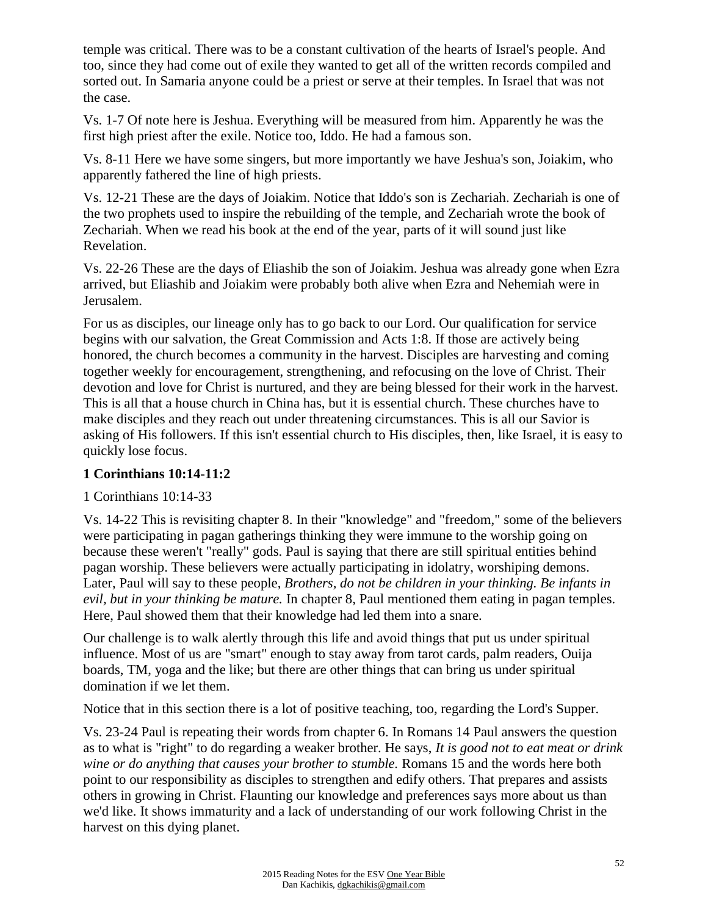temple was critical. There was to be a constant cultivation of the hearts of Israel's people. And too, since they had come out of exile they wanted to get all of the written records compiled and sorted out. In Samaria anyone could be a priest or serve at their temples. In Israel that was not the case.

Vs. 1-7 Of note here is Jeshua. Everything will be measured from him. Apparently he was the first high priest after the exile. Notice too, Iddo. He had a famous son.

Vs. 8-11 Here we have some singers, but more importantly we have Jeshua's son, Joiakim, who apparently fathered the line of high priests.

Vs. 12-21 These are the days of Joiakim. Notice that Iddo's son is Zechariah. Zechariah is one of the two prophets used to inspire the rebuilding of the temple, and Zechariah wrote the book of Zechariah. When we read his book at the end of the year, parts of it will sound just like Revelation.

Vs. 22-26 These are the days of Eliashib the son of Joiakim. Jeshua was already gone when Ezra arrived, but Eliashib and Joiakim were probably both alive when Ezra and Nehemiah were in Jerusalem.

For us as disciples, our lineage only has to go back to our Lord. Our qualification for service begins with our salvation, the Great Commission and Acts 1:8. If those are actively being honored, the church becomes a community in the harvest. Disciples are harvesting and coming together weekly for encouragement, strengthening, and refocusing on the love of Christ. Their devotion and love for Christ is nurtured, and they are being blessed for their work in the harvest. This is all that a house church in China has, but it is essential church. These churches have to make disciples and they reach out under threatening circumstances. This is all our Savior is asking of His followers. If this isn't essential church to His disciples, then, like Israel, it is easy to quickly lose focus.

#### **1 Corinthians 10:14-11:2**

#### 1 Corinthians 10:14-33

Vs. 14-22 This is revisiting chapter 8. In their "knowledge" and "freedom," some of the believers were participating in pagan gatherings thinking they were immune to the worship going on because these weren't "really" gods. Paul is saying that there are still spiritual entities behind pagan worship. These believers were actually participating in idolatry, worshiping demons. Later, Paul will say to these people, *Brothers, do not be children in your thinking. Be infants in evil, but in your thinking be mature.* In chapter 8, Paul mentioned them eating in pagan temples. Here, Paul showed them that their knowledge had led them into a snare.

Our challenge is to walk alertly through this life and avoid things that put us under spiritual influence. Most of us are "smart" enough to stay away from tarot cards, palm readers, Ouija boards, TM, yoga and the like; but there are other things that can bring us under spiritual domination if we let them.

Notice that in this section there is a lot of positive teaching, too, regarding the Lord's Supper.

Vs. 23-24 Paul is repeating their words from chapter 6. In Romans 14 Paul answers the question as to what is "right" to do regarding a weaker brother. He says, *It is good not to eat meat or drink wine or do anything that causes your brother to stumble.* Romans 15 and the words here both point to our responsibility as disciples to strengthen and edify others. That prepares and assists others in growing in Christ. Flaunting our knowledge and preferences says more about us than we'd like. It shows immaturity and a lack of understanding of our work following Christ in the harvest on this dying planet.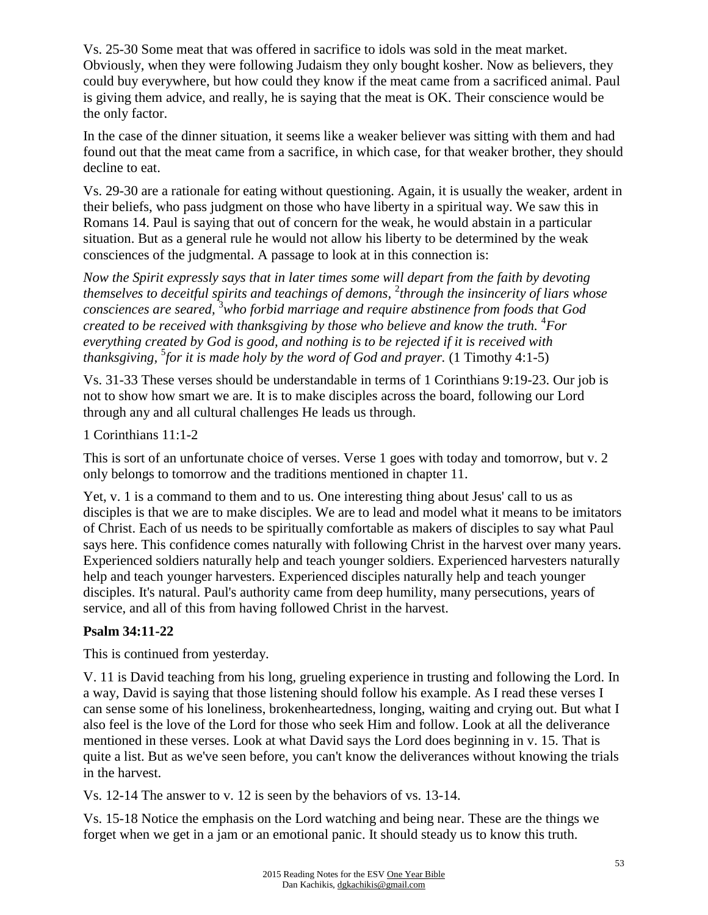Vs. 25-30 Some meat that was offered in sacrifice to idols was sold in the meat market. Obviously, when they were following Judaism they only bought kosher. Now as believers, they could buy everywhere, but how could they know if the meat came from a sacrificed animal. Paul is giving them advice, and really, he is saying that the meat is OK. Their conscience would be the only factor.

In the case of the dinner situation, it seems like a weaker believer was sitting with them and had found out that the meat came from a sacrifice, in which case, for that weaker brother, they should decline to eat.

Vs. 29-30 are a rationale for eating without questioning. Again, it is usually the weaker, ardent in their beliefs, who pass judgment on those who have liberty in a spiritual way. We saw this in Romans 14. Paul is saying that out of concern for the weak, he would abstain in a particular situation. But as a general rule he would not allow his liberty to be determined by the weak consciences of the judgmental. A passage to look at in this connection is:

*Now the Spirit expressly says that in later times some will depart from the faith by devoting themselves to deceitful spirits and teachings of demons,* <sup>2</sup> *through the insincerity of liars whose consciences are seared,* <sup>3</sup>*who forbid marriage and require abstinence from foods that God created to be received with thanksgiving by those who believe and know the truth.* <sup>4</sup>*For everything created by God is good, and nothing is to be rejected if it is received with thanksgiving,* <sup>5</sup> *for it is made holy by the word of God and prayer.* (1 Timothy 4:1-5)

Vs. 31-33 These verses should be understandable in terms of 1 Corinthians 9:19-23. Our job is not to show how smart we are. It is to make disciples across the board, following our Lord through any and all cultural challenges He leads us through.

1 Corinthians 11:1-2

This is sort of an unfortunate choice of verses. Verse 1 goes with today and tomorrow, but v. 2 only belongs to tomorrow and the traditions mentioned in chapter 11.

Yet, v. 1 is a command to them and to us. One interesting thing about Jesus' call to us as disciples is that we are to make disciples. We are to lead and model what it means to be imitators of Christ. Each of us needs to be spiritually comfortable as makers of disciples to say what Paul says here. This confidence comes naturally with following Christ in the harvest over many years. Experienced soldiers naturally help and teach younger soldiers. Experienced harvesters naturally help and teach younger harvesters. Experienced disciples naturally help and teach younger disciples. It's natural. Paul's authority came from deep humility, many persecutions, years of service, and all of this from having followed Christ in the harvest.

## **Psalm 34:11-22**

This is continued from yesterday.

V. 11 is David teaching from his long, grueling experience in trusting and following the Lord. In a way, David is saying that those listening should follow his example. As I read these verses I can sense some of his loneliness, brokenheartedness, longing, waiting and crying out. But what I also feel is the love of the Lord for those who seek Him and follow. Look at all the deliverance mentioned in these verses. Look at what David says the Lord does beginning in v. 15. That is quite a list. But as we've seen before, you can't know the deliverances without knowing the trials in the harvest.

Vs. 12-14 The answer to v. 12 is seen by the behaviors of vs. 13-14.

Vs. 15-18 Notice the emphasis on the Lord watching and being near. These are the things we forget when we get in a jam or an emotional panic. It should steady us to know this truth.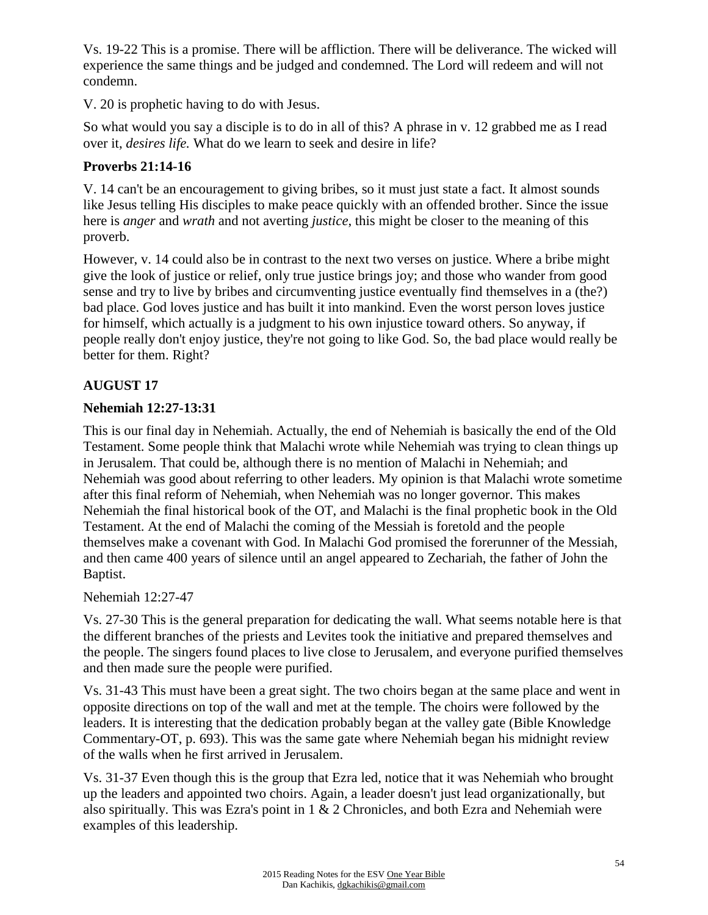Vs. 19-22 This is a promise. There will be affliction. There will be deliverance. The wicked will experience the same things and be judged and condemned. The Lord will redeem and will not condemn.

V. 20 is prophetic having to do with Jesus.

So what would you say a disciple is to do in all of this? A phrase in v. 12 grabbed me as I read over it, *desires life.* What do we learn to seek and desire in life?

## **Proverbs 21:14-16**

V. 14 can't be an encouragement to giving bribes, so it must just state a fact. It almost sounds like Jesus telling His disciples to make peace quickly with an offended brother. Since the issue here is *anger* and *wrath* and not averting *justice*, this might be closer to the meaning of this proverb.

However, v. 14 could also be in contrast to the next two verses on justice. Where a bribe might give the look of justice or relief, only true justice brings joy; and those who wander from good sense and try to live by bribes and circumventing justice eventually find themselves in a (the?) bad place. God loves justice and has built it into mankind. Even the worst person loves justice for himself, which actually is a judgment to his own injustice toward others. So anyway, if people really don't enjoy justice, they're not going to like God. So, the bad place would really be better for them. Right?

## **AUGUST 17**

#### **Nehemiah 12:27-13:31**

This is our final day in Nehemiah. Actually, the end of Nehemiah is basically the end of the Old Testament. Some people think that Malachi wrote while Nehemiah was trying to clean things up in Jerusalem. That could be, although there is no mention of Malachi in Nehemiah; and Nehemiah was good about referring to other leaders. My opinion is that Malachi wrote sometime after this final reform of Nehemiah, when Nehemiah was no longer governor. This makes Nehemiah the final historical book of the OT, and Malachi is the final prophetic book in the Old Testament. At the end of Malachi the coming of the Messiah is foretold and the people themselves make a covenant with God. In Malachi God promised the forerunner of the Messiah, and then came 400 years of silence until an angel appeared to Zechariah, the father of John the Baptist.

Nehemiah 12:27-47

Vs. 27-30 This is the general preparation for dedicating the wall. What seems notable here is that the different branches of the priests and Levites took the initiative and prepared themselves and the people. The singers found places to live close to Jerusalem, and everyone purified themselves and then made sure the people were purified.

Vs. 31-43 This must have been a great sight. The two choirs began at the same place and went in opposite directions on top of the wall and met at the temple. The choirs were followed by the leaders. It is interesting that the dedication probably began at the valley gate (Bible Knowledge Commentary-OT, p. 693). This was the same gate where Nehemiah began his midnight review of the walls when he first arrived in Jerusalem.

Vs. 31-37 Even though this is the group that Ezra led, notice that it was Nehemiah who brought up the leaders and appointed two choirs. Again, a leader doesn't just lead organizationally, but also spiritually. This was Ezra's point in 1 & 2 Chronicles, and both Ezra and Nehemiah were examples of this leadership.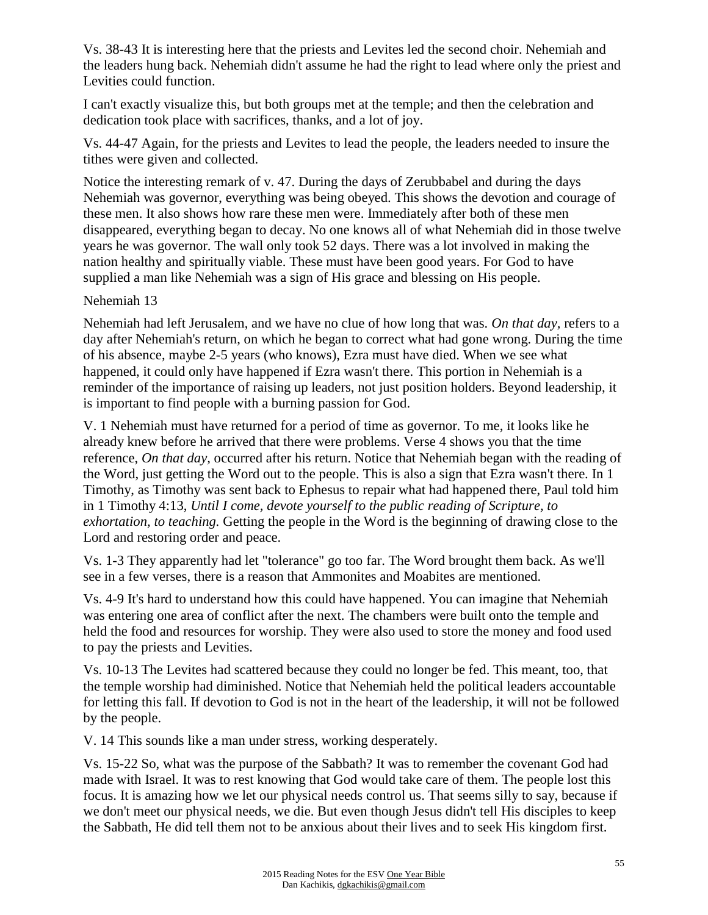Vs. 38-43 It is interesting here that the priests and Levites led the second choir. Nehemiah and the leaders hung back. Nehemiah didn't assume he had the right to lead where only the priest and Levities could function.

I can't exactly visualize this, but both groups met at the temple; and then the celebration and dedication took place with sacrifices, thanks, and a lot of joy.

Vs. 44-47 Again, for the priests and Levites to lead the people, the leaders needed to insure the tithes were given and collected.

Notice the interesting remark of v. 47. During the days of Zerubbabel and during the days Nehemiah was governor, everything was being obeyed. This shows the devotion and courage of these men. It also shows how rare these men were. Immediately after both of these men disappeared, everything began to decay. No one knows all of what Nehemiah did in those twelve years he was governor. The wall only took 52 days. There was a lot involved in making the nation healthy and spiritually viable. These must have been good years. For God to have supplied a man like Nehemiah was a sign of His grace and blessing on His people.

#### Nehemiah 13

Nehemiah had left Jerusalem, and we have no clue of how long that was. *On that day,* refers to a day after Nehemiah's return, on which he began to correct what had gone wrong. During the time of his absence, maybe 2-5 years (who knows), Ezra must have died. When we see what happened, it could only have happened if Ezra wasn't there. This portion in Nehemiah is a reminder of the importance of raising up leaders, not just position holders. Beyond leadership, it is important to find people with a burning passion for God.

V. 1 Nehemiah must have returned for a period of time as governor. To me, it looks like he already knew before he arrived that there were problems. Verse 4 shows you that the time reference, *On that day,* occurred after his return. Notice that Nehemiah began with the reading of the Word, just getting the Word out to the people. This is also a sign that Ezra wasn't there. In 1 Timothy, as Timothy was sent back to Ephesus to repair what had happened there, Paul told him in 1 Timothy 4:13, *Until I come, devote yourself to the public reading of Scripture, to exhortation, to teaching.* Getting the people in the Word is the beginning of drawing close to the Lord and restoring order and peace.

Vs. 1-3 They apparently had let "tolerance" go too far. The Word brought them back. As we'll see in a few verses, there is a reason that Ammonites and Moabites are mentioned.

Vs. 4-9 It's hard to understand how this could have happened. You can imagine that Nehemiah was entering one area of conflict after the next. The chambers were built onto the temple and held the food and resources for worship. They were also used to store the money and food used to pay the priests and Levities.

Vs. 10-13 The Levites had scattered because they could no longer be fed. This meant, too, that the temple worship had diminished. Notice that Nehemiah held the political leaders accountable for letting this fall. If devotion to God is not in the heart of the leadership, it will not be followed by the people.

V. 14 This sounds like a man under stress, working desperately.

Vs. 15-22 So, what was the purpose of the Sabbath? It was to remember the covenant God had made with Israel. It was to rest knowing that God would take care of them. The people lost this focus. It is amazing how we let our physical needs control us. That seems silly to say, because if we don't meet our physical needs, we die. But even though Jesus didn't tell His disciples to keep the Sabbath, He did tell them not to be anxious about their lives and to seek His kingdom first.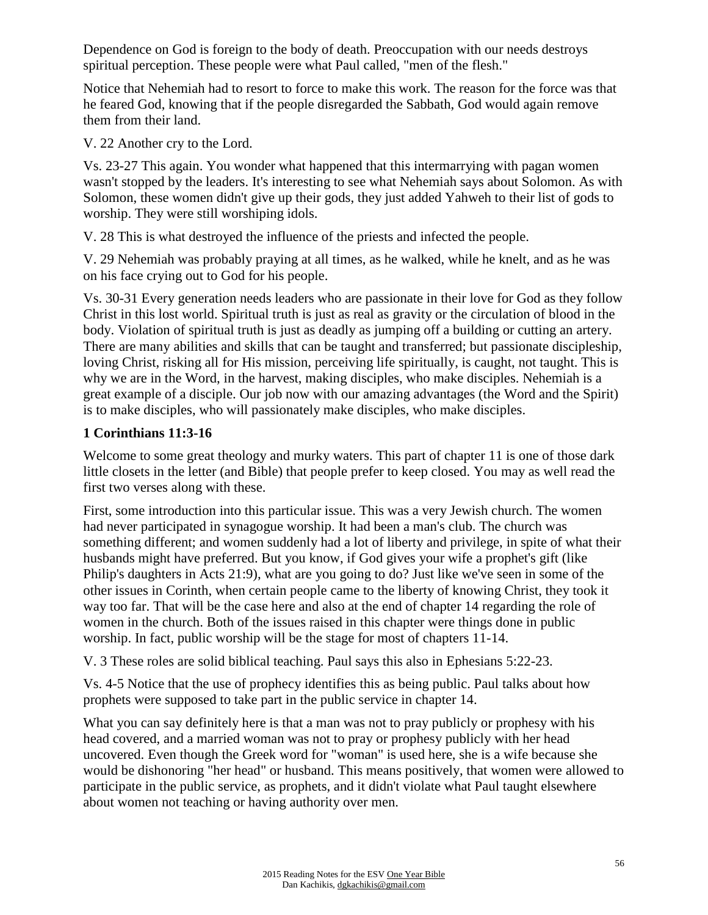Dependence on God is foreign to the body of death. Preoccupation with our needs destroys spiritual perception. These people were what Paul called, "men of the flesh."

Notice that Nehemiah had to resort to force to make this work. The reason for the force was that he feared God, knowing that if the people disregarded the Sabbath, God would again remove them from their land.

V. 22 Another cry to the Lord.

Vs. 23-27 This again. You wonder what happened that this intermarrying with pagan women wasn't stopped by the leaders. It's interesting to see what Nehemiah says about Solomon. As with Solomon, these women didn't give up their gods, they just added Yahweh to their list of gods to worship. They were still worshiping idols.

V. 28 This is what destroyed the influence of the priests and infected the people.

V. 29 Nehemiah was probably praying at all times, as he walked, while he knelt, and as he was on his face crying out to God for his people.

Vs. 30-31 Every generation needs leaders who are passionate in their love for God as they follow Christ in this lost world. Spiritual truth is just as real as gravity or the circulation of blood in the body. Violation of spiritual truth is just as deadly as jumping off a building or cutting an artery. There are many abilities and skills that can be taught and transferred; but passionate discipleship, loving Christ, risking all for His mission, perceiving life spiritually, is caught, not taught. This is why we are in the Word, in the harvest, making disciples, who make disciples. Nehemiah is a great example of a disciple. Our job now with our amazing advantages (the Word and the Spirit) is to make disciples, who will passionately make disciples, who make disciples.

#### **1 Corinthians 11:3-16**

Welcome to some great theology and murky waters. This part of chapter 11 is one of those dark little closets in the letter (and Bible) that people prefer to keep closed. You may as well read the first two verses along with these.

First, some introduction into this particular issue. This was a very Jewish church. The women had never participated in synagogue worship. It had been a man's club. The church was something different; and women suddenly had a lot of liberty and privilege, in spite of what their husbands might have preferred. But you know, if God gives your wife a prophet's gift (like Philip's daughters in Acts 21:9), what are you going to do? Just like we've seen in some of the other issues in Corinth, when certain people came to the liberty of knowing Christ, they took it way too far. That will be the case here and also at the end of chapter 14 regarding the role of women in the church. Both of the issues raised in this chapter were things done in public worship. In fact, public worship will be the stage for most of chapters 11-14.

V. 3 These roles are solid biblical teaching. Paul says this also in Ephesians 5:22-23.

Vs. 4-5 Notice that the use of prophecy identifies this as being public. Paul talks about how prophets were supposed to take part in the public service in chapter 14.

What you can say definitely here is that a man was not to pray publicly or prophesy with his head covered, and a married woman was not to pray or prophesy publicly with her head uncovered. Even though the Greek word for "woman" is used here, she is a wife because she would be dishonoring "her head" or husband. This means positively, that women were allowed to participate in the public service, as prophets, and it didn't violate what Paul taught elsewhere about women not teaching or having authority over men.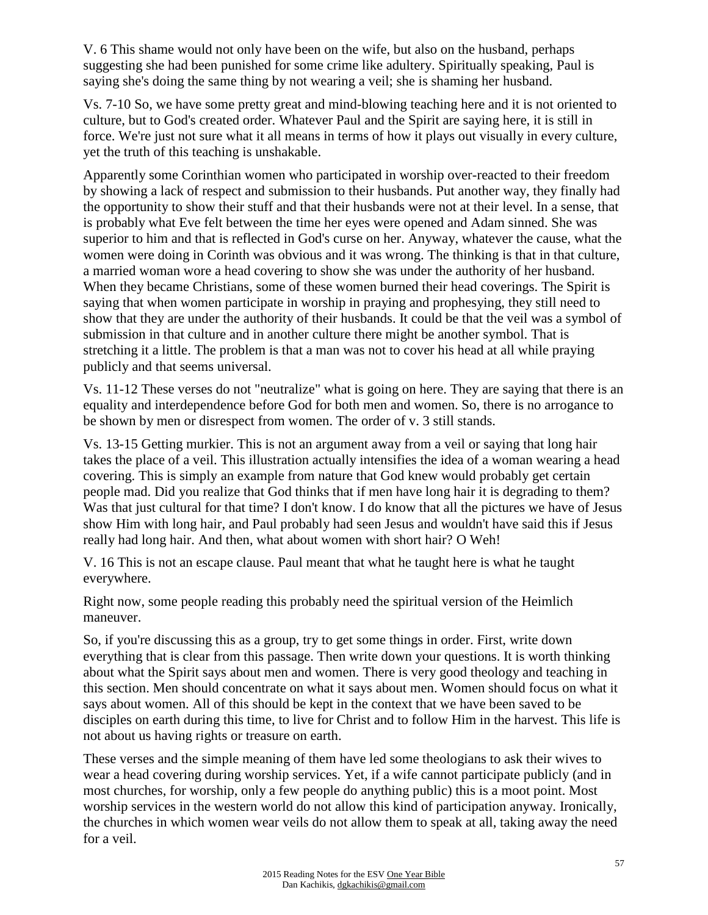V. 6 This shame would not only have been on the wife, but also on the husband, perhaps suggesting she had been punished for some crime like adultery. Spiritually speaking, Paul is saying she's doing the same thing by not wearing a veil; she is shaming her husband.

Vs. 7-10 So, we have some pretty great and mind-blowing teaching here and it is not oriented to culture, but to God's created order. Whatever Paul and the Spirit are saying here, it is still in force. We're just not sure what it all means in terms of how it plays out visually in every culture, yet the truth of this teaching is unshakable.

Apparently some Corinthian women who participated in worship over-reacted to their freedom by showing a lack of respect and submission to their husbands. Put another way, they finally had the opportunity to show their stuff and that their husbands were not at their level. In a sense, that is probably what Eve felt between the time her eyes were opened and Adam sinned. She was superior to him and that is reflected in God's curse on her. Anyway, whatever the cause, what the women were doing in Corinth was obvious and it was wrong. The thinking is that in that culture, a married woman wore a head covering to show she was under the authority of her husband. When they became Christians, some of these women burned their head coverings. The Spirit is saying that when women participate in worship in praying and prophesying, they still need to show that they are under the authority of their husbands. It could be that the veil was a symbol of submission in that culture and in another culture there might be another symbol. That is stretching it a little. The problem is that a man was not to cover his head at all while praying publicly and that seems universal.

Vs. 11-12 These verses do not "neutralize" what is going on here. They are saying that there is an equality and interdependence before God for both men and women. So, there is no arrogance to be shown by men or disrespect from women. The order of v. 3 still stands.

Vs. 13-15 Getting murkier. This is not an argument away from a veil or saying that long hair takes the place of a veil. This illustration actually intensifies the idea of a woman wearing a head covering. This is simply an example from nature that God knew would probably get certain people mad. Did you realize that God thinks that if men have long hair it is degrading to them? Was that just cultural for that time? I don't know. I do know that all the pictures we have of Jesus show Him with long hair, and Paul probably had seen Jesus and wouldn't have said this if Jesus really had long hair. And then, what about women with short hair? O Weh!

V. 16 This is not an escape clause. Paul meant that what he taught here is what he taught everywhere.

Right now, some people reading this probably need the spiritual version of the Heimlich maneuver.

So, if you're discussing this as a group, try to get some things in order. First, write down everything that is clear from this passage. Then write down your questions. It is worth thinking about what the Spirit says about men and women. There is very good theology and teaching in this section. Men should concentrate on what it says about men. Women should focus on what it says about women. All of this should be kept in the context that we have been saved to be disciples on earth during this time, to live for Christ and to follow Him in the harvest. This life is not about us having rights or treasure on earth.

These verses and the simple meaning of them have led some theologians to ask their wives to wear a head covering during worship services. Yet, if a wife cannot participate publicly (and in most churches, for worship, only a few people do anything public) this is a moot point. Most worship services in the western world do not allow this kind of participation anyway. Ironically, the churches in which women wear veils do not allow them to speak at all, taking away the need for a veil.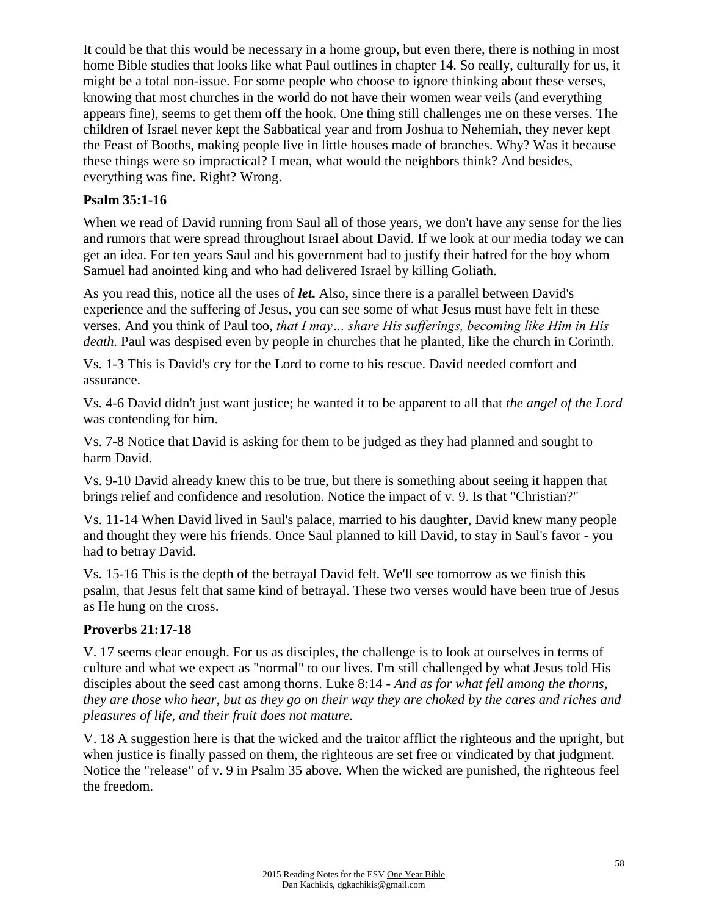It could be that this would be necessary in a home group, but even there, there is nothing in most home Bible studies that looks like what Paul outlines in chapter 14. So really, culturally for us, it might be a total non-issue. For some people who choose to ignore thinking about these verses, knowing that most churches in the world do not have their women wear veils (and everything appears fine), seems to get them off the hook. One thing still challenges me on these verses. The children of Israel never kept the Sabbatical year and from Joshua to Nehemiah, they never kept the Feast of Booths, making people live in little houses made of branches. Why? Was it because these things were so impractical? I mean, what would the neighbors think? And besides, everything was fine. Right? Wrong.

### **Psalm 35:1-16**

When we read of David running from Saul all of those years, we don't have any sense for the lies and rumors that were spread throughout Israel about David. If we look at our media today we can get an idea. For ten years Saul and his government had to justify their hatred for the boy whom Samuel had anointed king and who had delivered Israel by killing Goliath.

As you read this, notice all the uses of *let***.** Also, since there is a parallel between David's experience and the suffering of Jesus, you can see some of what Jesus must have felt in these verses. And you think of Paul too, *that I may… share His sufferings, becoming like Him in His death.* Paul was despised even by people in churches that he planted, like the church in Corinth.

Vs. 1-3 This is David's cry for the Lord to come to his rescue. David needed comfort and assurance.

Vs. 4-6 David didn't just want justice; he wanted it to be apparent to all that *the angel of the Lord* was contending for him.

Vs. 7-8 Notice that David is asking for them to be judged as they had planned and sought to harm David.

Vs. 9-10 David already knew this to be true, but there is something about seeing it happen that brings relief and confidence and resolution. Notice the impact of v. 9. Is that "Christian?"

Vs. 11-14 When David lived in Saul's palace, married to his daughter, David knew many people and thought they were his friends. Once Saul planned to kill David, to stay in Saul's favor - you had to betray David.

Vs. 15-16 This is the depth of the betrayal David felt. We'll see tomorrow as we finish this psalm, that Jesus felt that same kind of betrayal. These two verses would have been true of Jesus as He hung on the cross.

#### **Proverbs 21:17-18**

V. 17 seems clear enough. For us as disciples, the challenge is to look at ourselves in terms of culture and what we expect as "normal" to our lives. I'm still challenged by what Jesus told His disciples about the seed cast among thorns. Luke 8:14 *- And as for what fell among the thorns, they are those who hear, but as they go on their way they are choked by the cares and riches and pleasures of life, and their fruit does not mature.*

V. 18 A suggestion here is that the wicked and the traitor afflict the righteous and the upright, but when justice is finally passed on them, the righteous are set free or vindicated by that judgment. Notice the "release" of v. 9 in Psalm 35 above. When the wicked are punished, the righteous feel the freedom.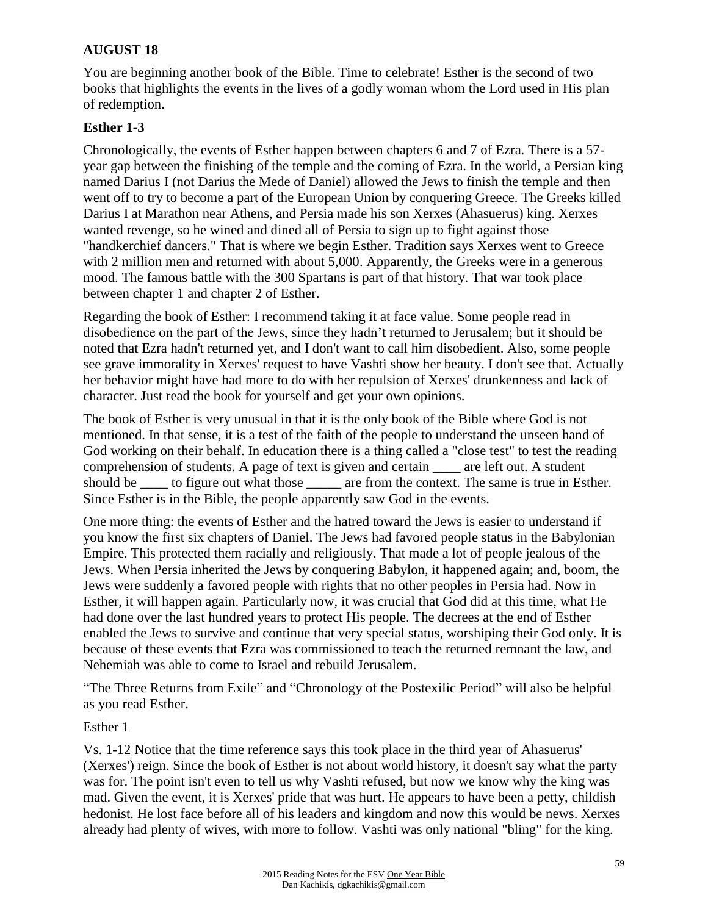## **AUGUST 18**

You are beginning another book of the Bible. Time to celebrate! Esther is the second of two books that highlights the events in the lives of a godly woman whom the Lord used in His plan of redemption.

#### **Esther 1-3**

Chronologically, the events of Esther happen between chapters 6 and 7 of Ezra. There is a 57 year gap between the finishing of the temple and the coming of Ezra. In the world, a Persian king named Darius I (not Darius the Mede of Daniel) allowed the Jews to finish the temple and then went off to try to become a part of the European Union by conquering Greece. The Greeks killed Darius I at Marathon near Athens, and Persia made his son Xerxes (Ahasuerus) king. Xerxes wanted revenge, so he wined and dined all of Persia to sign up to fight against those "handkerchief dancers." That is where we begin Esther. Tradition says Xerxes went to Greece with 2 million men and returned with about 5,000. Apparently, the Greeks were in a generous mood. The famous battle with the 300 Spartans is part of that history. That war took place between chapter 1 and chapter 2 of Esther.

Regarding the book of Esther: I recommend taking it at face value. Some people read in disobedience on the part of the Jews, since they hadn't returned to Jerusalem; but it should be noted that Ezra hadn't returned yet, and I don't want to call him disobedient. Also, some people see grave immorality in Xerxes' request to have Vashti show her beauty. I don't see that. Actually her behavior might have had more to do with her repulsion of Xerxes' drunkenness and lack of character. Just read the book for yourself and get your own opinions.

The book of Esther is very unusual in that it is the only book of the Bible where God is not mentioned. In that sense, it is a test of the faith of the people to understand the unseen hand of God working on their behalf. In education there is a thing called a "close test" to test the reading comprehension of students. A page of text is given and certain are left out. A student should be \_\_\_\_\_ to figure out what those \_\_\_\_\_\_ are from the context. The same is true in Esther. Since Esther is in the Bible, the people apparently saw God in the events.

One more thing: the events of Esther and the hatred toward the Jews is easier to understand if you know the first six chapters of Daniel. The Jews had favored people status in the Babylonian Empire. This protected them racially and religiously. That made a lot of people jealous of the Jews. When Persia inherited the Jews by conquering Babylon, it happened again; and, boom, the Jews were suddenly a favored people with rights that no other peoples in Persia had. Now in Esther, it will happen again. Particularly now, it was crucial that God did at this time, what He had done over the last hundred years to protect His people. The decrees at the end of Esther enabled the Jews to survive and continue that very special status, worshiping their God only. It is because of these events that Ezra was commissioned to teach the returned remnant the law, and Nehemiah was able to come to Israel and rebuild Jerusalem.

"The Three Returns from Exile" and "Chronology of the Postexilic Period" will also be helpful as you read Esther.

#### Esther 1

Vs. 1-12 Notice that the time reference says this took place in the third year of Ahasuerus' (Xerxes') reign. Since the book of Esther is not about world history, it doesn't say what the party was for. The point isn't even to tell us why Vashti refused, but now we know why the king was mad. Given the event, it is Xerxes' pride that was hurt. He appears to have been a petty, childish hedonist. He lost face before all of his leaders and kingdom and now this would be news. Xerxes already had plenty of wives, with more to follow. Vashti was only national "bling" for the king.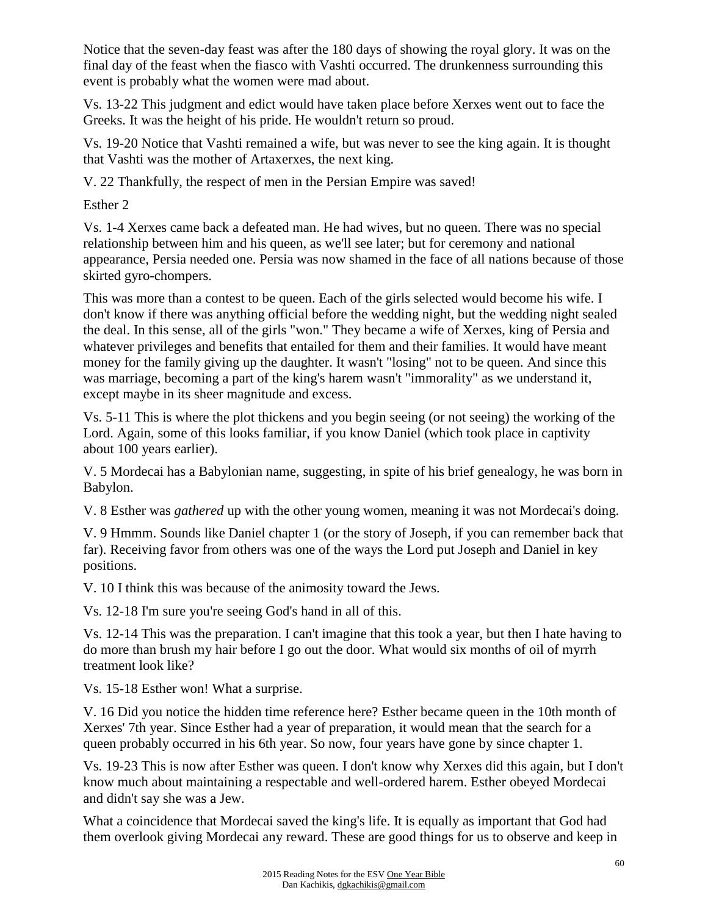Notice that the seven-day feast was after the 180 days of showing the royal glory. It was on the final day of the feast when the fiasco with Vashti occurred. The drunkenness surrounding this event is probably what the women were mad about.

Vs. 13-22 This judgment and edict would have taken place before Xerxes went out to face the Greeks. It was the height of his pride. He wouldn't return so proud.

Vs. 19-20 Notice that Vashti remained a wife, but was never to see the king again. It is thought that Vashti was the mother of Artaxerxes, the next king.

V. 22 Thankfully, the respect of men in the Persian Empire was saved!

Esther 2

Vs. 1-4 Xerxes came back a defeated man. He had wives, but no queen. There was no special relationship between him and his queen, as we'll see later; but for ceremony and national appearance, Persia needed one. Persia was now shamed in the face of all nations because of those skirted gyro-chompers.

This was more than a contest to be queen. Each of the girls selected would become his wife. I don't know if there was anything official before the wedding night, but the wedding night sealed the deal. In this sense, all of the girls "won." They became a wife of Xerxes, king of Persia and whatever privileges and benefits that entailed for them and their families. It would have meant money for the family giving up the daughter. It wasn't "losing" not to be queen. And since this was marriage, becoming a part of the king's harem wasn't "immorality" as we understand it, except maybe in its sheer magnitude and excess.

Vs. 5-11 This is where the plot thickens and you begin seeing (or not seeing) the working of the Lord. Again, some of this looks familiar, if you know Daniel (which took place in captivity about 100 years earlier).

V. 5 Mordecai has a Babylonian name, suggesting, in spite of his brief genealogy, he was born in Babylon.

V. 8 Esther was *gathered* up with the other young women, meaning it was not Mordecai's doing.

V. 9 Hmmm. Sounds like Daniel chapter 1 (or the story of Joseph, if you can remember back that far). Receiving favor from others was one of the ways the Lord put Joseph and Daniel in key positions.

V. 10 I think this was because of the animosity toward the Jews.

Vs. 12-18 I'm sure you're seeing God's hand in all of this.

Vs. 12-14 This was the preparation. I can't imagine that this took a year, but then I hate having to do more than brush my hair before I go out the door. What would six months of oil of myrrh treatment look like?

Vs. 15-18 Esther won! What a surprise.

V. 16 Did you notice the hidden time reference here? Esther became queen in the 10th month of Xerxes' 7th year. Since Esther had a year of preparation, it would mean that the search for a queen probably occurred in his 6th year. So now, four years have gone by since chapter 1.

Vs. 19-23 This is now after Esther was queen. I don't know why Xerxes did this again, but I don't know much about maintaining a respectable and well-ordered harem. Esther obeyed Mordecai and didn't say she was a Jew.

What a coincidence that Mordecai saved the king's life. It is equally as important that God had them overlook giving Mordecai any reward. These are good things for us to observe and keep in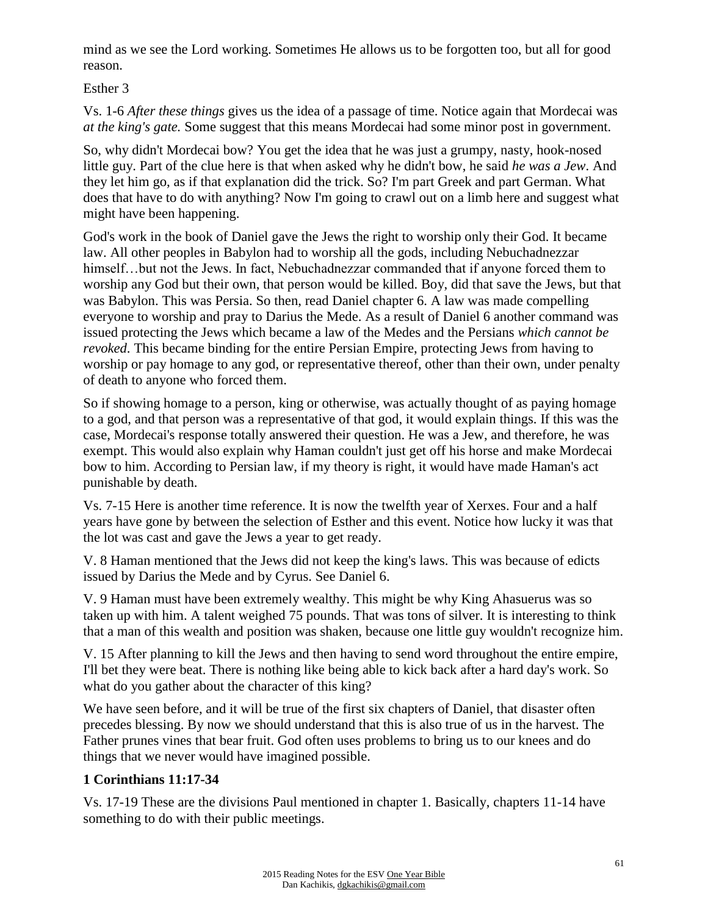mind as we see the Lord working. Sometimes He allows us to be forgotten too, but all for good reason.

Esther 3

Vs. 1-6 *After these things* gives us the idea of a passage of time. Notice again that Mordecai was *at the king's gate.* Some suggest that this means Mordecai had some minor post in government.

So, why didn't Mordecai bow? You get the idea that he was just a grumpy, nasty, hook-nosed little guy. Part of the clue here is that when asked why he didn't bow, he said *he was a Jew*. And they let him go, as if that explanation did the trick. So? I'm part Greek and part German. What does that have to do with anything? Now I'm going to crawl out on a limb here and suggest what might have been happening.

God's work in the book of Daniel gave the Jews the right to worship only their God. It became law. All other peoples in Babylon had to worship all the gods, including Nebuchadnezzar himself...but not the Jews. In fact, Nebuchadnezzar commanded that if anyone forced them to worship any God but their own, that person would be killed. Boy, did that save the Jews, but that was Babylon. This was Persia. So then, read Daniel chapter 6. A law was made compelling everyone to worship and pray to Darius the Mede. As a result of Daniel 6 another command was issued protecting the Jews which became a law of the Medes and the Persians *which cannot be revoked*. This became binding for the entire Persian Empire, protecting Jews from having to worship or pay homage to any god, or representative thereof, other than their own, under penalty of death to anyone who forced them.

So if showing homage to a person, king or otherwise, was actually thought of as paying homage to a god, and that person was a representative of that god, it would explain things. If this was the case, Mordecai's response totally answered their question. He was a Jew, and therefore, he was exempt. This would also explain why Haman couldn't just get off his horse and make Mordecai bow to him. According to Persian law, if my theory is right, it would have made Haman's act punishable by death.

Vs. 7-15 Here is another time reference. It is now the twelfth year of Xerxes. Four and a half years have gone by between the selection of Esther and this event. Notice how lucky it was that the lot was cast and gave the Jews a year to get ready.

V. 8 Haman mentioned that the Jews did not keep the king's laws. This was because of edicts issued by Darius the Mede and by Cyrus. See Daniel 6.

V. 9 Haman must have been extremely wealthy. This might be why King Ahasuerus was so taken up with him. A talent weighed 75 pounds. That was tons of silver. It is interesting to think that a man of this wealth and position was shaken, because one little guy wouldn't recognize him.

V. 15 After planning to kill the Jews and then having to send word throughout the entire empire, I'll bet they were beat. There is nothing like being able to kick back after a hard day's work. So what do you gather about the character of this king?

We have seen before, and it will be true of the first six chapters of Daniel, that disaster often precedes blessing. By now we should understand that this is also true of us in the harvest. The Father prunes vines that bear fruit. God often uses problems to bring us to our knees and do things that we never would have imagined possible.

# **1 Corinthians 11:17-34**

Vs. 17-19 These are the divisions Paul mentioned in chapter 1. Basically, chapters 11-14 have something to do with their public meetings.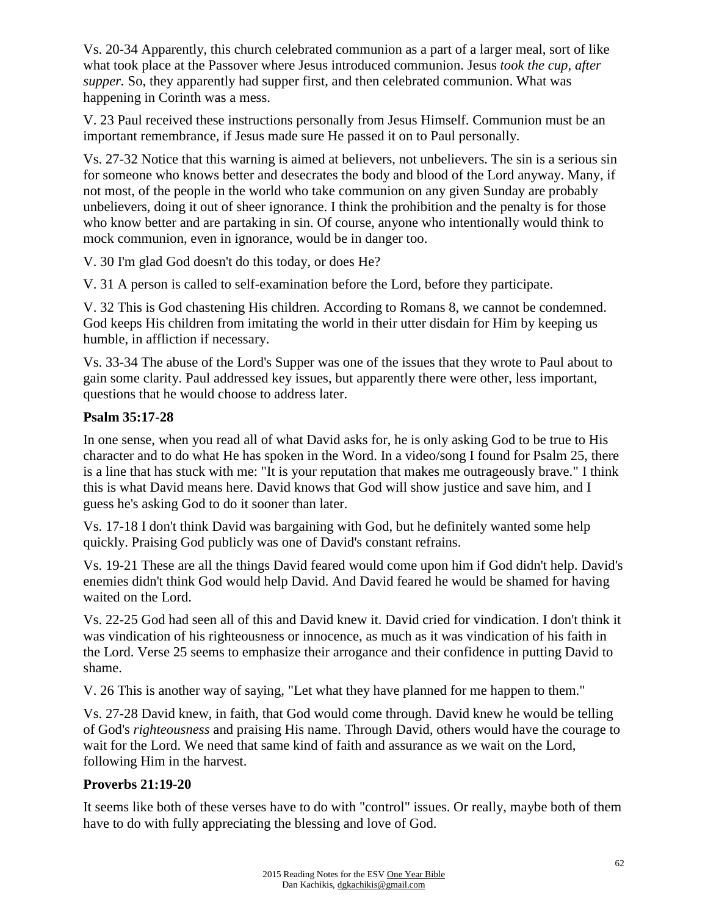Vs. 20-34 Apparently, this church celebrated communion as a part of a larger meal, sort of like what took place at the Passover where Jesus introduced communion. Jesus *took the cup, after supper.* So, they apparently had supper first, and then celebrated communion. What was happening in Corinth was a mess.

V. 23 Paul received these instructions personally from Jesus Himself. Communion must be an important remembrance, if Jesus made sure He passed it on to Paul personally.

Vs. 27-32 Notice that this warning is aimed at believers, not unbelievers. The sin is a serious sin for someone who knows better and desecrates the body and blood of the Lord anyway. Many, if not most, of the people in the world who take communion on any given Sunday are probably unbelievers, doing it out of sheer ignorance. I think the prohibition and the penalty is for those who know better and are partaking in sin. Of course, anyone who intentionally would think to mock communion, even in ignorance, would be in danger too.

V. 30 I'm glad God doesn't do this today, or does He?

V. 31 A person is called to self-examination before the Lord, before they participate.

V. 32 This is God chastening His children. According to Romans 8, we cannot be condemned. God keeps His children from imitating the world in their utter disdain for Him by keeping us humble, in affliction if necessary.

Vs. 33-34 The abuse of the Lord's Supper was one of the issues that they wrote to Paul about to gain some clarity. Paul addressed key issues, but apparently there were other, less important, questions that he would choose to address later.

## **Psalm 35:17-28**

In one sense, when you read all of what David asks for, he is only asking God to be true to His character and to do what He has spoken in the Word. In a video/song I found for Psalm 25, there is a line that has stuck with me: "It is your reputation that makes me outrageously brave." I think this is what David means here. David knows that God will show justice and save him, and I guess he's asking God to do it sooner than later.

Vs. 17-18 I don't think David was bargaining with God, but he definitely wanted some help quickly. Praising God publicly was one of David's constant refrains.

Vs. 19-21 These are all the things David feared would come upon him if God didn't help. David's enemies didn't think God would help David. And David feared he would be shamed for having waited on the Lord.

Vs. 22-25 God had seen all of this and David knew it. David cried for vindication. I don't think it was vindication of his righteousness or innocence, as much as it was vindication of his faith in the Lord. Verse 25 seems to emphasize their arrogance and their confidence in putting David to shame.

V. 26 This is another way of saying, "Let what they have planned for me happen to them."

Vs. 27-28 David knew, in faith, that God would come through. David knew he would be telling of God's *righteousness* and praising His name. Through David, others would have the courage to wait for the Lord. We need that same kind of faith and assurance as we wait on the Lord, following Him in the harvest.

## **Proverbs 21:19-20**

It seems like both of these verses have to do with "control" issues. Or really, maybe both of them have to do with fully appreciating the blessing and love of God.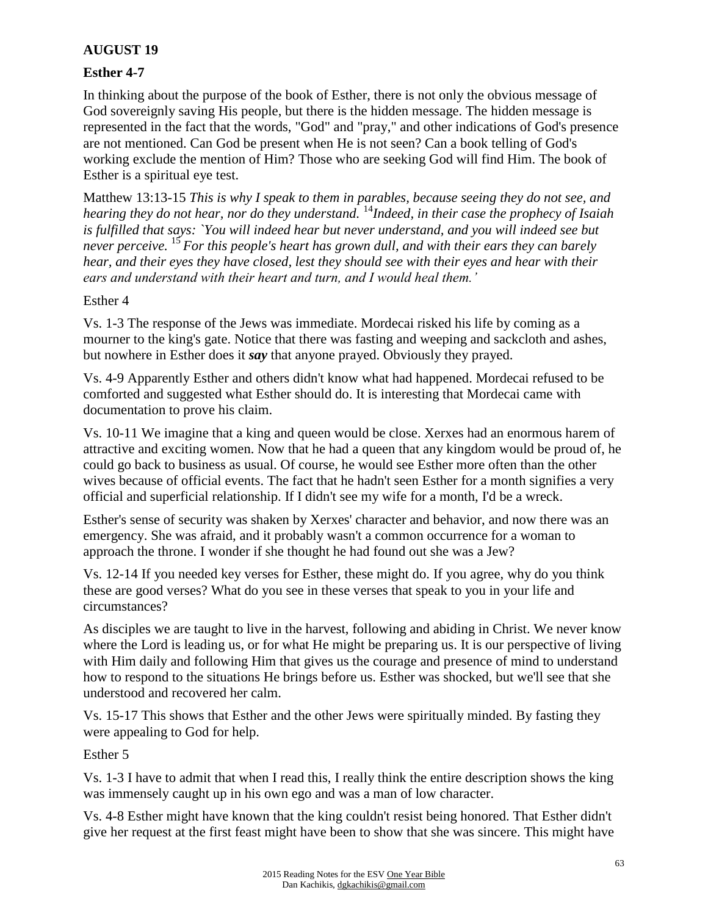## **AUGUST 19**

#### **Esther 4-7**

In thinking about the purpose of the book of Esther, there is not only the obvious message of God sovereignly saving His people, but there is the hidden message. The hidden message is represented in the fact that the words, "God" and "pray," and other indications of God's presence are not mentioned. Can God be present when He is not seen? Can a book telling of God's working exclude the mention of Him? Those who are seeking God will find Him. The book of Esther is a spiritual eye test.

Matthew 13:13-15 *This is why I speak to them in parables, because seeing they do not see, and hearing they do not hear, nor do they understand.* <sup>14</sup>*Indeed, in their case the prophecy of Isaiah is fulfilled that says: `You will indeed hear but never understand, and you will indeed see but never perceive.* <sup>15</sup>*For this people's heart has grown dull, and with their ears they can barely hear, and their eyes they have closed, lest they should see with their eyes and hear with their ears and understand with their heart and turn, and I would heal them.'*

#### Esther 4

Vs. 1-3 The response of the Jews was immediate. Mordecai risked his life by coming as a mourner to the king's gate. Notice that there was fasting and weeping and sackcloth and ashes, but nowhere in Esther does it *say* that anyone prayed. Obviously they prayed.

Vs. 4-9 Apparently Esther and others didn't know what had happened. Mordecai refused to be comforted and suggested what Esther should do. It is interesting that Mordecai came with documentation to prove his claim.

Vs. 10-11 We imagine that a king and queen would be close. Xerxes had an enormous harem of attractive and exciting women. Now that he had a queen that any kingdom would be proud of, he could go back to business as usual. Of course, he would see Esther more often than the other wives because of official events. The fact that he hadn't seen Esther for a month signifies a very official and superficial relationship. If I didn't see my wife for a month, I'd be a wreck.

Esther's sense of security was shaken by Xerxes' character and behavior, and now there was an emergency. She was afraid, and it probably wasn't a common occurrence for a woman to approach the throne. I wonder if she thought he had found out she was a Jew?

Vs. 12-14 If you needed key verses for Esther, these might do. If you agree, why do you think these are good verses? What do you see in these verses that speak to you in your life and circumstances?

As disciples we are taught to live in the harvest, following and abiding in Christ. We never know where the Lord is leading us, or for what He might be preparing us. It is our perspective of living with Him daily and following Him that gives us the courage and presence of mind to understand how to respond to the situations He brings before us. Esther was shocked, but we'll see that she understood and recovered her calm.

Vs. 15-17 This shows that Esther and the other Jews were spiritually minded. By fasting they were appealing to God for help.

Esther 5

Vs. 1-3 I have to admit that when I read this, I really think the entire description shows the king was immensely caught up in his own ego and was a man of low character.

Vs. 4-8 Esther might have known that the king couldn't resist being honored. That Esther didn't give her request at the first feast might have been to show that she was sincere. This might have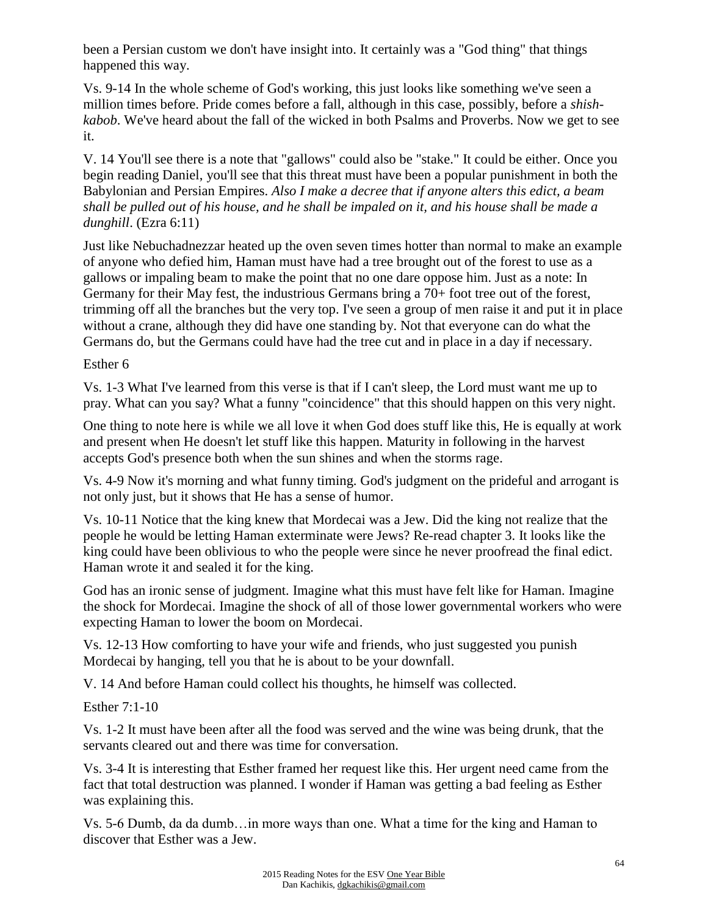been a Persian custom we don't have insight into. It certainly was a "God thing" that things happened this way.

Vs. 9-14 In the whole scheme of God's working, this just looks like something we've seen a million times before. Pride comes before a fall, although in this case, possibly, before a *shishkabob*. We've heard about the fall of the wicked in both Psalms and Proverbs. Now we get to see it.

V. 14 You'll see there is a note that "gallows" could also be "stake." It could be either. Once you begin reading Daniel, you'll see that this threat must have been a popular punishment in both the Babylonian and Persian Empires. *Also I make a decree that if anyone alters this edict, a beam shall be pulled out of his house, and he shall be impaled on it, and his house shall be made a dunghill*. (Ezra 6:11)

Just like Nebuchadnezzar heated up the oven seven times hotter than normal to make an example of anyone who defied him, Haman must have had a tree brought out of the forest to use as a gallows or impaling beam to make the point that no one dare oppose him. Just as a note: In Germany for their May fest, the industrious Germans bring a 70+ foot tree out of the forest, trimming off all the branches but the very top. I've seen a group of men raise it and put it in place without a crane, although they did have one standing by. Not that everyone can do what the Germans do, but the Germans could have had the tree cut and in place in a day if necessary.

#### Esther 6

Vs. 1-3 What I've learned from this verse is that if I can't sleep, the Lord must want me up to pray. What can you say? What a funny "coincidence" that this should happen on this very night.

One thing to note here is while we all love it when God does stuff like this, He is equally at work and present when He doesn't let stuff like this happen. Maturity in following in the harvest accepts God's presence both when the sun shines and when the storms rage.

Vs. 4-9 Now it's morning and what funny timing. God's judgment on the prideful and arrogant is not only just, but it shows that He has a sense of humor.

Vs. 10-11 Notice that the king knew that Mordecai was a Jew. Did the king not realize that the people he would be letting Haman exterminate were Jews? Re-read chapter 3. It looks like the king could have been oblivious to who the people were since he never proofread the final edict. Haman wrote it and sealed it for the king.

God has an ironic sense of judgment. Imagine what this must have felt like for Haman. Imagine the shock for Mordecai. Imagine the shock of all of those lower governmental workers who were expecting Haman to lower the boom on Mordecai.

Vs. 12-13 How comforting to have your wife and friends, who just suggested you punish Mordecai by hanging, tell you that he is about to be your downfall.

V. 14 And before Haman could collect his thoughts, he himself was collected.

Esther 7:1-10

Vs. 1-2 It must have been after all the food was served and the wine was being drunk, that the servants cleared out and there was time for conversation.

Vs. 3-4 It is interesting that Esther framed her request like this. Her urgent need came from the fact that total destruction was planned. I wonder if Haman was getting a bad feeling as Esther was explaining this.

Vs. 5-6 Dumb, da da dumb…in more ways than one. What a time for the king and Haman to discover that Esther was a Jew.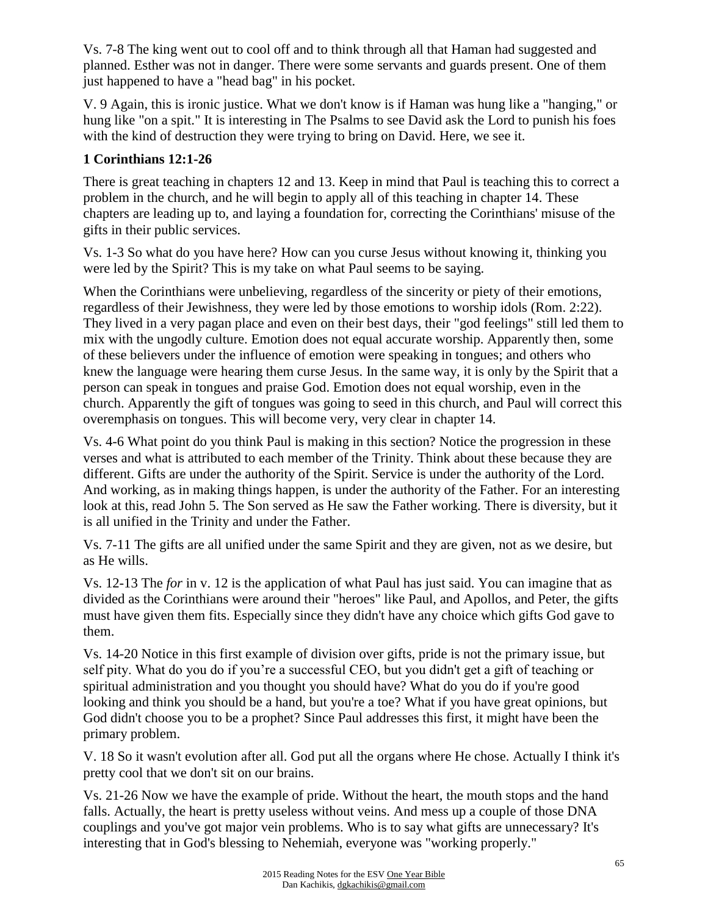Vs. 7-8 The king went out to cool off and to think through all that Haman had suggested and planned. Esther was not in danger. There were some servants and guards present. One of them just happened to have a "head bag" in his pocket.

V. 9 Again, this is ironic justice. What we don't know is if Haman was hung like a "hanging," or hung like "on a spit." It is interesting in The Psalms to see David ask the Lord to punish his foes with the kind of destruction they were trying to bring on David. Here, we see it.

## **1 Corinthians 12:1-26**

There is great teaching in chapters 12 and 13. Keep in mind that Paul is teaching this to correct a problem in the church, and he will begin to apply all of this teaching in chapter 14. These chapters are leading up to, and laying a foundation for, correcting the Corinthians' misuse of the gifts in their public services.

Vs. 1-3 So what do you have here? How can you curse Jesus without knowing it, thinking you were led by the Spirit? This is my take on what Paul seems to be saying.

When the Corinthians were unbelieving, regardless of the sincerity or piety of their emotions, regardless of their Jewishness, they were led by those emotions to worship idols (Rom. 2:22). They lived in a very pagan place and even on their best days, their "god feelings" still led them to mix with the ungodly culture. Emotion does not equal accurate worship. Apparently then, some of these believers under the influence of emotion were speaking in tongues; and others who knew the language were hearing them curse Jesus. In the same way, it is only by the Spirit that a person can speak in tongues and praise God. Emotion does not equal worship, even in the church. Apparently the gift of tongues was going to seed in this church, and Paul will correct this overemphasis on tongues. This will become very, very clear in chapter 14.

Vs. 4-6 What point do you think Paul is making in this section? Notice the progression in these verses and what is attributed to each member of the Trinity. Think about these because they are different. Gifts are under the authority of the Spirit. Service is under the authority of the Lord. And working, as in making things happen, is under the authority of the Father. For an interesting look at this, read John 5. The Son served as He saw the Father working. There is diversity, but it is all unified in the Trinity and under the Father.

Vs. 7-11 The gifts are all unified under the same Spirit and they are given, not as we desire, but as He wills.

Vs. 12-13 The *for* in v. 12 is the application of what Paul has just said. You can imagine that as divided as the Corinthians were around their "heroes" like Paul, and Apollos, and Peter, the gifts must have given them fits. Especially since they didn't have any choice which gifts God gave to them.

Vs. 14-20 Notice in this first example of division over gifts, pride is not the primary issue, but self pity. What do you do if you're a successful CEO, but you didn't get a gift of teaching or spiritual administration and you thought you should have? What do you do if you're good looking and think you should be a hand, but you're a toe? What if you have great opinions, but God didn't choose you to be a prophet? Since Paul addresses this first, it might have been the primary problem.

V. 18 So it wasn't evolution after all. God put all the organs where He chose. Actually I think it's pretty cool that we don't sit on our brains.

Vs. 21-26 Now we have the example of pride. Without the heart, the mouth stops and the hand falls. Actually, the heart is pretty useless without veins. And mess up a couple of those DNA couplings and you've got major vein problems. Who is to say what gifts are unnecessary? It's interesting that in God's blessing to Nehemiah, everyone was "working properly."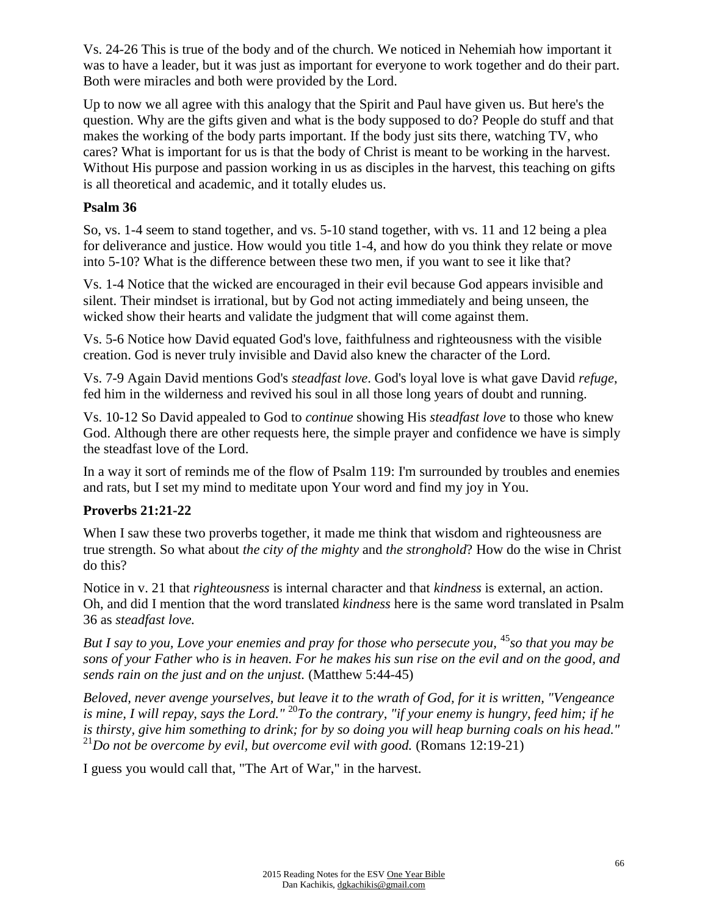Vs. 24-26 This is true of the body and of the church. We noticed in Nehemiah how important it was to have a leader, but it was just as important for everyone to work together and do their part. Both were miracles and both were provided by the Lord.

Up to now we all agree with this analogy that the Spirit and Paul have given us. But here's the question. Why are the gifts given and what is the body supposed to do? People do stuff and that makes the working of the body parts important. If the body just sits there, watching TV, who cares? What is important for us is that the body of Christ is meant to be working in the harvest. Without His purpose and passion working in us as disciples in the harvest, this teaching on gifts is all theoretical and academic, and it totally eludes us.

### **Psalm 36**

So, vs. 1-4 seem to stand together, and vs. 5-10 stand together, with vs. 11 and 12 being a plea for deliverance and justice. How would you title 1-4, and how do you think they relate or move into 5-10? What is the difference between these two men, if you want to see it like that?

Vs. 1-4 Notice that the wicked are encouraged in their evil because God appears invisible and silent. Their mindset is irrational, but by God not acting immediately and being unseen, the wicked show their hearts and validate the judgment that will come against them.

Vs. 5-6 Notice how David equated God's love, faithfulness and righteousness with the visible creation. God is never truly invisible and David also knew the character of the Lord.

Vs. 7-9 Again David mentions God's *steadfast love*. God's loyal love is what gave David *refuge*, fed him in the wilderness and revived his soul in all those long years of doubt and running.

Vs. 10-12 So David appealed to God to *continue* showing His *steadfast love* to those who knew God. Although there are other requests here, the simple prayer and confidence we have is simply the steadfast love of the Lord.

In a way it sort of reminds me of the flow of Psalm 119: I'm surrounded by troubles and enemies and rats, but I set my mind to meditate upon Your word and find my joy in You.

## **Proverbs 21:21-22**

When I saw these two proverbs together, it made me think that wisdom and righteousness are true strength. So what about *the city of the mighty* and *the stronghold*? How do the wise in Christ do this?

Notice in v. 21 that *righteousness* is internal character and that *kindness* is external, an action. Oh, and did I mention that the word translated *kindness* here is the same word translated in Psalm 36 as *steadfast love.*

*But I say to you, Love your enemies and pray for those who persecute you,* <sup>45</sup>*so that you may be sons of your Father who is in heaven. For he makes his sun rise on the evil and on the good, and sends rain on the just and on the unjust.* (Matthew 5:44-45)

*Beloved, never avenge yourselves, but leave it to the wrath of God, for it is written, "Vengeance is mine, I will repay, says the Lord."* <sup>20</sup>*To the contrary, "if your enemy is hungry, feed him; if he is thirsty, give him something to drink; for by so doing you will heap burning coals on his head."*  <sup>21</sup>*Do not be overcome by evil, but overcome evil with good.* (Romans 12:19-21)

I guess you would call that, "The Art of War," in the harvest.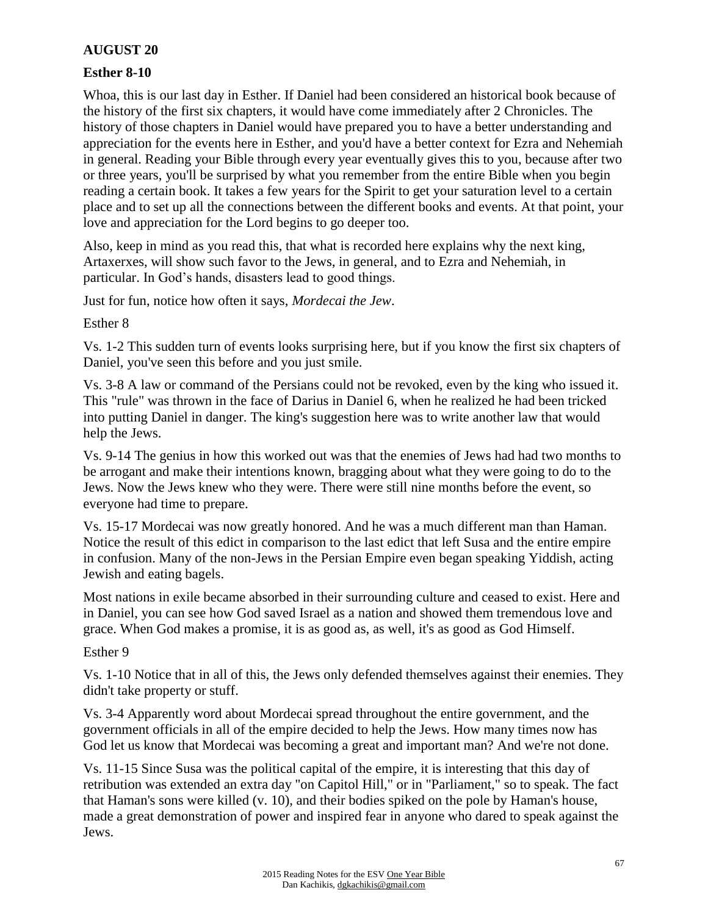### **AUGUST 20**

#### **Esther 8-10**

Whoa, this is our last day in Esther. If Daniel had been considered an historical book because of the history of the first six chapters, it would have come immediately after 2 Chronicles. The history of those chapters in Daniel would have prepared you to have a better understanding and appreciation for the events here in Esther, and you'd have a better context for Ezra and Nehemiah in general. Reading your Bible through every year eventually gives this to you, because after two or three years, you'll be surprised by what you remember from the entire Bible when you begin reading a certain book. It takes a few years for the Spirit to get your saturation level to a certain place and to set up all the connections between the different books and events. At that point, your love and appreciation for the Lord begins to go deeper too.

Also, keep in mind as you read this, that what is recorded here explains why the next king, Artaxerxes, will show such favor to the Jews, in general, and to Ezra and Nehemiah, in particular. In God's hands, disasters lead to good things.

Just for fun, notice how often it says, *Mordecai the Jew*.

Esther 8

Vs. 1-2 This sudden turn of events looks surprising here, but if you know the first six chapters of Daniel, you've seen this before and you just smile.

Vs. 3-8 A law or command of the Persians could not be revoked, even by the king who issued it. This "rule" was thrown in the face of Darius in Daniel 6, when he realized he had been tricked into putting Daniel in danger. The king's suggestion here was to write another law that would help the Jews.

Vs. 9-14 The genius in how this worked out was that the enemies of Jews had had two months to be arrogant and make their intentions known, bragging about what they were going to do to the Jews. Now the Jews knew who they were. There were still nine months before the event, so everyone had time to prepare.

Vs. 15-17 Mordecai was now greatly honored. And he was a much different man than Haman. Notice the result of this edict in comparison to the last edict that left Susa and the entire empire in confusion. Many of the non-Jews in the Persian Empire even began speaking Yiddish, acting Jewish and eating bagels.

Most nations in exile became absorbed in their surrounding culture and ceased to exist. Here and in Daniel, you can see how God saved Israel as a nation and showed them tremendous love and grace. When God makes a promise, it is as good as, as well, it's as good as God Himself.

Esther 9

Vs. 1-10 Notice that in all of this, the Jews only defended themselves against their enemies. They didn't take property or stuff.

Vs. 3-4 Apparently word about Mordecai spread throughout the entire government, and the government officials in all of the empire decided to help the Jews. How many times now has God let us know that Mordecai was becoming a great and important man? And we're not done.

Vs. 11-15 Since Susa was the political capital of the empire, it is interesting that this day of retribution was extended an extra day "on Capitol Hill," or in "Parliament," so to speak. The fact that Haman's sons were killed (v. 10), and their bodies spiked on the pole by Haman's house, made a great demonstration of power and inspired fear in anyone who dared to speak against the Jews.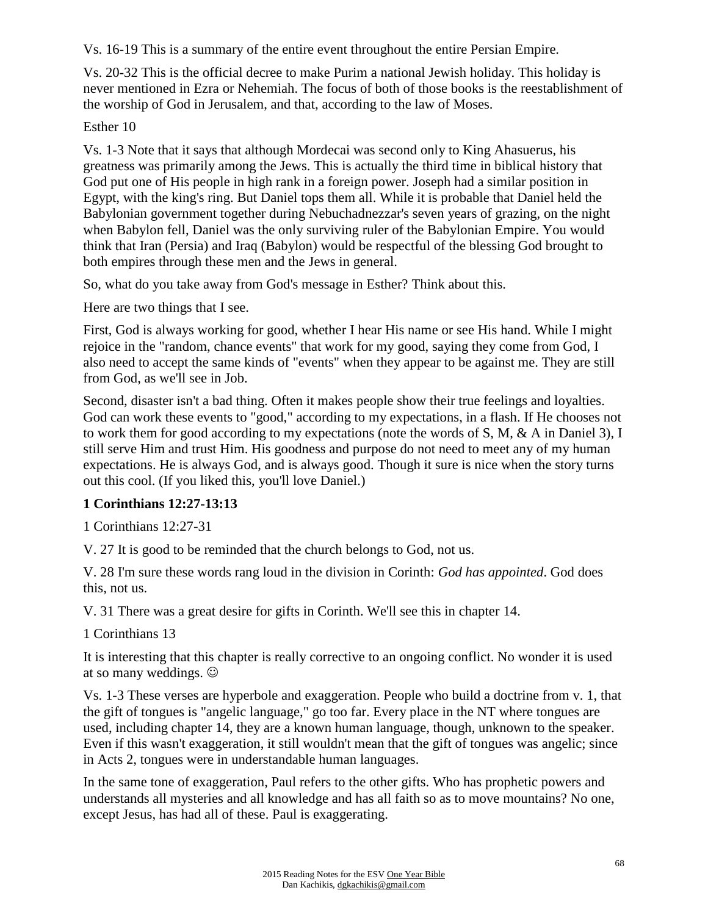Vs. 16-19 This is a summary of the entire event throughout the entire Persian Empire.

Vs. 20-32 This is the official decree to make Purim a national Jewish holiday. This holiday is never mentioned in Ezra or Nehemiah. The focus of both of those books is the reestablishment of the worship of God in Jerusalem, and that, according to the law of Moses.

## Esther 10

Vs. 1-3 Note that it says that although Mordecai was second only to King Ahasuerus, his greatness was primarily among the Jews. This is actually the third time in biblical history that God put one of His people in high rank in a foreign power. Joseph had a similar position in Egypt, with the king's ring. But Daniel tops them all. While it is probable that Daniel held the Babylonian government together during Nebuchadnezzar's seven years of grazing, on the night when Babylon fell, Daniel was the only surviving ruler of the Babylonian Empire. You would think that Iran (Persia) and Iraq (Babylon) would be respectful of the blessing God brought to both empires through these men and the Jews in general.

So, what do you take away from God's message in Esther? Think about this.

Here are two things that I see.

First, God is always working for good, whether I hear His name or see His hand. While I might rejoice in the "random, chance events" that work for my good, saying they come from God, I also need to accept the same kinds of "events" when they appear to be against me. They are still from God, as we'll see in Job.

Second, disaster isn't a bad thing. Often it makes people show their true feelings and loyalties. God can work these events to "good," according to my expectations, in a flash. If He chooses not to work them for good according to my expectations (note the words of S, M, & A in Daniel 3), I still serve Him and trust Him. His goodness and purpose do not need to meet any of my human expectations. He is always God, and is always good. Though it sure is nice when the story turns out this cool. (If you liked this, you'll love Daniel.)

## **1 Corinthians 12:27-13:13**

1 Corinthians 12:27-31

V. 27 It is good to be reminded that the church belongs to God, not us.

V. 28 I'm sure these words rang loud in the division in Corinth: *God has appointed*. God does this, not us.

V. 31 There was a great desire for gifts in Corinth. We'll see this in chapter 14.

1 Corinthians 13

It is interesting that this chapter is really corrective to an ongoing conflict. No wonder it is used at so many weddings.

Vs. 1-3 These verses are hyperbole and exaggeration. People who build a doctrine from v. 1, that the gift of tongues is "angelic language," go too far. Every place in the NT where tongues are used, including chapter 14, they are a known human language, though, unknown to the speaker. Even if this wasn't exaggeration, it still wouldn't mean that the gift of tongues was angelic; since in Acts 2, tongues were in understandable human languages.

In the same tone of exaggeration, Paul refers to the other gifts. Who has prophetic powers and understands all mysteries and all knowledge and has all faith so as to move mountains? No one, except Jesus, has had all of these. Paul is exaggerating.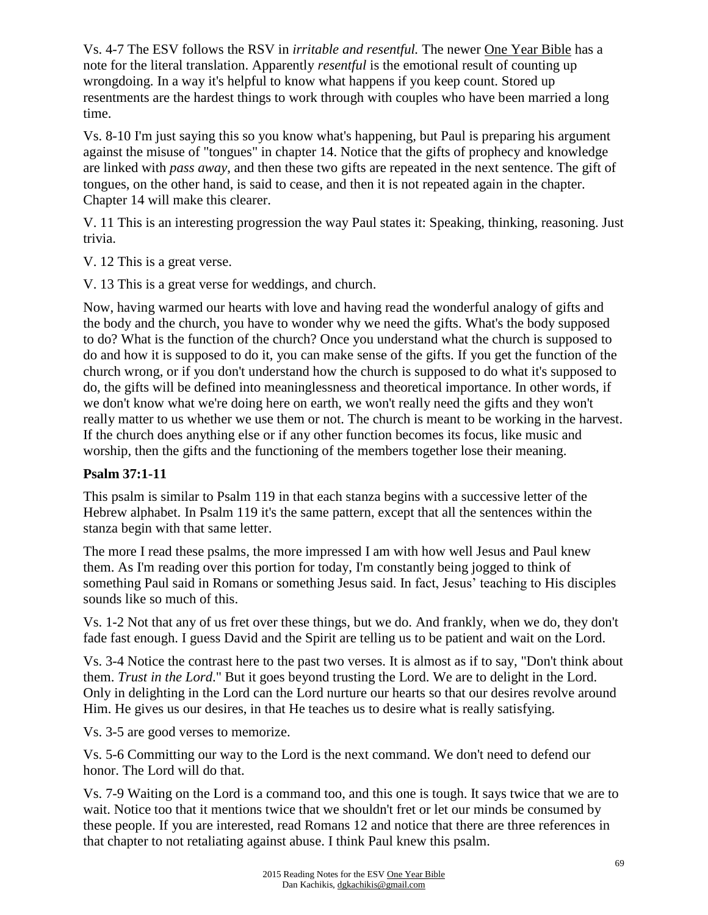Vs. 4-7 The ESV follows the RSV in *irritable and resentful.* The newer One Year Bible has a note for the literal translation. Apparently *resentful* is the emotional result of counting up wrongdoing. In a way it's helpful to know what happens if you keep count. Stored up resentments are the hardest things to work through with couples who have been married a long time.

Vs. 8-10 I'm just saying this so you know what's happening, but Paul is preparing his argument against the misuse of "tongues" in chapter 14. Notice that the gifts of prophecy and knowledge are linked with *pass away*, and then these two gifts are repeated in the next sentence. The gift of tongues, on the other hand, is said to cease, and then it is not repeated again in the chapter. Chapter 14 will make this clearer.

V. 11 This is an interesting progression the way Paul states it: Speaking, thinking, reasoning. Just trivia.

V. 12 This is a great verse.

V. 13 This is a great verse for weddings, and church.

Now, having warmed our hearts with love and having read the wonderful analogy of gifts and the body and the church, you have to wonder why we need the gifts. What's the body supposed to do? What is the function of the church? Once you understand what the church is supposed to do and how it is supposed to do it, you can make sense of the gifts. If you get the function of the church wrong, or if you don't understand how the church is supposed to do what it's supposed to do, the gifts will be defined into meaninglessness and theoretical importance. In other words, if we don't know what we're doing here on earth, we won't really need the gifts and they won't really matter to us whether we use them or not. The church is meant to be working in the harvest. If the church does anything else or if any other function becomes its focus, like music and worship, then the gifts and the functioning of the members together lose their meaning.

## **Psalm 37:1-11**

This psalm is similar to Psalm 119 in that each stanza begins with a successive letter of the Hebrew alphabet. In Psalm 119 it's the same pattern, except that all the sentences within the stanza begin with that same letter.

The more I read these psalms, the more impressed I am with how well Jesus and Paul knew them. As I'm reading over this portion for today, I'm constantly being jogged to think of something Paul said in Romans or something Jesus said. In fact, Jesus' teaching to His disciples sounds like so much of this.

Vs. 1-2 Not that any of us fret over these things, but we do. And frankly, when we do, they don't fade fast enough. I guess David and the Spirit are telling us to be patient and wait on the Lord.

Vs. 3-4 Notice the contrast here to the past two verses. It is almost as if to say, "Don't think about them. *Trust in the Lord*." But it goes beyond trusting the Lord. We are to delight in the Lord. Only in delighting in the Lord can the Lord nurture our hearts so that our desires revolve around Him. He gives us our desires, in that He teaches us to desire what is really satisfying.

Vs. 3-5 are good verses to memorize.

Vs. 5-6 Committing our way to the Lord is the next command. We don't need to defend our honor. The Lord will do that.

Vs. 7-9 Waiting on the Lord is a command too, and this one is tough. It says twice that we are to wait. Notice too that it mentions twice that we shouldn't fret or let our minds be consumed by these people. If you are interested, read Romans 12 and notice that there are three references in that chapter to not retaliating against abuse. I think Paul knew this psalm.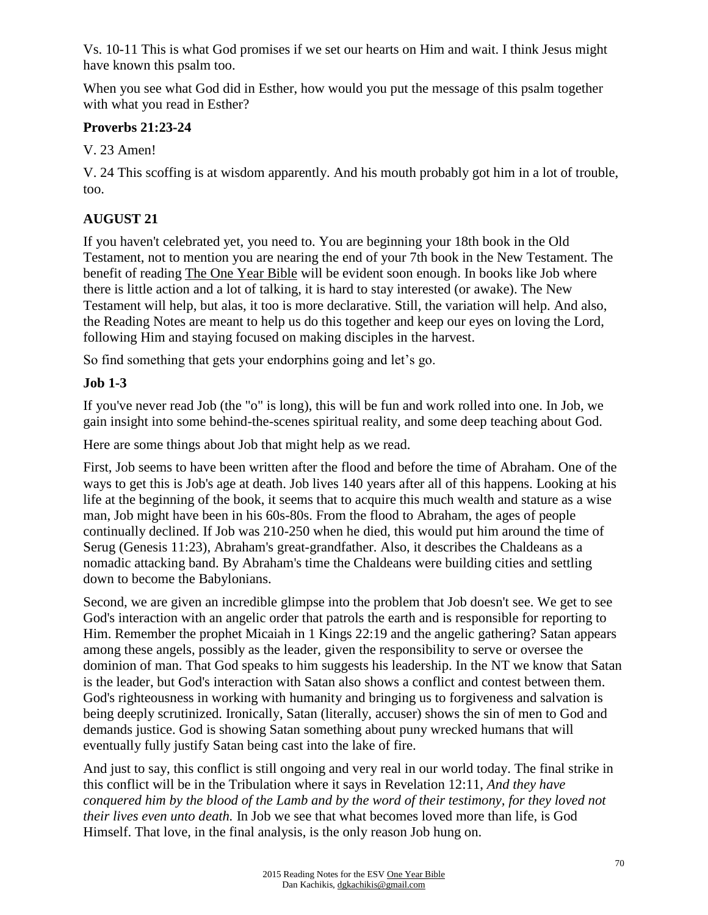Vs. 10-11 This is what God promises if we set our hearts on Him and wait. I think Jesus might have known this psalm too.

When you see what God did in Esther, how would you put the message of this psalm together with what you read in Esther?

## **Proverbs 21:23-24**

V. 23 Amen!

V. 24 This scoffing is at wisdom apparently. And his mouth probably got him in a lot of trouble, too.

# **AUGUST 21**

If you haven't celebrated yet, you need to. You are beginning your 18th book in the Old Testament, not to mention you are nearing the end of your 7th book in the New Testament. The benefit of reading The One Year Bible will be evident soon enough. In books like Job where there is little action and a lot of talking, it is hard to stay interested (or awake). The New Testament will help, but alas, it too is more declarative. Still, the variation will help. And also, the Reading Notes are meant to help us do this together and keep our eyes on loving the Lord, following Him and staying focused on making disciples in the harvest.

So find something that gets your endorphins going and let's go.

## **Job 1-3**

If you've never read Job (the "o" is long), this will be fun and work rolled into one. In Job, we gain insight into some behind-the-scenes spiritual reality, and some deep teaching about God.

Here are some things about Job that might help as we read.

First, Job seems to have been written after the flood and before the time of Abraham. One of the ways to get this is Job's age at death. Job lives 140 years after all of this happens. Looking at his life at the beginning of the book, it seems that to acquire this much wealth and stature as a wise man, Job might have been in his 60s-80s. From the flood to Abraham, the ages of people continually declined. If Job was 210-250 when he died, this would put him around the time of Serug (Genesis 11:23), Abraham's great-grandfather. Also, it describes the Chaldeans as a nomadic attacking band. By Abraham's time the Chaldeans were building cities and settling down to become the Babylonians.

Second, we are given an incredible glimpse into the problem that Job doesn't see. We get to see God's interaction with an angelic order that patrols the earth and is responsible for reporting to Him. Remember the prophet Micaiah in 1 Kings 22:19 and the angelic gathering? Satan appears among these angels, possibly as the leader, given the responsibility to serve or oversee the dominion of man. That God speaks to him suggests his leadership. In the NT we know that Satan is the leader, but God's interaction with Satan also shows a conflict and contest between them. God's righteousness in working with humanity and bringing us to forgiveness and salvation is being deeply scrutinized. Ironically, Satan (literally, accuser) shows the sin of men to God and demands justice. God is showing Satan something about puny wrecked humans that will eventually fully justify Satan being cast into the lake of fire.

And just to say, this conflict is still ongoing and very real in our world today. The final strike in this conflict will be in the Tribulation where it says in Revelation 12:11, *And they have conquered him by the blood of the Lamb and by the word of their testimony, for they loved not their lives even unto death.* In Job we see that what becomes loved more than life, is God Himself. That love, in the final analysis, is the only reason Job hung on.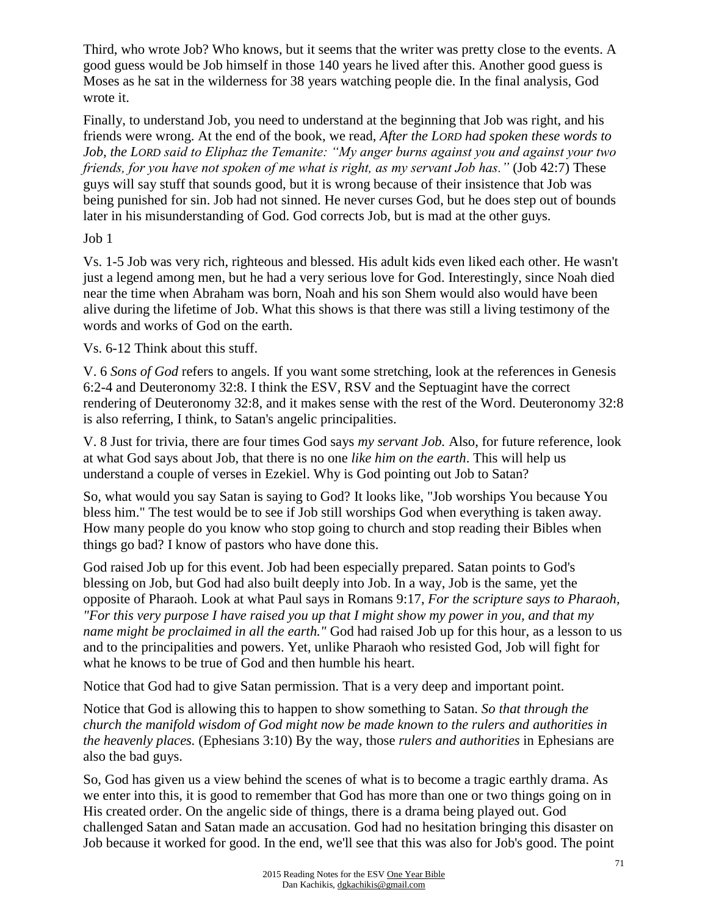Third, who wrote Job? Who knows, but it seems that the writer was pretty close to the events. A good guess would be Job himself in those 140 years he lived after this. Another good guess is Moses as he sat in the wilderness for 38 years watching people die. In the final analysis, God wrote it.

Finally, to understand Job, you need to understand at the beginning that Job was right, and his friends were wrong. At the end of the book, we read, *After the LORD had spoken these words to Job, the LORD said to Eliphaz the Temanite: "My anger burns against you and against your two friends, for you have not spoken of me what is right, as my servant Job has."* (Job 42:7) These guys will say stuff that sounds good, but it is wrong because of their insistence that Job was being punished for sin. Job had not sinned. He never curses God, but he does step out of bounds later in his misunderstanding of God. God corrects Job, but is mad at the other guys.

### Job 1

Vs. 1-5 Job was very rich, righteous and blessed. His adult kids even liked each other. He wasn't just a legend among men, but he had a very serious love for God. Interestingly, since Noah died near the time when Abraham was born, Noah and his son Shem would also would have been alive during the lifetime of Job. What this shows is that there was still a living testimony of the words and works of God on the earth.

### Vs. 6-12 Think about this stuff.

V. 6 *Sons of God* refers to angels. If you want some stretching, look at the references in Genesis 6:2-4 and Deuteronomy 32:8. I think the ESV, RSV and the Septuagint have the correct rendering of Deuteronomy 32:8, and it makes sense with the rest of the Word. Deuteronomy 32:8 is also referring, I think, to Satan's angelic principalities.

V. 8 Just for trivia, there are four times God says *my servant Job.* Also, for future reference, look at what God says about Job, that there is no one *like him on the earth*. This will help us understand a couple of verses in Ezekiel. Why is God pointing out Job to Satan?

So, what would you say Satan is saying to God? It looks like, "Job worships You because You bless him." The test would be to see if Job still worships God when everything is taken away. How many people do you know who stop going to church and stop reading their Bibles when things go bad? I know of pastors who have done this.

God raised Job up for this event. Job had been especially prepared. Satan points to God's blessing on Job, but God had also built deeply into Job. In a way, Job is the same, yet the opposite of Pharaoh. Look at what Paul says in Romans 9:17, *For the scripture says to Pharaoh, "For this very purpose I have raised you up that I might show my power in you, and that my name might be proclaimed in all the earth."* God had raised Job up for this hour, as a lesson to us and to the principalities and powers. Yet, unlike Pharaoh who resisted God, Job will fight for what he knows to be true of God and then humble his heart.

Notice that God had to give Satan permission. That is a very deep and important point.

Notice that God is allowing this to happen to show something to Satan. *So that through the church the manifold wisdom of God might now be made known to the rulers and authorities in the heavenly places.* (Ephesians 3:10) By the way, those *rulers and authorities* in Ephesians are also the bad guys.

So, God has given us a view behind the scenes of what is to become a tragic earthly drama. As we enter into this, it is good to remember that God has more than one or two things going on in His created order. On the angelic side of things, there is a drama being played out. God challenged Satan and Satan made an accusation. God had no hesitation bringing this disaster on Job because it worked for good. In the end, we'll see that this was also for Job's good. The point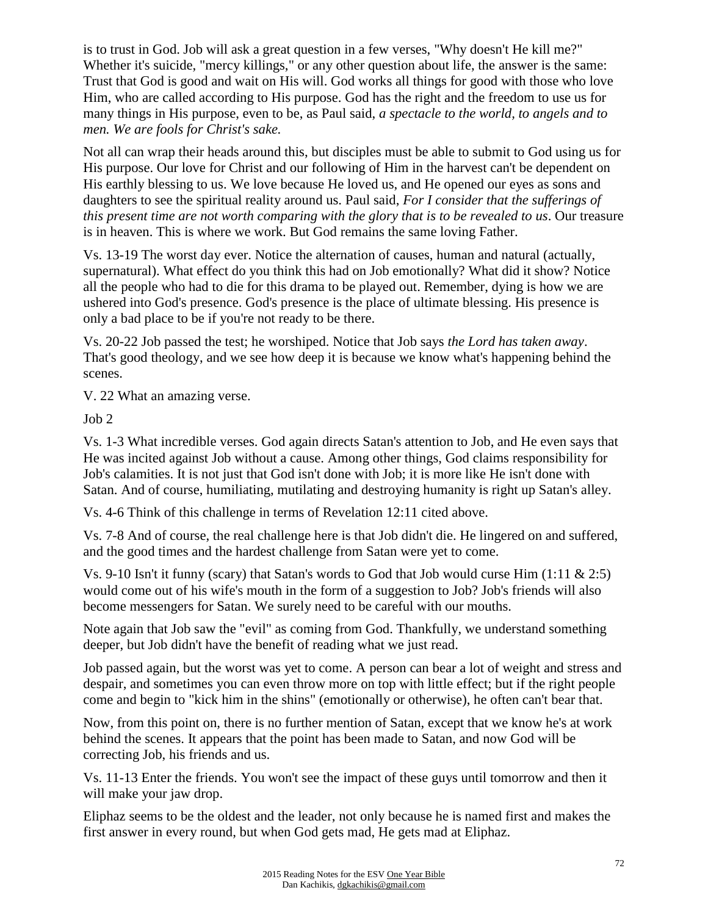is to trust in God. Job will ask a great question in a few verses, "Why doesn't He kill me?" Whether it's suicide, "mercy killings," or any other question about life, the answer is the same: Trust that God is good and wait on His will. God works all things for good with those who love Him, who are called according to His purpose. God has the right and the freedom to use us for many things in His purpose, even to be, as Paul said, *a spectacle to the world, to angels and to men. We are fools for Christ's sake.*

Not all can wrap their heads around this, but disciples must be able to submit to God using us for His purpose. Our love for Christ and our following of Him in the harvest can't be dependent on His earthly blessing to us. We love because He loved us, and He opened our eyes as sons and daughters to see the spiritual reality around us. Paul said, *For I consider that the sufferings of this present time are not worth comparing with the glory that is to be revealed to us*. Our treasure is in heaven. This is where we work. But God remains the same loving Father.

Vs. 13-19 The worst day ever. Notice the alternation of causes, human and natural (actually, supernatural). What effect do you think this had on Job emotionally? What did it show? Notice all the people who had to die for this drama to be played out. Remember, dying is how we are ushered into God's presence. God's presence is the place of ultimate blessing. His presence is only a bad place to be if you're not ready to be there.

Vs. 20-22 Job passed the test; he worshiped. Notice that Job says *the Lord has taken away*. That's good theology, and we see how deep it is because we know what's happening behind the scenes.

V. 22 What an amazing verse.

Job 2

Vs. 1-3 What incredible verses. God again directs Satan's attention to Job, and He even says that He was incited against Job without a cause. Among other things, God claims responsibility for Job's calamities. It is not just that God isn't done with Job; it is more like He isn't done with Satan. And of course, humiliating, mutilating and destroying humanity is right up Satan's alley.

Vs. 4-6 Think of this challenge in terms of Revelation 12:11 cited above.

Vs. 7-8 And of course, the real challenge here is that Job didn't die. He lingered on and suffered, and the good times and the hardest challenge from Satan were yet to come.

Vs. 9-10 Isn't it funny (scary) that Satan's words to God that Job would curse Him (1:11 & 2:5) would come out of his wife's mouth in the form of a suggestion to Job? Job's friends will also become messengers for Satan. We surely need to be careful with our mouths.

Note again that Job saw the "evil" as coming from God. Thankfully, we understand something deeper, but Job didn't have the benefit of reading what we just read.

Job passed again, but the worst was yet to come. A person can bear a lot of weight and stress and despair, and sometimes you can even throw more on top with little effect; but if the right people come and begin to "kick him in the shins" (emotionally or otherwise), he often can't bear that.

Now, from this point on, there is no further mention of Satan, except that we know he's at work behind the scenes. It appears that the point has been made to Satan, and now God will be correcting Job, his friends and us.

Vs. 11-13 Enter the friends. You won't see the impact of these guys until tomorrow and then it will make your jaw drop.

Eliphaz seems to be the oldest and the leader, not only because he is named first and makes the first answer in every round, but when God gets mad, He gets mad at Eliphaz.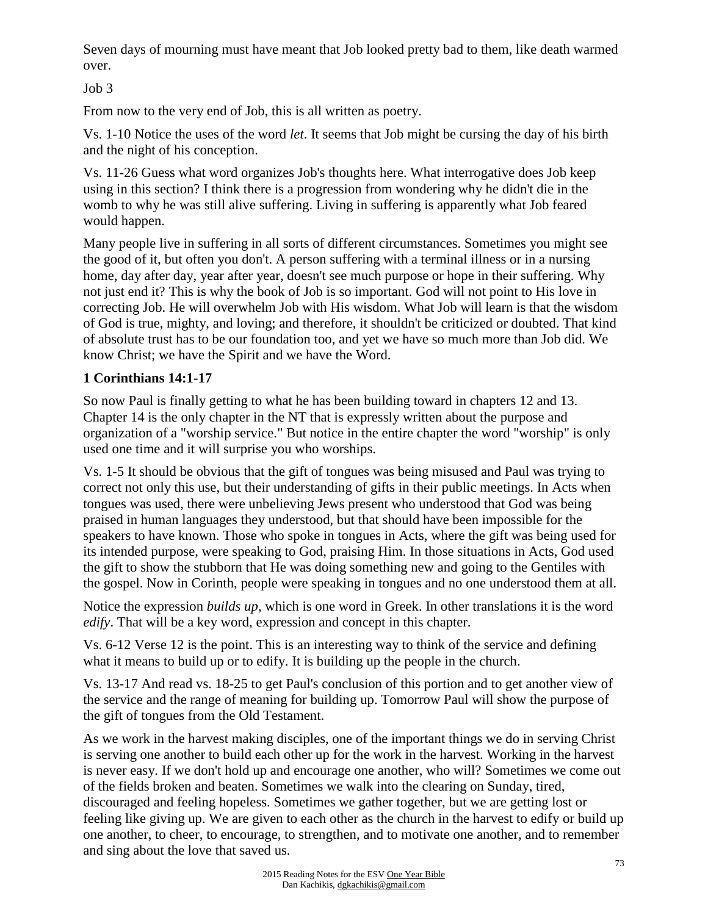Seven days of mourning must have meant that Job looked pretty bad to them, like death warmed over.

Job 3

From now to the very end of Job, this is all written as poetry.

Vs. 1-10 Notice the uses of the word *let*. It seems that Job might be cursing the day of his birth and the night of his conception.

Vs. 11-26 Guess what word organizes Job's thoughts here. What interrogative does Job keep using in this section? I think there is a progression from wondering why he didn't die in the womb to why he was still alive suffering. Living in suffering is apparently what Job feared would happen.

Many people live in suffering in all sorts of different circumstances. Sometimes you might see the good of it, but often you don't. A person suffering with a terminal illness or in a nursing home, day after day, year after year, doesn't see much purpose or hope in their suffering. Why not just end it? This is why the book of Job is so important. God will not point to His love in correcting Job. He will overwhelm Job with His wisdom. What Job will learn is that the wisdom of God is true, mighty, and loving; and therefore, it shouldn't be criticized or doubted. That kind of absolute trust has to be our foundation too, and yet we have so much more than Job did. We know Christ; we have the Spirit and we have the Word.

# **1 Corinthians 14:1-17**

So now Paul is finally getting to what he has been building toward in chapters 12 and 13. Chapter 14 is the only chapter in the NT that is expressly written about the purpose and organization of a "worship service." But notice in the entire chapter the word "worship" is only used one time and it will surprise you who worships.

Vs. 1-5 It should be obvious that the gift of tongues was being misused and Paul was trying to correct not only this use, but their understanding of gifts in their public meetings. In Acts when tongues was used, there were unbelieving Jews present who understood that God was being praised in human languages they understood, but that should have been impossible for the speakers to have known. Those who spoke in tongues in Acts, where the gift was being used for its intended purpose, were speaking to God, praising Him. In those situations in Acts, God used the gift to show the stubborn that He was doing something new and going to the Gentiles with the gospel. Now in Corinth, people were speaking in tongues and no one understood them at all.

Notice the expression *builds up*, which is one word in Greek. In other translations it is the word *edify*. That will be a key word, expression and concept in this chapter.

Vs. 6-12 Verse 12 is the point. This is an interesting way to think of the service and defining what it means to build up or to edify. It is building up the people in the church.

Vs. 13-17 And read vs. 18-25 to get Paul's conclusion of this portion and to get another view of the service and the range of meaning for building up. Tomorrow Paul will show the purpose of the gift of tongues from the Old Testament.

As we work in the harvest making disciples, one of the important things we do in serving Christ is serving one another to build each other up for the work in the harvest. Working in the harvest is never easy. If we don't hold up and encourage one another, who will? Sometimes we come out of the fields broken and beaten. Sometimes we walk into the clearing on Sunday, tired, discouraged and feeling hopeless. Sometimes we gather together, but we are getting lost or feeling like giving up. We are given to each other as the church in the harvest to edify or build up one another, to cheer, to encourage, to strengthen, and to motivate one another, and to remember and sing about the love that saved us.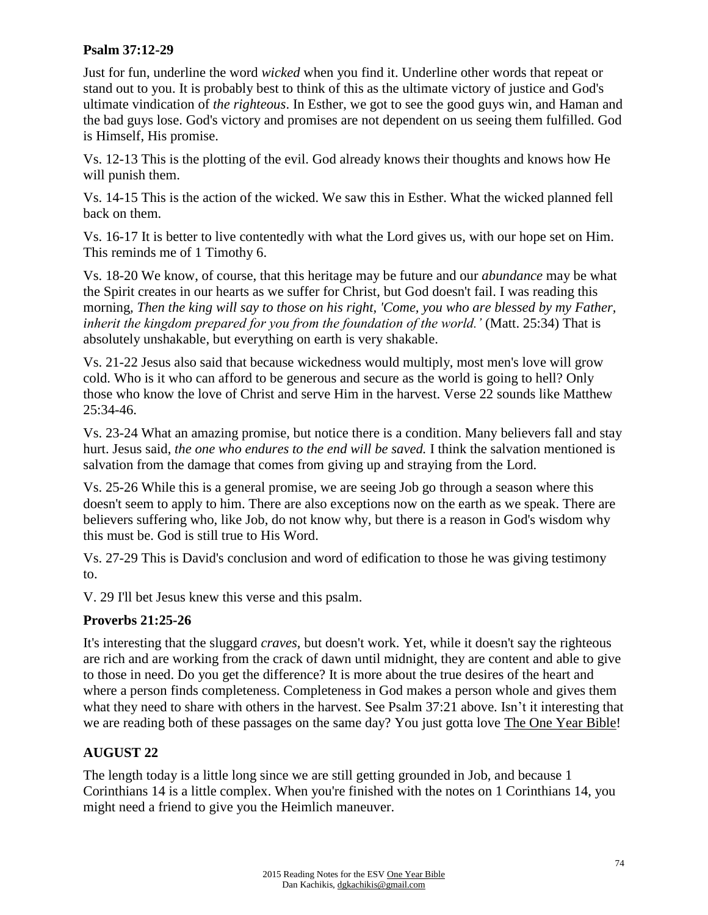### **Psalm 37:12-29**

Just for fun, underline the word *wicked* when you find it. Underline other words that repeat or stand out to you. It is probably best to think of this as the ultimate victory of justice and God's ultimate vindication of *the righteous*. In Esther, we got to see the good guys win, and Haman and the bad guys lose. God's victory and promises are not dependent on us seeing them fulfilled. God is Himself, His promise.

Vs. 12-13 This is the plotting of the evil. God already knows their thoughts and knows how He will punish them.

Vs. 14-15 This is the action of the wicked. We saw this in Esther. What the wicked planned fell back on them.

Vs. 16-17 It is better to live contentedly with what the Lord gives us, with our hope set on Him. This reminds me of 1 Timothy 6.

Vs. 18-20 We know, of course, that this heritage may be future and our *abundance* may be what the Spirit creates in our hearts as we suffer for Christ, but God doesn't fail. I was reading this morning*, Then the king will say to those on his right, 'Come, you who are blessed by my Father, inherit the kingdom prepared for you from the foundation of the world.'* (Matt. 25:34) That is absolutely unshakable, but everything on earth is very shakable.

Vs. 21-22 Jesus also said that because wickedness would multiply, most men's love will grow cold. Who is it who can afford to be generous and secure as the world is going to hell? Only those who know the love of Christ and serve Him in the harvest. Verse 22 sounds like Matthew 25:34-46.

Vs. 23-24 What an amazing promise, but notice there is a condition. Many believers fall and stay hurt. Jesus said, *the one who endures to the end will be saved.* I think the salvation mentioned is salvation from the damage that comes from giving up and straying from the Lord.

Vs. 25-26 While this is a general promise, we are seeing Job go through a season where this doesn't seem to apply to him. There are also exceptions now on the earth as we speak. There are believers suffering who, like Job, do not know why, but there is a reason in God's wisdom why this must be. God is still true to His Word.

Vs. 27-29 This is David's conclusion and word of edification to those he was giving testimony to.

V. 29 I'll bet Jesus knew this verse and this psalm.

## **Proverbs 21:25-26**

It's interesting that the sluggard *craves*, but doesn't work. Yet, while it doesn't say the righteous are rich and are working from the crack of dawn until midnight, they are content and able to give to those in need. Do you get the difference? It is more about the true desires of the heart and where a person finds completeness. Completeness in God makes a person whole and gives them what they need to share with others in the harvest. See Psalm 37:21 above. Isn't it interesting that we are reading both of these passages on the same day? You just gotta love The One Year Bible!

## **AUGUST 22**

The length today is a little long since we are still getting grounded in Job, and because 1 Corinthians 14 is a little complex. When you're finished with the notes on 1 Corinthians 14, you might need a friend to give you the Heimlich maneuver.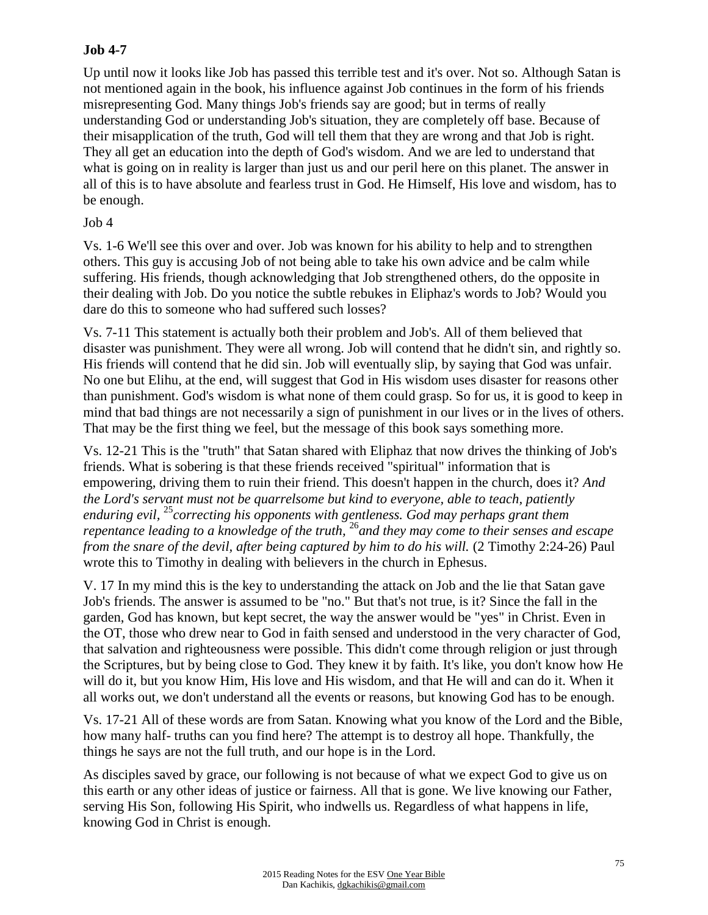### **Job 4-7**

Up until now it looks like Job has passed this terrible test and it's over. Not so. Although Satan is not mentioned again in the book, his influence against Job continues in the form of his friends misrepresenting God. Many things Job's friends say are good; but in terms of really understanding God or understanding Job's situation, they are completely off base. Because of their misapplication of the truth, God will tell them that they are wrong and that Job is right. They all get an education into the depth of God's wisdom. And we are led to understand that what is going on in reality is larger than just us and our peril here on this planet. The answer in all of this is to have absolute and fearless trust in God. He Himself, His love and wisdom, has to be enough.

#### Job 4

Vs. 1-6 We'll see this over and over. Job was known for his ability to help and to strengthen others. This guy is accusing Job of not being able to take his own advice and be calm while suffering. His friends, though acknowledging that Job strengthened others, do the opposite in their dealing with Job. Do you notice the subtle rebukes in Eliphaz's words to Job? Would you dare do this to someone who had suffered such losses?

Vs. 7-11 This statement is actually both their problem and Job's. All of them believed that disaster was punishment. They were all wrong. Job will contend that he didn't sin, and rightly so. His friends will contend that he did sin. Job will eventually slip, by saying that God was unfair. No one but Elihu, at the end, will suggest that God in His wisdom uses disaster for reasons other than punishment. God's wisdom is what none of them could grasp. So for us, it is good to keep in mind that bad things are not necessarily a sign of punishment in our lives or in the lives of others. That may be the first thing we feel, but the message of this book says something more.

Vs. 12-21 This is the "truth" that Satan shared with Eliphaz that now drives the thinking of Job's friends. What is sobering is that these friends received "spiritual" information that is empowering, driving them to ruin their friend. This doesn't happen in the church, does it? *And the Lord's servant must not be quarrelsome but kind to everyone, able to teach, patiently enduring evil,* <sup>25</sup>*correcting his opponents with gentleness. God may perhaps grant them repentance leading to a knowledge of the truth,* <sup>26</sup>*and they may come to their senses and escape from the snare of the devil, after being captured by him to do his will.* (2 Timothy 2:24-26) Paul wrote this to Timothy in dealing with believers in the church in Ephesus.

V. 17 In my mind this is the key to understanding the attack on Job and the lie that Satan gave Job's friends. The answer is assumed to be "no." But that's not true, is it? Since the fall in the garden, God has known, but kept secret, the way the answer would be "yes" in Christ. Even in the OT, those who drew near to God in faith sensed and understood in the very character of God, that salvation and righteousness were possible. This didn't come through religion or just through the Scriptures, but by being close to God. They knew it by faith. It's like, you don't know how He will do it, but you know Him, His love and His wisdom, and that He will and can do it. When it all works out, we don't understand all the events or reasons, but knowing God has to be enough.

Vs. 17-21 All of these words are from Satan. Knowing what you know of the Lord and the Bible, how many half- truths can you find here? The attempt is to destroy all hope. Thankfully, the things he says are not the full truth, and our hope is in the Lord.

As disciples saved by grace, our following is not because of what we expect God to give us on this earth or any other ideas of justice or fairness. All that is gone. We live knowing our Father, serving His Son, following His Spirit, who indwells us. Regardless of what happens in life, knowing God in Christ is enough.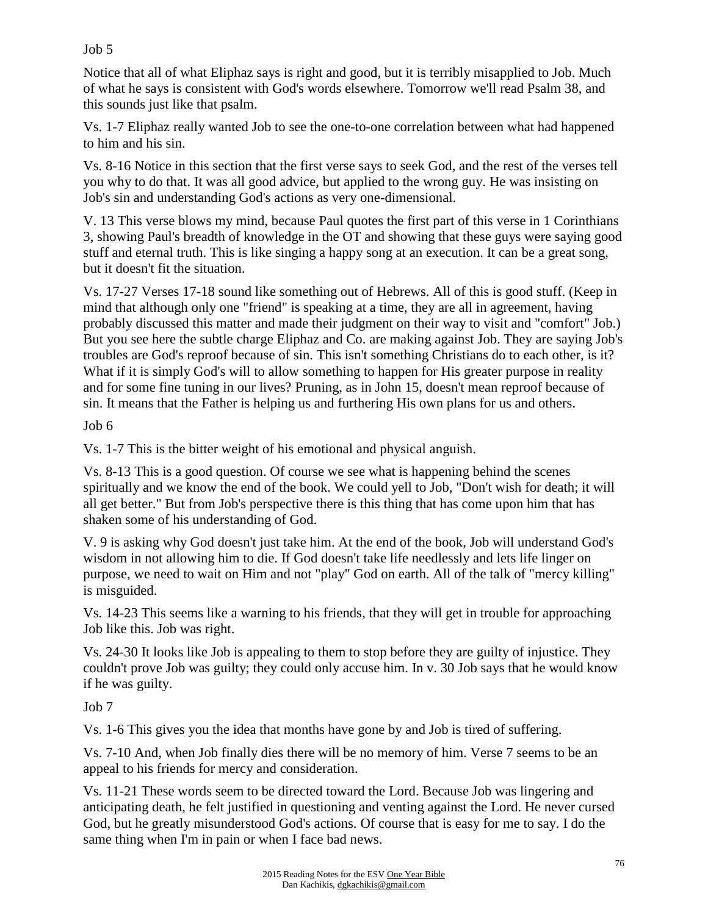### Job 5

Notice that all of what Eliphaz says is right and good, but it is terribly misapplied to Job. Much of what he says is consistent with God's words elsewhere. Tomorrow we'll read Psalm 38, and this sounds just like that psalm.

Vs. 1-7 Eliphaz really wanted Job to see the one-to-one correlation between what had happened to him and his sin.

Vs. 8-16 Notice in this section that the first verse says to seek God, and the rest of the verses tell you why to do that. It was all good advice, but applied to the wrong guy. He was insisting on Job's sin and understanding God's actions as very one-dimensional.

V. 13 This verse blows my mind, because Paul quotes the first part of this verse in 1 Corinthians 3, showing Paul's breadth of knowledge in the OT and showing that these guys were saying good stuff and eternal truth. This is like singing a happy song at an execution. It can be a great song, but it doesn't fit the situation.

Vs. 17-27 Verses 17-18 sound like something out of Hebrews. All of this is good stuff. (Keep in mind that although only one "friend" is speaking at a time, they are all in agreement, having probably discussed this matter and made their judgment on their way to visit and "comfort" Job.) But you see here the subtle charge Eliphaz and Co. are making against Job. They are saying Job's troubles are God's reproof because of sin. This isn't something Christians do to each other, is it? What if it is simply God's will to allow something to happen for His greater purpose in reality and for some fine tuning in our lives? Pruning, as in John 15, doesn't mean reproof because of sin. It means that the Father is helping us and furthering His own plans for us and others.

Job 6

Vs. 1-7 This is the bitter weight of his emotional and physical anguish.

Vs. 8-13 This is a good question. Of course we see what is happening behind the scenes spiritually and we know the end of the book. We could yell to Job, "Don't wish for death; it will all get better." But from Job's perspective there is this thing that has come upon him that has shaken some of his understanding of God.

V. 9 is asking why God doesn't just take him. At the end of the book, Job will understand God's wisdom in not allowing him to die. If God doesn't take life needlessly and lets life linger on purpose, we need to wait on Him and not "play" God on earth. All of the talk of "mercy killing" is misguided.

Vs. 14-23 This seems like a warning to his friends, that they will get in trouble for approaching Job like this. Job was right.

Vs. 24-30 It looks like Job is appealing to them to stop before they are guilty of injustice. They couldn't prove Job was guilty; they could only accuse him. In v. 30 Job says that he would know if he was guilty.

Job 7

Vs. 1-6 This gives you the idea that months have gone by and Job is tired of suffering.

Vs. 7-10 And, when Job finally dies there will be no memory of him. Verse 7 seems to be an appeal to his friends for mercy and consideration.

Vs. 11-21 These words seem to be directed toward the Lord. Because Job was lingering and anticipating death, he felt justified in questioning and venting against the Lord. He never cursed God, but he greatly misunderstood God's actions. Of course that is easy for me to say. I do the same thing when I'm in pain or when I face bad news.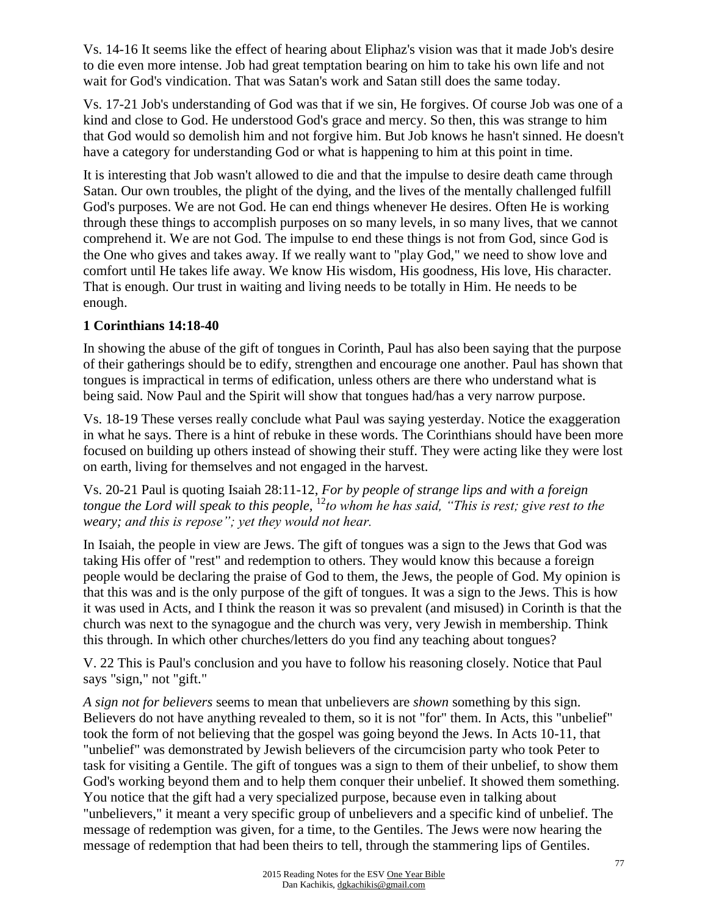Vs. 14-16 It seems like the effect of hearing about Eliphaz's vision was that it made Job's desire to die even more intense. Job had great temptation bearing on him to take his own life and not wait for God's vindication. That was Satan's work and Satan still does the same today.

Vs. 17-21 Job's understanding of God was that if we sin, He forgives. Of course Job was one of a kind and close to God. He understood God's grace and mercy. So then, this was strange to him that God would so demolish him and not forgive him. But Job knows he hasn't sinned. He doesn't have a category for understanding God or what is happening to him at this point in time.

It is interesting that Job wasn't allowed to die and that the impulse to desire death came through Satan. Our own troubles, the plight of the dying, and the lives of the mentally challenged fulfill God's purposes. We are not God. He can end things whenever He desires. Often He is working through these things to accomplish purposes on so many levels, in so many lives, that we cannot comprehend it. We are not God. The impulse to end these things is not from God, since God is the One who gives and takes away. If we really want to "play God," we need to show love and comfort until He takes life away. We know His wisdom, His goodness, His love, His character. That is enough. Our trust in waiting and living needs to be totally in Him. He needs to be enough.

## **1 Corinthians 14:18-40**

In showing the abuse of the gift of tongues in Corinth, Paul has also been saying that the purpose of their gatherings should be to edify, strengthen and encourage one another. Paul has shown that tongues is impractical in terms of edification, unless others are there who understand what is being said. Now Paul and the Spirit will show that tongues had/has a very narrow purpose.

Vs. 18-19 These verses really conclude what Paul was saying yesterday. Notice the exaggeration in what he says. There is a hint of rebuke in these words. The Corinthians should have been more focused on building up others instead of showing their stuff. They were acting like they were lost on earth, living for themselves and not engaged in the harvest.

Vs. 20-21 Paul is quoting Isaiah 28:11-12, *For by people of strange lips and with a foreign tongue the Lord will speak to this people,* <sup>12</sup>*to whom he has said, "This is rest; give rest to the weary; and this is repose"; yet they would not hear.* 

In Isaiah, the people in view are Jews. The gift of tongues was a sign to the Jews that God was taking His offer of "rest" and redemption to others. They would know this because a foreign people would be declaring the praise of God to them, the Jews, the people of God. My opinion is that this was and is the only purpose of the gift of tongues. It was a sign to the Jews. This is how it was used in Acts, and I think the reason it was so prevalent (and misused) in Corinth is that the church was next to the synagogue and the church was very, very Jewish in membership. Think this through. In which other churches/letters do you find any teaching about tongues?

V. 22 This is Paul's conclusion and you have to follow his reasoning closely. Notice that Paul says "sign," not "gift."

*A sign not for believers* seems to mean that unbelievers are *shown* something by this sign. Believers do not have anything revealed to them, so it is not "for" them. In Acts, this "unbelief" took the form of not believing that the gospel was going beyond the Jews. In Acts 10-11, that "unbelief" was demonstrated by Jewish believers of the circumcision party who took Peter to task for visiting a Gentile. The gift of tongues was a sign to them of their unbelief, to show them God's working beyond them and to help them conquer their unbelief. It showed them something. You notice that the gift had a very specialized purpose, because even in talking about "unbelievers," it meant a very specific group of unbelievers and a specific kind of unbelief. The message of redemption was given, for a time, to the Gentiles. The Jews were now hearing the message of redemption that had been theirs to tell, through the stammering lips of Gentiles.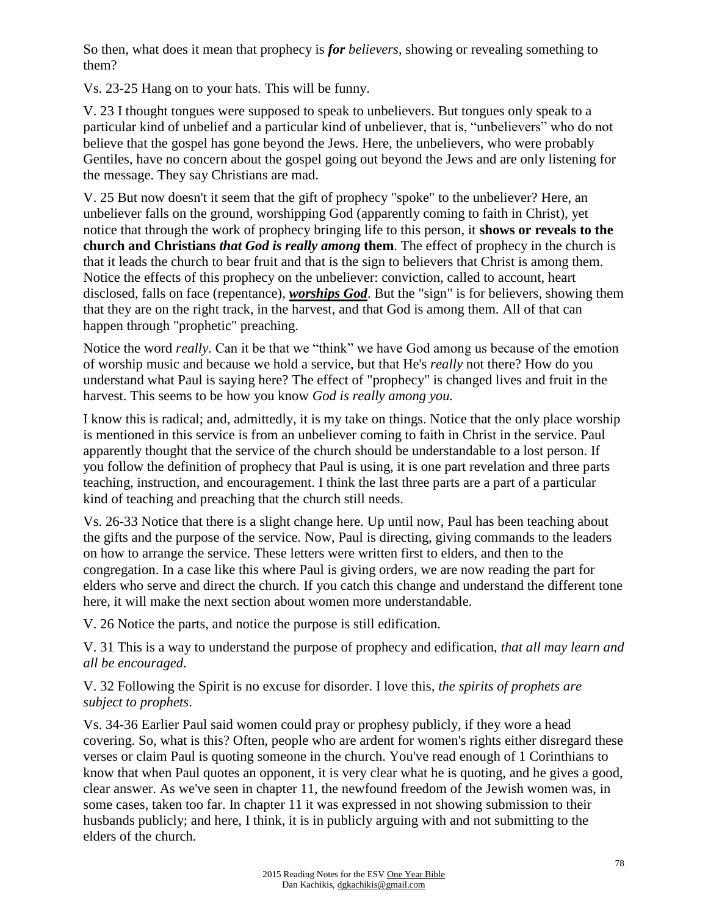So then, what does it mean that prophecy is *for believers*, showing or revealing something to them?

Vs. 23-25 Hang on to your hats. This will be funny.

V. 23 I thought tongues were supposed to speak to unbelievers. But tongues only speak to a particular kind of unbelief and a particular kind of unbeliever, that is, "unbelievers" who do not believe that the gospel has gone beyond the Jews. Here, the unbelievers, who were probably Gentiles, have no concern about the gospel going out beyond the Jews and are only listening for the message. They say Christians are mad.

V. 25 But now doesn't it seem that the gift of prophecy "spoke" to the unbeliever? Here, an unbeliever falls on the ground, worshipping God (apparently coming to faith in Christ), yet notice that through the work of prophecy bringing life to this person, it **shows or reveals to the church and Christians** *that God is really among* **them**. The effect of prophecy in the church is that it leads the church to bear fruit and that is the sign to believers that Christ is among them. Notice the effects of this prophecy on the unbeliever: conviction, called to account, heart disclosed, falls on face (repentance), *worships God*. But the "sign" is for believers, showing them that they are on the right track, in the harvest, and that God is among them. All of that can happen through "prophetic" preaching.

Notice the word *really.* Can it be that we "think" we have God among us because of the emotion of worship music and because we hold a service, but that He's *really* not there? How do you understand what Paul is saying here? The effect of "prophecy" is changed lives and fruit in the harvest. This seems to be how you know *God is really among you.*

I know this is radical; and, admittedly, it is my take on things. Notice that the only place worship is mentioned in this service is from an unbeliever coming to faith in Christ in the service. Paul apparently thought that the service of the church should be understandable to a lost person. If you follow the definition of prophecy that Paul is using, it is one part revelation and three parts teaching, instruction, and encouragement. I think the last three parts are a part of a particular kind of teaching and preaching that the church still needs.

Vs. 26-33 Notice that there is a slight change here. Up until now, Paul has been teaching about the gifts and the purpose of the service. Now, Paul is directing, giving commands to the leaders on how to arrange the service. These letters were written first to elders, and then to the congregation. In a case like this where Paul is giving orders, we are now reading the part for elders who serve and direct the church. If you catch this change and understand the different tone here, it will make the next section about women more understandable.

V. 26 Notice the parts, and notice the purpose is still edification.

V. 31 This is a way to understand the purpose of prophecy and edification, *that all may learn and all be encouraged.*

V. 32 Following the Spirit is no excuse for disorder. I love this*, the spirits of prophets are subject to prophets*.

Vs. 34-36 Earlier Paul said women could pray or prophesy publicly, if they wore a head covering. So, what is this? Often, people who are ardent for women's rights either disregard these verses or claim Paul is quoting someone in the church. You've read enough of 1 Corinthians to know that when Paul quotes an opponent, it is very clear what he is quoting, and he gives a good, clear answer. As we've seen in chapter 11, the newfound freedom of the Jewish women was, in some cases, taken too far. In chapter 11 it was expressed in not showing submission to their husbands publicly; and here, I think, it is in publicly arguing with and not submitting to the elders of the church.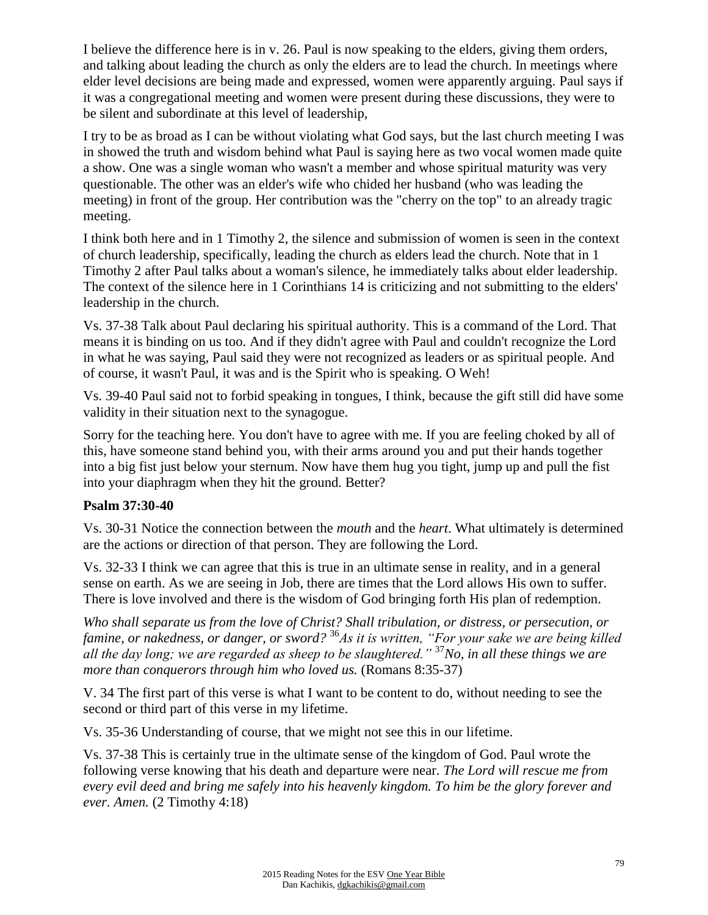I believe the difference here is in v. 26. Paul is now speaking to the elders, giving them orders, and talking about leading the church as only the elders are to lead the church. In meetings where elder level decisions are being made and expressed, women were apparently arguing. Paul says if it was a congregational meeting and women were present during these discussions, they were to be silent and subordinate at this level of leadership,

I try to be as broad as I can be without violating what God says, but the last church meeting I was in showed the truth and wisdom behind what Paul is saying here as two vocal women made quite a show. One was a single woman who wasn't a member and whose spiritual maturity was very questionable. The other was an elder's wife who chided her husband (who was leading the meeting) in front of the group. Her contribution was the "cherry on the top" to an already tragic meeting.

I think both here and in 1 Timothy 2, the silence and submission of women is seen in the context of church leadership, specifically, leading the church as elders lead the church. Note that in 1 Timothy 2 after Paul talks about a woman's silence, he immediately talks about elder leadership. The context of the silence here in 1 Corinthians 14 is criticizing and not submitting to the elders' leadership in the church.

Vs. 37-38 Talk about Paul declaring his spiritual authority. This is a command of the Lord. That means it is binding on us too. And if they didn't agree with Paul and couldn't recognize the Lord in what he was saying, Paul said they were not recognized as leaders or as spiritual people. And of course, it wasn't Paul, it was and is the Spirit who is speaking. O Weh!

Vs. 39-40 Paul said not to forbid speaking in tongues, I think, because the gift still did have some validity in their situation next to the synagogue.

Sorry for the teaching here. You don't have to agree with me. If you are feeling choked by all of this, have someone stand behind you, with their arms around you and put their hands together into a big fist just below your sternum. Now have them hug you tight, jump up and pull the fist into your diaphragm when they hit the ground. Better?

### **Psalm 37:30-40**

Vs. 30-31 Notice the connection between the *mouth* and the *heart*. What ultimately is determined are the actions or direction of that person. They are following the Lord.

Vs. 32-33 I think we can agree that this is true in an ultimate sense in reality, and in a general sense on earth. As we are seeing in Job, there are times that the Lord allows His own to suffer. There is love involved and there is the wisdom of God bringing forth His plan of redemption.

*Who shall separate us from the love of Christ? Shall tribulation, or distress, or persecution, or famine, or nakedness, or danger, or sword?* <sup>36</sup>*As it is written, "For your sake we are being killed all the day long; we are regarded as sheep to be slaughtered."* <sup>37</sup>*No, in all these things we are more than conquerors through him who loved us.* (Romans 8:35-37)

V. 34 The first part of this verse is what I want to be content to do, without needing to see the second or third part of this verse in my lifetime.

Vs. 35-36 Understanding of course, that we might not see this in our lifetime.

Vs. 37-38 This is certainly true in the ultimate sense of the kingdom of God. Paul wrote the following verse knowing that his death and departure were near. *The Lord will rescue me from every evil deed and bring me safely into his heavenly kingdom. To him be the glory forever and ever. Amen.* (2 Timothy 4:18)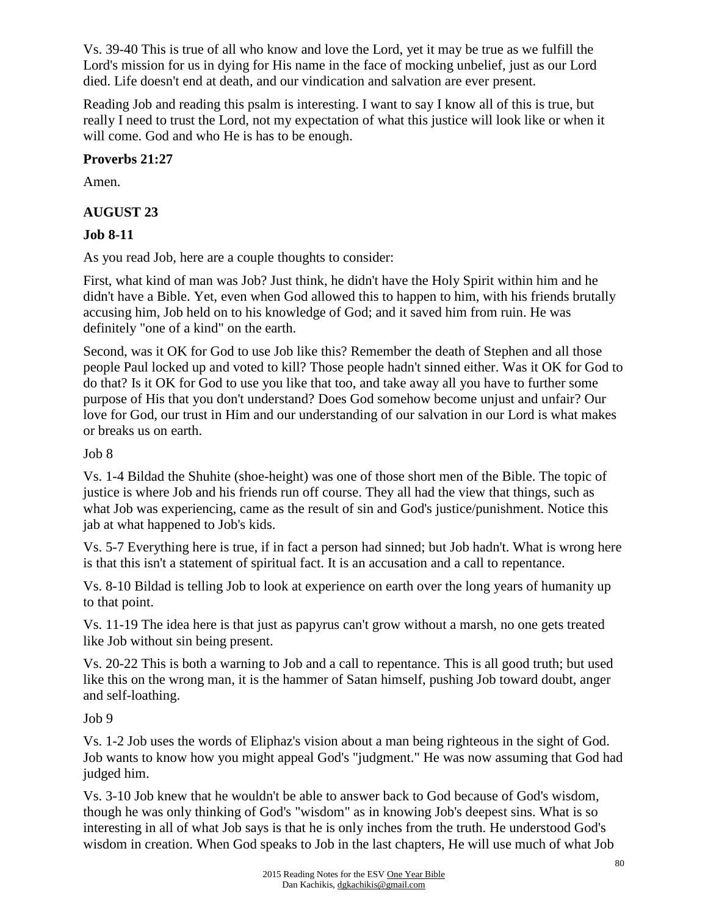Vs. 39-40 This is true of all who know and love the Lord, yet it may be true as we fulfill the Lord's mission for us in dying for His name in the face of mocking unbelief, just as our Lord died. Life doesn't end at death, and our vindication and salvation are ever present.

Reading Job and reading this psalm is interesting. I want to say I know all of this is true, but really I need to trust the Lord, not my expectation of what this justice will look like or when it will come. God and who He is has to be enough.

## **Proverbs 21:27**

Amen.

## **AUGUST 23**

## **Job 8-11**

As you read Job, here are a couple thoughts to consider:

First, what kind of man was Job? Just think, he didn't have the Holy Spirit within him and he didn't have a Bible. Yet, even when God allowed this to happen to him, with his friends brutally accusing him, Job held on to his knowledge of God; and it saved him from ruin. He was definitely "one of a kind" on the earth.

Second, was it OK for God to use Job like this? Remember the death of Stephen and all those people Paul locked up and voted to kill? Those people hadn't sinned either. Was it OK for God to do that? Is it OK for God to use you like that too, and take away all you have to further some purpose of His that you don't understand? Does God somehow become unjust and unfair? Our love for God, our trust in Him and our understanding of our salvation in our Lord is what makes or breaks us on earth.

## Job 8

Vs. 1-4 Bildad the Shuhite (shoe-height) was one of those short men of the Bible. The topic of justice is where Job and his friends run off course. They all had the view that things, such as what Job was experiencing, came as the result of sin and God's justice/punishment. Notice this jab at what happened to Job's kids.

Vs. 5-7 Everything here is true, if in fact a person had sinned; but Job hadn't. What is wrong here is that this isn't a statement of spiritual fact. It is an accusation and a call to repentance.

Vs. 8-10 Bildad is telling Job to look at experience on earth over the long years of humanity up to that point.

Vs. 11-19 The idea here is that just as papyrus can't grow without a marsh, no one gets treated like Job without sin being present.

Vs. 20-22 This is both a warning to Job and a call to repentance. This is all good truth; but used like this on the wrong man, it is the hammer of Satan himself, pushing Job toward doubt, anger and self-loathing.

## Job 9

Vs. 1-2 Job uses the words of Eliphaz's vision about a man being righteous in the sight of God. Job wants to know how you might appeal God's "judgment." He was now assuming that God had judged him.

Vs. 3-10 Job knew that he wouldn't be able to answer back to God because of God's wisdom, though he was only thinking of God's "wisdom" as in knowing Job's deepest sins. What is so interesting in all of what Job says is that he is only inches from the truth. He understood God's wisdom in creation. When God speaks to Job in the last chapters, He will use much of what Job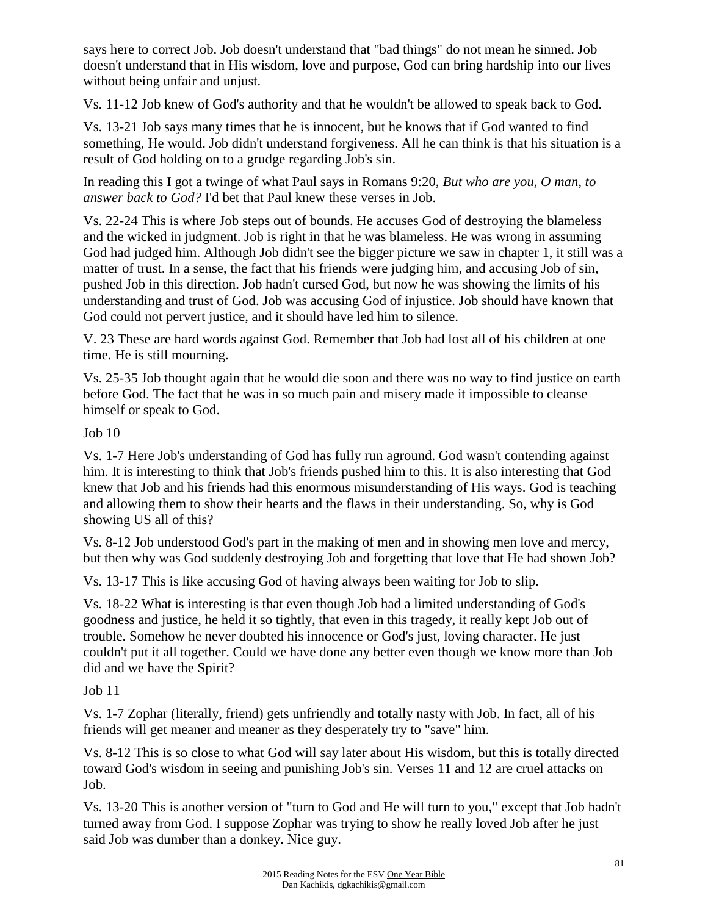says here to correct Job. Job doesn't understand that "bad things" do not mean he sinned. Job doesn't understand that in His wisdom, love and purpose, God can bring hardship into our lives without being unfair and unjust.

Vs. 11-12 Job knew of God's authority and that he wouldn't be allowed to speak back to God.

Vs. 13-21 Job says many times that he is innocent, but he knows that if God wanted to find something, He would. Job didn't understand forgiveness. All he can think is that his situation is a result of God holding on to a grudge regarding Job's sin.

In reading this I got a twinge of what Paul says in Romans 9:20, *But who are you, O man, to answer back to God?* I'd bet that Paul knew these verses in Job.

Vs. 22-24 This is where Job steps out of bounds. He accuses God of destroying the blameless and the wicked in judgment. Job is right in that he was blameless. He was wrong in assuming God had judged him. Although Job didn't see the bigger picture we saw in chapter 1, it still was a matter of trust. In a sense, the fact that his friends were judging him, and accusing Job of sin, pushed Job in this direction. Job hadn't cursed God, but now he was showing the limits of his understanding and trust of God. Job was accusing God of injustice. Job should have known that God could not pervert justice, and it should have led him to silence.

V. 23 These are hard words against God. Remember that Job had lost all of his children at one time. He is still mourning.

Vs. 25-35 Job thought again that he would die soon and there was no way to find justice on earth before God. The fact that he was in so much pain and misery made it impossible to cleanse himself or speak to God.

Job 10

Vs. 1-7 Here Job's understanding of God has fully run aground. God wasn't contending against him. It is interesting to think that Job's friends pushed him to this. It is also interesting that God knew that Job and his friends had this enormous misunderstanding of His ways. God is teaching and allowing them to show their hearts and the flaws in their understanding. So, why is God showing US all of this?

Vs. 8-12 Job understood God's part in the making of men and in showing men love and mercy, but then why was God suddenly destroying Job and forgetting that love that He had shown Job?

Vs. 13-17 This is like accusing God of having always been waiting for Job to slip.

Vs. 18-22 What is interesting is that even though Job had a limited understanding of God's goodness and justice, he held it so tightly, that even in this tragedy, it really kept Job out of trouble. Somehow he never doubted his innocence or God's just, loving character. He just couldn't put it all together. Could we have done any better even though we know more than Job did and we have the Spirit?

Job 11

Vs. 1-7 Zophar (literally, friend) gets unfriendly and totally nasty with Job. In fact, all of his friends will get meaner and meaner as they desperately try to "save" him.

Vs. 8-12 This is so close to what God will say later about His wisdom, but this is totally directed toward God's wisdom in seeing and punishing Job's sin. Verses 11 and 12 are cruel attacks on Job.

Vs. 13-20 This is another version of "turn to God and He will turn to you," except that Job hadn't turned away from God. I suppose Zophar was trying to show he really loved Job after he just said Job was dumber than a donkey. Nice guy.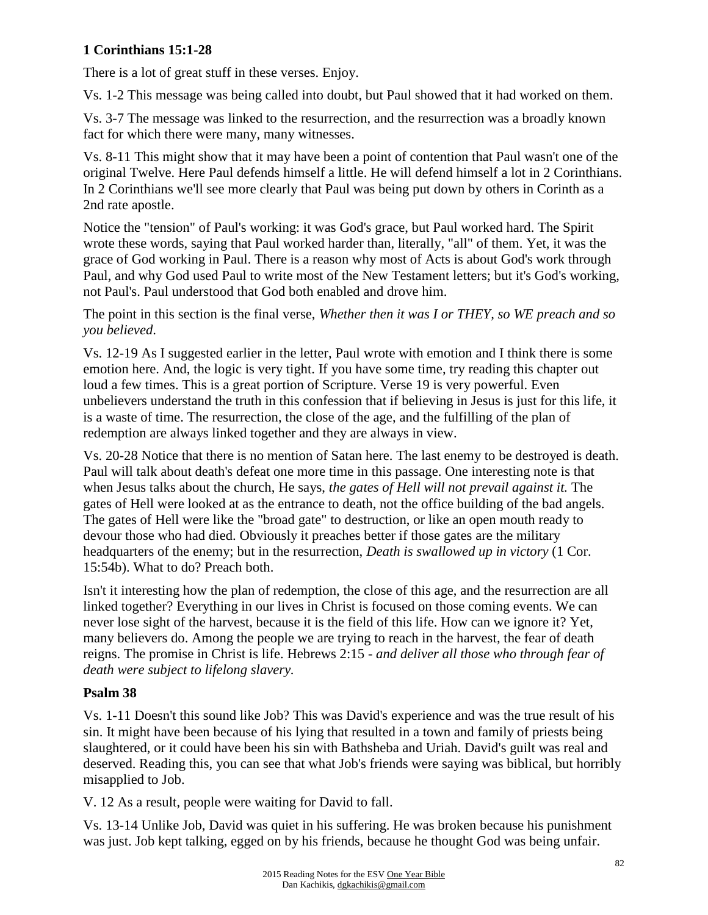## **1 Corinthians 15:1-28**

There is a lot of great stuff in these verses. Enjoy.

Vs. 1-2 This message was being called into doubt, but Paul showed that it had worked on them.

Vs. 3-7 The message was linked to the resurrection, and the resurrection was a broadly known fact for which there were many, many witnesses.

Vs. 8-11 This might show that it may have been a point of contention that Paul wasn't one of the original Twelve. Here Paul defends himself a little. He will defend himself a lot in 2 Corinthians. In 2 Corinthians we'll see more clearly that Paul was being put down by others in Corinth as a 2nd rate apostle.

Notice the "tension" of Paul's working: it was God's grace, but Paul worked hard. The Spirit wrote these words, saying that Paul worked harder than, literally, "all" of them. Yet, it was the grace of God working in Paul. There is a reason why most of Acts is about God's work through Paul, and why God used Paul to write most of the New Testament letters; but it's God's working, not Paul's. Paul understood that God both enabled and drove him.

The point in this section is the final verse, *Whether then it was I or THEY, so WE preach and so you believed*.

Vs. 12-19 As I suggested earlier in the letter, Paul wrote with emotion and I think there is some emotion here. And, the logic is very tight. If you have some time, try reading this chapter out loud a few times. This is a great portion of Scripture. Verse 19 is very powerful. Even unbelievers understand the truth in this confession that if believing in Jesus is just for this life, it is a waste of time. The resurrection, the close of the age, and the fulfilling of the plan of redemption are always linked together and they are always in view.

Vs. 20-28 Notice that there is no mention of Satan here. The last enemy to be destroyed is death. Paul will talk about death's defeat one more time in this passage. One interesting note is that when Jesus talks about the church, He says, *the gates of Hell will not prevail against it.* The gates of Hell were looked at as the entrance to death, not the office building of the bad angels. The gates of Hell were like the "broad gate" to destruction, or like an open mouth ready to devour those who had died. Obviously it preaches better if those gates are the military headquarters of the enemy; but in the resurrection, *Death is swallowed up in victory* (1 Cor. 15:54b). What to do? Preach both.

Isn't it interesting how the plan of redemption, the close of this age, and the resurrection are all linked together? Everything in our lives in Christ is focused on those coming events. We can never lose sight of the harvest, because it is the field of this life. How can we ignore it? Yet, many believers do. Among the people we are trying to reach in the harvest, the fear of death reigns. The promise in Christ is life. Hebrews 2:15 - *and deliver all those who through fear of death were subject to lifelong slavery.*

## **Psalm 38**

Vs. 1-11 Doesn't this sound like Job? This was David's experience and was the true result of his sin. It might have been because of his lying that resulted in a town and family of priests being slaughtered, or it could have been his sin with Bathsheba and Uriah. David's guilt was real and deserved. Reading this, you can see that what Job's friends were saying was biblical, but horribly misapplied to Job.

V. 12 As a result, people were waiting for David to fall.

Vs. 13-14 Unlike Job, David was quiet in his suffering. He was broken because his punishment was just. Job kept talking, egged on by his friends, because he thought God was being unfair.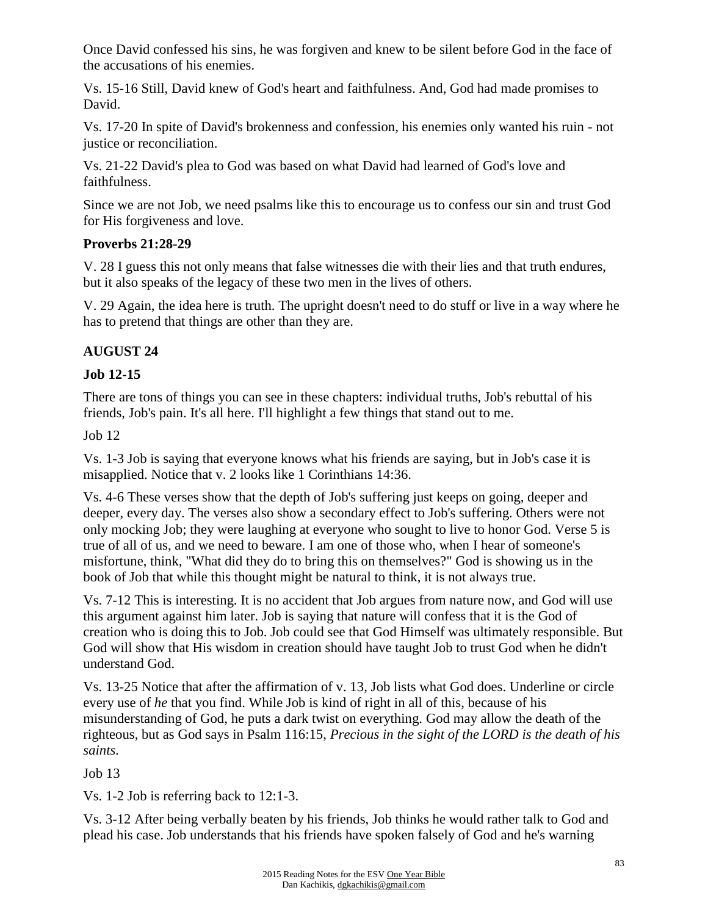Once David confessed his sins, he was forgiven and knew to be silent before God in the face of the accusations of his enemies.

Vs. 15-16 Still, David knew of God's heart and faithfulness. And, God had made promises to David.

Vs. 17-20 In spite of David's brokenness and confession, his enemies only wanted his ruin - not justice or reconciliation.

Vs. 21-22 David's plea to God was based on what David had learned of God's love and faithfulness.

Since we are not Job, we need psalms like this to encourage us to confess our sin and trust God for His forgiveness and love.

### **Proverbs 21:28-29**

V. 28 I guess this not only means that false witnesses die with their lies and that truth endures, but it also speaks of the legacy of these two men in the lives of others.

V. 29 Again, the idea here is truth. The upright doesn't need to do stuff or live in a way where he has to pretend that things are other than they are.

## **AUGUST 24**

## **Job 12-15**

There are tons of things you can see in these chapters: individual truths, Job's rebuttal of his friends, Job's pain. It's all here. I'll highlight a few things that stand out to me.

Job 12

Vs. 1-3 Job is saying that everyone knows what his friends are saying, but in Job's case it is misapplied. Notice that v. 2 looks like 1 Corinthians 14:36.

Vs. 4-6 These verses show that the depth of Job's suffering just keeps on going, deeper and deeper, every day. The verses also show a secondary effect to Job's suffering. Others were not only mocking Job; they were laughing at everyone who sought to live to honor God. Verse 5 is true of all of us, and we need to beware. I am one of those who, when I hear of someone's misfortune, think, "What did they do to bring this on themselves?" God is showing us in the book of Job that while this thought might be natural to think, it is not always true.

Vs. 7-12 This is interesting. It is no accident that Job argues from nature now, and God will use this argument against him later. Job is saying that nature will confess that it is the God of creation who is doing this to Job. Job could see that God Himself was ultimately responsible. But God will show that His wisdom in creation should have taught Job to trust God when he didn't understand God.

Vs. 13-25 Notice that after the affirmation of v. 13, Job lists what God does. Underline or circle every use of *he* that you find. While Job is kind of right in all of this, because of his misunderstanding of God, he puts a dark twist on everything. God may allow the death of the righteous, but as God says in Psalm 116:15, *Precious in the sight of the LORD is the death of his saints.*

Job 13

Vs. 1-2 Job is referring back to 12:1-3.

Vs. 3-12 After being verbally beaten by his friends, Job thinks he would rather talk to God and plead his case. Job understands that his friends have spoken falsely of God and he's warning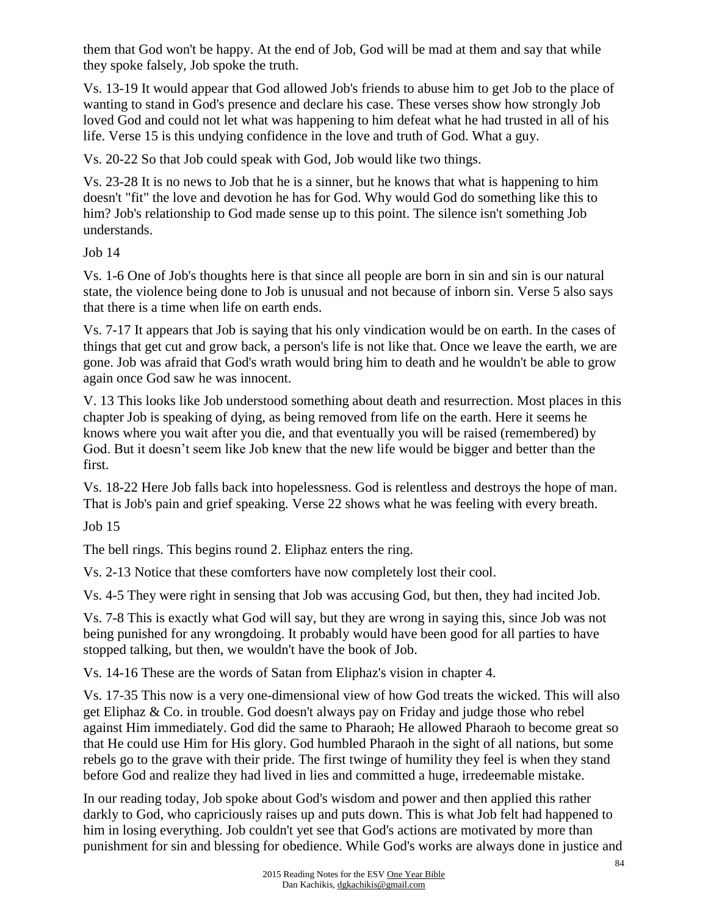them that God won't be happy. At the end of Job, God will be mad at them and say that while they spoke falsely, Job spoke the truth.

Vs. 13-19 It would appear that God allowed Job's friends to abuse him to get Job to the place of wanting to stand in God's presence and declare his case. These verses show how strongly Job loved God and could not let what was happening to him defeat what he had trusted in all of his life. Verse 15 is this undying confidence in the love and truth of God. What a guy.

Vs. 20-22 So that Job could speak with God, Job would like two things.

Vs. 23-28 It is no news to Job that he is a sinner, but he knows that what is happening to him doesn't "fit" the love and devotion he has for God. Why would God do something like this to him? Job's relationship to God made sense up to this point. The silence isn't something Job understands.

Job 14

Vs. 1-6 One of Job's thoughts here is that since all people are born in sin and sin is our natural state, the violence being done to Job is unusual and not because of inborn sin. Verse 5 also says that there is a time when life on earth ends.

Vs. 7-17 It appears that Job is saying that his only vindication would be on earth. In the cases of things that get cut and grow back, a person's life is not like that. Once we leave the earth, we are gone. Job was afraid that God's wrath would bring him to death and he wouldn't be able to grow again once God saw he was innocent.

V. 13 This looks like Job understood something about death and resurrection. Most places in this chapter Job is speaking of dying, as being removed from life on the earth. Here it seems he knows where you wait after you die, and that eventually you will be raised (remembered) by God. But it doesn't seem like Job knew that the new life would be bigger and better than the first.

Vs. 18-22 Here Job falls back into hopelessness. God is relentless and destroys the hope of man. That is Job's pain and grief speaking. Verse 22 shows what he was feeling with every breath.

Job 15

The bell rings. This begins round 2. Eliphaz enters the ring.

Vs. 2-13 Notice that these comforters have now completely lost their cool.

Vs. 4-5 They were right in sensing that Job was accusing God, but then, they had incited Job.

Vs. 7-8 This is exactly what God will say, but they are wrong in saying this, since Job was not being punished for any wrongdoing. It probably would have been good for all parties to have stopped talking, but then, we wouldn't have the book of Job.

Vs. 14-16 These are the words of Satan from Eliphaz's vision in chapter 4.

Vs. 17-35 This now is a very one-dimensional view of how God treats the wicked. This will also get Eliphaz & Co. in trouble. God doesn't always pay on Friday and judge those who rebel against Him immediately. God did the same to Pharaoh; He allowed Pharaoh to become great so that He could use Him for His glory. God humbled Pharaoh in the sight of all nations, but some rebels go to the grave with their pride. The first twinge of humility they feel is when they stand before God and realize they had lived in lies and committed a huge, irredeemable mistake.

In our reading today, Job spoke about God's wisdom and power and then applied this rather darkly to God, who capriciously raises up and puts down. This is what Job felt had happened to him in losing everything. Job couldn't yet see that God's actions are motivated by more than punishment for sin and blessing for obedience. While God's works are always done in justice and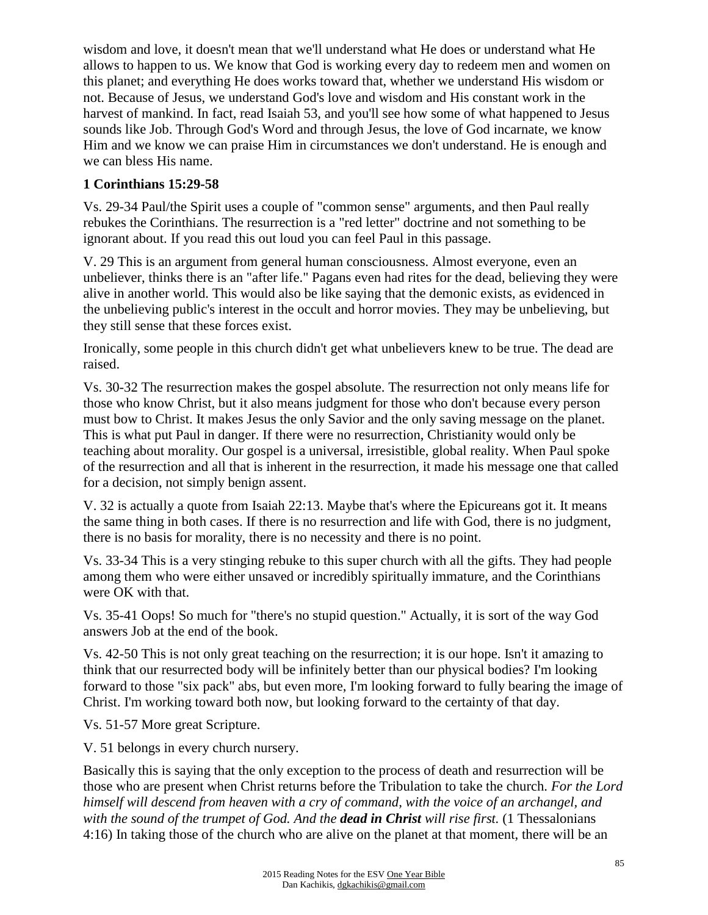wisdom and love, it doesn't mean that we'll understand what He does or understand what He allows to happen to us. We know that God is working every day to redeem men and women on this planet; and everything He does works toward that, whether we understand His wisdom or not. Because of Jesus, we understand God's love and wisdom and His constant work in the harvest of mankind. In fact, read Isaiah 53, and you'll see how some of what happened to Jesus sounds like Job. Through God's Word and through Jesus, the love of God incarnate, we know Him and we know we can praise Him in circumstances we don't understand. He is enough and we can bless His name.

### **1 Corinthians 15:29-58**

Vs. 29-34 Paul/the Spirit uses a couple of "common sense" arguments, and then Paul really rebukes the Corinthians. The resurrection is a "red letter" doctrine and not something to be ignorant about. If you read this out loud you can feel Paul in this passage.

V. 29 This is an argument from general human consciousness. Almost everyone, even an unbeliever, thinks there is an "after life." Pagans even had rites for the dead, believing they were alive in another world. This would also be like saying that the demonic exists, as evidenced in the unbelieving public's interest in the occult and horror movies. They may be unbelieving, but they still sense that these forces exist.

Ironically, some people in this church didn't get what unbelievers knew to be true. The dead are raised.

Vs. 30-32 The resurrection makes the gospel absolute. The resurrection not only means life for those who know Christ, but it also means judgment for those who don't because every person must bow to Christ. It makes Jesus the only Savior and the only saving message on the planet. This is what put Paul in danger. If there were no resurrection, Christianity would only be teaching about morality. Our gospel is a universal, irresistible, global reality. When Paul spoke of the resurrection and all that is inherent in the resurrection, it made his message one that called for a decision, not simply benign assent.

V. 32 is actually a quote from Isaiah 22:13. Maybe that's where the Epicureans got it. It means the same thing in both cases. If there is no resurrection and life with God, there is no judgment, there is no basis for morality, there is no necessity and there is no point.

Vs. 33-34 This is a very stinging rebuke to this super church with all the gifts. They had people among them who were either unsaved or incredibly spiritually immature, and the Corinthians were OK with that.

Vs. 35-41 Oops! So much for "there's no stupid question." Actually, it is sort of the way God answers Job at the end of the book.

Vs. 42-50 This is not only great teaching on the resurrection; it is our hope. Isn't it amazing to think that our resurrected body will be infinitely better than our physical bodies? I'm looking forward to those "six pack" abs, but even more, I'm looking forward to fully bearing the image of Christ. I'm working toward both now, but looking forward to the certainty of that day.

Vs. 51-57 More great Scripture.

V. 51 belongs in every church nursery.

Basically this is saying that the only exception to the process of death and resurrection will be those who are present when Christ returns before the Tribulation to take the church. *For the Lord himself will descend from heaven with a cry of command, with the voice of an archangel, and with the sound of the trumpet of God. And the dead in Christ will rise first.* (1 Thessalonians 4:16) In taking those of the church who are alive on the planet at that moment, there will be an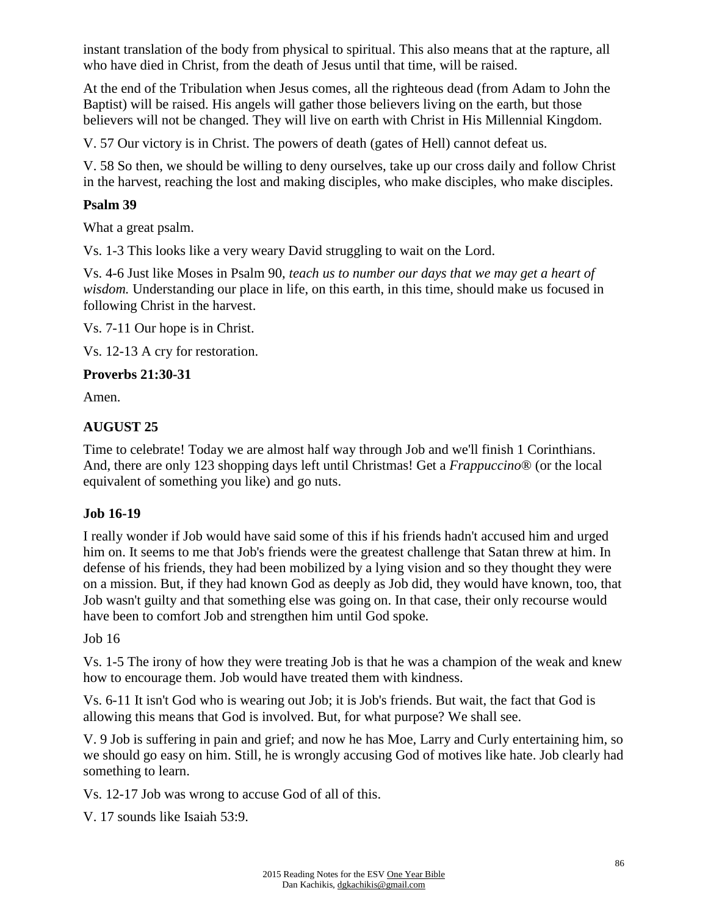instant translation of the body from physical to spiritual. This also means that at the rapture, all who have died in Christ, from the death of Jesus until that time, will be raised.

At the end of the Tribulation when Jesus comes, all the righteous dead (from Adam to John the Baptist) will be raised. His angels will gather those believers living on the earth, but those believers will not be changed. They will live on earth with Christ in His Millennial Kingdom.

V. 57 Our victory is in Christ. The powers of death (gates of Hell) cannot defeat us.

V. 58 So then, we should be willing to deny ourselves, take up our cross daily and follow Christ in the harvest, reaching the lost and making disciples, who make disciples, who make disciples.

#### **Psalm 39**

What a great psalm.

Vs. 1-3 This looks like a very weary David struggling to wait on the Lord.

Vs. 4-6 Just like Moses in Psalm 90, *teach us to number our days that we may get a heart of wisdom.* Understanding our place in life, on this earth, in this time, should make us focused in following Christ in the harvest.

Vs. 7-11 Our hope is in Christ.

Vs. 12-13 A cry for restoration.

#### **Proverbs 21:30-31**

Amen.

### **AUGUST 25**

Time to celebrate! Today we are almost half way through Job and we'll finish 1 Corinthians. And, there are only 123 shopping days left until Christmas! Get a *Frappuccino*® (or the local equivalent of something you like) and go nuts.

### **Job 16-19**

I really wonder if Job would have said some of this if his friends hadn't accused him and urged him on. It seems to me that Job's friends were the greatest challenge that Satan threw at him. In defense of his friends, they had been mobilized by a lying vision and so they thought they were on a mission. But, if they had known God as deeply as Job did, they would have known, too, that Job wasn't guilty and that something else was going on. In that case, their only recourse would have been to comfort Job and strengthen him until God spoke.

#### Job 16

Vs. 1-5 The irony of how they were treating Job is that he was a champion of the weak and knew how to encourage them. Job would have treated them with kindness.

Vs. 6-11 It isn't God who is wearing out Job; it is Job's friends. But wait, the fact that God is allowing this means that God is involved. But, for what purpose? We shall see.

V. 9 Job is suffering in pain and grief; and now he has Moe, Larry and Curly entertaining him, so we should go easy on him. Still, he is wrongly accusing God of motives like hate. Job clearly had something to learn.

Vs. 12-17 Job was wrong to accuse God of all of this.

V. 17 sounds like Isaiah 53:9.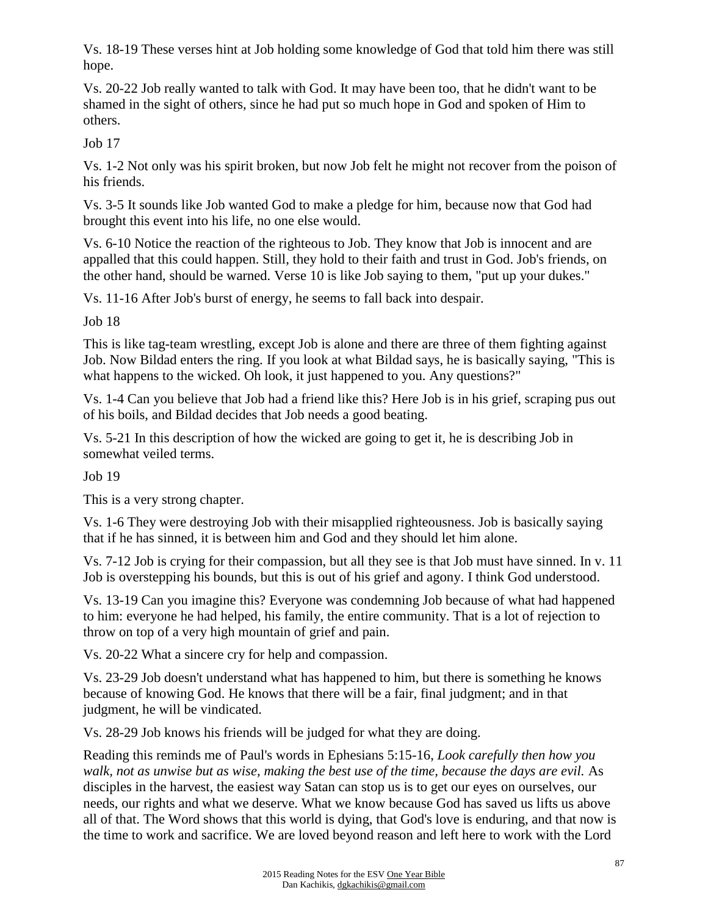Vs. 18-19 These verses hint at Job holding some knowledge of God that told him there was still hope.

Vs. 20-22 Job really wanted to talk with God. It may have been too, that he didn't want to be shamed in the sight of others, since he had put so much hope in God and spoken of Him to others.

Job 17

Vs. 1-2 Not only was his spirit broken, but now Job felt he might not recover from the poison of his friends.

Vs. 3-5 It sounds like Job wanted God to make a pledge for him, because now that God had brought this event into his life, no one else would.

Vs. 6-10 Notice the reaction of the righteous to Job. They know that Job is innocent and are appalled that this could happen. Still, they hold to their faith and trust in God. Job's friends, on the other hand, should be warned. Verse 10 is like Job saying to them, "put up your dukes."

Vs. 11-16 After Job's burst of energy, he seems to fall back into despair.

Job 18

This is like tag-team wrestling, except Job is alone and there are three of them fighting against Job. Now Bildad enters the ring. If you look at what Bildad says, he is basically saying, "This is what happens to the wicked. Oh look, it just happened to you. Any questions?"

Vs. 1-4 Can you believe that Job had a friend like this? Here Job is in his grief, scraping pus out of his boils, and Bildad decides that Job needs a good beating.

Vs. 5-21 In this description of how the wicked are going to get it, he is describing Job in somewhat veiled terms.

Job 19

This is a very strong chapter.

Vs. 1-6 They were destroying Job with their misapplied righteousness. Job is basically saying that if he has sinned, it is between him and God and they should let him alone.

Vs. 7-12 Job is crying for their compassion, but all they see is that Job must have sinned. In v. 11 Job is overstepping his bounds, but this is out of his grief and agony. I think God understood.

Vs. 13-19 Can you imagine this? Everyone was condemning Job because of what had happened to him: everyone he had helped, his family, the entire community. That is a lot of rejection to throw on top of a very high mountain of grief and pain.

Vs. 20-22 What a sincere cry for help and compassion.

Vs. 23-29 Job doesn't understand what has happened to him, but there is something he knows because of knowing God. He knows that there will be a fair, final judgment; and in that judgment, he will be vindicated.

Vs. 28-29 Job knows his friends will be judged for what they are doing.

Reading this reminds me of Paul's words in Ephesians 5:15-16, *Look carefully then how you walk, not as unwise but as wise, making the best use of the time, because the days are evil.* As disciples in the harvest, the easiest way Satan can stop us is to get our eyes on ourselves, our needs, our rights and what we deserve. What we know because God has saved us lifts us above all of that. The Word shows that this world is dying, that God's love is enduring, and that now is the time to work and sacrifice. We are loved beyond reason and left here to work with the Lord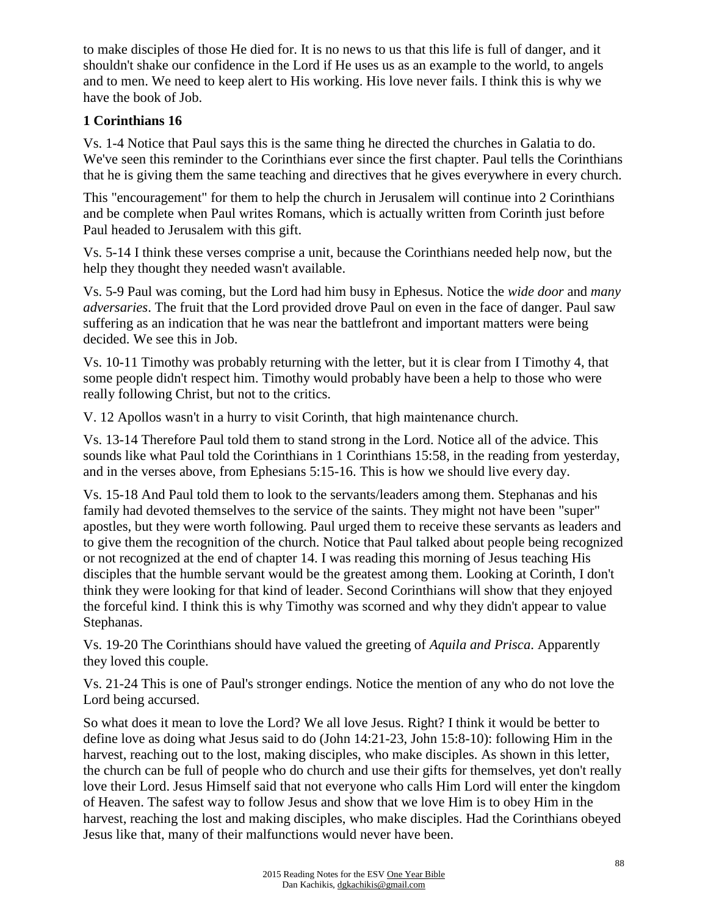to make disciples of those He died for. It is no news to us that this life is full of danger, and it shouldn't shake our confidence in the Lord if He uses us as an example to the world, to angels and to men. We need to keep alert to His working. His love never fails. I think this is why we have the book of Job.

## **1 Corinthians 16**

Vs. 1-4 Notice that Paul says this is the same thing he directed the churches in Galatia to do. We've seen this reminder to the Corinthians ever since the first chapter. Paul tells the Corinthians that he is giving them the same teaching and directives that he gives everywhere in every church.

This "encouragement" for them to help the church in Jerusalem will continue into 2 Corinthians and be complete when Paul writes Romans, which is actually written from Corinth just before Paul headed to Jerusalem with this gift.

Vs. 5-14 I think these verses comprise a unit, because the Corinthians needed help now, but the help they thought they needed wasn't available.

Vs. 5-9 Paul was coming, but the Lord had him busy in Ephesus. Notice the *wide door* and *many adversaries*. The fruit that the Lord provided drove Paul on even in the face of danger. Paul saw suffering as an indication that he was near the battlefront and important matters were being decided. We see this in Job.

Vs. 10-11 Timothy was probably returning with the letter, but it is clear from I Timothy 4, that some people didn't respect him. Timothy would probably have been a help to those who were really following Christ, but not to the critics.

V. 12 Apollos wasn't in a hurry to visit Corinth, that high maintenance church.

Vs. 13-14 Therefore Paul told them to stand strong in the Lord. Notice all of the advice. This sounds like what Paul told the Corinthians in 1 Corinthians 15:58, in the reading from yesterday, and in the verses above, from Ephesians 5:15-16. This is how we should live every day.

Vs. 15-18 And Paul told them to look to the servants/leaders among them. Stephanas and his family had devoted themselves to the service of the saints. They might not have been "super" apostles, but they were worth following. Paul urged them to receive these servants as leaders and to give them the recognition of the church. Notice that Paul talked about people being recognized or not recognized at the end of chapter 14. I was reading this morning of Jesus teaching His disciples that the humble servant would be the greatest among them. Looking at Corinth, I don't think they were looking for that kind of leader. Second Corinthians will show that they enjoyed the forceful kind. I think this is why Timothy was scorned and why they didn't appear to value Stephanas.

Vs. 19-20 The Corinthians should have valued the greeting of *Aquila and Prisca*. Apparently they loved this couple.

Vs. 21-24 This is one of Paul's stronger endings. Notice the mention of any who do not love the Lord being accursed.

So what does it mean to love the Lord? We all love Jesus. Right? I think it would be better to define love as doing what Jesus said to do (John 14:21-23, John 15:8-10): following Him in the harvest, reaching out to the lost, making disciples, who make disciples. As shown in this letter, the church can be full of people who do church and use their gifts for themselves, yet don't really love their Lord. Jesus Himself said that not everyone who calls Him Lord will enter the kingdom of Heaven. The safest way to follow Jesus and show that we love Him is to obey Him in the harvest, reaching the lost and making disciples, who make disciples. Had the Corinthians obeyed Jesus like that, many of their malfunctions would never have been.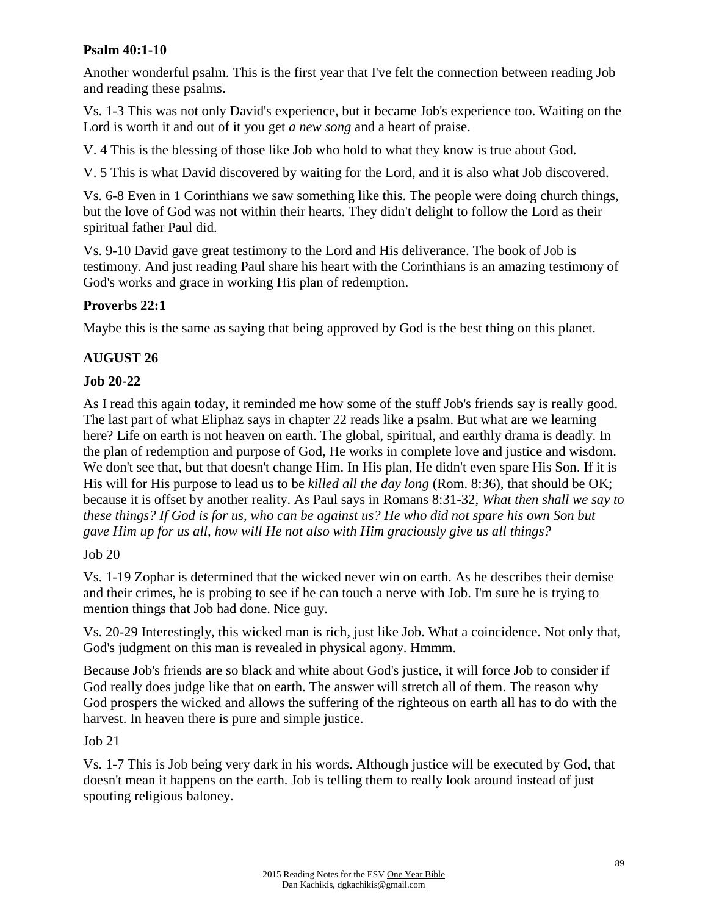### **Psalm 40:1-10**

Another wonderful psalm. This is the first year that I've felt the connection between reading Job and reading these psalms.

Vs. 1-3 This was not only David's experience, but it became Job's experience too. Waiting on the Lord is worth it and out of it you get *a new song* and a heart of praise.

V. 4 This is the blessing of those like Job who hold to what they know is true about God.

V. 5 This is what David discovered by waiting for the Lord, and it is also what Job discovered.

Vs. 6-8 Even in 1 Corinthians we saw something like this. The people were doing church things, but the love of God was not within their hearts. They didn't delight to follow the Lord as their spiritual father Paul did.

Vs. 9-10 David gave great testimony to the Lord and His deliverance. The book of Job is testimony. And just reading Paul share his heart with the Corinthians is an amazing testimony of God's works and grace in working His plan of redemption.

## **Proverbs 22:1**

Maybe this is the same as saying that being approved by God is the best thing on this planet.

## **AUGUST 26**

## **Job 20-22**

As I read this again today, it reminded me how some of the stuff Job's friends say is really good. The last part of what Eliphaz says in chapter 22 reads like a psalm. But what are we learning here? Life on earth is not heaven on earth. The global, spiritual, and earthly drama is deadly. In the plan of redemption and purpose of God, He works in complete love and justice and wisdom. We don't see that, but that doesn't change Him. In His plan, He didn't even spare His Son. If it is His will for His purpose to lead us to be *killed all the day long* (Rom. 8:36), that should be OK; because it is offset by another reality. As Paul says in Romans 8:31-32, *What then shall we say to these things? If God is for us, who can be against us? He who did not spare his own Son but gave Him up for us all, how will He not also with Him graciously give us all things?*

### Job 20

Vs. 1-19 Zophar is determined that the wicked never win on earth. As he describes their demise and their crimes, he is probing to see if he can touch a nerve with Job. I'm sure he is trying to mention things that Job had done. Nice guy.

Vs. 20-29 Interestingly, this wicked man is rich, just like Job. What a coincidence. Not only that, God's judgment on this man is revealed in physical agony. Hmmm.

Because Job's friends are so black and white about God's justice, it will force Job to consider if God really does judge like that on earth. The answer will stretch all of them. The reason why God prospers the wicked and allows the suffering of the righteous on earth all has to do with the harvest. In heaven there is pure and simple justice.

## Job 21

Vs. 1-7 This is Job being very dark in his words. Although justice will be executed by God, that doesn't mean it happens on the earth. Job is telling them to really look around instead of just spouting religious baloney.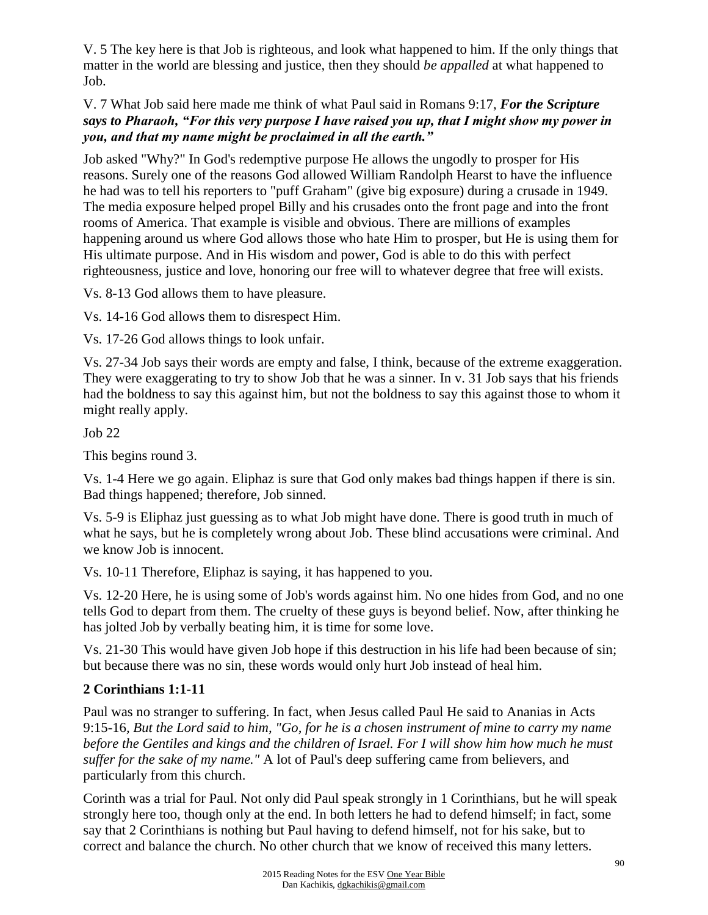V. 5 The key here is that Job is righteous, and look what happened to him. If the only things that matter in the world are blessing and justice, then they should *be appalled* at what happened to Job.

V. 7 What Job said here made me think of what Paul said in Romans 9:17, *For the Scripture says to Pharaoh, "For this very purpose I have raised you up, that I might show my power in you, and that my name might be proclaimed in all the earth."*

Job asked "Why?" In God's redemptive purpose He allows the ungodly to prosper for His reasons. Surely one of the reasons God allowed William Randolph Hearst to have the influence he had was to tell his reporters to "puff Graham" (give big exposure) during a crusade in 1949. The media exposure helped propel Billy and his crusades onto the front page and into the front rooms of America. That example is visible and obvious. There are millions of examples happening around us where God allows those who hate Him to prosper, but He is using them for His ultimate purpose. And in His wisdom and power, God is able to do this with perfect righteousness, justice and love, honoring our free will to whatever degree that free will exists.

Vs. 8-13 God allows them to have pleasure.

Vs. 14-16 God allows them to disrespect Him.

Vs. 17-26 God allows things to look unfair.

Vs. 27-34 Job says their words are empty and false, I think, because of the extreme exaggeration. They were exaggerating to try to show Job that he was a sinner. In v. 31 Job says that his friends had the boldness to say this against him, but not the boldness to say this against those to whom it might really apply.

Job 22

This begins round 3.

Vs. 1-4 Here we go again. Eliphaz is sure that God only makes bad things happen if there is sin. Bad things happened; therefore, Job sinned.

Vs. 5-9 is Eliphaz just guessing as to what Job might have done. There is good truth in much of what he says, but he is completely wrong about Job. These blind accusations were criminal. And we know Job is innocent.

Vs. 10-11 Therefore, Eliphaz is saying, it has happened to you.

Vs. 12-20 Here, he is using some of Job's words against him. No one hides from God, and no one tells God to depart from them. The cruelty of these guys is beyond belief. Now, after thinking he has jolted Job by verbally beating him, it is time for some love.

Vs. 21-30 This would have given Job hope if this destruction in his life had been because of sin; but because there was no sin, these words would only hurt Job instead of heal him.

## **2 Corinthians 1:1-11**

Paul was no stranger to suffering. In fact, when Jesus called Paul He said to Ananias in Acts 9:15-16*, But the Lord said to him, "Go, for he is a chosen instrument of mine to carry my name before the Gentiles and kings and the children of Israel. For I will show him how much he must suffer for the sake of my name."* A lot of Paul's deep suffering came from believers, and particularly from this church.

Corinth was a trial for Paul. Not only did Paul speak strongly in 1 Corinthians, but he will speak strongly here too, though only at the end. In both letters he had to defend himself; in fact, some say that 2 Corinthians is nothing but Paul having to defend himself, not for his sake, but to correct and balance the church. No other church that we know of received this many letters.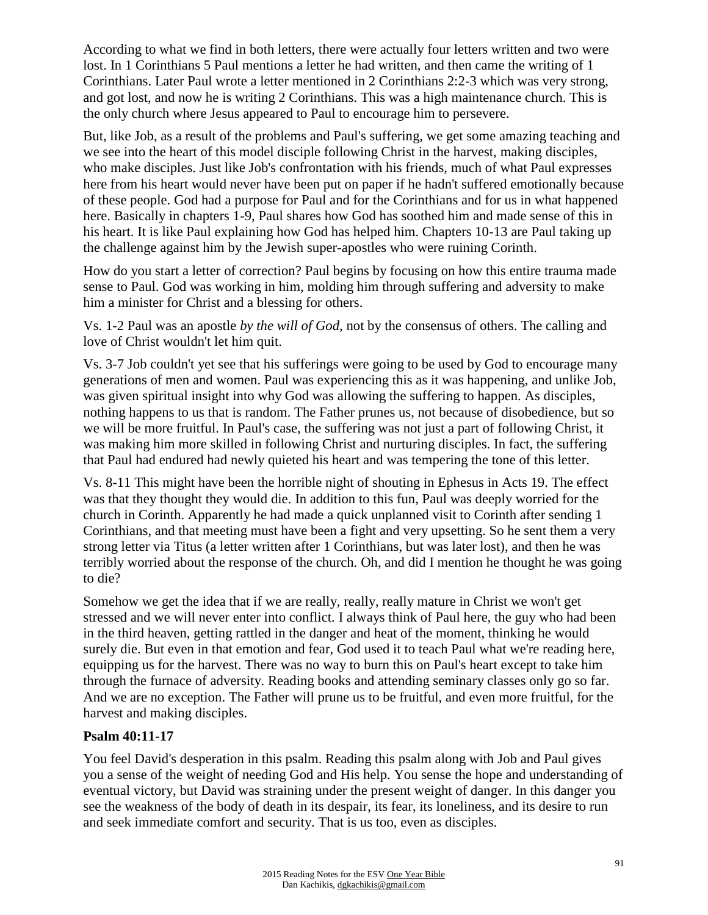According to what we find in both letters, there were actually four letters written and two were lost. In 1 Corinthians 5 Paul mentions a letter he had written, and then came the writing of 1 Corinthians. Later Paul wrote a letter mentioned in 2 Corinthians 2:2-3 which was very strong, and got lost, and now he is writing 2 Corinthians. This was a high maintenance church. This is the only church where Jesus appeared to Paul to encourage him to persevere.

But, like Job, as a result of the problems and Paul's suffering, we get some amazing teaching and we see into the heart of this model disciple following Christ in the harvest, making disciples, who make disciples. Just like Job's confrontation with his friends, much of what Paul expresses here from his heart would never have been put on paper if he hadn't suffered emotionally because of these people. God had a purpose for Paul and for the Corinthians and for us in what happened here. Basically in chapters 1-9, Paul shares how God has soothed him and made sense of this in his heart. It is like Paul explaining how God has helped him. Chapters 10-13 are Paul taking up the challenge against him by the Jewish super-apostles who were ruining Corinth.

How do you start a letter of correction? Paul begins by focusing on how this entire trauma made sense to Paul. God was working in him, molding him through suffering and adversity to make him a minister for Christ and a blessing for others.

Vs. 1-2 Paul was an apostle *by the will of God*, not by the consensus of others. The calling and love of Christ wouldn't let him quit.

Vs. 3-7 Job couldn't yet see that his sufferings were going to be used by God to encourage many generations of men and women. Paul was experiencing this as it was happening, and unlike Job, was given spiritual insight into why God was allowing the suffering to happen. As disciples, nothing happens to us that is random. The Father prunes us, not because of disobedience, but so we will be more fruitful. In Paul's case, the suffering was not just a part of following Christ, it was making him more skilled in following Christ and nurturing disciples. In fact, the suffering that Paul had endured had newly quieted his heart and was tempering the tone of this letter.

Vs. 8-11 This might have been the horrible night of shouting in Ephesus in Acts 19. The effect was that they thought they would die. In addition to this fun, Paul was deeply worried for the church in Corinth. Apparently he had made a quick unplanned visit to Corinth after sending 1 Corinthians, and that meeting must have been a fight and very upsetting. So he sent them a very strong letter via Titus (a letter written after 1 Corinthians, but was later lost), and then he was terribly worried about the response of the church. Oh, and did I mention he thought he was going to die?

Somehow we get the idea that if we are really, really, really mature in Christ we won't get stressed and we will never enter into conflict. I always think of Paul here, the guy who had been in the third heaven, getting rattled in the danger and heat of the moment, thinking he would surely die. But even in that emotion and fear, God used it to teach Paul what we're reading here, equipping us for the harvest. There was no way to burn this on Paul's heart except to take him through the furnace of adversity. Reading books and attending seminary classes only go so far. And we are no exception. The Father will prune us to be fruitful, and even more fruitful, for the harvest and making disciples.

### **Psalm 40:11-17**

You feel David's desperation in this psalm. Reading this psalm along with Job and Paul gives you a sense of the weight of needing God and His help. You sense the hope and understanding of eventual victory, but David was straining under the present weight of danger. In this danger you see the weakness of the body of death in its despair, its fear, its loneliness, and its desire to run and seek immediate comfort and security. That is us too, even as disciples.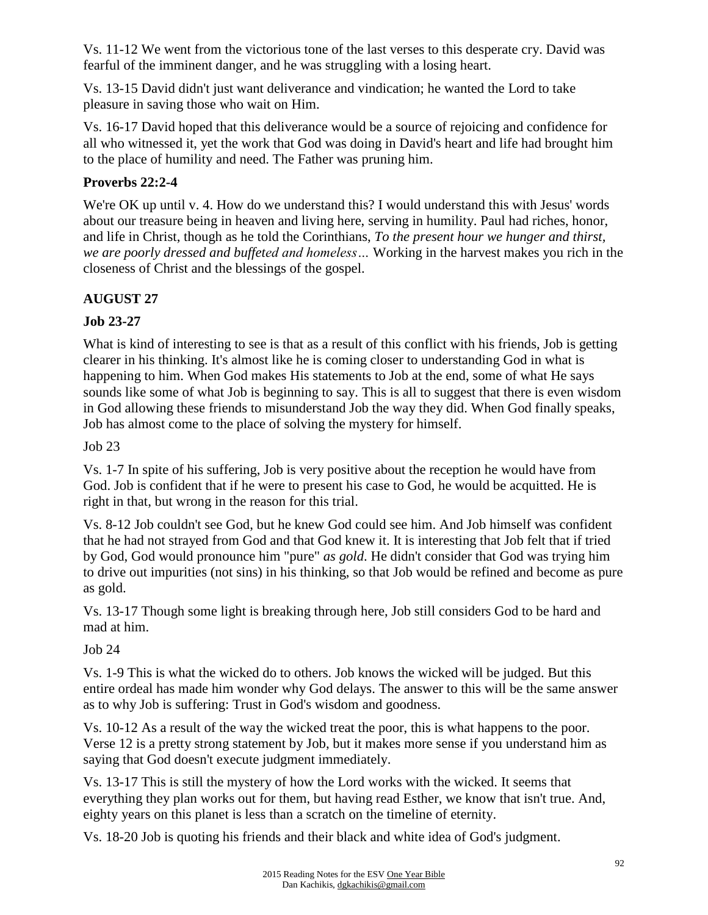Vs. 11-12 We went from the victorious tone of the last verses to this desperate cry. David was fearful of the imminent danger, and he was struggling with a losing heart.

Vs. 13-15 David didn't just want deliverance and vindication; he wanted the Lord to take pleasure in saving those who wait on Him.

Vs. 16-17 David hoped that this deliverance would be a source of rejoicing and confidence for all who witnessed it, yet the work that God was doing in David's heart and life had brought him to the place of humility and need. The Father was pruning him.

## **Proverbs 22:2-4**

We're OK up until v. 4. How do we understand this? I would understand this with Jesus' words about our treasure being in heaven and living here, serving in humility. Paul had riches, honor, and life in Christ, though as he told the Corinthians, *To the present hour we hunger and thirst, we are poorly dressed and buffeted and homeless…* Working in the harvest makes you rich in the closeness of Christ and the blessings of the gospel.

# **AUGUST 27**

## **Job 23-27**

What is kind of interesting to see is that as a result of this conflict with his friends, Job is getting clearer in his thinking. It's almost like he is coming closer to understanding God in what is happening to him. When God makes His statements to Job at the end, some of what He says sounds like some of what Job is beginning to say. This is all to suggest that there is even wisdom in God allowing these friends to misunderstand Job the way they did. When God finally speaks, Job has almost come to the place of solving the mystery for himself.

Job 23

Vs. 1-7 In spite of his suffering, Job is very positive about the reception he would have from God. Job is confident that if he were to present his case to God, he would be acquitted. He is right in that, but wrong in the reason for this trial.

Vs. 8-12 Job couldn't see God, but he knew God could see him. And Job himself was confident that he had not strayed from God and that God knew it. It is interesting that Job felt that if tried by God, God would pronounce him "pure" *as gold*. He didn't consider that God was trying him to drive out impurities (not sins) in his thinking, so that Job would be refined and become as pure as gold.

Vs. 13-17 Though some light is breaking through here, Job still considers God to be hard and mad at him.

## Job 24

Vs. 1-9 This is what the wicked do to others. Job knows the wicked will be judged. But this entire ordeal has made him wonder why God delays. The answer to this will be the same answer as to why Job is suffering: Trust in God's wisdom and goodness.

Vs. 10-12 As a result of the way the wicked treat the poor, this is what happens to the poor. Verse 12 is a pretty strong statement by Job, but it makes more sense if you understand him as saying that God doesn't execute judgment immediately.

Vs. 13-17 This is still the mystery of how the Lord works with the wicked. It seems that everything they plan works out for them, but having read Esther, we know that isn't true. And, eighty years on this planet is less than a scratch on the timeline of eternity.

Vs. 18-20 Job is quoting his friends and their black and white idea of God's judgment.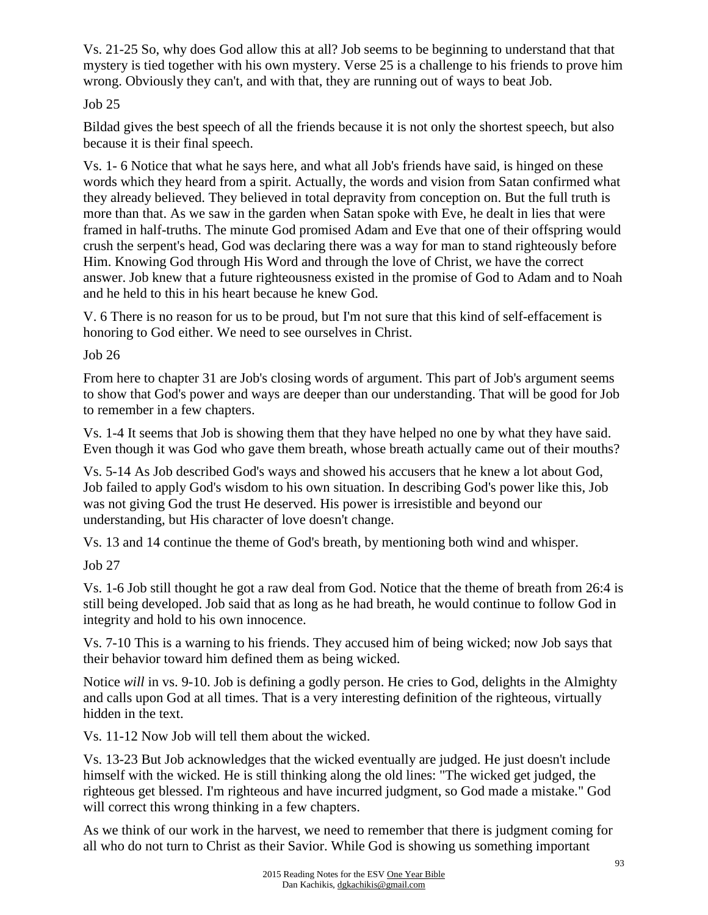Vs. 21-25 So, why does God allow this at all? Job seems to be beginning to understand that that mystery is tied together with his own mystery. Verse 25 is a challenge to his friends to prove him wrong. Obviously they can't, and with that, they are running out of ways to beat Job.

## Job 25

Bildad gives the best speech of all the friends because it is not only the shortest speech, but also because it is their final speech.

Vs. 1- 6 Notice that what he says here, and what all Job's friends have said, is hinged on these words which they heard from a spirit. Actually, the words and vision from Satan confirmed what they already believed. They believed in total depravity from conception on. But the full truth is more than that. As we saw in the garden when Satan spoke with Eve, he dealt in lies that were framed in half-truths. The minute God promised Adam and Eve that one of their offspring would crush the serpent's head, God was declaring there was a way for man to stand righteously before Him. Knowing God through His Word and through the love of Christ, we have the correct answer. Job knew that a future righteousness existed in the promise of God to Adam and to Noah and he held to this in his heart because he knew God.

V. 6 There is no reason for us to be proud, but I'm not sure that this kind of self-effacement is honoring to God either. We need to see ourselves in Christ.

Job 26

From here to chapter 31 are Job's closing words of argument. This part of Job's argument seems to show that God's power and ways are deeper than our understanding. That will be good for Job to remember in a few chapters.

Vs. 1-4 It seems that Job is showing them that they have helped no one by what they have said. Even though it was God who gave them breath, whose breath actually came out of their mouths?

Vs. 5-14 As Job described God's ways and showed his accusers that he knew a lot about God, Job failed to apply God's wisdom to his own situation. In describing God's power like this, Job was not giving God the trust He deserved. His power is irresistible and beyond our understanding, but His character of love doesn't change.

Vs. 13 and 14 continue the theme of God's breath, by mentioning both wind and whisper.

Job 27

Vs. 1-6 Job still thought he got a raw deal from God. Notice that the theme of breath from 26:4 is still being developed. Job said that as long as he had breath, he would continue to follow God in integrity and hold to his own innocence.

Vs. 7-10 This is a warning to his friends. They accused him of being wicked; now Job says that their behavior toward him defined them as being wicked.

Notice *will* in vs. 9-10. Job is defining a godly person. He cries to God, delights in the Almighty and calls upon God at all times. That is a very interesting definition of the righteous, virtually hidden in the text.

Vs. 11-12 Now Job will tell them about the wicked.

Vs. 13-23 But Job acknowledges that the wicked eventually are judged. He just doesn't include himself with the wicked. He is still thinking along the old lines: "The wicked get judged, the righteous get blessed. I'm righteous and have incurred judgment, so God made a mistake." God will correct this wrong thinking in a few chapters.

As we think of our work in the harvest, we need to remember that there is judgment coming for all who do not turn to Christ as their Savior. While God is showing us something important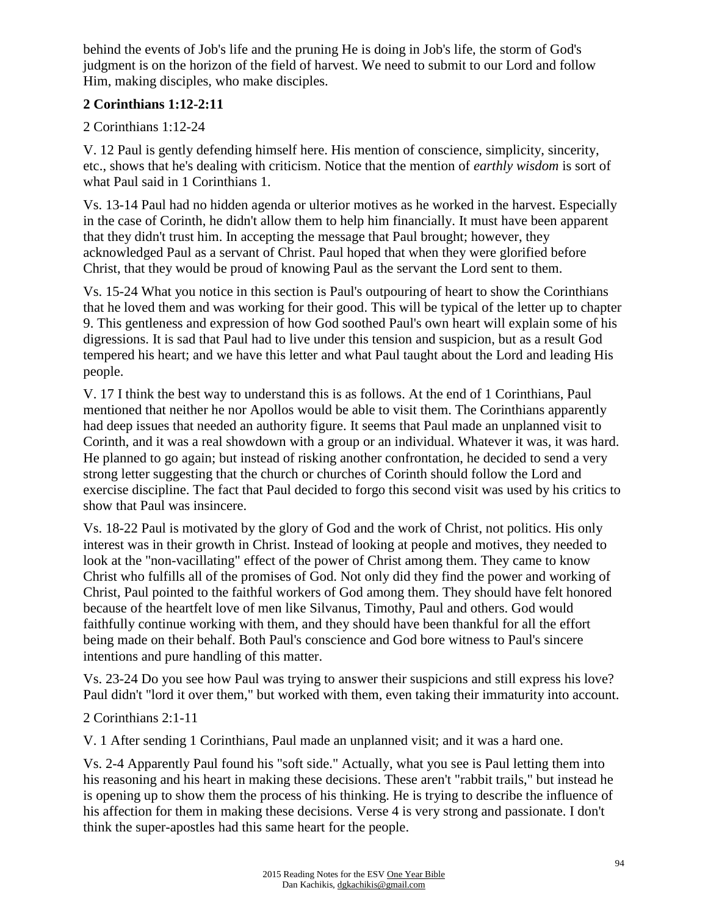behind the events of Job's life and the pruning He is doing in Job's life, the storm of God's judgment is on the horizon of the field of harvest. We need to submit to our Lord and follow Him, making disciples, who make disciples.

## **2 Corinthians 1:12-2:11**

2 Corinthians 1:12-24

V. 12 Paul is gently defending himself here. His mention of conscience, simplicity, sincerity, etc., shows that he's dealing with criticism. Notice that the mention of *earthly wisdom* is sort of what Paul said in 1 Corinthians 1.

Vs. 13-14 Paul had no hidden agenda or ulterior motives as he worked in the harvest. Especially in the case of Corinth, he didn't allow them to help him financially. It must have been apparent that they didn't trust him. In accepting the message that Paul brought; however, they acknowledged Paul as a servant of Christ. Paul hoped that when they were glorified before Christ, that they would be proud of knowing Paul as the servant the Lord sent to them.

Vs. 15-24 What you notice in this section is Paul's outpouring of heart to show the Corinthians that he loved them and was working for their good. This will be typical of the letter up to chapter 9. This gentleness and expression of how God soothed Paul's own heart will explain some of his digressions. It is sad that Paul had to live under this tension and suspicion, but as a result God tempered his heart; and we have this letter and what Paul taught about the Lord and leading His people.

V. 17 I think the best way to understand this is as follows. At the end of 1 Corinthians, Paul mentioned that neither he nor Apollos would be able to visit them. The Corinthians apparently had deep issues that needed an authority figure. It seems that Paul made an unplanned visit to Corinth, and it was a real showdown with a group or an individual. Whatever it was, it was hard. He planned to go again; but instead of risking another confrontation, he decided to send a very strong letter suggesting that the church or churches of Corinth should follow the Lord and exercise discipline. The fact that Paul decided to forgo this second visit was used by his critics to show that Paul was insincere.

Vs. 18-22 Paul is motivated by the glory of God and the work of Christ, not politics. His only interest was in their growth in Christ. Instead of looking at people and motives, they needed to look at the "non-vacillating" effect of the power of Christ among them. They came to know Christ who fulfills all of the promises of God. Not only did they find the power and working of Christ, Paul pointed to the faithful workers of God among them. They should have felt honored because of the heartfelt love of men like Silvanus, Timothy, Paul and others. God would faithfully continue working with them, and they should have been thankful for all the effort being made on their behalf. Both Paul's conscience and God bore witness to Paul's sincere intentions and pure handling of this matter.

Vs. 23-24 Do you see how Paul was trying to answer their suspicions and still express his love? Paul didn't "lord it over them," but worked with them, even taking their immaturity into account.

2 Corinthians 2:1-11

V. 1 After sending 1 Corinthians, Paul made an unplanned visit; and it was a hard one.

Vs. 2-4 Apparently Paul found his "soft side." Actually, what you see is Paul letting them into his reasoning and his heart in making these decisions. These aren't "rabbit trails," but instead he is opening up to show them the process of his thinking. He is trying to describe the influence of his affection for them in making these decisions. Verse 4 is very strong and passionate. I don't think the super-apostles had this same heart for the people.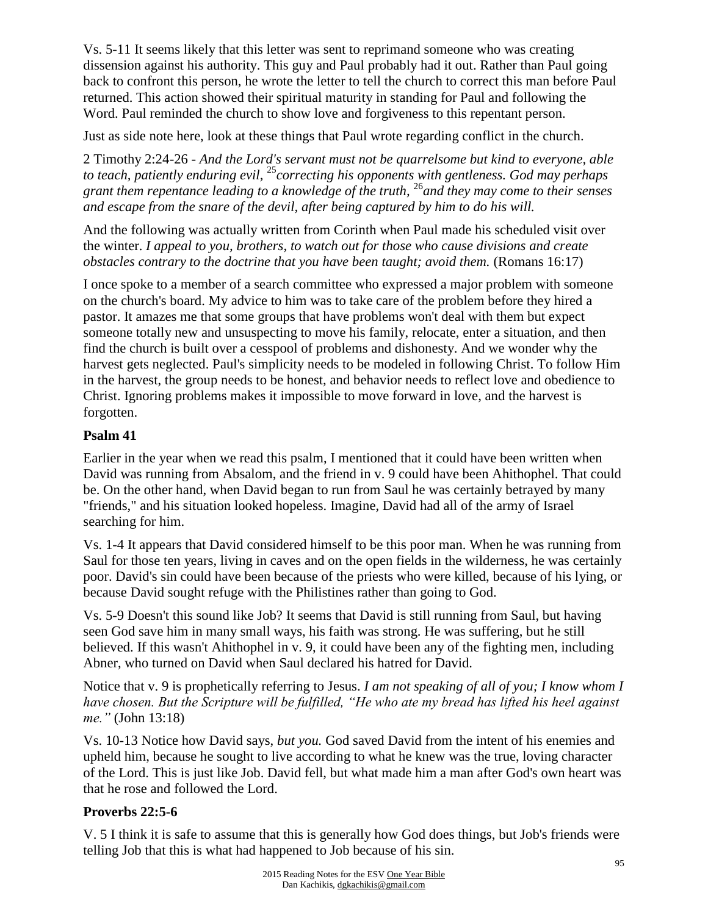Vs. 5-11 It seems likely that this letter was sent to reprimand someone who was creating dissension against his authority. This guy and Paul probably had it out. Rather than Paul going back to confront this person, he wrote the letter to tell the church to correct this man before Paul returned. This action showed their spiritual maturity in standing for Paul and following the Word. Paul reminded the church to show love and forgiveness to this repentant person.

Just as side note here, look at these things that Paul wrote regarding conflict in the church.

2 Timothy 2:24-26 *- And the Lord's servant must not be quarrelsome but kind to everyone, able to teach, patiently enduring evil,* <sup>25</sup>*correcting his opponents with gentleness. God may perhaps grant them repentance leading to a knowledge of the truth,* <sup>26</sup>*and they may come to their senses and escape from the snare of the devil, after being captured by him to do his will.*

And the following was actually written from Corinth when Paul made his scheduled visit over the winter. *I appeal to you, brothers, to watch out for those who cause divisions and create obstacles contrary to the doctrine that you have been taught; avoid them.* (Romans 16:17)

I once spoke to a member of a search committee who expressed a major problem with someone on the church's board. My advice to him was to take care of the problem before they hired a pastor. It amazes me that some groups that have problems won't deal with them but expect someone totally new and unsuspecting to move his family, relocate, enter a situation, and then find the church is built over a cesspool of problems and dishonesty. And we wonder why the harvest gets neglected. Paul's simplicity needs to be modeled in following Christ. To follow Him in the harvest, the group needs to be honest, and behavior needs to reflect love and obedience to Christ. Ignoring problems makes it impossible to move forward in love, and the harvest is forgotten.

### **Psalm 41**

Earlier in the year when we read this psalm, I mentioned that it could have been written when David was running from Absalom, and the friend in v. 9 could have been Ahithophel. That could be. On the other hand, when David began to run from Saul he was certainly betrayed by many "friends," and his situation looked hopeless. Imagine, David had all of the army of Israel searching for him.

Vs. 1-4 It appears that David considered himself to be this poor man. When he was running from Saul for those ten years, living in caves and on the open fields in the wilderness, he was certainly poor. David's sin could have been because of the priests who were killed, because of his lying, or because David sought refuge with the Philistines rather than going to God.

Vs. 5-9 Doesn't this sound like Job? It seems that David is still running from Saul, but having seen God save him in many small ways, his faith was strong. He was suffering, but he still believed. If this wasn't Ahithophel in v. 9, it could have been any of the fighting men, including Abner, who turned on David when Saul declared his hatred for David.

Notice that v. 9 is prophetically referring to Jesus. *I am not speaking of all of you; I know whom I have chosen. But the Scripture will be fulfilled, "He who ate my bread has lifted his heel against me."* (John 13:18)

Vs. 10-13 Notice how David says, *but you.* God saved David from the intent of his enemies and upheld him, because he sought to live according to what he knew was the true, loving character of the Lord. This is just like Job. David fell, but what made him a man after God's own heart was that he rose and followed the Lord.

## **Proverbs 22:5-6**

V. 5 I think it is safe to assume that this is generally how God does things, but Job's friends were telling Job that this is what had happened to Job because of his sin.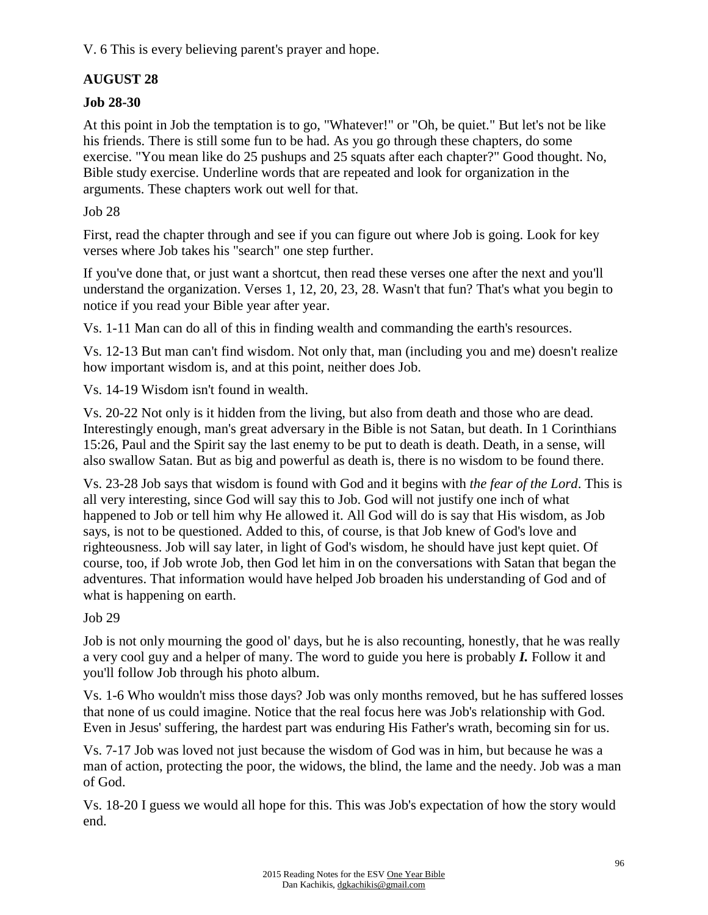V. 6 This is every believing parent's prayer and hope.

# **AUGUST 28**

## **Job 28-30**

At this point in Job the temptation is to go, "Whatever!" or "Oh, be quiet." But let's not be like his friends. There is still some fun to be had. As you go through these chapters, do some exercise. "You mean like do 25 pushups and 25 squats after each chapter?" Good thought. No, Bible study exercise. Underline words that are repeated and look for organization in the arguments. These chapters work out well for that.

Job 28

First, read the chapter through and see if you can figure out where Job is going. Look for key verses where Job takes his "search" one step further.

If you've done that, or just want a shortcut, then read these verses one after the next and you'll understand the organization. Verses 1, 12, 20, 23, 28. Wasn't that fun? That's what you begin to notice if you read your Bible year after year.

Vs. 1-11 Man can do all of this in finding wealth and commanding the earth's resources.

Vs. 12-13 But man can't find wisdom. Not only that, man (including you and me) doesn't realize how important wisdom is, and at this point, neither does Job.

Vs. 14-19 Wisdom isn't found in wealth.

Vs. 20-22 Not only is it hidden from the living, but also from death and those who are dead. Interestingly enough, man's great adversary in the Bible is not Satan, but death. In 1 Corinthians 15:26, Paul and the Spirit say the last enemy to be put to death is death. Death, in a sense, will also swallow Satan. But as big and powerful as death is, there is no wisdom to be found there.

Vs. 23-28 Job says that wisdom is found with God and it begins with *the fear of the Lord*. This is all very interesting, since God will say this to Job. God will not justify one inch of what happened to Job or tell him why He allowed it. All God will do is say that His wisdom, as Job says, is not to be questioned. Added to this, of course, is that Job knew of God's love and righteousness. Job will say later, in light of God's wisdom, he should have just kept quiet. Of course, too, if Job wrote Job, then God let him in on the conversations with Satan that began the adventures. That information would have helped Job broaden his understanding of God and of what is happening on earth.

## Job 29

Job is not only mourning the good ol' days, but he is also recounting, honestly, that he was really a very cool guy and a helper of many. The word to guide you here is probably *I.* Follow it and you'll follow Job through his photo album.

Vs. 1-6 Who wouldn't miss those days? Job was only months removed, but he has suffered losses that none of us could imagine. Notice that the real focus here was Job's relationship with God. Even in Jesus' suffering, the hardest part was enduring His Father's wrath, becoming sin for us.

Vs. 7-17 Job was loved not just because the wisdom of God was in him, but because he was a man of action, protecting the poor, the widows, the blind, the lame and the needy. Job was a man of God.

Vs. 18-20 I guess we would all hope for this. This was Job's expectation of how the story would end.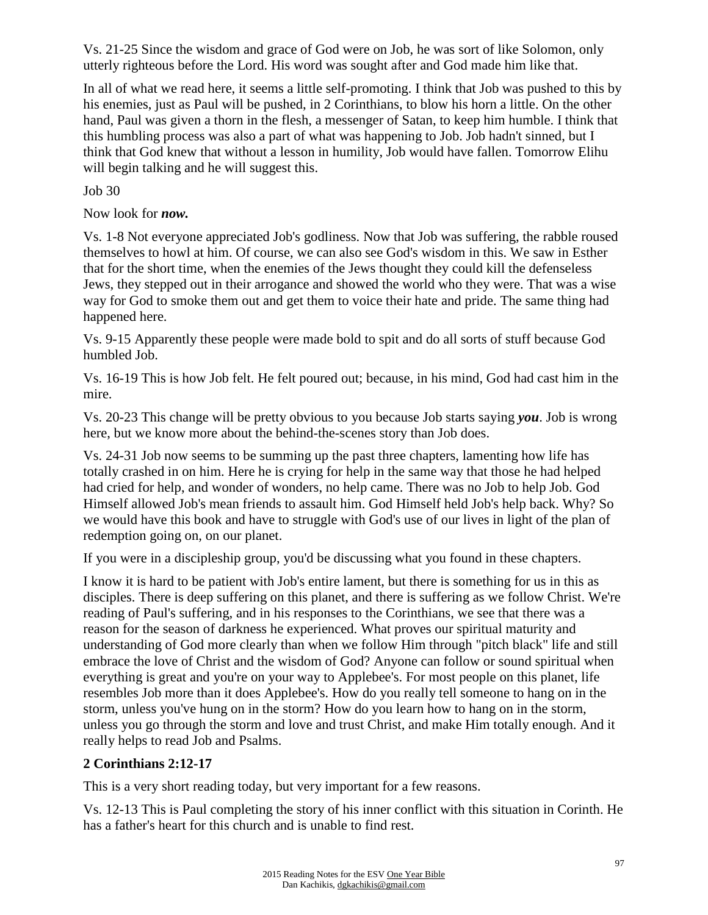Vs. 21-25 Since the wisdom and grace of God were on Job, he was sort of like Solomon, only utterly righteous before the Lord. His word was sought after and God made him like that.

In all of what we read here, it seems a little self-promoting. I think that Job was pushed to this by his enemies, just as Paul will be pushed, in 2 Corinthians, to blow his horn a little. On the other hand, Paul was given a thorn in the flesh, a messenger of Satan, to keep him humble. I think that this humbling process was also a part of what was happening to Job. Job hadn't sinned, but I think that God knew that without a lesson in humility, Job would have fallen. Tomorrow Elihu will begin talking and he will suggest this.

Job 30

Now look for *now.*

Vs. 1-8 Not everyone appreciated Job's godliness. Now that Job was suffering, the rabble roused themselves to howl at him. Of course, we can also see God's wisdom in this. We saw in Esther that for the short time, when the enemies of the Jews thought they could kill the defenseless Jews, they stepped out in their arrogance and showed the world who they were. That was a wise way for God to smoke them out and get them to voice their hate and pride. The same thing had happened here.

Vs. 9-15 Apparently these people were made bold to spit and do all sorts of stuff because God humbled Job.

Vs. 16-19 This is how Job felt. He felt poured out; because, in his mind, God had cast him in the mire.

Vs. 20-23 This change will be pretty obvious to you because Job starts saying *you*. Job is wrong here, but we know more about the behind-the-scenes story than Job does.

Vs. 24-31 Job now seems to be summing up the past three chapters, lamenting how life has totally crashed in on him. Here he is crying for help in the same way that those he had helped had cried for help, and wonder of wonders, no help came. There was no Job to help Job. God Himself allowed Job's mean friends to assault him. God Himself held Job's help back. Why? So we would have this book and have to struggle with God's use of our lives in light of the plan of redemption going on, on our planet.

If you were in a discipleship group, you'd be discussing what you found in these chapters.

I know it is hard to be patient with Job's entire lament, but there is something for us in this as disciples. There is deep suffering on this planet, and there is suffering as we follow Christ. We're reading of Paul's suffering, and in his responses to the Corinthians, we see that there was a reason for the season of darkness he experienced. What proves our spiritual maturity and understanding of God more clearly than when we follow Him through "pitch black" life and still embrace the love of Christ and the wisdom of God? Anyone can follow or sound spiritual when everything is great and you're on your way to Applebee's. For most people on this planet, life resembles Job more than it does Applebee's. How do you really tell someone to hang on in the storm, unless you've hung on in the storm? How do you learn how to hang on in the storm, unless you go through the storm and love and trust Christ, and make Him totally enough. And it really helps to read Job and Psalms.

## **2 Corinthians 2:12-17**

This is a very short reading today, but very important for a few reasons.

Vs. 12-13 This is Paul completing the story of his inner conflict with this situation in Corinth. He has a father's heart for this church and is unable to find rest.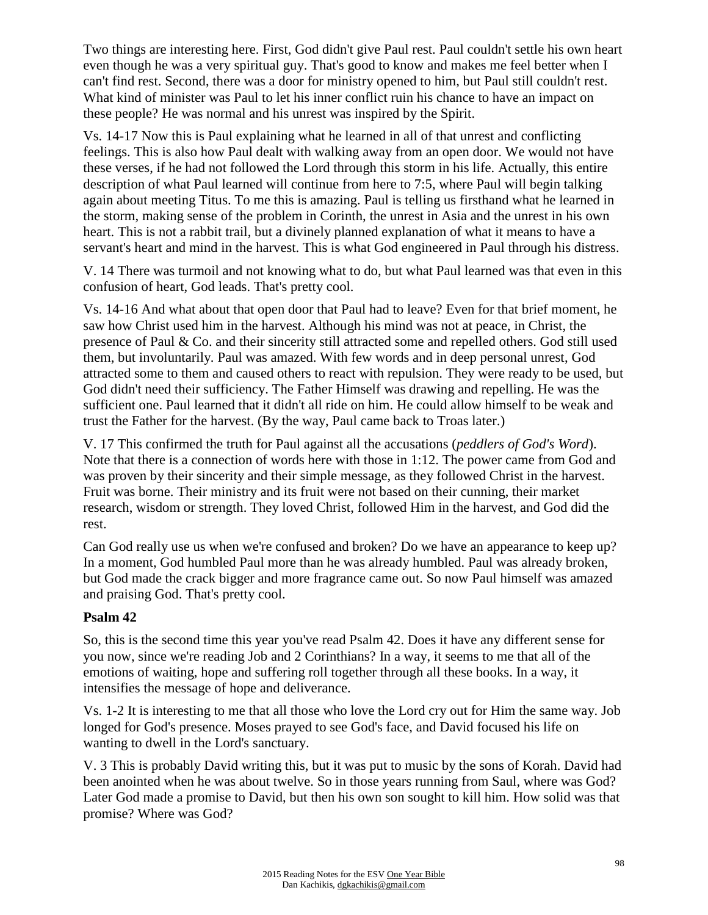Two things are interesting here. First, God didn't give Paul rest. Paul couldn't settle his own heart even though he was a very spiritual guy. That's good to know and makes me feel better when I can't find rest. Second, there was a door for ministry opened to him, but Paul still couldn't rest. What kind of minister was Paul to let his inner conflict ruin his chance to have an impact on these people? He was normal and his unrest was inspired by the Spirit.

Vs. 14-17 Now this is Paul explaining what he learned in all of that unrest and conflicting feelings. This is also how Paul dealt with walking away from an open door. We would not have these verses, if he had not followed the Lord through this storm in his life. Actually, this entire description of what Paul learned will continue from here to 7:5, where Paul will begin talking again about meeting Titus. To me this is amazing. Paul is telling us firsthand what he learned in the storm, making sense of the problem in Corinth, the unrest in Asia and the unrest in his own heart. This is not a rabbit trail, but a divinely planned explanation of what it means to have a servant's heart and mind in the harvest. This is what God engineered in Paul through his distress.

V. 14 There was turmoil and not knowing what to do, but what Paul learned was that even in this confusion of heart, God leads. That's pretty cool.

Vs. 14-16 And what about that open door that Paul had to leave? Even for that brief moment, he saw how Christ used him in the harvest. Although his mind was not at peace, in Christ, the presence of Paul & Co. and their sincerity still attracted some and repelled others. God still used them, but involuntarily. Paul was amazed. With few words and in deep personal unrest, God attracted some to them and caused others to react with repulsion. They were ready to be used, but God didn't need their sufficiency. The Father Himself was drawing and repelling. He was the sufficient one. Paul learned that it didn't all ride on him. He could allow himself to be weak and trust the Father for the harvest. (By the way, Paul came back to Troas later.)

V. 17 This confirmed the truth for Paul against all the accusations (*peddlers of God's Word*). Note that there is a connection of words here with those in 1:12. The power came from God and was proven by their sincerity and their simple message, as they followed Christ in the harvest. Fruit was borne. Their ministry and its fruit were not based on their cunning, their market research, wisdom or strength. They loved Christ, followed Him in the harvest, and God did the rest.

Can God really use us when we're confused and broken? Do we have an appearance to keep up? In a moment, God humbled Paul more than he was already humbled. Paul was already broken, but God made the crack bigger and more fragrance came out. So now Paul himself was amazed and praising God. That's pretty cool.

### **Psalm 42**

So, this is the second time this year you've read Psalm 42. Does it have any different sense for you now, since we're reading Job and 2 Corinthians? In a way, it seems to me that all of the emotions of waiting, hope and suffering roll together through all these books. In a way, it intensifies the message of hope and deliverance.

Vs. 1-2 It is interesting to me that all those who love the Lord cry out for Him the same way. Job longed for God's presence. Moses prayed to see God's face, and David focused his life on wanting to dwell in the Lord's sanctuary.

V. 3 This is probably David writing this, but it was put to music by the sons of Korah. David had been anointed when he was about twelve. So in those years running from Saul, where was God? Later God made a promise to David, but then his own son sought to kill him. How solid was that promise? Where was God?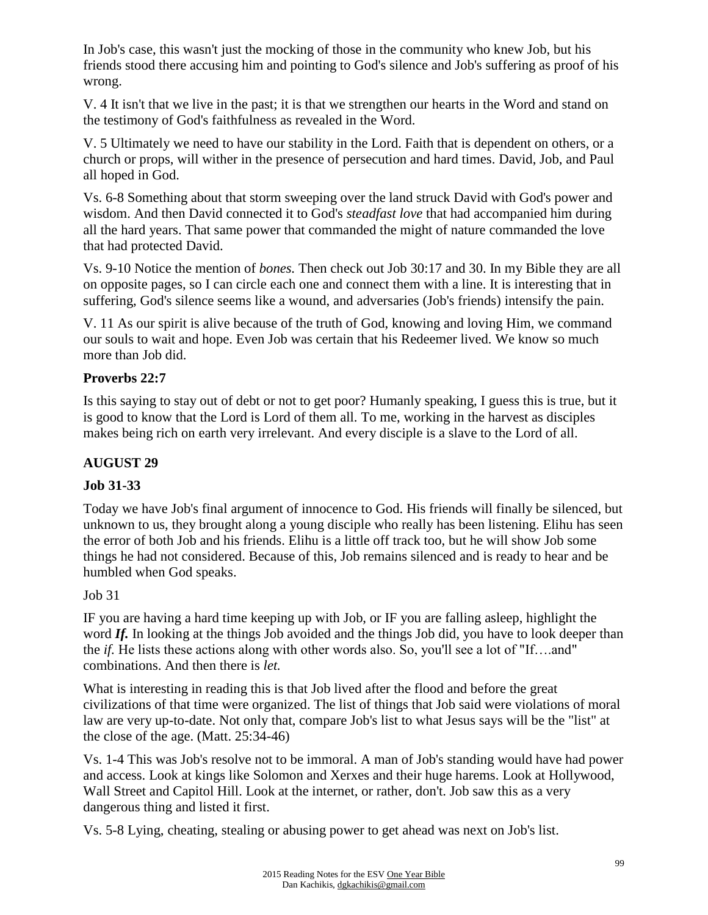In Job's case, this wasn't just the mocking of those in the community who knew Job, but his friends stood there accusing him and pointing to God's silence and Job's suffering as proof of his wrong.

V. 4 It isn't that we live in the past; it is that we strengthen our hearts in the Word and stand on the testimony of God's faithfulness as revealed in the Word.

V. 5 Ultimately we need to have our stability in the Lord. Faith that is dependent on others, or a church or props, will wither in the presence of persecution and hard times. David, Job, and Paul all hoped in God.

Vs. 6-8 Something about that storm sweeping over the land struck David with God's power and wisdom. And then David connected it to God's *steadfast love* that had accompanied him during all the hard years. That same power that commanded the might of nature commanded the love that had protected David.

Vs. 9-10 Notice the mention of *bones.* Then check out Job 30:17 and 30. In my Bible they are all on opposite pages, so I can circle each one and connect them with a line. It is interesting that in suffering, God's silence seems like a wound, and adversaries (Job's friends) intensify the pain.

V. 11 As our spirit is alive because of the truth of God, knowing and loving Him, we command our souls to wait and hope. Even Job was certain that his Redeemer lived. We know so much more than Job did.

## **Proverbs 22:7**

Is this saying to stay out of debt or not to get poor? Humanly speaking, I guess this is true, but it is good to know that the Lord is Lord of them all. To me, working in the harvest as disciples makes being rich on earth very irrelevant. And every disciple is a slave to the Lord of all.

### **AUGUST 29**

## **Job 31-33**

Today we have Job's final argument of innocence to God. His friends will finally be silenced, but unknown to us, they brought along a young disciple who really has been listening. Elihu has seen the error of both Job and his friends. Elihu is a little off track too, but he will show Job some things he had not considered. Because of this, Job remains silenced and is ready to hear and be humbled when God speaks.

Job 31

IF you are having a hard time keeping up with Job, or IF you are falling asleep, highlight the word *If.* In looking at the things Job avoided and the things Job did, you have to look deeper than the *if.* He lists these actions along with other words also. So, you'll see a lot of "If….and" combinations. And then there is *let.*

What is interesting in reading this is that Job lived after the flood and before the great civilizations of that time were organized. The list of things that Job said were violations of moral law are very up-to-date. Not only that, compare Job's list to what Jesus says will be the "list" at the close of the age. (Matt. 25:34-46)

Vs. 1-4 This was Job's resolve not to be immoral. A man of Job's standing would have had power and access. Look at kings like Solomon and Xerxes and their huge harems. Look at Hollywood, Wall Street and Capitol Hill. Look at the internet, or rather, don't. Job saw this as a very dangerous thing and listed it first.

Vs. 5-8 Lying, cheating, stealing or abusing power to get ahead was next on Job's list.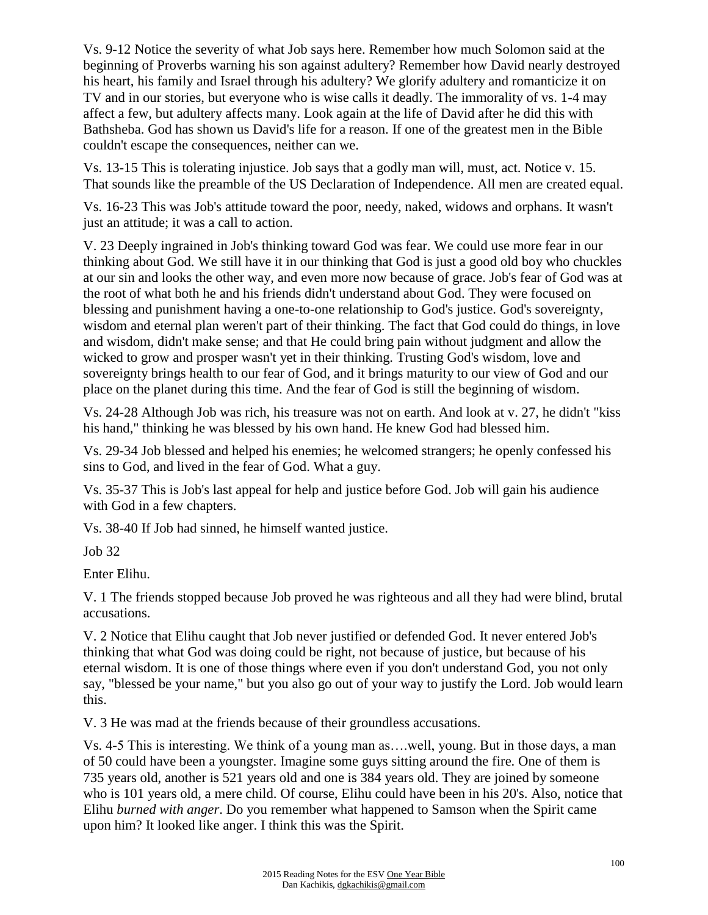Vs. 9-12 Notice the severity of what Job says here. Remember how much Solomon said at the beginning of Proverbs warning his son against adultery? Remember how David nearly destroyed his heart, his family and Israel through his adultery? We glorify adultery and romanticize it on TV and in our stories, but everyone who is wise calls it deadly. The immorality of vs. 1-4 may affect a few, but adultery affects many. Look again at the life of David after he did this with Bathsheba. God has shown us David's life for a reason. If one of the greatest men in the Bible couldn't escape the consequences, neither can we.

Vs. 13-15 This is tolerating injustice. Job says that a godly man will, must, act. Notice v. 15. That sounds like the preamble of the US Declaration of Independence. All men are created equal.

Vs. 16-23 This was Job's attitude toward the poor, needy, naked, widows and orphans. It wasn't just an attitude; it was a call to action.

V. 23 Deeply ingrained in Job's thinking toward God was fear. We could use more fear in our thinking about God. We still have it in our thinking that God is just a good old boy who chuckles at our sin and looks the other way, and even more now because of grace. Job's fear of God was at the root of what both he and his friends didn't understand about God. They were focused on blessing and punishment having a one-to-one relationship to God's justice. God's sovereignty, wisdom and eternal plan weren't part of their thinking. The fact that God could do things, in love and wisdom, didn't make sense; and that He could bring pain without judgment and allow the wicked to grow and prosper wasn't yet in their thinking. Trusting God's wisdom, love and sovereignty brings health to our fear of God, and it brings maturity to our view of God and our place on the planet during this time. And the fear of God is still the beginning of wisdom.

Vs. 24-28 Although Job was rich, his treasure was not on earth. And look at v. 27, he didn't "kiss his hand," thinking he was blessed by his own hand. He knew God had blessed him.

Vs. 29-34 Job blessed and helped his enemies; he welcomed strangers; he openly confessed his sins to God, and lived in the fear of God. What a guy.

Vs. 35-37 This is Job's last appeal for help and justice before God. Job will gain his audience with God in a few chapters.

Vs. 38-40 If Job had sinned, he himself wanted justice.

Job 32

Enter Elihu.

V. 1 The friends stopped because Job proved he was righteous and all they had were blind, brutal accusations.

V. 2 Notice that Elihu caught that Job never justified or defended God. It never entered Job's thinking that what God was doing could be right, not because of justice, but because of his eternal wisdom. It is one of those things where even if you don't understand God, you not only say, "blessed be your name," but you also go out of your way to justify the Lord. Job would learn this.

V. 3 He was mad at the friends because of their groundless accusations.

Vs. 4-5 This is interesting. We think of a young man as….well, young. But in those days, a man of 50 could have been a youngster. Imagine some guys sitting around the fire. One of them is 735 years old, another is 521 years old and one is 384 years old. They are joined by someone who is 101 years old, a mere child. Of course, Elihu could have been in his 20's. Also, notice that Elihu *burned with anger*. Do you remember what happened to Samson when the Spirit came upon him? It looked like anger. I think this was the Spirit.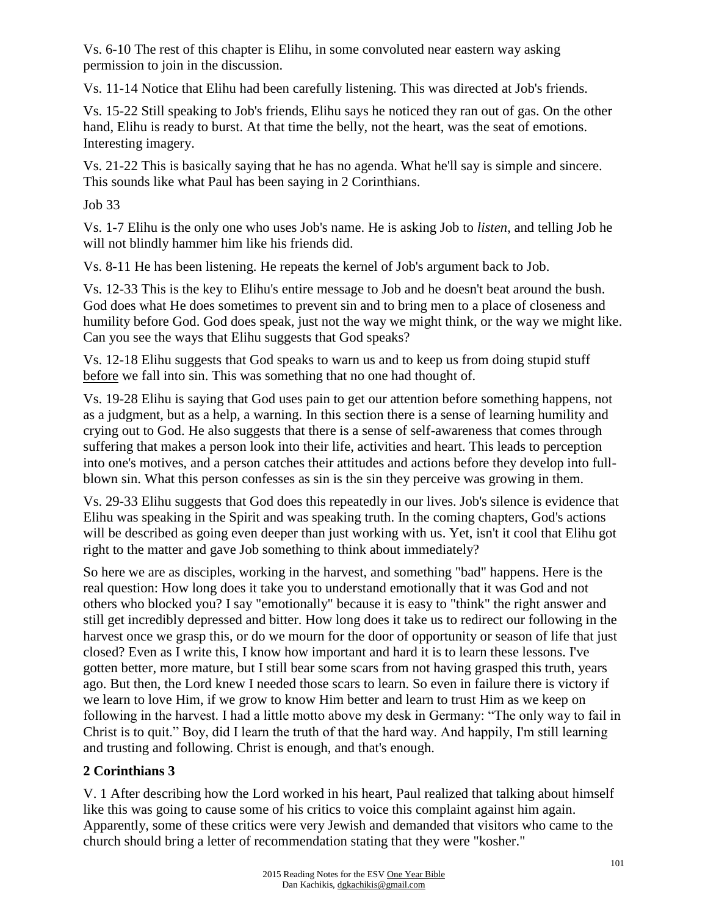Vs. 6-10 The rest of this chapter is Elihu, in some convoluted near eastern way asking permission to join in the discussion.

Vs. 11-14 Notice that Elihu had been carefully listening. This was directed at Job's friends.

Vs. 15-22 Still speaking to Job's friends, Elihu says he noticed they ran out of gas. On the other hand, Elihu is ready to burst. At that time the belly, not the heart, was the seat of emotions. Interesting imagery.

Vs. 21-22 This is basically saying that he has no agenda. What he'll say is simple and sincere. This sounds like what Paul has been saying in 2 Corinthians.

Job 33

Vs. 1-7 Elihu is the only one who uses Job's name. He is asking Job to *listen*, and telling Job he will not blindly hammer him like his friends did.

Vs. 8-11 He has been listening. He repeats the kernel of Job's argument back to Job.

Vs. 12-33 This is the key to Elihu's entire message to Job and he doesn't beat around the bush. God does what He does sometimes to prevent sin and to bring men to a place of closeness and humility before God. God does speak, just not the way we might think, or the way we might like. Can you see the ways that Elihu suggests that God speaks?

Vs. 12-18 Elihu suggests that God speaks to warn us and to keep us from doing stupid stuff before we fall into sin. This was something that no one had thought of.

Vs. 19-28 Elihu is saying that God uses pain to get our attention before something happens, not as a judgment, but as a help, a warning. In this section there is a sense of learning humility and crying out to God. He also suggests that there is a sense of self-awareness that comes through suffering that makes a person look into their life, activities and heart. This leads to perception into one's motives, and a person catches their attitudes and actions before they develop into fullblown sin. What this person confesses as sin is the sin they perceive was growing in them.

Vs. 29-33 Elihu suggests that God does this repeatedly in our lives. Job's silence is evidence that Elihu was speaking in the Spirit and was speaking truth. In the coming chapters, God's actions will be described as going even deeper than just working with us. Yet, isn't it cool that Elihu got right to the matter and gave Job something to think about immediately?

So here we are as disciples, working in the harvest, and something "bad" happens. Here is the real question: How long does it take you to understand emotionally that it was God and not others who blocked you? I say "emotionally" because it is easy to "think" the right answer and still get incredibly depressed and bitter. How long does it take us to redirect our following in the harvest once we grasp this, or do we mourn for the door of opportunity or season of life that just closed? Even as I write this, I know how important and hard it is to learn these lessons. I've gotten better, more mature, but I still bear some scars from not having grasped this truth, years ago. But then, the Lord knew I needed those scars to learn. So even in failure there is victory if we learn to love Him, if we grow to know Him better and learn to trust Him as we keep on following in the harvest. I had a little motto above my desk in Germany: "The only way to fail in Christ is to quit." Boy, did I learn the truth of that the hard way. And happily, I'm still learning and trusting and following. Christ is enough, and that's enough.

## **2 Corinthians 3**

V. 1 After describing how the Lord worked in his heart, Paul realized that talking about himself like this was going to cause some of his critics to voice this complaint against him again. Apparently, some of these critics were very Jewish and demanded that visitors who came to the church should bring a letter of recommendation stating that they were "kosher."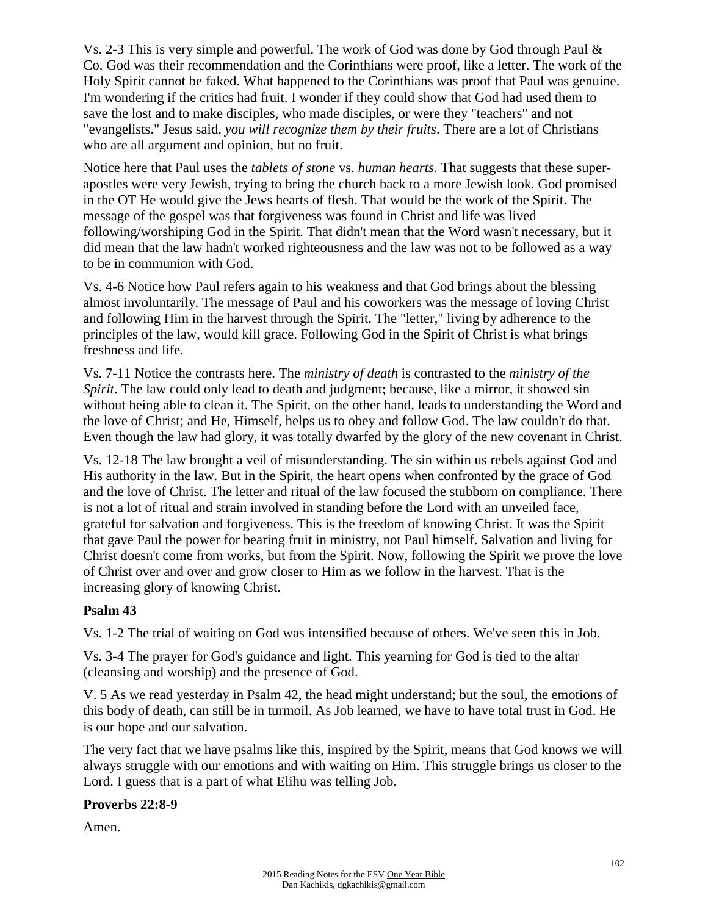Vs. 2-3 This is very simple and powerful. The work of God was done by God through Paul & Co. God was their recommendation and the Corinthians were proof, like a letter. The work of the Holy Spirit cannot be faked. What happened to the Corinthians was proof that Paul was genuine. I'm wondering if the critics had fruit. I wonder if they could show that God had used them to save the lost and to make disciples, who made disciples, or were they "teachers" and not "evangelists." Jesus said, *you will recognize them by their fruits*. There are a lot of Christians who are all argument and opinion, but no fruit.

Notice here that Paul uses the *tablets of stone* vs. *human hearts.* That suggests that these superapostles were very Jewish, trying to bring the church back to a more Jewish look. God promised in the OT He would give the Jews hearts of flesh. That would be the work of the Spirit. The message of the gospel was that forgiveness was found in Christ and life was lived following/worshiping God in the Spirit. That didn't mean that the Word wasn't necessary, but it did mean that the law hadn't worked righteousness and the law was not to be followed as a way to be in communion with God.

Vs. 4-6 Notice how Paul refers again to his weakness and that God brings about the blessing almost involuntarily. The message of Paul and his coworkers was the message of loving Christ and following Him in the harvest through the Spirit. The "letter," living by adherence to the principles of the law, would kill grace. Following God in the Spirit of Christ is what brings freshness and life.

Vs. 7-11 Notice the contrasts here. The *ministry of death* is contrasted to the *ministry of the Spirit*. The law could only lead to death and judgment; because, like a mirror, it showed sin without being able to clean it. The Spirit, on the other hand, leads to understanding the Word and the love of Christ; and He, Himself, helps us to obey and follow God. The law couldn't do that. Even though the law had glory, it was totally dwarfed by the glory of the new covenant in Christ.

Vs. 12-18 The law brought a veil of misunderstanding. The sin within us rebels against God and His authority in the law. But in the Spirit, the heart opens when confronted by the grace of God and the love of Christ. The letter and ritual of the law focused the stubborn on compliance. There is not a lot of ritual and strain involved in standing before the Lord with an unveiled face, grateful for salvation and forgiveness. This is the freedom of knowing Christ. It was the Spirit that gave Paul the power for bearing fruit in ministry, not Paul himself. Salvation and living for Christ doesn't come from works, but from the Spirit. Now, following the Spirit we prove the love of Christ over and over and grow closer to Him as we follow in the harvest. That is the increasing glory of knowing Christ.

### **Psalm 43**

Vs. 1-2 The trial of waiting on God was intensified because of others. We've seen this in Job.

Vs. 3-4 The prayer for God's guidance and light. This yearning for God is tied to the altar (cleansing and worship) and the presence of God.

V. 5 As we read yesterday in Psalm 42, the head might understand; but the soul, the emotions of this body of death, can still be in turmoil. As Job learned, we have to have total trust in God. He is our hope and our salvation.

The very fact that we have psalms like this, inspired by the Spirit, means that God knows we will always struggle with our emotions and with waiting on Him. This struggle brings us closer to the Lord. I guess that is a part of what Elihu was telling Job.

## **Proverbs 22:8-9**

Amen.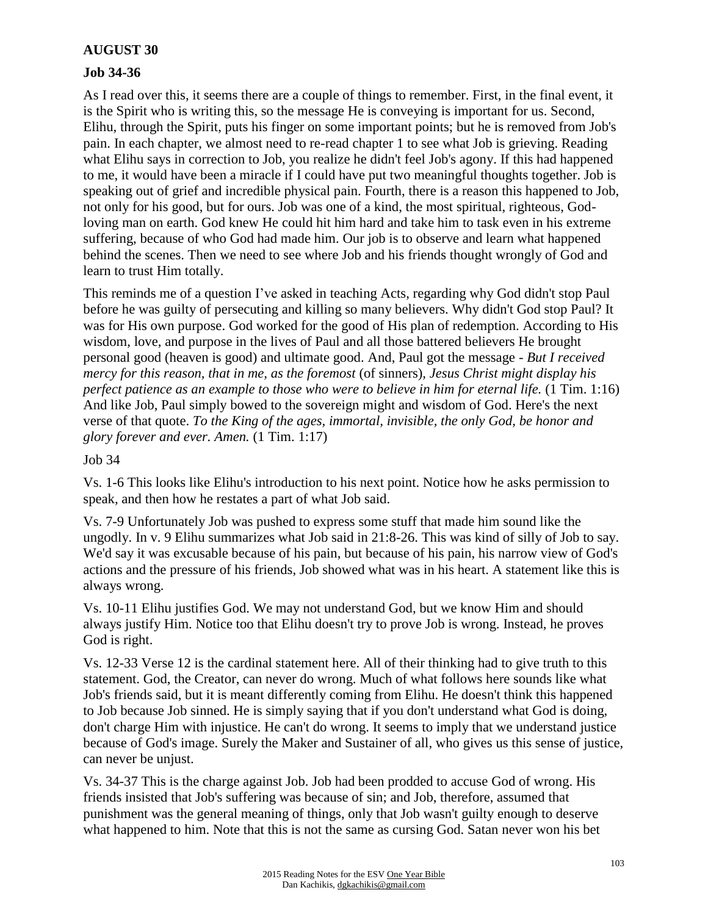### **AUGUST 30**

### **Job 34-36**

As I read over this, it seems there are a couple of things to remember. First, in the final event, it is the Spirit who is writing this, so the message He is conveying is important for us. Second, Elihu, through the Spirit, puts his finger on some important points; but he is removed from Job's pain. In each chapter, we almost need to re-read chapter 1 to see what Job is grieving. Reading what Elihu says in correction to Job, you realize he didn't feel Job's agony. If this had happened to me, it would have been a miracle if I could have put two meaningful thoughts together. Job is speaking out of grief and incredible physical pain. Fourth, there is a reason this happened to Job, not only for his good, but for ours. Job was one of a kind, the most spiritual, righteous, Godloving man on earth. God knew He could hit him hard and take him to task even in his extreme suffering, because of who God had made him. Our job is to observe and learn what happened behind the scenes. Then we need to see where Job and his friends thought wrongly of God and learn to trust Him totally.

This reminds me of a question I've asked in teaching Acts, regarding why God didn't stop Paul before he was guilty of persecuting and killing so many believers. Why didn't God stop Paul? It was for His own purpose. God worked for the good of His plan of redemption. According to His wisdom, love, and purpose in the lives of Paul and all those battered believers He brought personal good (heaven is good) and ultimate good. And, Paul got the message - *But I received mercy for this reason, that in me, as the foremost* (of sinners)*, Jesus Christ might display his perfect patience as an example to those who were to believe in him for eternal life.* (1 Tim. 1:16) And like Job, Paul simply bowed to the sovereign might and wisdom of God. Here's the next verse of that quote. *To the King of the ages, immortal, invisible, the only God, be honor and glory forever and ever. Amen.* (1 Tim. 1:17)

Job 34

Vs. 1-6 This looks like Elihu's introduction to his next point. Notice how he asks permission to speak, and then how he restates a part of what Job said.

Vs. 7-9 Unfortunately Job was pushed to express some stuff that made him sound like the ungodly. In v. 9 Elihu summarizes what Job said in 21:8-26. This was kind of silly of Job to say. We'd say it was excusable because of his pain, but because of his pain, his narrow view of God's actions and the pressure of his friends, Job showed what was in his heart. A statement like this is always wrong.

Vs. 10-11 Elihu justifies God. We may not understand God, but we know Him and should always justify Him. Notice too that Elihu doesn't try to prove Job is wrong. Instead, he proves God is right.

Vs. 12-33 Verse 12 is the cardinal statement here. All of their thinking had to give truth to this statement. God, the Creator, can never do wrong. Much of what follows here sounds like what Job's friends said, but it is meant differently coming from Elihu. He doesn't think this happened to Job because Job sinned. He is simply saying that if you don't understand what God is doing, don't charge Him with injustice. He can't do wrong. It seems to imply that we understand justice because of God's image. Surely the Maker and Sustainer of all, who gives us this sense of justice, can never be unjust.

Vs. 34-37 This is the charge against Job. Job had been prodded to accuse God of wrong. His friends insisted that Job's suffering was because of sin; and Job, therefore, assumed that punishment was the general meaning of things, only that Job wasn't guilty enough to deserve what happened to him. Note that this is not the same as cursing God. Satan never won his bet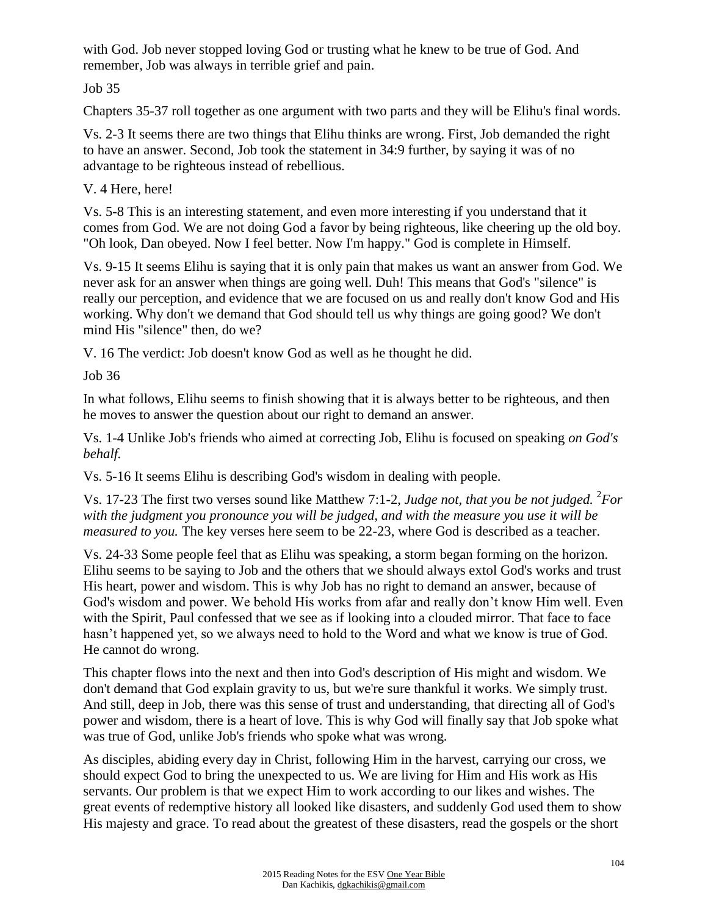with God. Job never stopped loving God or trusting what he knew to be true of God. And remember, Job was always in terrible grief and pain.

Job 35

Chapters 35-37 roll together as one argument with two parts and they will be Elihu's final words.

Vs. 2-3 It seems there are two things that Elihu thinks are wrong. First, Job demanded the right to have an answer. Second, Job took the statement in 34:9 further, by saying it was of no advantage to be righteous instead of rebellious.

V. 4 Here, here!

Vs. 5-8 This is an interesting statement, and even more interesting if you understand that it comes from God. We are not doing God a favor by being righteous, like cheering up the old boy. "Oh look, Dan obeyed. Now I feel better. Now I'm happy." God is complete in Himself.

Vs. 9-15 It seems Elihu is saying that it is only pain that makes us want an answer from God. We never ask for an answer when things are going well. Duh! This means that God's "silence" is really our perception, and evidence that we are focused on us and really don't know God and His working. Why don't we demand that God should tell us why things are going good? We don't mind His "silence" then, do we?

V. 16 The verdict: Job doesn't know God as well as he thought he did.

Job 36

In what follows, Elihu seems to finish showing that it is always better to be righteous, and then he moves to answer the question about our right to demand an answer.

Vs. 1-4 Unlike Job's friends who aimed at correcting Job, Elihu is focused on speaking *on God's behalf.*

Vs. 5-16 It seems Elihu is describing God's wisdom in dealing with people.

Vs. 17-23 The first two verses sound like Matthew 7:1-2, *Judge not, that you be not judged.* <sup>2</sup>For *with the judgment you pronounce you will be judged, and with the measure you use it will be measured to you.* The key verses here seem to be 22-23, where God is described as a teacher.

Vs. 24-33 Some people feel that as Elihu was speaking, a storm began forming on the horizon. Elihu seems to be saying to Job and the others that we should always extol God's works and trust His heart, power and wisdom. This is why Job has no right to demand an answer, because of God's wisdom and power. We behold His works from afar and really don't know Him well. Even with the Spirit, Paul confessed that we see as if looking into a clouded mirror. That face to face hasn't happened yet, so we always need to hold to the Word and what we know is true of God. He cannot do wrong.

This chapter flows into the next and then into God's description of His might and wisdom. We don't demand that God explain gravity to us, but we're sure thankful it works. We simply trust. And still, deep in Job, there was this sense of trust and understanding, that directing all of God's power and wisdom, there is a heart of love. This is why God will finally say that Job spoke what was true of God, unlike Job's friends who spoke what was wrong.

As disciples, abiding every day in Christ, following Him in the harvest, carrying our cross, we should expect God to bring the unexpected to us. We are living for Him and His work as His servants. Our problem is that we expect Him to work according to our likes and wishes. The great events of redemptive history all looked like disasters, and suddenly God used them to show His majesty and grace. To read about the greatest of these disasters, read the gospels or the short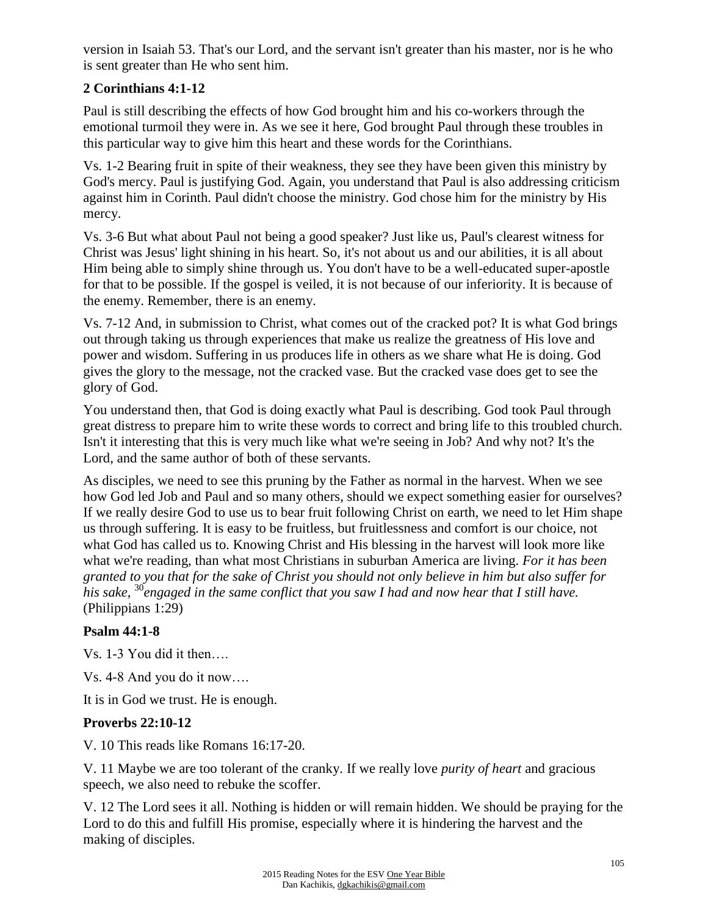version in Isaiah 53. That's our Lord, and the servant isn't greater than his master, nor is he who is sent greater than He who sent him.

## **2 Corinthians 4:1-12**

Paul is still describing the effects of how God brought him and his co-workers through the emotional turmoil they were in. As we see it here, God brought Paul through these troubles in this particular way to give him this heart and these words for the Corinthians.

Vs. 1-2 Bearing fruit in spite of their weakness, they see they have been given this ministry by God's mercy. Paul is justifying God. Again, you understand that Paul is also addressing criticism against him in Corinth. Paul didn't choose the ministry. God chose him for the ministry by His mercy.

Vs. 3-6 But what about Paul not being a good speaker? Just like us, Paul's clearest witness for Christ was Jesus' light shining in his heart. So, it's not about us and our abilities, it is all about Him being able to simply shine through us. You don't have to be a well-educated super-apostle for that to be possible. If the gospel is veiled, it is not because of our inferiority. It is because of the enemy. Remember, there is an enemy.

Vs. 7-12 And, in submission to Christ, what comes out of the cracked pot? It is what God brings out through taking us through experiences that make us realize the greatness of His love and power and wisdom. Suffering in us produces life in others as we share what He is doing. God gives the glory to the message, not the cracked vase. But the cracked vase does get to see the glory of God.

You understand then, that God is doing exactly what Paul is describing. God took Paul through great distress to prepare him to write these words to correct and bring life to this troubled church. Isn't it interesting that this is very much like what we're seeing in Job? And why not? It's the Lord, and the same author of both of these servants.

As disciples, we need to see this pruning by the Father as normal in the harvest. When we see how God led Job and Paul and so many others, should we expect something easier for ourselves? If we really desire God to use us to bear fruit following Christ on earth, we need to let Him shape us through suffering. It is easy to be fruitless, but fruitlessness and comfort is our choice, not what God has called us to. Knowing Christ and His blessing in the harvest will look more like what we're reading, than what most Christians in suburban America are living. *For it has been granted to you that for the sake of Christ you should not only believe in him but also suffer for his sake,* <sup>30</sup>*engaged in the same conflict that you saw I had and now hear that I still have.* (Philippians 1:29)

# **Psalm 44:1-8**

Vs. 1-3 You did it then….

Vs. 4-8 And you do it now….

It is in God we trust. He is enough.

## **Proverbs 22:10-12**

V. 10 This reads like Romans 16:17-20.

V. 11 Maybe we are too tolerant of the cranky. If we really love *purity of heart* and gracious speech, we also need to rebuke the scoffer.

V. 12 The Lord sees it all. Nothing is hidden or will remain hidden. We should be praying for the Lord to do this and fulfill His promise, especially where it is hindering the harvest and the making of disciples.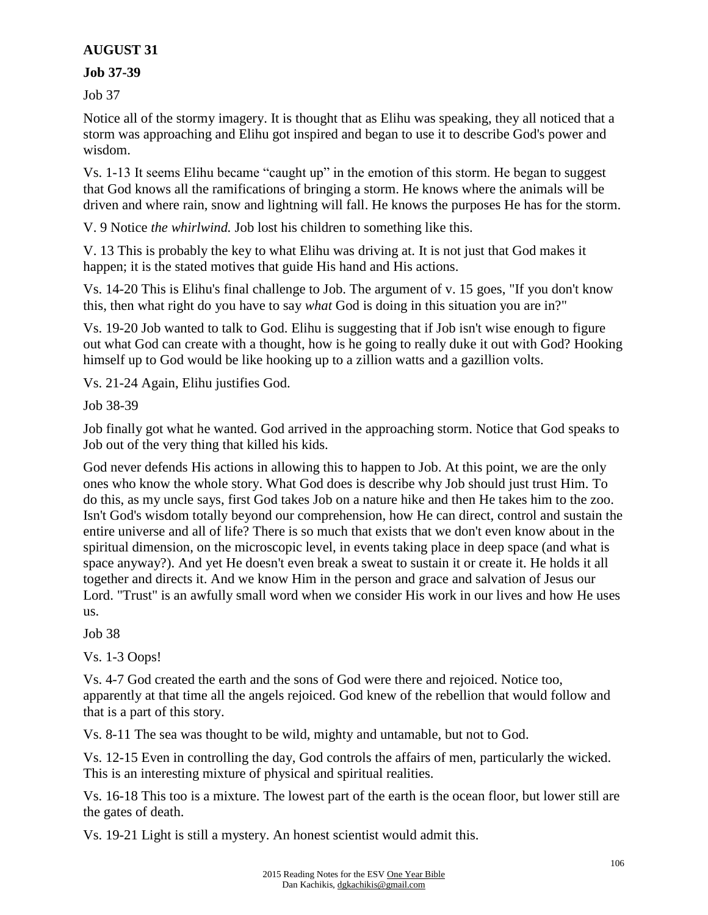## **AUGUST 31**

### **Job 37-39**

Job 37

Notice all of the stormy imagery. It is thought that as Elihu was speaking, they all noticed that a storm was approaching and Elihu got inspired and began to use it to describe God's power and wisdom.

Vs. 1-13 It seems Elihu became "caught up" in the emotion of this storm. He began to suggest that God knows all the ramifications of bringing a storm. He knows where the animals will be driven and where rain, snow and lightning will fall. He knows the purposes He has for the storm.

V. 9 Notice *the whirlwind.* Job lost his children to something like this.

V. 13 This is probably the key to what Elihu was driving at. It is not just that God makes it happen; it is the stated motives that guide His hand and His actions.

Vs. 14-20 This is Elihu's final challenge to Job. The argument of v. 15 goes, "If you don't know this, then what right do you have to say *what* God is doing in this situation you are in?"

Vs. 19-20 Job wanted to talk to God. Elihu is suggesting that if Job isn't wise enough to figure out what God can create with a thought, how is he going to really duke it out with God? Hooking himself up to God would be like hooking up to a zillion watts and a gazillion volts.

Vs. 21-24 Again, Elihu justifies God.

Job 38-39

Job finally got what he wanted. God arrived in the approaching storm. Notice that God speaks to Job out of the very thing that killed his kids.

God never defends His actions in allowing this to happen to Job. At this point, we are the only ones who know the whole story. What God does is describe why Job should just trust Him. To do this, as my uncle says, first God takes Job on a nature hike and then He takes him to the zoo. Isn't God's wisdom totally beyond our comprehension, how He can direct, control and sustain the entire universe and all of life? There is so much that exists that we don't even know about in the spiritual dimension, on the microscopic level, in events taking place in deep space (and what is space anyway?). And yet He doesn't even break a sweat to sustain it or create it. He holds it all together and directs it. And we know Him in the person and grace and salvation of Jesus our Lord. "Trust" is an awfully small word when we consider His work in our lives and how He uses us.

Job 38

Vs. 1-3 Oops!

Vs. 4-7 God created the earth and the sons of God were there and rejoiced. Notice too, apparently at that time all the angels rejoiced. God knew of the rebellion that would follow and that is a part of this story.

Vs. 8-11 The sea was thought to be wild, mighty and untamable, but not to God.

Vs. 12-15 Even in controlling the day, God controls the affairs of men, particularly the wicked. This is an interesting mixture of physical and spiritual realities.

Vs. 16-18 This too is a mixture. The lowest part of the earth is the ocean floor, but lower still are the gates of death.

Vs. 19-21 Light is still a mystery. An honest scientist would admit this.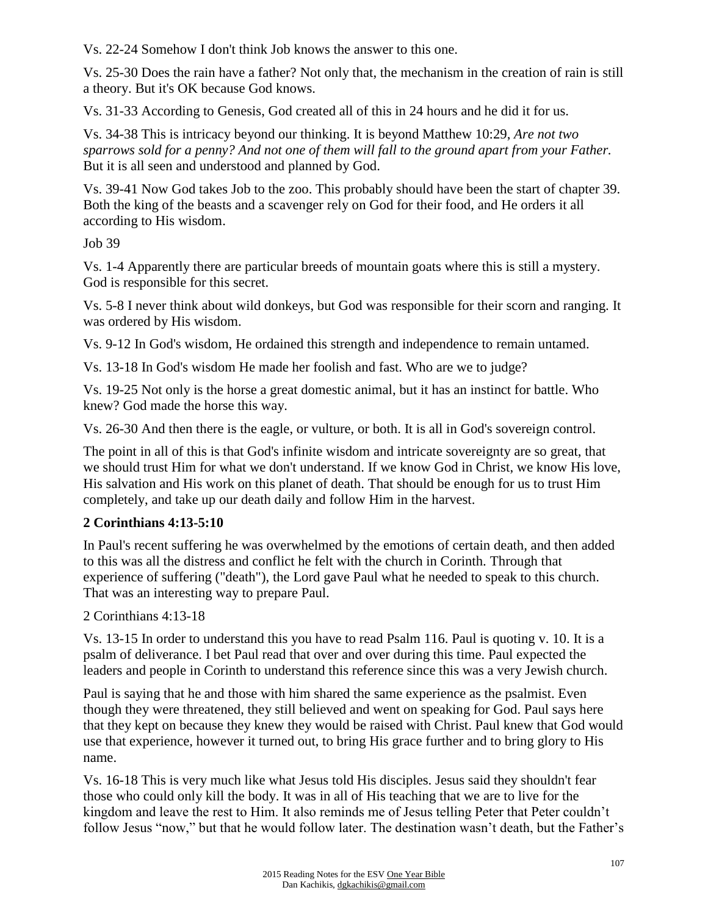Vs. 22-24 Somehow I don't think Job knows the answer to this one.

Vs. 25-30 Does the rain have a father? Not only that, the mechanism in the creation of rain is still a theory. But it's OK because God knows.

Vs. 31-33 According to Genesis, God created all of this in 24 hours and he did it for us.

Vs. 34-38 This is intricacy beyond our thinking. It is beyond Matthew 10:29, *Are not two sparrows sold for a penny? And not one of them will fall to the ground apart from your Father.* But it is all seen and understood and planned by God.

Vs. 39-41 Now God takes Job to the zoo. This probably should have been the start of chapter 39. Both the king of the beasts and a scavenger rely on God for their food, and He orders it all according to His wisdom.

Job 39

Vs. 1-4 Apparently there are particular breeds of mountain goats where this is still a mystery. God is responsible for this secret.

Vs. 5-8 I never think about wild donkeys, but God was responsible for their scorn and ranging. It was ordered by His wisdom.

Vs. 9-12 In God's wisdom, He ordained this strength and independence to remain untamed.

Vs. 13-18 In God's wisdom He made her foolish and fast. Who are we to judge?

Vs. 19-25 Not only is the horse a great domestic animal, but it has an instinct for battle. Who knew? God made the horse this way.

Vs. 26-30 And then there is the eagle, or vulture, or both. It is all in God's sovereign control.

The point in all of this is that God's infinite wisdom and intricate sovereignty are so great, that we should trust Him for what we don't understand. If we know God in Christ, we know His love, His salvation and His work on this planet of death. That should be enough for us to trust Him completely, and take up our death daily and follow Him in the harvest.

## **2 Corinthians 4:13-5:10**

In Paul's recent suffering he was overwhelmed by the emotions of certain death, and then added to this was all the distress and conflict he felt with the church in Corinth. Through that experience of suffering ("death"), the Lord gave Paul what he needed to speak to this church. That was an interesting way to prepare Paul.

2 Corinthians 4:13-18

Vs. 13-15 In order to understand this you have to read Psalm 116. Paul is quoting v. 10. It is a psalm of deliverance. I bet Paul read that over and over during this time. Paul expected the leaders and people in Corinth to understand this reference since this was a very Jewish church.

Paul is saying that he and those with him shared the same experience as the psalmist. Even though they were threatened, they still believed and went on speaking for God. Paul says here that they kept on because they knew they would be raised with Christ. Paul knew that God would use that experience, however it turned out, to bring His grace further and to bring glory to His name.

Vs. 16-18 This is very much like what Jesus told His disciples. Jesus said they shouldn't fear those who could only kill the body. It was in all of His teaching that we are to live for the kingdom and leave the rest to Him. It also reminds me of Jesus telling Peter that Peter couldn't follow Jesus "now," but that he would follow later. The destination wasn't death, but the Father's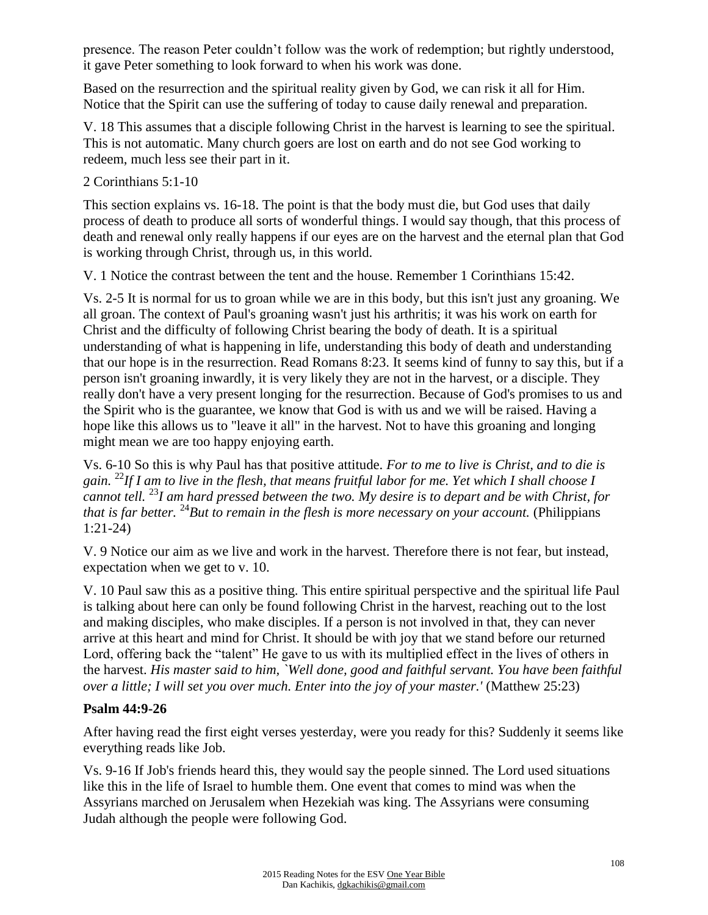presence. The reason Peter couldn't follow was the work of redemption; but rightly understood, it gave Peter something to look forward to when his work was done.

Based on the resurrection and the spiritual reality given by God, we can risk it all for Him. Notice that the Spirit can use the suffering of today to cause daily renewal and preparation.

V. 18 This assumes that a disciple following Christ in the harvest is learning to see the spiritual. This is not automatic. Many church goers are lost on earth and do not see God working to redeem, much less see their part in it.

### 2 Corinthians 5:1-10

This section explains vs. 16-18. The point is that the body must die, but God uses that daily process of death to produce all sorts of wonderful things. I would say though, that this process of death and renewal only really happens if our eyes are on the harvest and the eternal plan that God is working through Christ, through us, in this world.

V. 1 Notice the contrast between the tent and the house. Remember 1 Corinthians 15:42.

Vs. 2-5 It is normal for us to groan while we are in this body, but this isn't just any groaning. We all groan. The context of Paul's groaning wasn't just his arthritis; it was his work on earth for Christ and the difficulty of following Christ bearing the body of death. It is a spiritual understanding of what is happening in life, understanding this body of death and understanding that our hope is in the resurrection. Read Romans 8:23. It seems kind of funny to say this, but if a person isn't groaning inwardly, it is very likely they are not in the harvest, or a disciple. They really don't have a very present longing for the resurrection. Because of God's promises to us and the Spirit who is the guarantee, we know that God is with us and we will be raised. Having a hope like this allows us to "leave it all" in the harvest. Not to have this groaning and longing might mean we are too happy enjoying earth.

Vs. 6-10 So this is why Paul has that positive attitude. *For to me to live is Christ, and to die is gain.* <sup>22</sup>*If I am to live in the flesh, that means fruitful labor for me. Yet which I shall choose I cannot tell.* <sup>23</sup>*I am hard pressed between the two. My desire is to depart and be with Christ, for that is far better.* <sup>24</sup>*But to remain in the flesh is more necessary on your account.* (Philippians 1:21-24)

V. 9 Notice our aim as we live and work in the harvest. Therefore there is not fear, but instead, expectation when we get to v. 10.

V. 10 Paul saw this as a positive thing. This entire spiritual perspective and the spiritual life Paul is talking about here can only be found following Christ in the harvest, reaching out to the lost and making disciples, who make disciples. If a person is not involved in that, they can never arrive at this heart and mind for Christ. It should be with joy that we stand before our returned Lord, offering back the "talent" He gave to us with its multiplied effect in the lives of others in the harvest. *His master said to him, `Well done, good and faithful servant. You have been faithful over a little; I will set you over much. Enter into the joy of your master.'* (Matthew 25:23)

### **Psalm 44:9-26**

After having read the first eight verses yesterday, were you ready for this? Suddenly it seems like everything reads like Job.

Vs. 9-16 If Job's friends heard this, they would say the people sinned. The Lord used situations like this in the life of Israel to humble them. One event that comes to mind was when the Assyrians marched on Jerusalem when Hezekiah was king. The Assyrians were consuming Judah although the people were following God.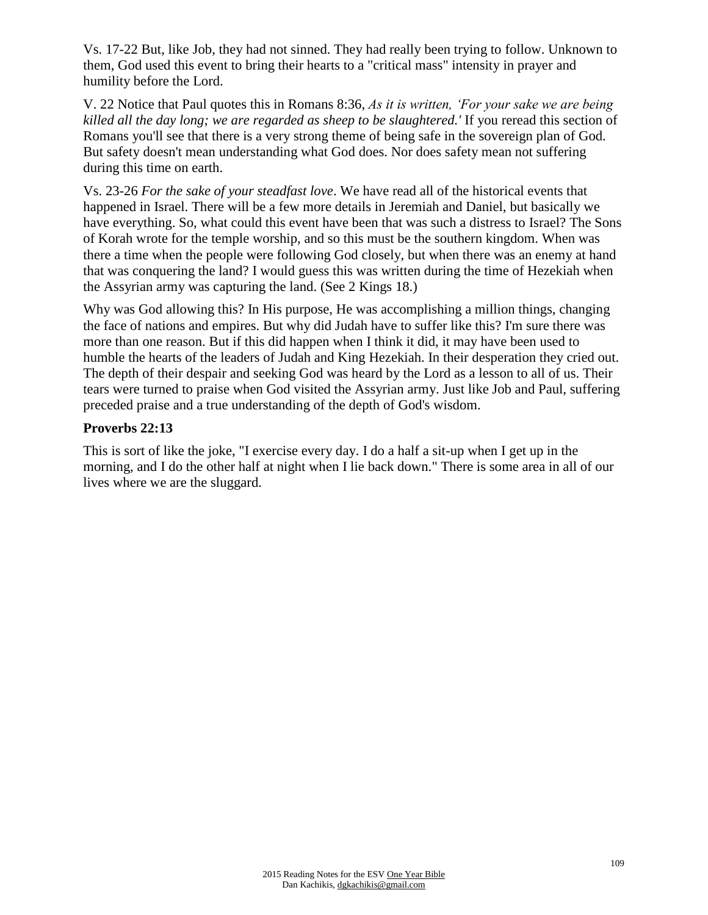Vs. 17-22 But, like Job, they had not sinned. They had really been trying to follow. Unknown to them, God used this event to bring their hearts to a "critical mass" intensity in prayer and humility before the Lord.

V. 22 Notice that Paul quotes this in Romans 8:36, *As it is written, 'For your sake we are being killed all the day long; we are regarded as sheep to be slaughtered.'* If you reread this section of Romans you'll see that there is a very strong theme of being safe in the sovereign plan of God. But safety doesn't mean understanding what God does. Nor does safety mean not suffering during this time on earth.

Vs. 23-26 *For the sake of your steadfast love*. We have read all of the historical events that happened in Israel. There will be a few more details in Jeremiah and Daniel, but basically we have everything. So, what could this event have been that was such a distress to Israel? The Sons of Korah wrote for the temple worship, and so this must be the southern kingdom. When was there a time when the people were following God closely, but when there was an enemy at hand that was conquering the land? I would guess this was written during the time of Hezekiah when the Assyrian army was capturing the land. (See 2 Kings 18.)

Why was God allowing this? In His purpose, He was accomplishing a million things, changing the face of nations and empires. But why did Judah have to suffer like this? I'm sure there was more than one reason. But if this did happen when I think it did, it may have been used to humble the hearts of the leaders of Judah and King Hezekiah. In their desperation they cried out. The depth of their despair and seeking God was heard by the Lord as a lesson to all of us. Their tears were turned to praise when God visited the Assyrian army. Just like Job and Paul, suffering preceded praise and a true understanding of the depth of God's wisdom.

## **Proverbs 22:13**

This is sort of like the joke, "I exercise every day. I do a half a sit-up when I get up in the morning, and I do the other half at night when I lie back down." There is some area in all of our lives where we are the sluggard.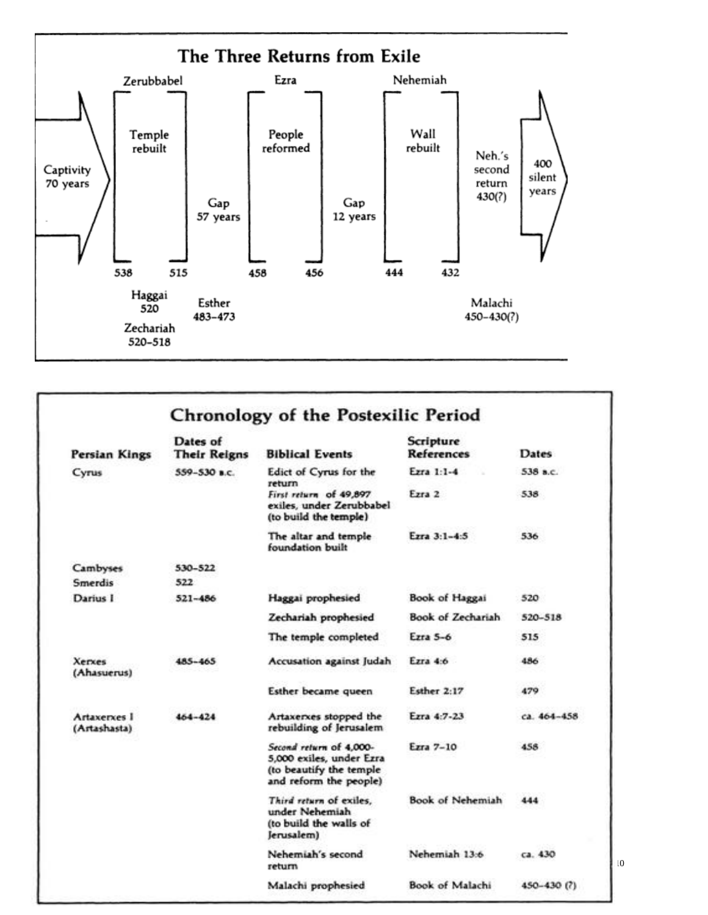

| <b>Persian Kings</b>         | Dates of<br><b>Their Reigns</b> | <b>Biblical Events</b>                                                                                   | Scripture<br><b>References</b> | Dates:      |
|------------------------------|---------------------------------|----------------------------------------------------------------------------------------------------------|--------------------------------|-------------|
| Cyrus                        | $559 - 530$ B.C.                | Edict of Cyrus for the                                                                                   | Ezra 1:1-4                     | 538 a.c.    |
|                              |                                 | return<br>First return of 49,897<br>exiles, under Zerubbabel<br>(to build the temple)                    | Ezra 2                         | 538         |
|                              |                                 | The altar and temple<br>foundation built                                                                 | Ezra 3:1-4:5                   | 536         |
| Cambyses                     | 530-522                         |                                                                                                          |                                |             |
| Smerdis                      | 522                             |                                                                                                          |                                |             |
| Darius I                     | $521 - 486$                     | Haggai prophesied                                                                                        | Book of Haggai                 | 520         |
|                              |                                 | Zechariah prophesied                                                                                     | Book of Zechariah              | 520-518     |
|                              |                                 | The temple completed                                                                                     | Ezra 5-6                       | 515         |
| Xerxes<br>(Ahasuerus)        | 485-465                         | Accusation against Judah                                                                                 | Ezra $4:6$                     | 486         |
|                              |                                 | Esther became queen                                                                                      | Esther 2:17                    | 479         |
| Artaxerxes I<br>(Artashasta) | $464 - 424$                     | Artaxerxes stopped the<br>rebuilding of Jerusalem                                                        | Ezra 4:7-23                    | ca. 464-458 |
|                              |                                 | Second return of 4,000-<br>5,000 exiles, under Ezra<br>(to beautify the temple<br>and reform the people) | Ezra 7-10                      | 458         |
|                              |                                 | Third return of exiles,<br>under Nehemiah<br>(to build the walls of<br>Jerusalem)                        | Book of Nehemiah               | 444         |
|                              |                                 | Nehemiah's second<br>return                                                                              | Nehemiah 13:6                  | ca. 430     |
|                              |                                 | Malachi prophesied                                                                                       | Book of Malachi                | 450-430 (?) |